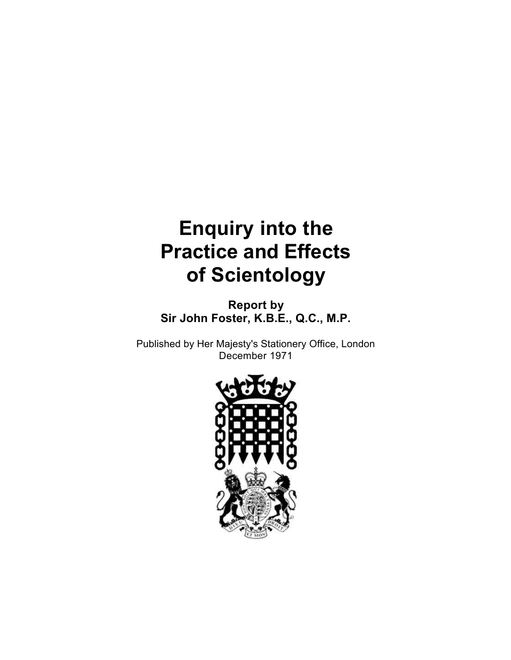# **Enquiry into the Practice and Effects of Scientology**

**Report by Sir John Foster, K.B.E., Q.C., M.P.**

Published by Her Majesty's Stationery Office, London December 1971

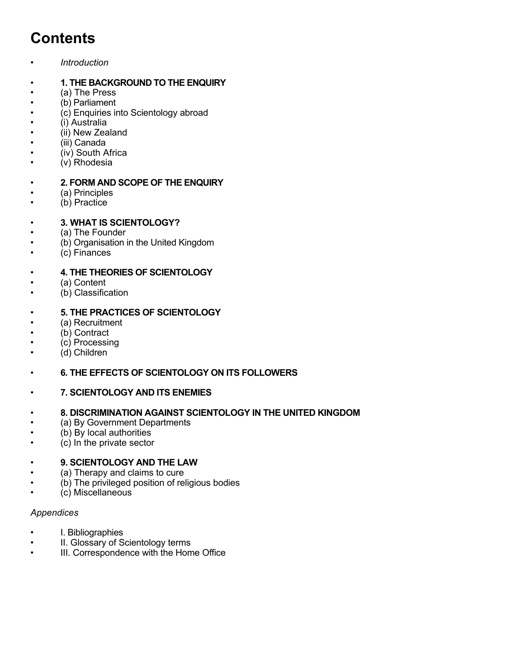## **Contents**

• *Introduction*

#### • **1. THE BACKGROUND TO THE ENQUIRY**

- (a) The Press
- (b) Parliament
- (c) Enquiries into Scientology abroad
- (i) Australia
- (ii) New Zealand
- (iii) Canada
- (iv) South Africa
- $\cdot$  (v) Rhodesia

#### • **2. FORM AND SCOPE OF THE ENQUIRY**

- (a) Principles
- (b) Practice

#### • **3. WHAT IS SCIENTOLOGY?**

- (a) The Founder
- (b) Organisation in the United Kingdom
- (c) Finances

#### • **4. THE THEORIES OF SCIENTOLOGY**

- (a) Content
- (b) Classification

#### • **5. THE PRACTICES OF SCIENTOLOGY**

- (a) Recruitment
- (b) Contract
- (c) Processing
- (d) Children

#### • **6. THE EFFECTS OF SCIENTOLOGY ON ITS FOLLOWERS**

#### • **7. SCIENTOLOGY AND ITS ENEMIES**

- **8. DISCRIMINATION AGAINST SCIENTOLOGY IN THE UNITED KINGDOM**
- (a) By Government Departments
- (b) By local authorities
- (c) In the private sector

#### • **9. SCIENTOLOGY AND THE LAW**

- (a) Therapy and claims to cure
- (b) The privileged position of religious bodies
- (c) Miscellaneous

#### *Appendices*

- I. Bibliographies
- II. Glossary of Scientology terms
- III. Correspondence with the Home Office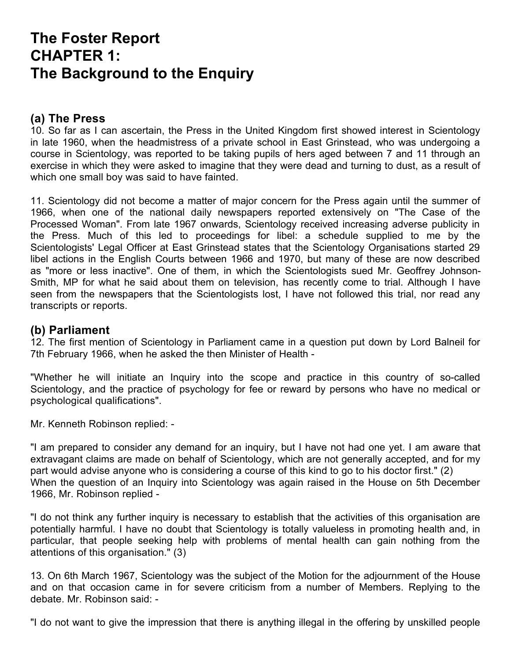## **The Foster Report CHAPTER 1: The Background to the Enquiry**

## **(a) The Press**

10. So far as I can ascertain, the Press in the United Kingdom first showed interest in Scientology in late 1960, when the headmistress of a private school in East Grinstead, who was undergoing a course in Scientology, was reported to be taking pupils of hers aged between 7 and 11 through an exercise in which they were asked to imagine that they were dead and turning to dust, as a result of which one small boy was said to have fainted.

11. Scientology did not become a matter of major concern for the Press again until the summer of 1966, when one of the national daily newspapers reported extensively on "The Case of the Processed Woman". From late 1967 onwards, Scientology received increasing adverse publicity in the Press. Much of this led to proceedings for libel: a schedule supplied to me by the Scientologists' Legal Officer at East Grinstead states that the Scientology Organisations started 29 libel actions in the English Courts between 1966 and 1970, but many of these are now described as "more or less inactive". One of them, in which the Scientologists sued Mr. Geoffrey Johnson-Smith, MP for what he said about them on television, has recently come to trial. Although I have seen from the newspapers that the Scientologists lost, I have not followed this trial, nor read any transcripts or reports.

#### **(b) Parliament**

12. The first mention of Scientology in Parliament came in a question put down by Lord Balneil for 7th February 1966, when he asked the then Minister of Health -

"Whether he will initiate an Inquiry into the scope and practice in this country of so-called Scientology, and the practice of psychology for fee or reward by persons who have no medical or psychological qualifications".

Mr. Kenneth Robinson replied: -

"I am prepared to consider any demand for an inquiry, but I have not had one yet. I am aware that extravagant claims are made on behalf of Scientology, which are not generally accepted, and for my part would advise anyone who is considering a course of this kind to go to his doctor first." (2) When the question of an Inquiry into Scientology was again raised in the House on 5th December 1966, Mr. Robinson replied -

"I do not think any further inquiry is necessary to establish that the activities of this organisation are potentially harmful. I have no doubt that Scientology is totally valueless in promoting health and, in particular, that people seeking help with problems of mental health can gain nothing from the attentions of this organisation." (3)

13. On 6th March 1967, Scientology was the subject of the Motion for the adjournment of the House and on that occasion came in for severe criticism from a number of Members. Replying to the debate. Mr. Robinson said: -

"I do not want to give the impression that there is anything illegal in the offering by unskilled people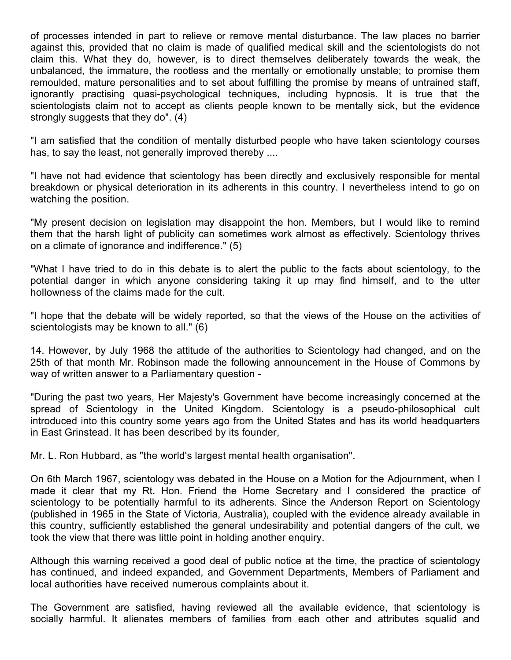of processes intended in part to relieve or remove mental disturbance. The law places no barrier against this, provided that no claim is made of qualified medical skill and the scientologists do not claim this. What they do, however, is to direct themselves deliberately towards the weak, the unbalanced, the immature, the rootless and the mentally or emotionally unstable; to promise them remoulded, mature personalities and to set about fulfilling the promise by means of untrained staff, ignorantly practising quasi-psychological techniques, including hypnosis. It is true that the scientologists claim not to accept as clients people known to be mentally sick, but the evidence strongly suggests that they do". (4)

"I am satisfied that the condition of mentally disturbed people who have taken scientology courses has, to say the least, not generally improved thereby ....

"I have not had evidence that scientology has been directly and exclusively responsible for mental breakdown or physical deterioration in its adherents in this country. I nevertheless intend to go on watching the position.

"My present decision on legislation may disappoint the hon. Members, but I would like to remind them that the harsh light of publicity can sometimes work almost as effectively. Scientology thrives on a climate of ignorance and indifference." (5)

"What I have tried to do in this debate is to alert the public to the facts about scientology, to the potential danger in which anyone considering taking it up may find himself, and to the utter hollowness of the claims made for the cult.

"I hope that the debate will be widely reported, so that the views of the House on the activities of scientologists may be known to all." (6)

14. However, by July 1968 the attitude of the authorities to Scientology had changed, and on the 25th of that month Mr. Robinson made the following announcement in the House of Commons by way of written answer to a Parliamentary question -

"During the past two years, Her Majesty's Government have become increasingly concerned at the spread of Scientology in the United Kingdom. Scientology is a pseudo-philosophical cult introduced into this country some years ago from the United States and has its world headquarters in East Grinstead. It has been described by its founder,

Mr. L. Ron Hubbard, as "the world's largest mental health organisation".

On 6th March 1967, scientology was debated in the House on a Motion for the Adjournment, when I made it clear that my Rt. Hon. Friend the Home Secretary and I considered the practice of scientology to be potentially harmful to its adherents. Since the Anderson Report on Scientology (published in 1965 in the State of Victoria, Australia), coupled with the evidence already available in this country, sufficiently established the general undesirability and potential dangers of the cult, we took the view that there was little point in holding another enquiry.

Although this warning received a good deal of public notice at the time, the practice of scientology has continued, and indeed expanded, and Government Departments, Members of Parliament and local authorities have received numerous complaints about it.

The Government are satisfied, having reviewed all the available evidence, that scientology is socially harmful. It alienates members of families from each other and attributes squalid and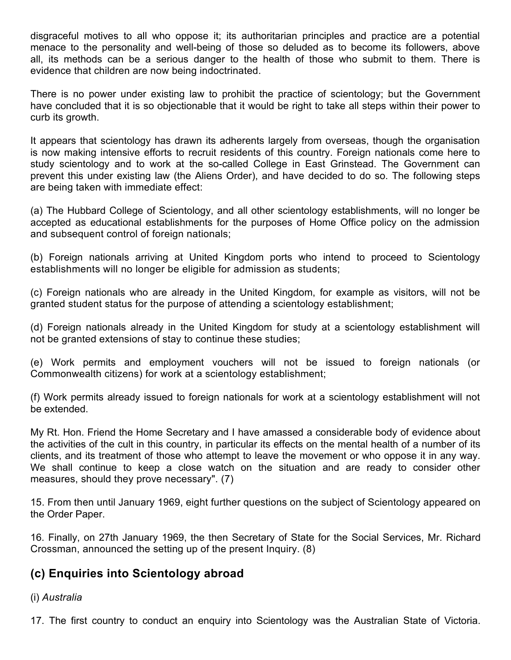disgraceful motives to all who oppose it; its authoritarian principles and practice are a potential menace to the personality and well-being of those so deluded as to become its followers, above all, its methods can be a serious danger to the health of those who submit to them. There is evidence that children are now being indoctrinated.

There is no power under existing law to prohibit the practice of scientology; but the Government have concluded that it is so objectionable that it would be right to take all steps within their power to curb its growth.

It appears that scientology has drawn its adherents largely from overseas, though the organisation is now making intensive efforts to recruit residents of this country. Foreign nationals come here to study scientology and to work at the so-called College in East Grinstead. The Government can prevent this under existing law (the Aliens Order), and have decided to do so. The following steps are being taken with immediate effect:

(a) The Hubbard College of Scientology, and all other scientology establishments, will no longer be accepted as educational establishments for the purposes of Home Office policy on the admission and subsequent control of foreign nationals;

(b) Foreign nationals arriving at United Kingdom ports who intend to proceed to Scientology establishments will no longer be eligible for admission as students;

(c) Foreign nationals who are already in the United Kingdom, for example as visitors, will not be granted student status for the purpose of attending a scientology establishment;

(d) Foreign nationals already in the United Kingdom for study at a scientology establishment will not be granted extensions of stay to continue these studies;

(e) Work permits and employment vouchers will not be issued to foreign nationals (or Commonwealth citizens) for work at a scientology establishment;

(f) Work permits already issued to foreign nationals for work at a scientology establishment will not be extended.

My Rt. Hon. Friend the Home Secretary and I have amassed a considerable body of evidence about the activities of the cult in this country, in particular its effects on the mental health of a number of its clients, and its treatment of those who attempt to leave the movement or who oppose it in any way. We shall continue to keep a close watch on the situation and are ready to consider other measures, should they prove necessary". (7)

15. From then until January 1969, eight further questions on the subject of Scientology appeared on the Order Paper.

16. Finally, on 27th January 1969, the then Secretary of State for the Social Services, Mr. Richard Crossman, announced the setting up of the present Inquiry. (8)

## **(c) Enquiries into Scientology abroad**

#### (i) *Australia*

17. The first country to conduct an enquiry into Scientology was the Australian State of Victoria.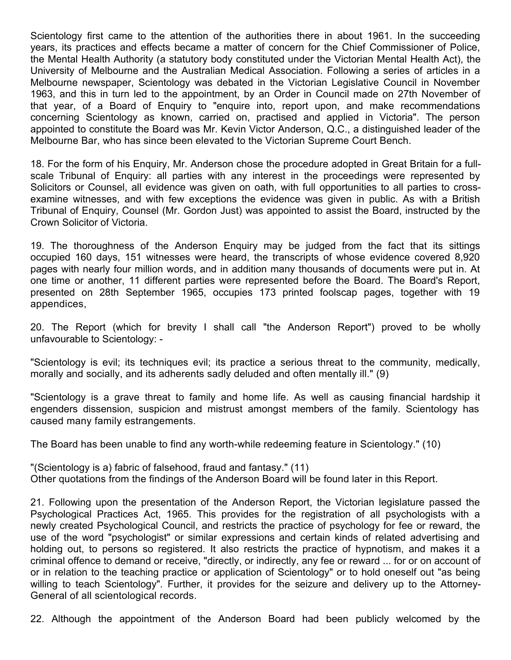Scientology first came to the attention of the authorities there in about 1961. In the succeeding years, its practices and effects became a matter of concern for the Chief Commissioner of Police, the Mental Health Authority (a statutory body constituted under the Victorian Mental Health Act), the University of Melbourne and the Australian Medical Association. Following a series of articles in a Melbourne newspaper, Scientology was debated in the Victorian Legislative Council in November 1963, and this in turn led to the appointment, by an Order in Council made on 27th November of that year, of a Board of Enquiry to "enquire into, report upon, and make recommendations concerning Scientology as known, carried on, practised and applied in Victoria". The person appointed to constitute the Board was Mr. Kevin Victor Anderson, Q.C., a distinguished leader of the Melbourne Bar, who has since been elevated to the Victorian Supreme Court Bench.

18. For the form of his Enquiry, Mr. Anderson chose the procedure adopted in Great Britain for a fullscale Tribunal of Enquiry: all parties with any interest in the proceedings were represented by Solicitors or Counsel, all evidence was given on oath, with full opportunities to all parties to crossexamine witnesses, and with few exceptions the evidence was given in public. As with a British Tribunal of Enquiry, Counsel (Mr. Gordon Just) was appointed to assist the Board, instructed by the Crown Solicitor of Victoria.

19. The thoroughness of the Anderson Enquiry may be judged from the fact that its sittings occupied 160 days, 151 witnesses were heard, the transcripts of whose evidence covered 8,920 pages with nearly four million words, and in addition many thousands of documents were put in. At one time or another, 11 different parties were represented before the Board. The Board's Report, presented on 28th September 1965, occupies 173 printed foolscap pages, together with 19 appendices,

20. The Report (which for brevity I shall call "the Anderson Report") proved to be wholly unfavourable to Scientology: -

"Scientology is evil; its techniques evil; its practice a serious threat to the community, medically, morally and socially, and its adherents sadly deluded and often mentally ill." (9)

"Scientology is a grave threat to family and home life. As well as causing financial hardship it engenders dissension, suspicion and mistrust amongst members of the family. Scientology has caused many family estrangements.

The Board has been unable to find any worth-while redeeming feature in Scientology." (10)

"(Scientology is a) fabric of falsehood, fraud and fantasy." (11) Other quotations from the findings of the Anderson Board will be found later in this Report.

21. Following upon the presentation of the Anderson Report, the Victorian legislature passed the Psychological Practices Act, 1965. This provides for the registration of all psychologists with a newly created Psychological Council, and restricts the practice of psychology for fee or reward, the use of the word "psychologist" or similar expressions and certain kinds of related advertising and holding out, to persons so registered. It also restricts the practice of hypnotism, and makes it a criminal offence to demand or receive, "directly, or indirectly, any fee or reward ... for or on account of or in relation to the teaching practice or application of Scientology" or to hold oneself out "as being willing to teach Scientology". Further, it provides for the seizure and delivery up to the Attorney-General of all scientological records.

22. Although the appointment of the Anderson Board had been publicly welcomed by the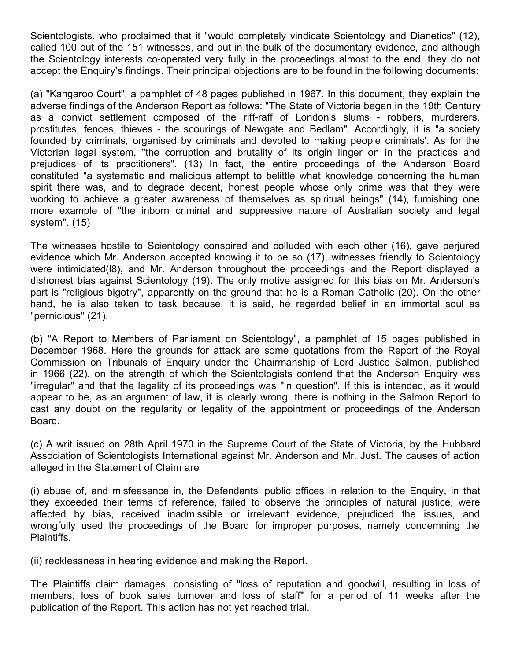Scientologists. who proclaimed that it "would completely vindicate Scientology and Dianetics" (12), called 100 out of the 151 witnesses, and put in the bulk of the documentary evidence, and although the Scientology interests co-operated very fully in the proceedings almost to the end, they do not accept the Enquiry's findings. Their principal objections are to be found in the following documents:

(a) "Kangaroo Court", a pamphlet of 48 pages published in 1967. In this document, they explain the adverse findings of the Anderson Report as follows: "The State of Victoria began in the 19th Century as a convict settlement composed of the riff-raff of London's slums - robbers, murderers, prostitutes, fences, thieves - the scourings of Newgate and Bedlam". Accordingly, it is "a society founded by criminals, organised by criminals and devoted to making people criminals'. As for the Victorian legal system, "the corruption and brutality of its origin linger on in the practices and prejudices of its practitioners". (13) In fact, the entire proceedings of the Anderson Board constituted "a systematic and malicious attempt to belittle what knowledge concerning the human spirit there was, and to degrade decent, honest people whose only crime was that they were working to achieve a greater awareness of themselves as spiritual beings" (14), furnishing one more example of "the inborn criminal and suppressive nature of Australian society and legal system". (15)

The witnesses hostile to Scientology conspired and colluded with each other (16), gave perjured evidence which Mr. Anderson accepted knowing it to be so (17), witnesses friendly to Scientology were intimidated(l8), and Mr. Anderson throughout the proceedings and the Report displayed a dishonest bias against Scientology (19). The only motive assigned for this bias on Mr. Anderson's part is "religious bigotry", apparently on the ground that he is a Roman Catholic (20). On the other hand, he is also taken to task because, it is said, he regarded belief in an immortal soul as "pernicious" (21).

(b) "A Report to Members of Parliament on Scientology", a pamphlet of 15 pages published in December 1968. Here the grounds for attack are some quotations from the Report of the Royal Commission on Tribunals of Enquiry under the Chairmanship of Lord Justice Salmon, published in 1966 (22), on the strength of which the Scientologists contend that the Anderson Enquiry was "irregular" and that the legality of its proceedings was "in question". If this is intended, as it would appear to be, as an argument of law, it is clearly wrong: there is nothing in the Salmon Report to cast any doubt on the regularity or legality of the appointment or proceedings of the Anderson Board.

(c) A writ issued on 28th April 1970 in the Supreme Court of the State of Victoria, by the Hubbard Association of Scientologists International against Mr. Anderson and Mr. Just. The causes of action alleged in the Statement of Claim are

(i) abuse of, and misfeasance in, the Defendants' public offices in relation to the Enquiry, in that they exceeded their terms of reference, failed to observe the principles of natural justice, were affected by bias, received inadmissible or irrelevant evidence, prejudiced the issues, and wrongfully used the proceedings of the Board for improper purposes, namely condemning the Plaintiffs.

(ii) recklessness in hearing evidence and making the Report.

The Plaintiffs claim damages, consisting of "loss of reputation and goodwill, resulting in loss of members, loss of book sales turnover and loss of staff" for a period of 11 weeks after the publication of the Report. This action has not yet reached trial.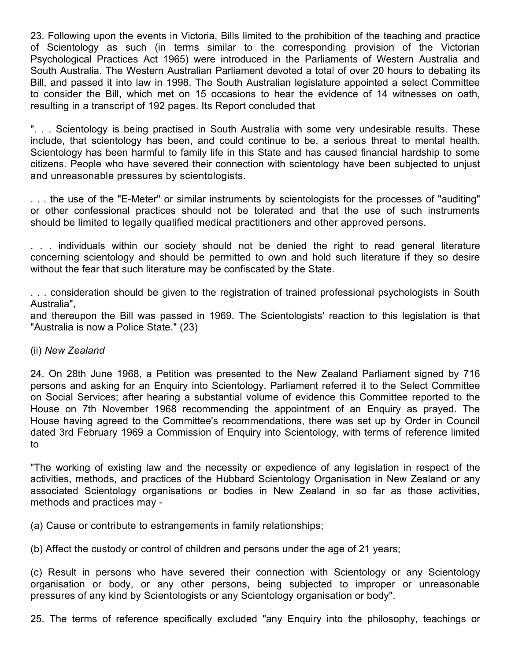23. Following upon the events in Victoria, Bills limited to the prohibition of the teaching and practice of Scientology as such (in terms similar to the corresponding provision of the Victorian Psychological Practices Act 1965) were introduced in the Parliaments of Western Australia and South Australia. The Western Australian Parliament devoted a total of over 20 hours to debating its Bill, and passed it into law in 1998. The South Australian legislature appointed a select Committee to consider the Bill, which met on 15 occasions to hear the evidence of 14 witnesses on oath, resulting in a transcript of 192 pages. Its Report concluded that

". . . Scientology is being practised in South Australia with some very undesirable results. These include, that scientology has been, and could continue to be, a serious threat to mental health. Scientology has been harmful to family life in this State and has caused financial hardship to some citizens. People who have severed their connection with scientology have been subjected to unjust and unreasonable pressures by scientologists.

. . . the use of the "E-Meter" or similar instruments by scientologists for the processes of "auditing" or other confessional practices should not be tolerated and that the use of such instruments should be limited to legally qualified medical practitioners and other approved persons.

... individuals within our society should not be denied the right to read general literature concerning scientology and should be permitted to own and hold such literature if they so desire without the fear that such literature may be confiscated by the State.

. . . consideration should be given to the registration of trained professional psychologists in South Australia",

and thereupon the Bill was passed in 1969. The Scientologists' reaction to this legislation is that "Australia is now a Police State." (23)

#### (ii) *New Zealand*

24. On 28th June 1968, a Petition was presented to the New Zealand Parliament signed by 716 persons and asking for an Enquiry into Scientology. Parliament referred it to the Select Committee on Social Services; after hearing a substantial volume of evidence this Committee reported to the House on 7th November 1968 recommending the appointment of an Enquiry as prayed. The House having agreed to the Committee's recommendations, there was set up by Order in Council dated 3rd February 1969 a Commission of Enquiry into Scientology, with terms of reference limited to

"The working of existing law and the necessity or expedience of any legislation in respect of the activities, methods, and practices of the Hubbard Scientology Organisation in New Zealand or any associated Scientology organisations or bodies in New Zealand in so far as those activities, methods and practices may -

(a) Cause or contribute to estrangements in family relationships;

(b) Affect the custody or control of children and persons under the age of 21 years;

(c) Result in persons who have severed their connection with Scientology or any Scientology organisation or body, or any other persons, being subjected to improper or unreasonable pressures of any kind by Scientologists or any Scientology organisation or body".

25. The terms of reference specifically excluded "any Enquiry into the philosophy, teachings or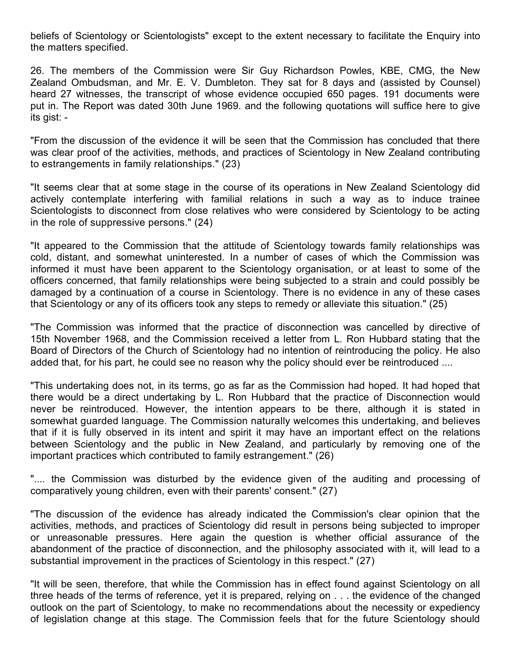beliefs of Scientology or Scientologists" except to the extent necessary to facilitate the Enquiry into the matters specified.

26. The members of the Commission were Sir Guy Richardson Powles, KBE, CMG, the New Zealand Ombudsman, and Mr. E. V. Dumbleton. They sat for 8 days and (assisted by Counsel) heard 27 witnesses, the transcript of whose evidence occupied 650 pages. 191 documents were put in. The Report was dated 30th June 1969. and the following quotations will suffice here to give its gist: -

"From the discussion of the evidence it will be seen that the Commission has concluded that there was clear proof of the activities, methods, and practices of Scientology in New Zealand contributing to estrangements in family relationships." (23)

"It seems clear that at some stage in the course of its operations in New Zealand Scientology did actively contemplate interfering with familial relations in such a way as to induce trainee Scientologists to disconnect from close relatives who were considered by Scientology to be acting in the role of suppressive persons." (24)

"It appeared to the Commission that the attitude of Scientology towards family relationships was cold, distant, and somewhat uninterested. In a number of cases of which the Commission was informed it must have been apparent to the Scientology organisation, or at least to some of the officers concerned, that family relationships were being subjected to a strain and could possibly be damaged by a continuation of a course in Scientology. There is no evidence in any of these cases that Scientology or any of its officers took any steps to remedy or alleviate this situation." (25)

"The Commission was informed that the practice of disconnection was cancelled by directive of 15th November 1968, and the Commission received a letter from L. Ron Hubbard stating that the Board of Directors of the Church of Scientology had no intention of reintroducing the policy. He also added that, for his part, he could see no reason why the policy should ever be reintroduced ....

"This undertaking does not, in its terms, go as far as the Commission had hoped. It had hoped that there would be a direct undertaking by L. Ron Hubbard that the practice of Disconnection would never be reintroduced. However, the intention appears to be there, although it is stated in somewhat guarded language. The Commission naturally welcomes this undertaking, and believes that if it is fully observed in its intent and spirit it may have an important effect on the relations between Scientology and the public in New Zealand, and particularly by removing one of the important practices which contributed to family estrangement." (26)

".... the Commission was disturbed by the evidence given of the auditing and processing of comparatively young children, even with their parents' consent." (27)

"The discussion of the evidence has already indicated the Commission's clear opinion that the activities, methods, and practices of Scientology did result in persons being subjected to improper or unreasonable pressures. Here again the question is whether official assurance of the abandonment of the practice of disconnection, and the philosophy associated with it, will lead to a substantial improvement in the practices of Scientology in this respect." (27)

"It will be seen, therefore, that while the Commission has in effect found against Scientology on all three heads of the terms of reference, yet it is prepared, relying on . . . the evidence of the changed outlook on the part of Scientology, to make no recommendations about the necessity or expediency of legislation change at this stage. The Commission feels that for the future Scientology should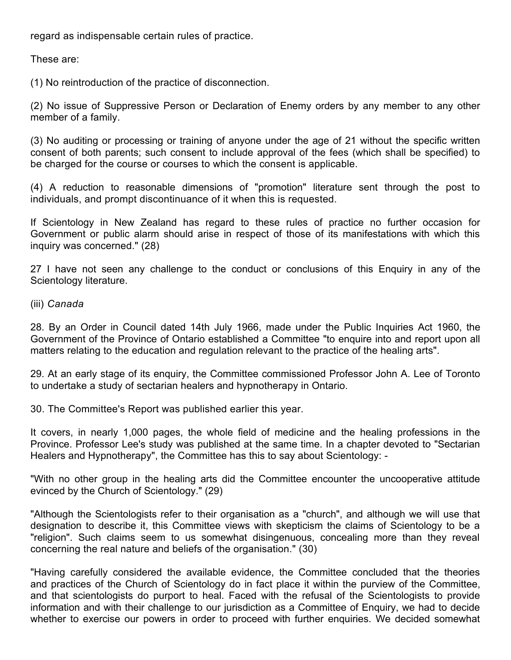regard as indispensable certain rules of practice.

These are:

(1) No reintroduction of the practice of disconnection.

(2) No issue of Suppressive Person or Declaration of Enemy orders by any member to any other member of a family.

(3) No auditing or processing or training of anyone under the age of 21 without the specific written consent of both parents; such consent to include approval of the fees (which shall be specified) to be charged for the course or courses to which the consent is applicable.

(4) A reduction to reasonable dimensions of "promotion" literature sent through the post to individuals, and prompt discontinuance of it when this is requested.

If Scientology in New Zealand has regard to these rules of practice no further occasion for Government or public alarm should arise in respect of those of its manifestations with which this inquiry was concerned." (28)

27 I have not seen any challenge to the conduct or conclusions of this Enquiry in any of the Scientology literature.

(iii) *Canada*

28. By an Order in Council dated 14th July 1966, made under the Public Inquiries Act 1960, the Government of the Province of Ontario established a Committee "to enquire into and report upon all matters relating to the education and regulation relevant to the practice of the healing arts".

29. At an early stage of its enquiry, the Committee commissioned Professor John A. Lee of Toronto to undertake a study of sectarian healers and hypnotherapy in Ontario.

30. The Committee's Report was published earlier this year.

It covers, in nearly 1,000 pages, the whole field of medicine and the healing professions in the Province. Professor Lee's study was published at the same time. In a chapter devoted to "Sectarian Healers and Hypnotherapy", the Committee has this to say about Scientology: -

"With no other group in the healing arts did the Committee encounter the uncooperative attitude evinced by the Church of Scientology." (29)

"Although the Scientologists refer to their organisation as a "church", and although we will use that designation to describe it, this Committee views with skepticism the claims of Scientology to be a "religion". Such claims seem to us somewhat disingenuous, concealing more than they reveal concerning the real nature and beliefs of the organisation." (30)

"Having carefully considered the available evidence, the Committee concluded that the theories and practices of the Church of Scientology do in fact place it within the purview of the Committee, and that scientologists do purport to heal. Faced with the refusal of the Scientologists to provide information and with their challenge to our jurisdiction as a Committee of Enquiry, we had to decide whether to exercise our powers in order to proceed with further enquiries. We decided somewhat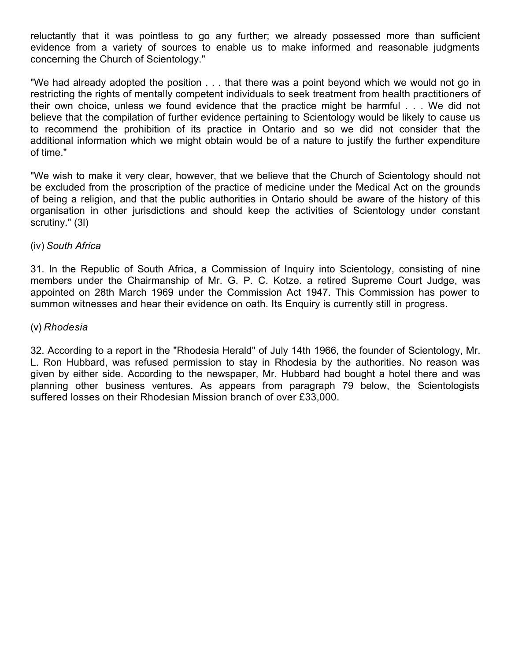reluctantly that it was pointless to go any further; we already possessed more than sufficient evidence from a variety of sources to enable us to make informed and reasonable judgments concerning the Church of Scientology."

"We had already adopted the position . . . that there was a point beyond which we would not go in restricting the rights of mentally competent individuals to seek treatment from health practitioners of their own choice, unless we found evidence that the practice might be harmful . . . We did not believe that the compilation of further evidence pertaining to Scientology would be likely to cause us to recommend the prohibition of its practice in Ontario and so we did not consider that the additional information which we might obtain would be of a nature to justify the further expenditure of time."

"We wish to make it very clear, however, that we believe that the Church of Scientology should not be excluded from the proscription of the practice of medicine under the Medical Act on the grounds of being a religion, and that the public authorities in Ontario should be aware of the history of this organisation in other jurisdictions and should keep the activities of Scientology under constant scrutiny." (3l)

#### (iv) *South Africa*

31. In the Republic of South Africa, a Commission of Inquiry into Scientology, consisting of nine members under the Chairmanship of Mr. G. P. C. Kotze. a retired Supreme Court Judge, was appointed on 28th March 1969 under the Commission Act 1947. This Commission has power to summon witnesses and hear their evidence on oath. Its Enquiry is currently still in progress.

#### (v) *Rhodesia*

32. According to a report in the "Rhodesia Herald" of July 14th 1966, the founder of Scientology, Mr. L. Ron Hubbard, was refused permission to stay in Rhodesia by the authorities. No reason was given by either side. According to the newspaper, Mr. Hubbard had bought a hotel there and was planning other business ventures. As appears from paragraph 79 below, the Scientologists suffered losses on their Rhodesian Mission branch of over £33,000.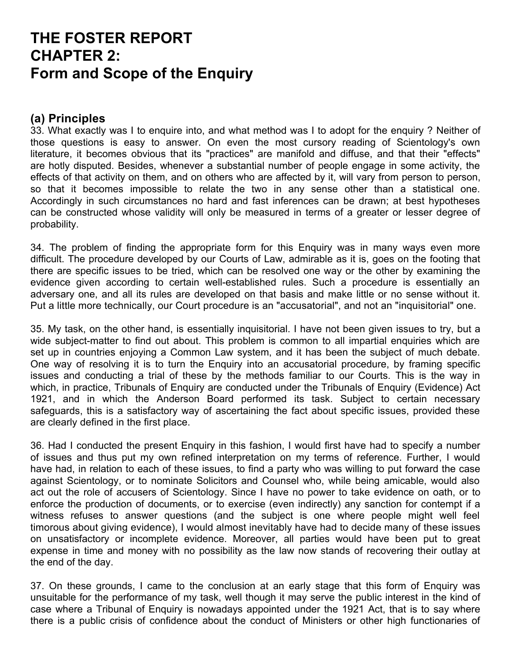## **THE FOSTER REPORT CHAPTER 2: Form and Scope of the Enquiry**

### **(a) Principles**

33. What exactly was I to enquire into, and what method was I to adopt for the enquiry ? Neither of those questions is easy to answer. On even the most cursory reading of Scientology's own literature, it becomes obvious that its "practices" are manifold and diffuse, and that their "effects" are hotly disputed. Besides, whenever a substantial number of people engage in some activity, the effects of that activity on them, and on others who are affected by it, will vary from person to person, so that it becomes impossible to relate the two in any sense other than a statistical one. Accordingly in such circumstances no hard and fast inferences can be drawn; at best hypotheses can be constructed whose validity will only be measured in terms of a greater or lesser degree of probability.

34. The problem of finding the appropriate form for this Enquiry was in many ways even more difficult. The procedure developed by our Courts of Law, admirable as it is, goes on the footing that there are specific issues to be tried, which can be resolved one way or the other by examining the evidence given according to certain well-established rules. Such a procedure is essentially an adversary one, and all its rules are developed on that basis and make little or no sense without it. Put a little more technically, our Court procedure is an "accusatorial", and not an "inquisitorial" one.

35. My task, on the other hand, is essentially inquisitorial. I have not been given issues to try, but a wide subject-matter to find out about. This problem is common to all impartial enquiries which are set up in countries enjoying a Common Law system, and it has been the subject of much debate. One way of resolving it is to turn the Enquiry into an accusatorial procedure, by framing specific issues and conducting a trial of these by the methods familiar to our Courts. This is the way in which, in practice, Tribunals of Enquiry are conducted under the Tribunals of Enquiry (Evidence) Act 1921, and in which the Anderson Board performed its task. Subject to certain necessary safeguards, this is a satisfactory way of ascertaining the fact about specific issues, provided these are clearly defined in the first place.

36. Had I conducted the present Enquiry in this fashion, I would first have had to specify a number of issues and thus put my own refined interpretation on my terms of reference. Further, I would have had, in relation to each of these issues, to find a party who was willing to put forward the case against Scientology, or to nominate Solicitors and Counsel who, while being amicable, would also act out the role of accusers of Scientology. Since I have no power to take evidence on oath, or to enforce the production of documents, or to exercise (even indirectly) any sanction for contempt if a witness refuses to answer questions (and the subject is one where people might well feel timorous about giving evidence), I would almost inevitably have had to decide many of these issues on unsatisfactory or incomplete evidence. Moreover, all parties would have been put to great expense in time and money with no possibility as the law now stands of recovering their outlay at the end of the day.

37. On these grounds, I came to the conclusion at an early stage that this form of Enquiry was unsuitable for the performance of my task, well though it may serve the public interest in the kind of case where a Tribunal of Enquiry is nowadays appointed under the 1921 Act, that is to say where there is a public crisis of confidence about the conduct of Ministers or other high functionaries of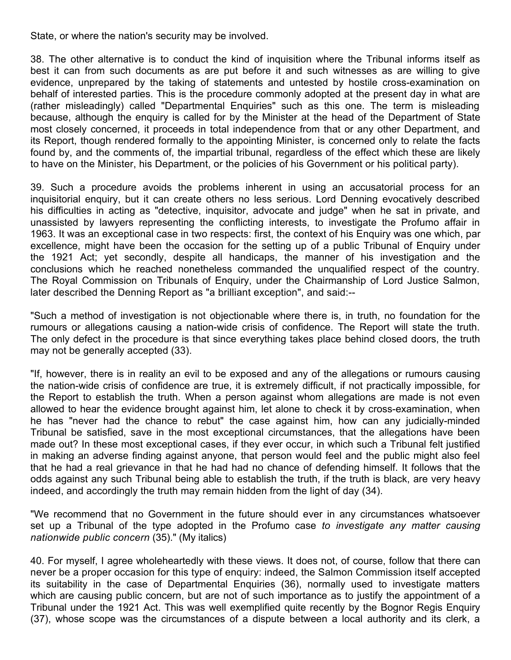State, or where the nation's security may be involved.

38. The other alternative is to conduct the kind of inquisition where the Tribunal informs itself as best it can from such documents as are put before it and such witnesses as are willing to give evidence, unprepared by the taking of statements and untested by hostile cross-examination on behalf of interested parties. This is the procedure commonly adopted at the present day in what are (rather misleadingly) called "Departmental Enquiries" such as this one. The term is misleading because, although the enquiry is called for by the Minister at the head of the Department of State most closely concerned, it proceeds in total independence from that or any other Department, and its Report, though rendered formally to the appointing Minister, is concerned only to relate the facts found by, and the comments of, the impartial tribunal, regardless of the effect which these are likely to have on the Minister, his Department, or the policies of his Government or his political party).

39. Such a procedure avoids the problems inherent in using an accusatorial process for an inquisitorial enquiry, but it can create others no less serious. Lord Denning evocatively described his difficulties in acting as "detective, inquisitor, advocate and judge" when he sat in private, and unassisted by lawyers representing the conflicting interests, to investigate the Profumo affair in 1963. It was an exceptional case in two respects: first, the context of his Enquiry was one which, par excellence, might have been the occasion for the setting up of a public Tribunal of Enquiry under the 1921 Act; yet secondly, despite all handicaps, the manner of his investigation and the conclusions which he reached nonetheless commanded the unqualified respect of the country. The Royal Commission on Tribunals of Enquiry, under the Chairmanship of Lord Justice Salmon, later described the Denning Report as "a brilliant exception", and said:--

"Such a method of investigation is not objectionable where there is, in truth, no foundation for the rumours or allegations causing a nation-wide crisis of confidence. The Report will state the truth. The only defect in the procedure is that since everything takes place behind closed doors, the truth may not be generally accepted (33).

"If, however, there is in reality an evil to be exposed and any of the allegations or rumours causing the nation-wide crisis of confidence are true, it is extremely difficult, if not practically impossible, for the Report to establish the truth. When a person against whom allegations are made is not even allowed to hear the evidence brought against him, let alone to check it by cross-examination, when he has "never had the chance to rebut" the case against him, how can any judicially-minded Tribunal be satisfied, save in the most exceptional circumstances, that the allegations have been made out? In these most exceptional cases, if they ever occur, in which such a Tribunal felt justified in making an adverse finding against anyone, that person would feel and the public might also feel that he had a real grievance in that he had had no chance of defending himself. It follows that the odds against any such Tribunal being able to establish the truth, if the truth is black, are very heavy indeed, and accordingly the truth may remain hidden from the light of day (34).

"We recommend that no Government in the future should ever in any circumstances whatsoever set up a Tribunal of the type adopted in the Profumo case *to investigate any matter causing nationwide public concern* (35)." (My italics)

40. For myself, I agree wholeheartedly with these views. It does not, of course, follow that there can never be a proper occasion for this type of enquiry: indeed, the Salmon Commission itself accepted its suitability in the case of Departmental Enquiries (36), normally used to investigate matters which are causing public concern, but are not of such importance as to justify the appointment of a Tribunal under the 1921 Act. This was well exemplified quite recently by the Bognor Regis Enquiry (37), whose scope was the circumstances of a dispute between a local authority and its clerk, a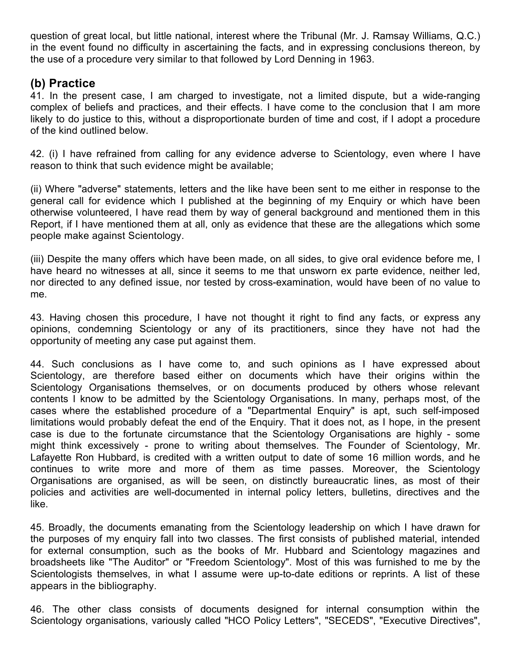question of great local, but little national, interest where the Tribunal (Mr. J. Ramsay Williams, Q.C.) in the event found no difficulty in ascertaining the facts, and in expressing conclusions thereon, by the use of a procedure very similar to that followed by Lord Denning in 1963.

### **(b) Practice**

41. In the present case, I am charged to investigate, not a limited dispute, but a wide-ranging complex of beliefs and practices, and their effects. I have come to the conclusion that I am more likely to do justice to this, without a disproportionate burden of time and cost, if I adopt a procedure of the kind outlined below.

42. (i) I have refrained from calling for any evidence adverse to Scientology, even where I have reason to think that such evidence might be available;

(ii) Where "adverse" statements, letters and the like have been sent to me either in response to the general call for evidence which I published at the beginning of my Enquiry or which have been otherwise volunteered, I have read them by way of general background and mentioned them in this Report, if I have mentioned them at all, only as evidence that these are the allegations which some people make against Scientology.

(iii) Despite the many offers which have been made, on all sides, to give oral evidence before me, I have heard no witnesses at all, since it seems to me that unsworn ex parte evidence, neither led, nor directed to any defined issue, nor tested by cross-examination, would have been of no value to me.

43. Having chosen this procedure, I have not thought it right to find any facts, or express any opinions, condemning Scientology or any of its practitioners, since they have not had the opportunity of meeting any case put against them.

44. Such conclusions as I have come to, and such opinions as I have expressed about Scientology, are therefore based either on documents which have their origins within the Scientology Organisations themselves, or on documents produced by others whose relevant contents I know to be admitted by the Scientology Organisations. In many, perhaps most, of the cases where the established procedure of a "Departmental Enquiry" is apt, such self-imposed limitations would probably defeat the end of the Enquiry. That it does not, as I hope, in the present case is due to the fortunate circumstance that the Scientology Organisations are highly - some might think excessively - prone to writing about themselves. The Founder of Scientology, Mr. Lafayette Ron Hubbard, is credited with a written output to date of some 16 million words, and he continues to write more and more of them as time passes. Moreover, the Scientology Organisations are organised, as will be seen, on distinctly bureaucratic lines, as most of their policies and activities are well-documented in internal policy letters, bulletins, directives and the like.

45. Broadly, the documents emanating from the Scientology leadership on which I have drawn for the purposes of my enquiry fall into two classes. The first consists of published material, intended for external consumption, such as the books of Mr. Hubbard and Scientology magazines and broadsheets like "The Auditor" or "Freedom Scientology". Most of this was furnished to me by the Scientologists themselves, in what I assume were up-to-date editions or reprints. A list of these appears in the bibliography.

46. The other class consists of documents designed for internal consumption within the Scientology organisations, variously called "HCO Policy Letters", "SECEDS", "Executive Directives",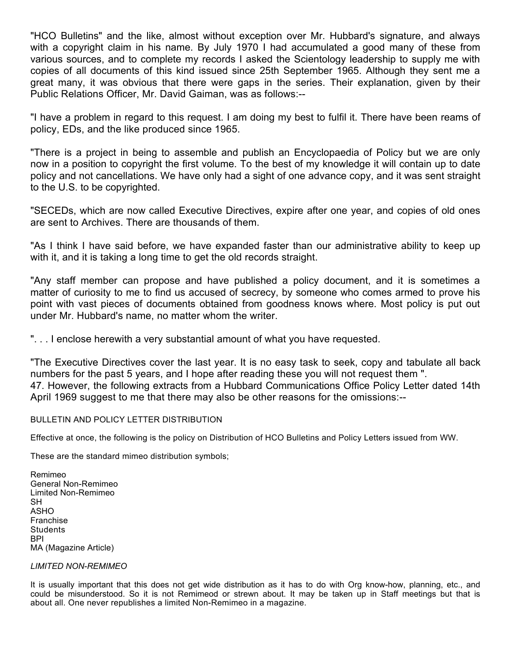"HCO Bulletins" and the like, almost without exception over Mr. Hubbard's signature, and always with a copyright claim in his name. By July 1970 I had accumulated a good many of these from various sources, and to complete my records I asked the Scientology leadership to supply me with copies of all documents of this kind issued since 25th September 1965. Although they sent me a great many, it was obvious that there were gaps in the series. Their explanation, given by their Public Relations Officer, Mr. David Gaiman, was as follows:--

"I have a problem in regard to this request. I am doing my best to fulfil it. There have been reams of policy, EDs, and the like produced since 1965.

"There is a project in being to assemble and publish an Encyclopaedia of Policy but we are only now in a position to copyright the first volume. To the best of my knowledge it will contain up to date policy and not cancellations. We have only had a sight of one advance copy, and it was sent straight to the U.S. to be copyrighted.

"SECEDs, which are now called Executive Directives, expire after one year, and copies of old ones are sent to Archives. There are thousands of them.

"As I think I have said before, we have expanded faster than our administrative ability to keep up with it, and it is taking a long time to get the old records straight.

"Any staff member can propose and have published a policy document, and it is sometimes a matter of curiosity to me to find us accused of secrecy, by someone who comes armed to prove his point with vast pieces of documents obtained from goodness knows where. Most policy is put out under Mr. Hubbard's name, no matter whom the writer.

". . . I enclose herewith a very substantial amount of what you have requested.

"The Executive Directives cover the last year. It is no easy task to seek, copy and tabulate all back numbers for the past 5 years, and I hope after reading these you will not request them ". 47. However, the following extracts from a Hubbard Communications Office Policy Letter dated 14th April 1969 suggest to me that there may also be other reasons for the omissions:--

#### BULLETIN AND POLICY LETTER DISTRIBUTION

Effective at once, the following is the policy on Distribution of HCO Bulletins and Policy Letters issued from WW.

These are the standard mimeo distribution symbols;

Remimeo General Non-Remimeo Limited Non-Remimeo SH ASHO Franchise **Students** BPI MA (Magazine Article)

#### *LIMITED NON-REMIMEO*

It is usually important that this does not get wide distribution as it has to do with Org know-how, planning, etc., and could be misunderstood. So it is not Remimeod or strewn about. It may be taken up in Staff meetings but that is about all. One never republishes a limited Non-Remimeo in a magazine.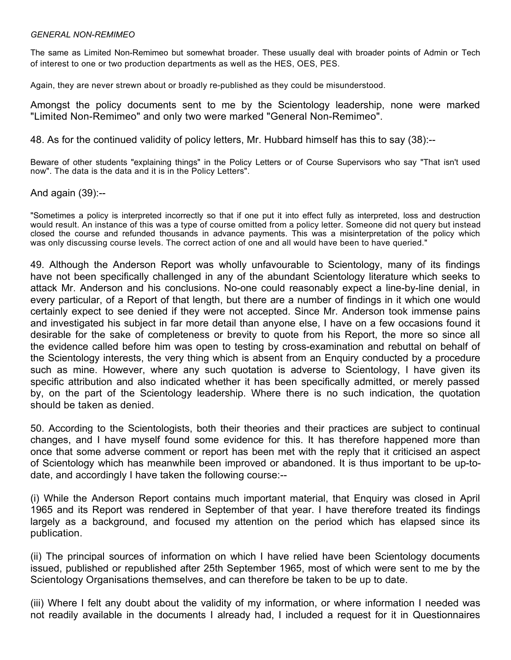#### *GENERAL NON-REMIMEO*

The same as Limited Non-Remimeo but somewhat broader. These usually deal with broader points of Admin or Tech of interest to one or two production departments as well as the HES, OES, PES.

Again, they are never strewn about or broadly re-published as they could be misunderstood.

Amongst the policy documents sent to me by the Scientology leadership, none were marked "Limited Non-Remimeo" and only two were marked "General Non-Remimeo".

48. As for the continued validity of policy letters, Mr. Hubbard himself has this to say (38):--

Beware of other students "explaining things" in the Policy Letters or of Course Supervisors who say "That isn't used now". The data is the data and it is in the Policy Letters".

And again (39):--

"Sometimes a policy is interpreted incorrectly so that if one put it into effect fully as interpreted, loss and destruction would result. An instance of this was a type of course omitted from a policy letter. Someone did not query but instead closed the course and refunded thousands in advance payments. This was a misinterpretation of the policy which was only discussing course levels. The correct action of one and all would have been to have queried."

49. Although the Anderson Report was wholly unfavourable to Scientology, many of its findings have not been specifically challenged in any of the abundant Scientology literature which seeks to attack Mr. Anderson and his conclusions. No-one could reasonably expect a line-by-line denial, in every particular, of a Report of that length, but there are a number of findings in it which one would certainly expect to see denied if they were not accepted. Since Mr. Anderson took immense pains and investigated his subject in far more detail than anyone else, I have on a few occasions found it desirable for the sake of completeness or brevity to quote from his Report, the more so since all the evidence called before him was open to testing by cross-examination and rebuttal on behalf of the Scientology interests, the very thing which is absent from an Enquiry conducted by a procedure such as mine. However, where any such quotation is adverse to Scientology, I have given its specific attribution and also indicated whether it has been specifically admitted, or merely passed by, on the part of the Scientology leadership. Where there is no such indication, the quotation should be taken as denied.

50. According to the Scientologists, both their theories and their practices are subject to continual changes, and I have myself found some evidence for this. It has therefore happened more than once that some adverse comment or report has been met with the reply that it criticised an aspect of Scientology which has meanwhile been improved or abandoned. It is thus important to be up-todate, and accordingly I have taken the following course:--

(i) While the Anderson Report contains much important material, that Enquiry was closed in April 1965 and its Report was rendered in September of that year. I have therefore treated its findings largely as a background, and focused my attention on the period which has elapsed since its publication.

(ii) The principal sources of information on which I have relied have been Scientology documents issued, published or republished after 25th September 1965, most of which were sent to me by the Scientology Organisations themselves, and can therefore be taken to be up to date.

(iii) Where I felt any doubt about the validity of my information, or where information I needed was not readily available in the documents I already had, I included a request for it in Questionnaires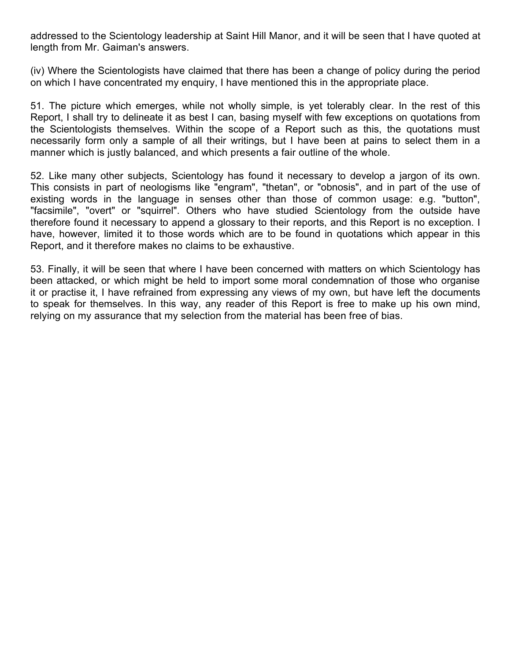addressed to the Scientology leadership at Saint Hill Manor, and it will be seen that I have quoted at length from Mr. Gaiman's answers.

(iv) Where the Scientologists have claimed that there has been a change of policy during the period on which I have concentrated my enquiry, I have mentioned this in the appropriate place.

51. The picture which emerges, while not wholly simple, is yet tolerably clear. In the rest of this Report, I shall try to delineate it as best I can, basing myself with few exceptions on quotations from the Scientologists themselves. Within the scope of a Report such as this, the quotations must necessarily form only a sample of all their writings, but I have been at pains to select them in a manner which is justly balanced, and which presents a fair outline of the whole.

52. Like many other subjects, Scientology has found it necessary to develop a jargon of its own. This consists in part of neologisms like "engram", "thetan", or "obnosis", and in part of the use of existing words in the language in senses other than those of common usage: e.g. "button", "facsimile", "overt" or "squirrel". Others who have studied Scientology from the outside have therefore found it necessary to append a glossary to their reports, and this Report is no exception. I have, however, limited it to those words which are to be found in quotations which appear in this Report, and it therefore makes no claims to be exhaustive.

53. Finally, it will be seen that where I have been concerned with matters on which Scientology has been attacked, or which might be held to import some moral condemnation of those who organise it or practise it, I have refrained from expressing any views of my own, but have left the documents to speak for themselves. In this way, any reader of this Report is free to make up his own mind, relying on my assurance that my selection from the material has been free of bias.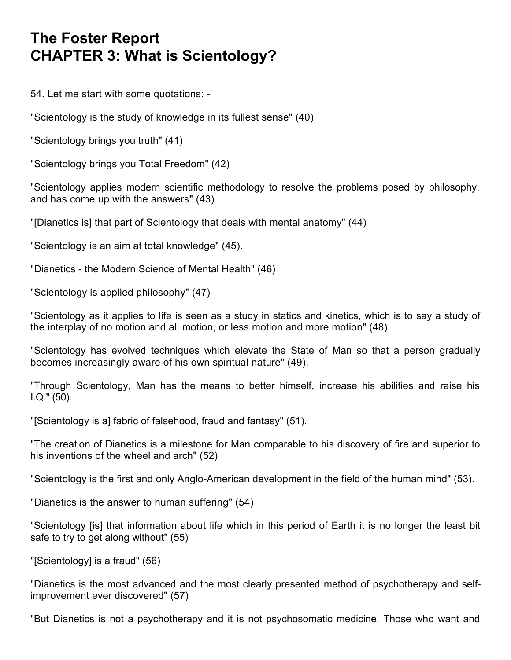## **The Foster Report CHAPTER 3: What is Scientology?**

54. Let me start with some quotations: -

"Scientology is the study of knowledge in its fullest sense" (40)

"Scientology brings you truth" (41)

"Scientology brings you Total Freedom" (42)

"Scientology applies modern scientific methodology to resolve the problems posed by philosophy, and has come up with the answers" (43)

"[Dianetics is] that part of Scientology that deals with mental anatomy" (44)

"Scientology is an aim at total knowledge" (45).

"Dianetics - the Modern Science of Mental Health" (46)

"Scientology is applied philosophy" (47)

"Scientology as it applies to life is seen as a study in statics and kinetics, which is to say a study of the interplay of no motion and all motion, or less motion and more motion" (48).

"Scientology has evolved techniques which elevate the State of Man so that a person gradually becomes increasingly aware of his own spiritual nature" (49).

"Through Scientology, Man has the means to better himself, increase his abilities and raise his I.Q." (50).

"[Scientology is a] fabric of falsehood, fraud and fantasy" (51).

"The creation of Dianetics is a milestone for Man comparable to his discovery of fire and superior to his inventions of the wheel and arch" (52)

"Scientology is the first and only Anglo-American development in the field of the human mind" (53).

"Dianetics is the answer to human suffering" (54)

"Scientology [is] that information about life which in this period of Earth it is no longer the least bit safe to try to get along without" (55)

"[Scientology] is a fraud" (56)

"Dianetics is the most advanced and the most clearly presented method of psychotherapy and selfimprovement ever discovered" (57)

"But Dianetics is not a psychotherapy and it is not psychosomatic medicine. Those who want and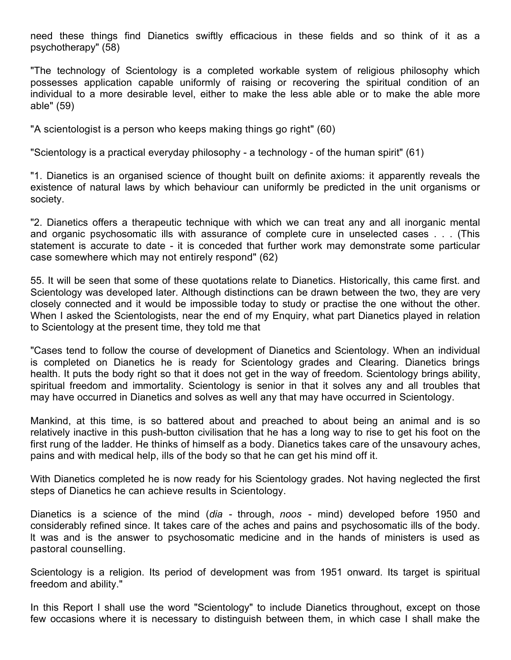need these things find Dianetics swiftly efficacious in these fields and so think of it as a psychotherapy" (58)

"The technology of Scientology is a completed workable system of religious philosophy which possesses application capable uniformly of raising or recovering the spiritual condition of an individual to a more desirable level, either to make the less able able or to make the able more able" (59)

"A scientologist is a person who keeps making things go right" (60)

"Scientology is a practical everyday philosophy - a technology - of the human spirit" (61)

"1. Dianetics is an organised science of thought built on definite axioms: it apparently reveals the existence of natural laws by which behaviour can uniformly be predicted in the unit organisms or society.

"2. Dianetics offers a therapeutic technique with which we can treat any and all inorganic mental and organic psychosomatic ills with assurance of complete cure in unselected cases . . . (This statement is accurate to date - it is conceded that further work may demonstrate some particular case somewhere which may not entirely respond" (62)

55. It will be seen that some of these quotations relate to Dianetics. Historically, this came first. and Scientology was developed later. Although distinctions can be drawn between the two, they are very closely connected and it would be impossible today to study or practise the one without the other. When I asked the Scientologists, near the end of my Enquiry, what part Dianetics played in relation to Scientology at the present time, they told me that

"Cases tend to follow the course of development of Dianetics and Scientology. When an individual is completed on Dianetics he is ready for Scientology grades and Clearing. Dianetics brings health. It puts the body right so that it does not get in the way of freedom. Scientology brings ability, spiritual freedom and immortality. Scientology is senior in that it solves any and all troubles that may have occurred in Dianetics and solves as well any that may have occurred in Scientology.

Mankind, at this time, is so battered about and preached to about being an animal and is so relatively inactive in this push-button civilisation that he has a long way to rise to get his foot on the first rung of the ladder. He thinks of himself as a body. Dianetics takes care of the unsavoury aches, pains and with medical help, ills of the body so that he can get his mind off it.

With Dianetics completed he is now ready for his Scientology grades. Not having neglected the first steps of Dianetics he can achieve results in Scientology.

Dianetics is a science of the mind (*dia* - through, *noos* - mind) developed before 1950 and considerably refined since. It takes care of the aches and pains and psychosomatic ills of the body. lt was and is the answer to psychosomatic medicine and in the hands of ministers is used as pastoral counselling.

Scientology is a religion. Its period of development was from 1951 onward. Its target is spiritual freedom and ability."

In this Report I shall use the word "Scientology" to include Dianetics throughout, except on those few occasions where it is necessary to distinguish between them, in which case I shall make the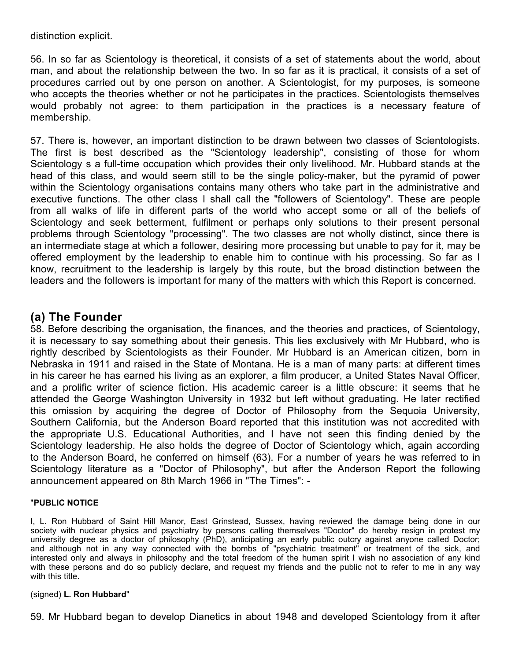distinction explicit.

56. In so far as Scientology is theoretical, it consists of a set of statements about the world, about man, and about the relationship between the two. In so far as it is practical, it consists of a set of procedures carried out by one person on another. A Scientologist, for my purposes, is someone who accepts the theories whether or not he participates in the practices. Scientologists themselves would probably not agree: to them participation in the practices is a necessary feature of membership.

57. There is, however, an important distinction to be drawn between two classes of Scientologists. The first is best described as the "Scientology leadership", consisting of those for whom Scientology s a full-time occupation which provides their only livelihood. Mr. Hubbard stands at the head of this class, and would seem still to be the single policy-maker, but the pyramid of power within the Scientology organisations contains many others who take part in the administrative and executive functions. The other class I shall call the "followers of Scientology". These are people from all walks of life in different parts of the world who accept some or all of the beliefs of Scientology and seek betterment, fulfilment or perhaps only solutions to their present personal problems through Scientology "processing". The two classes are not wholly distinct, since there is an intermediate stage at which a follower, desiring more processing but unable to pay for it, may be offered employment by the leadership to enable him to continue with his processing. So far as I know, recruitment to the leadership is largely by this route, but the broad distinction between the leaders and the followers is important for many of the matters with which this Report is concerned.

### **(a) The Founder**

58. Before describing the organisation, the finances, and the theories and practices, of Scientology, it is necessary to say something about their genesis. This lies exclusively with Mr Hubbard, who is rightly described by Scientologists as their Founder. Mr Hubbard is an American citizen, born in Nebraska in 1911 and raised in the State of Montana. He is a man of many parts: at different times in his career he has earned his living as an explorer, a film producer, a United States Naval Officer, and a prolific writer of science fiction. His academic career is a little obscure: it seems that he attended the George Washington University in 1932 but left without graduating. He later rectified this omission by acquiring the degree of Doctor of Philosophy from the Sequoia University, Southern California, but the Anderson Board reported that this institution was not accredited with the appropriate U.S. Educational Authorities, and I have not seen this finding denied by the Scientology leadership. He also holds the degree of Doctor of Scientology which, again according to the Anderson Board, he conferred on himself (63). For a number of years he was referred to in Scientology literature as a "Doctor of Philosophy", but after the Anderson Report the following announcement appeared on 8th March 1966 in "The Times": -

#### "**PUBLIC NOTICE**

I, L. Ron Hubbard of Saint Hill Manor, East Grinstead, Sussex, having reviewed the damage being done in our society with nuclear physics and psychiatry by persons calling themselves "Doctor" do hereby resign in protest my university degree as a doctor of philosophy (PhD), anticipating an early public outcry against anyone called Doctor; and although not in any way connected with the bombs of "psychiatric treatment" or treatment of the sick, and interested only and always in philosophy and the total freedom of the human spirit I wish no association of any kind with these persons and do so publicly declare, and request my friends and the public not to refer to me in any way with this title.

#### (signed) **L. Ron Hubbard**"

59. Mr Hubbard began to develop Dianetics in about 1948 and developed Scientology from it after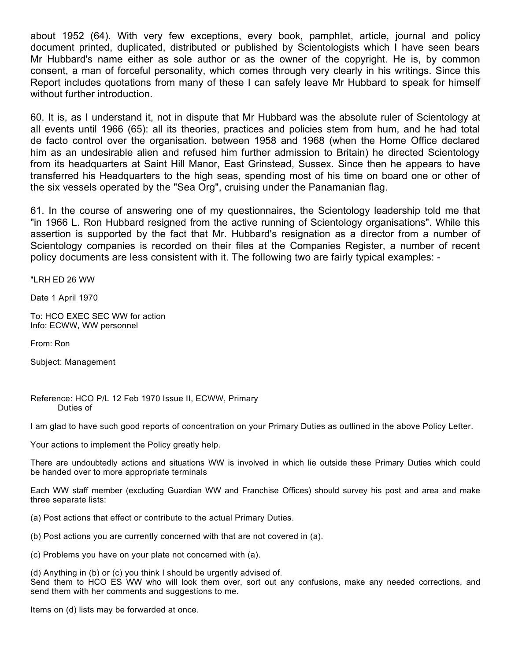about 1952 (64). With very few exceptions, every book, pamphlet, article, journal and policy document printed, duplicated, distributed or published by Scientologists which I have seen bears Mr Hubbard's name either as sole author or as the owner of the copyright. He is, by common consent, a man of forceful personality, which comes through very clearly in his writings. Since this Report includes quotations from many of these I can safely leave Mr Hubbard to speak for himself without further introduction.

60. It is, as I understand it, not in dispute that Mr Hubbard was the absolute ruler of Scientology at all events until 1966 (65): all its theories, practices and policies stem from hum, and he had total de facto control over the organisation. between 1958 and 1968 (when the Home Office declared him as an undesirable alien and refused him further admission to Britain) he directed Scientology from its headquarters at Saint Hill Manor, East Grinstead, Sussex. Since then he appears to have transferred his Headquarters to the high seas, spending most of his time on board one or other of the six vessels operated by the "Sea Org", cruising under the Panamanian flag.

61. In the course of answering one of my questionnaires, the Scientology leadership told me that "in 1966 L. Ron Hubbard resigned from the active running of Scientology organisations". While this assertion is supported by the fact that Mr. Hubbard's resignation as a director from a number of Scientology companies is recorded on their files at the Companies Register, a number of recent policy documents are less consistent with it. The following two are fairly typical examples: -

"LRH ED 26 WW

Date 1 April 1970

To: HCO EXEC SEC WW for action Info: ECWW, WW personnel

From: Ron

Subject: Management

Reference: HCO P/L 12 Feb 1970 Issue II, ECWW, Primary Duties of

I am glad to have such good reports of concentration on your Primary Duties as outlined in the above Policy Letter.

Your actions to implement the Policy greatly help.

There are undoubtedly actions and situations WW is involved in which lie outside these Primary Duties which could be handed over to more appropriate terminals

Each WW staff member (excluding Guardian WW and Franchise Offices) should survey his post and area and make three separate lists:

(a) Post actions that effect or contribute to the actual Primary Duties.

(b) Post actions you are currently concerned with that are not covered in (a).

(c) Problems you have on your plate not concerned with (a).

(d) Anything in (b) or (c) you think I should be urgently advised of. Send them to HCO ES WW who will look them over, sort out any confusions, make any needed corrections, and send them with her comments and suggestions to me.

Items on (d) lists may be forwarded at once.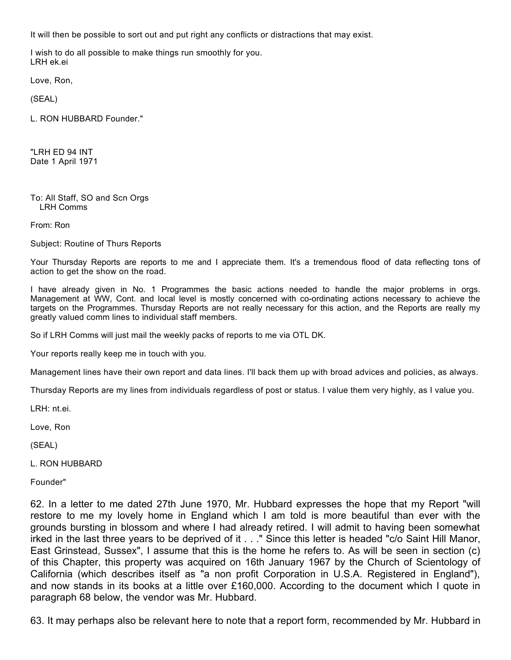It will then be possible to sort out and put right any conflicts or distractions that may exist.

I wish to do all possible to make things run smoothly for you. LRH ek.ei

Love, Ron,

(SEAL)

L. RON HUBBARD Founder."

"LRH ED 94 INT Date 1 April 1971

To: All Staff, SO and Scn Orgs LRH Comms

From: Ron

Subject: Routine of Thurs Reports

Your Thursday Reports are reports to me and I appreciate them. It's a tremendous flood of data reflecting tons of action to get the show on the road.

I have already given in No. 1 Programmes the basic actions needed to handle the major problems in orgs. Management at WW, Cont. and local level is mostly concerned with co-ordinating actions necessary to achieve the targets on the Programmes. Thursday Reports are not really necessary for this action, and the Reports are really my greatly valued comm lines to individual staff members.

So if LRH Comms will just mail the weekly packs of reports to me via OTL DK.

Your reports really keep me in touch with you.

Management lines have their own report and data lines. I'll back them up with broad advices and policies, as always.

Thursday Reports are my lines from individuals regardless of post or status. I value them very highly, as I value you.

LRH: nt.ei.

Love, Ron

(SEAL)

L. RON HUBBARD

Founder"

62. In a letter to me dated 27th June 1970, Mr. Hubbard expresses the hope that my Report "will restore to me my lovely home in England which I am told is more beautiful than ever with the grounds bursting in blossom and where I had already retired. I will admit to having been somewhat irked in the last three years to be deprived of it . . ." Since this letter is headed "c/o Saint Hill Manor, East Grinstead, Sussex", I assume that this is the home he refers to. As will be seen in section (c) of this Chapter, this property was acquired on 16th January 1967 by the Church of Scientology of California (which describes itself as "a non profit Corporation in U.S.A. Registered in England"), and now stands in its books at a little over £160,000. According to the document which I quote in paragraph 68 below, the vendor was Mr. Hubbard.

63. It may perhaps also be relevant here to note that a report form, recommended by Mr. Hubbard in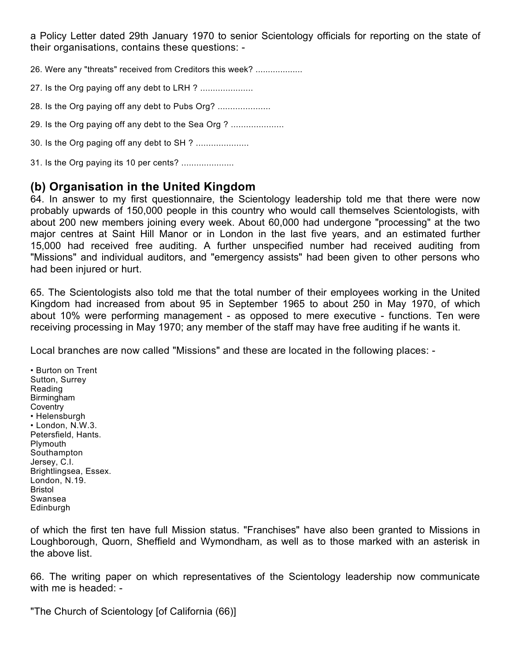a Policy Letter dated 29th January 1970 to senior Scientology officials for reporting on the state of their organisations, contains these questions: -

26. Were any "threats" received from Creditors this week? ...................

27. Is the Org paying off any debt to LRH ? .....................

- 28. Is the Org paying off any debt to Pubs Org? .................................
- 29. Is the Org paying off any debt to the Sea Org ? ............................

30. Is the Org paging off any debt to SH ? .....................

31. Is the Org paying its 10 per cents? .....................

### **(b) Organisation in the United Kingdom**

64. In answer to my first questionnaire, the Scientology leadership told me that there were now probably upwards of 150,000 people in this country who would call themselves Scientologists, with about 200 new members joining every week. About 60,000 had undergone "processing" at the two major centres at Saint Hill Manor or in London in the last five years, and an estimated further 15,000 had received free auditing. A further unspecified number had received auditing from "Missions" and individual auditors, and "emergency assists" had been given to other persons who had been injured or hurt.

65. The Scientologists also told me that the total number of their employees working in the United Kingdom had increased from about 95 in September 1965 to about 250 in May 1970, of which about 10% were performing management - as opposed to mere executive - functions. Ten were receiving processing in May 1970; any member of the staff may have free auditing if he wants it.

Local branches are now called "Missions" and these are located in the following places: -

• Burton on Trent Sutton, Surrey Reading Birmingham **Coventry** • Helensburgh • London, N.W.3. Petersfield, Hants. Plymouth Southampton Jersey, C.I. Brightlingsea, Essex. London, N.19. Bristol Swansea Edinburgh

of which the first ten have full Mission status. "Franchises" have also been granted to Missions in Loughborough, Quorn, Sheffield and Wymondham, as well as to those marked with an asterisk in the above list.

66. The writing paper on which representatives of the Scientology leadership now communicate with me is headed: -

"The Church of Scientology [of California (66)]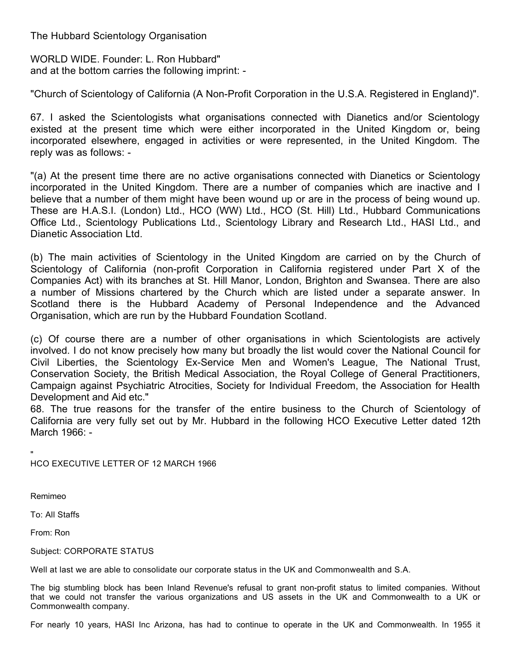The Hubbard Scientology Organisation

WORLD WIDE. Founder: L. Ron Hubbard" and at the bottom carries the following imprint: -

"Church of Scientology of California (A Non-Profit Corporation in the U.S.A. Registered in England)".

67. I asked the Scientologists what organisations connected with Dianetics and/or Scientology existed at the present time which were either incorporated in the United Kingdom or, being incorporated elsewhere, engaged in activities or were represented, in the United Kingdom. The reply was as follows: -

"(a) At the present time there are no active organisations connected with Dianetics or Scientology incorporated in the United Kingdom. There are a number of companies which are inactive and I believe that a number of them might have been wound up or are in the process of being wound up. These are H.A.S.I. (London) Ltd., HCO (WW) Ltd., HCO (St. Hill) Ltd., Hubbard Communications Office Ltd., Scientology Publications Ltd., Scientology Library and Research Ltd., HASI Ltd., and Dianetic Association Ltd.

(b) The main activities of Scientology in the United Kingdom are carried on by the Church of Scientology of California (non-profit Corporation in California registered under Part X of the Companies Act) with its branches at St. Hill Manor, London, Brighton and Swansea. There are also a number of Missions chartered by the Church which are listed under a separate answer. In Scotland there is the Hubbard Academy of Personal Independence and the Advanced Organisation, which are run by the Hubbard Foundation Scotland.

(c) Of course there are a number of other organisations in which Scientologists are actively involved. I do not know precisely how many but broadly the list would cover the National Council for Civil Liberties, the Scientology Ex-Service Men and Women's League, The National Trust, Conservation Society, the British Medical Association, the Royal College of General Practitioners, Campaign against Psychiatric Atrocities, Society for Individual Freedom, the Association for Health Development and Aid etc."

68. The true reasons for the transfer of the entire business to the Church of Scientology of California are very fully set out by Mr. Hubbard in the following HCO Executive Letter dated 12th March 1966; -

"

HCO EXECUTIVE LETTER OF 12 MARCH 1966

Remimeo

To: All Staffs

From: Ron

#### Subject: CORPORATE STATUS

Well at last we are able to consolidate our corporate status in the UK and Commonwealth and S.A.

The big stumbling block has been Inland Revenue's refusal to grant non-profit status to limited companies. Without that we could not transfer the various organizations and US assets in the UK and Commonwealth to a UK or Commonwealth company.

For nearly 10 years, HASI Inc Arizona, has had to continue to operate in the UK and Commonwealth. In 1955 it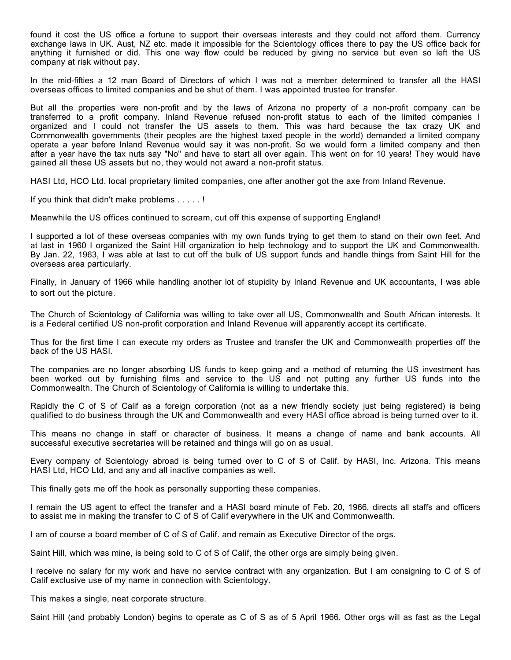found it cost the US office a fortune to support their overseas interests and they could not afford them. Currency exchange laws in UK. Aust, NZ etc. made it impossible for the Scientology offices there to pay the US office back for anything it furnished or did. This one way flow could be reduced by giving no service but even so left the US company at risk without pay.

In the mid-fifties a 12 man Board of Directors of which I was not a member determined to transfer all the HASI overseas offices to limited companies and be shut of them. I was appointed trustee for transfer.

But all the properties were non-profit and by the laws of Arizona no property of a non-profit company can be transferred to a profit company. Inland Revenue refused non-profit status to each of the limited companies I organized and I could not transfer the US assets to them. This was hard because the tax crazy UK and Commonwealth governments (their peoples are the highest taxed people in the world) demanded a limited company operate a year before Inland Revenue would say it was non-profit. So we would form a limited company and then after a year have the tax nuts say "No" and have to start all over again. This went on for 10 years! They would have gained all these US assets but no, they would not award a non-profit status.

HASI Ltd, HCO Ltd. local proprietary limited companies, one after another got the axe from Inland Revenue.

If you think that didn't make problems . . . . . !

Meanwhile the US offices continued to scream, cut off this expense of supporting England!

I supported a lot of these overseas companies with my own funds trying to get them to stand on their own feet. And at last in 1960 I organized the Saint Hill organization to help technology and to support the UK and Commonwealth. By Jan. 22, 1963, I was able at last to cut off the bulk of US support funds and handle things from Saint Hill for the overseas area particularly.

Finally, in January of 1966 while handling another lot of stupidity by Inland Revenue and UK accountants, I was able to sort out the picture.

The Church of Scientology of California was willing to take over all US, Commonwealth and South African interests. It is a Federal certified US non-profit corporation and Inland Revenue will apparently accept its certificate.

Thus for the first time I can execute my orders as Trustee and transfer the UK and Commonwealth properties off the back of the US HASI.

The companies are no longer absorbing US funds to keep going and a method of returning the US investment has been worked out by furnishing films and service to the US and not putting any further US funds into the Commonwealth. The Church of Scientology of California is willing to undertake this.

Rapidly the C of S of Calif as a foreign corporation (not as a new friendly society just being registered) is being qualified to do business through the UK and Commonwealth and every HASI office abroad is being turned over to it.

This means no change in staff or character of business. It means a change of name and bank accounts. All successful executive secretaries will be retained and things will go on as usual.

Every company of Scientology abroad is being turned over to C of S of Calif. by HASI, Inc. Arizona. This means HASI Ltd, HCO Ltd, and any and all inactive companies as well.

This finally gets me off the hook as personally supporting these companies.

I remain the US agent to effect the transfer and a HASI board minute of Feb. 20, 1966, directs all staffs and officers to assist me in making the transfer to C of S of Calif everywhere in the UK and Commonwealth.

I am of course a board member of C of S of Calif. and remain as Executive Director of the orgs.

Saint Hill, which was mine, is being sold to C of S of Calif, the other orgs are simply being given.

I receive no salary for my work and have no service contract with any organization. But I am consigning to C of S of Calif exclusive use of my name in connection with Scientology.

This makes a single, neat corporate structure.

Saint Hill (and probably London) begins to operate as C of S as of 5 April 1966. Other orgs will as fast as the Legal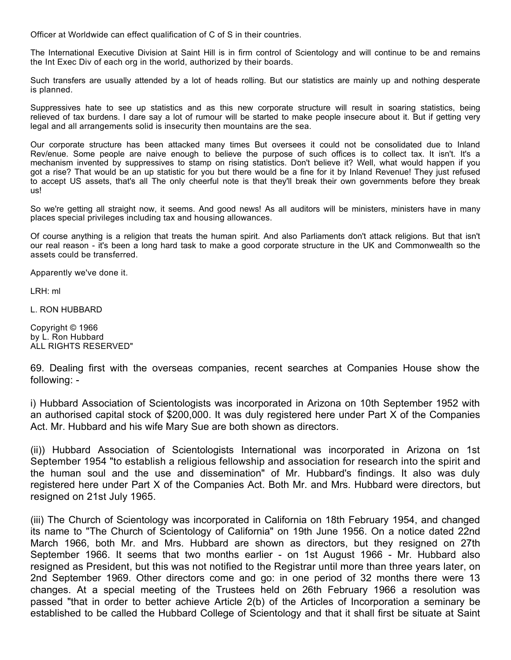Officer at Worldwide can effect qualification of C of S in their countries.

The International Executive Division at Saint Hill is in firm control of Scientology and will continue to be and remains the Int Exec Div of each org in the world, authorized by their boards.

Such transfers are usually attended by a lot of heads rolling. But our statistics are mainly up and nothing desperate is planned.

Suppressives hate to see up statistics and as this new corporate structure will result in soaring statistics, being relieved of tax burdens. I dare say a lot of rumour will be started to make people insecure about it. But if getting very legal and all arrangements solid is insecurity then mountains are the sea.

Our corporate structure has been attacked many times But oversees it could not be consolidated due to Inland Rev/enue. Some people are naive enough to believe the purpose of such offices is to collect tax. It isn't. It's a mechanism invented by suppressives to stamp on rising statistics. Don't believe it? Well, what would happen if you got a rise? That would be an up statistic for you but there would be a fine for it by Inland Revenue! They just refused to accept US assets, that's all The only cheerful note is that they'll break their own governments before they break us!

So we're getting all straight now, it seems. And good news! As all auditors will be ministers, ministers have in many places special privileges including tax and housing allowances.

Of course anything is a religion that treats the human spirit. And also Parliaments don't attack religions. But that isn't our real reason - it's been a long hard task to make a good corporate structure in the UK and Commonwealth so the assets could be transferred.

Apparently we've done it.

LRH: ml

L. RON HUBBARD

Copyright © 1966 by L. Ron Hubbard ALL RIGHTS RESERVED"

69. Dealing first with the overseas companies, recent searches at Companies House show the following: -

i) Hubbard Association of Scientologists was incorporated in Arizona on 10th September 1952 with an authorised capital stock of \$200,000. It was duly registered here under Part X of the Companies Act. Mr. Hubbard and his wife Mary Sue are both shown as directors.

(ii)) Hubbard Association of Scientologists International was incorporated in Arizona on 1st September 1954 "to establish a religious fellowship and association for research into the spirit and the human soul and the use and dissemination" of Mr. Hubbard's findings. It also was duly registered here under Part X of the Companies Act. Both Mr. and Mrs. Hubbard were directors, but resigned on 21st July 1965.

(iii) The Church of Scientology was incorporated in California on 18th February 1954, and changed its name to "The Church of Scientology of California" on 19th June 1956. On a notice dated 22nd March 1966, both Mr. and Mrs. Hubbard are shown as directors, but they resigned on 27th September 1966. It seems that two months earlier - on 1st August 1966 - Mr. Hubbard also resigned as President, but this was not notified to the Registrar until more than three years later, on 2nd September 1969. Other directors come and go: in one period of 32 months there were 13 changes. At a special meeting of the Trustees held on 26th February 1966 a resolution was passed "that in order to better achieve Article 2(b) of the Articles of Incorporation a seminary be established to be called the Hubbard College of Scientology and that it shall first be situate at Saint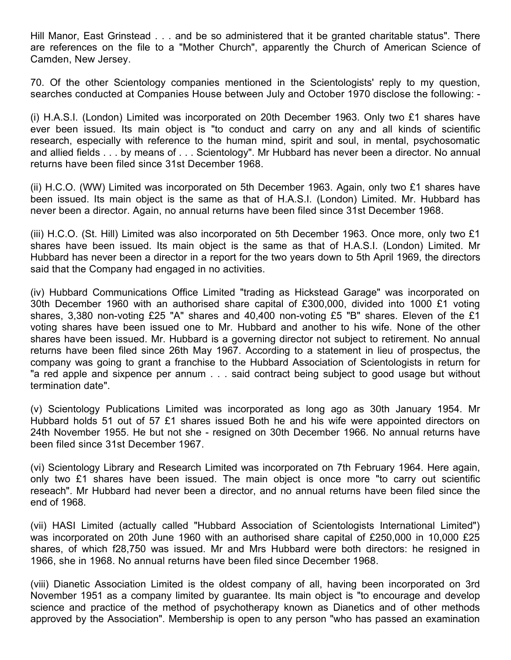Hill Manor, East Grinstead . . . and be so administered that it be granted charitable status". There are references on the file to a "Mother Church", apparently the Church of American Science of Camden, New Jersey.

70. Of the other Scientology companies mentioned in the Scientologists' reply to my question, searches conducted at Companies House between July and October 1970 disclose the following: -

(i) H.A.S.I. (London) Limited was incorporated on 20th December 1963. Only two £1 shares have ever been issued. Its main object is "to conduct and carry on any and all kinds of scientific research, especially with reference to the human mind, spirit and soul, in mental, psychosomatic and allied fields . . . by means of . . . Scientology". Mr Hubbard has never been a director. No annual returns have been filed since 31st December 1968.

(ii) H.C.O. (WW) Limited was incorporated on 5th December 1963. Again, only two £1 shares have been issued. Its main object is the same as that of H.A.S.I. (London) Limited. Mr. Hubbard has never been a director. Again, no annual returns have been filed since 31st December 1968.

(iii) H.C.O. (St. Hill) Limited was also incorporated on 5th December 1963. Once more, only two £1 shares have been issued. Its main object is the same as that of H.A.S.I. (London) Limited. Mr Hubbard has never been a director in a report for the two years down to 5th April 1969, the directors said that the Company had engaged in no activities.

(iv) Hubbard Communications Office Limited "trading as Hickstead Garage" was incorporated on 30th December 1960 with an authorised share capital of £300,000, divided into 1000 £1 voting shares, 3,380 non-voting £25 "A" shares and 40,400 non-voting £5 "B" shares. Eleven of the £1 voting shares have been issued one to Mr. Hubbard and another to his wife. None of the other shares have been issued. Mr. Hubbard is a governing director not subject to retirement. No annual returns have been filed since 26th May 1967. According to a statement in lieu of prospectus, the company was going to grant a franchise to the Hubbard Association of Scientologists in return for "a red apple and sixpence per annum . . . said contract being subject to good usage but without termination date".

(v) Scientology Publications Limited was incorporated as long ago as 30th January 1954. Mr Hubbard holds 51 out of 57 £1 shares issued Both he and his wife were appointed directors on 24th November 1955. He but not she - resigned on 30th December 1966. No annual returns have been filed since 31st December 1967.

(vi) Scientology Library and Research Limited was incorporated on 7th February 1964. Here again, only two £1 shares have been issued. The main object is once more "to carry out scientific reseach". Mr Hubbard had never been a director, and no annual returns have been filed since the end of 1968.

(vii) HASI Limited (actually called "Hubbard Association of Scientologists International Limited") was incorporated on 20th June 1960 with an authorised share capital of £250,000 in 10,000 £25 shares, of which f28,750 was issued. Mr and Mrs Hubbard were both directors: he resigned in 1966, she in 1968. No annual returns have been filed since December 1968.

(viii) Dianetic Association Limited is the oldest company of all, having been incorporated on 3rd November 1951 as a company limited by guarantee. Its main object is "to encourage and develop science and practice of the method of psychotherapy known as Dianetics and of other methods approved by the Association". Membership is open to any person "who has passed an examination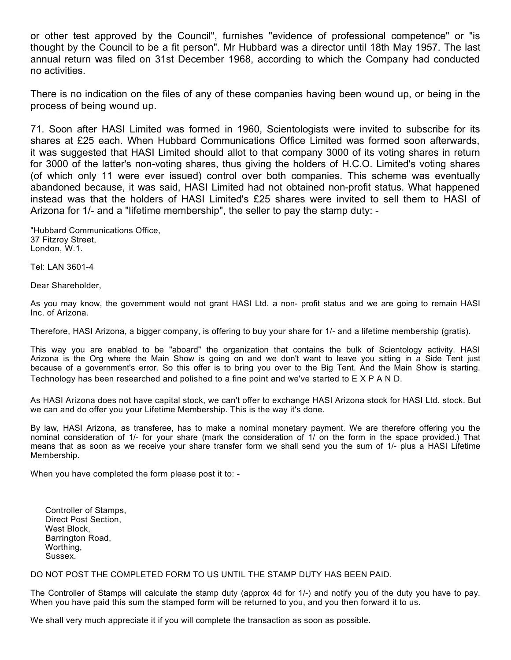or other test approved by the Council", furnishes "evidence of professional competence" or "is thought by the Council to be a fit person". Mr Hubbard was a director until 18th May 1957. The last annual return was filed on 31st December 1968, according to which the Company had conducted no activities.

There is no indication on the files of any of these companies having been wound up, or being in the process of being wound up.

71. Soon after HASI Limited was formed in 1960, Scientologists were invited to subscribe for its shares at £25 each. When Hubbard Communications Office Limited was formed soon afterwards, it was suggested that HASI Limited should allot to that company 3000 of its voting shares in return for 3000 of the latter's non-voting shares, thus giving the holders of H.C.O. Limited's voting shares (of which only 11 were ever issued) control over both companies. This scheme was eventually abandoned because, it was said, HASI Limited had not obtained non-profit status. What happened instead was that the holders of HASI Limited's £25 shares were invited to sell them to HASI of Arizona for 1/- and a "lifetime membership", the seller to pay the stamp duty: -

"Hubbard Communications Office, 37 Fitzroy Street, London, W.1.

Tel: LAN 3601-4

Dear Shareholder,

As you may know, the government would not grant HASI Ltd. a non- profit status and we are going to remain HASI Inc. of Arizona.

Therefore, HASI Arizona, a bigger company, is offering to buy your share for 1/- and a lifetime membership (gratis).

This way you are enabled to be "aboard" the organization that contains the bulk of Scientology activity. HASI Arizona is the Org where the Main Show is going on and we don't want to leave you sitting in a Side Tent just because of a government's error. So this offer is to bring you over to the Big Tent. And the Main Show is starting. Technology has been researched and polished to a fine point and we've started to E X P A N D.

As HASI Arizona does not have capital stock, we can't offer to exchange HASI Arizona stock for HASI Ltd. stock. But we can and do offer you your Lifetime Membership. This is the way it's done.

By law, HASI Arizona, as transferee, has to make a nominal monetary payment. We are therefore offering you the nominal consideration of 1/- for your share (mark the consideration of 1/ on the form in the space provided.) That means that as soon as we receive your share transfer form we shall send you the sum of 1/- plus a HASI Lifetime Membership.

When you have completed the form please post it to: -

 Controller of Stamps, Direct Post Section, West Block, Barrington Road, Worthing, Sussex.

DO NOT POST THE COMPLETED FORM TO US UNTIL THE STAMP DUTY HAS BEEN PAID.

The Controller of Stamps will calculate the stamp duty (approx 4d for 1/-) and notify you of the duty you have to pay. When you have paid this sum the stamped form will be returned to you, and you then forward it to us.

We shall very much appreciate it if you will complete the transaction as soon as possible.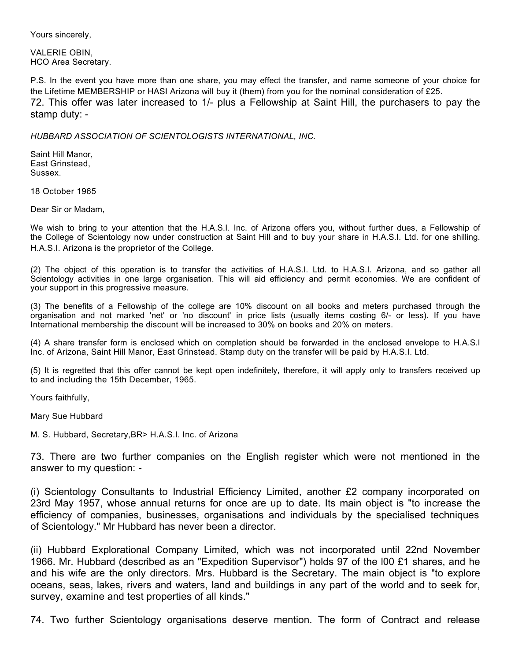Yours sincerely,

VALERIE OBIN, HCO Area Secretary.

P.S. In the event you have more than one share, you may effect the transfer, and name someone of your choice for the Lifetime MEMBERSHIP or HASI Arizona will buy it (them) from you for the nominal consideration of £25. 72. This offer was later increased to 1/- plus a Fellowship at Saint Hill, the purchasers to pay the stamp duty: -

*HUBBARD ASSOCIATION OF SCIENTOLOGISTS INTERNATIONAL, INC.*

Saint Hill Manor, East Grinstead, Sussex.

18 October 1965

Dear Sir or Madam,

We wish to bring to your attention that the H.A.S.I. Inc. of Arizona offers you, without further dues, a Fellowship of the College of Scientology now under construction at Saint Hill and to buy your share in H.A.S.I. Ltd. for one shilling. H.A.S.I. Arizona is the proprietor of the College.

(2) The object of this operation is to transfer the activities of H.A.S.I. Ltd. to H.A.S.I. Arizona, and so gather all Scientology activities in one large organisation. This will aid efficiency and permit economies. We are confident of your support in this progressive measure.

(3) The benefits of a Fellowship of the college are 10% discount on all books and meters purchased through the organisation and not marked 'net' or 'no discount' in price lists (usually items costing 6/- or less). If you have International membership the discount will be increased to 30% on books and 20% on meters.

(4) A share transfer form is enclosed which on completion should be forwarded in the enclosed envelope to H.A.S.I Inc. of Arizona, Saint Hill Manor, East Grinstead. Stamp duty on the transfer will be paid by H.A.S.I. Ltd.

(5) It is regretted that this offer cannot be kept open indefinitely, therefore, it will apply only to transfers received up to and including the 15th December, 1965.

Yours faithfully,

Mary Sue Hubbard

M. S. Hubbard, Secretary,BR> H.A.S.I. Inc. of Arizona

73. There are two further companies on the English register which were not mentioned in the answer to my question: -

(i) Scientology Consultants to Industrial Efficiency Limited, another £2 company incorporated on 23rd May 1957, whose annual returns for once are up to date. Its main object is "to increase the efficiency of companies, businesses, organisations and individuals by the specialised techniques of Scientology." Mr Hubbard has never been a director.

(ii) Hubbard Explorational Company Limited, which was not incorporated until 22nd November 1966. Mr. Hubbard (described as an "Expedition Supervisor") holds 97 of the l00 £1 shares, and he and his wife are the only directors. Mrs. Hubbard is the Secretary. The main object is "to explore oceans, seas, lakes, rivers and waters, land and buildings in any part of the world and to seek for, survey, examine and test properties of all kinds."

74. Two further Scientology organisations deserve mention. The form of Contract and release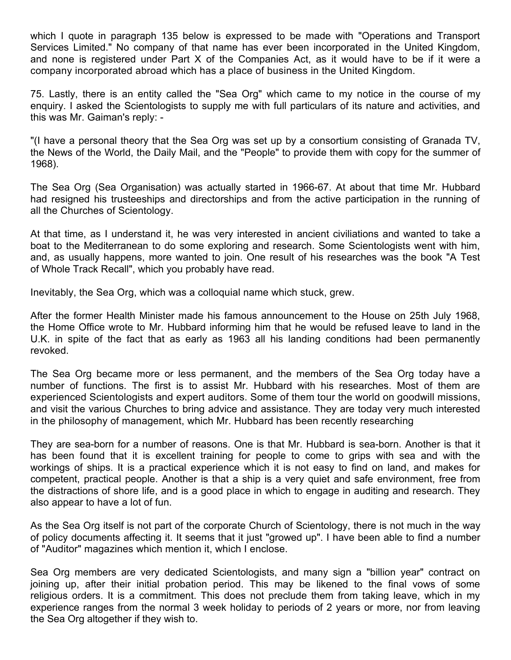which I quote in paragraph 135 below is expressed to be made with "Operations and Transport Services Limited." No company of that name has ever been incorporated in the United Kingdom, and none is registered under Part X of the Companies Act, as it would have to be if it were a company incorporated abroad which has a place of business in the United Kingdom.

75. Lastly, there is an entity called the "Sea Org" which came to my notice in the course of my enquiry. I asked the Scientologists to supply me with full particulars of its nature and activities, and this was Mr. Gaiman's reply: -

"(I have a personal theory that the Sea Org was set up by a consortium consisting of Granada TV, the News of the World, the Daily Mail, and the "People" to provide them with copy for the summer of 1968).

The Sea Org (Sea Organisation) was actually started in 1966-67. At about that time Mr. Hubbard had resigned his trusteeships and directorships and from the active participation in the running of all the Churches of Scientology.

At that time, as I understand it, he was very interested in ancient civiliations and wanted to take a boat to the Mediterranean to do some exploring and research. Some Scientologists went with him, and, as usually happens, more wanted to join. One result of his researches was the book "A Test of Whole Track Recall", which you probably have read.

Inevitably, the Sea Org, which was a colloquial name which stuck, grew.

After the former Health Minister made his famous announcement to the House on 25th July 1968, the Home Office wrote to Mr. Hubbard informing him that he would be refused leave to land in the U.K. in spite of the fact that as early as 1963 all his landing conditions had been permanently revoked.

The Sea Org became more or less permanent, and the members of the Sea Org today have a number of functions. The first is to assist Mr. Hubbard with his researches. Most of them are experienced Scientologists and expert auditors. Some of them tour the world on goodwill missions, and visit the various Churches to bring advice and assistance. They are today very much interested in the philosophy of management, which Mr. Hubbard has been recently researching

They are sea-born for a number of reasons. One is that Mr. Hubbard is sea-born. Another is that it has been found that it is excellent training for people to come to grips with sea and with the workings of ships. It is a practical experience which it is not easy to find on land, and makes for competent, practical people. Another is that a ship is a very quiet and safe environment, free from the distractions of shore life, and is a good place in which to engage in auditing and research. They also appear to have a lot of fun.

As the Sea Org itself is not part of the corporate Church of Scientology, there is not much in the way of policy documents affecting it. It seems that it just "growed up". I have been able to find a number of "Auditor" magazines which mention it, which I enclose.

Sea Org members are very dedicated Scientologists, and many sign a "billion year" contract on joining up, after their initial probation period. This may be likened to the final vows of some religious orders. It is a commitment. This does not preclude them from taking leave, which in my experience ranges from the normal 3 week holiday to periods of 2 years or more, nor from leaving the Sea Org altogether if they wish to.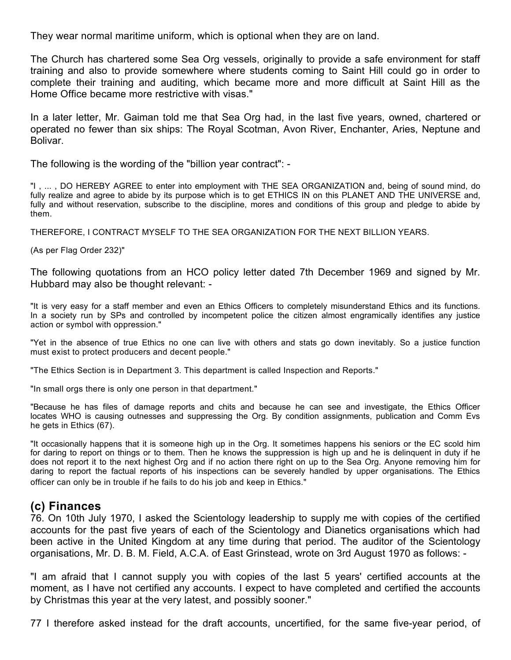They wear normal maritime uniform, which is optional when they are on land.

The Church has chartered some Sea Org vessels, originally to provide a safe environment for staff training and also to provide somewhere where students coming to Saint Hill could go in order to complete their training and auditing, which became more and more difficult at Saint Hill as the Home Office became more restrictive with visas."

In a later letter, Mr. Gaiman told me that Sea Org had, in the last five years, owned, chartered or operated no fewer than six ships: The Royal Scotman, Avon River, Enchanter, Aries, Neptune and Bolivar.

The following is the wording of the "billion year contract": -

"I , ... , DO HEREBY AGREE to enter into employment with THE SEA ORGANIZATION and, being of sound mind, do fully realize and agree to abide by its purpose which is to get ETHICS IN on this PLANET AND THE UNIVERSE and, fully and without reservation, subscribe to the discipline, mores and conditions of this group and pledge to abide by them.

THEREFORE, I CONTRACT MYSELF TO THE SEA ORGANIZATION FOR THE NEXT BILLION YEARS.

(As per Flag Order 232)"

The following quotations from an HCO policy letter dated 7th December 1969 and signed by Mr. Hubbard may also be thought relevant: -

"It is very easy for a staff member and even an Ethics Officers to completely misunderstand Ethics and its functions. In a society run by SPs and controlled by incompetent police the citizen almost engramically identifies any justice action or symbol with oppression."

"Yet in the absence of true Ethics no one can live with others and stats go down inevitably. So a justice function must exist to protect producers and decent people."

"The Ethics Section is in Department 3. This department is called Inspection and Reports."

"In small orgs there is only one person in that department."

"Because he has files of damage reports and chits and because he can see and investigate, the Ethics Officer locates WHO is causing outnesses and suppressing the Org. By condition assignments, publication and Comm Evs he gets in Ethics (67).

"It occasionally happens that it is someone high up in the Org. It sometimes happens his seniors or the EC scold him for daring to report on things or to them. Then he knows the suppression is high up and he is delinquent in duty if he does not report it to the next highest Org and if no action there right on up to the Sea Org. Anyone removing him for daring to report the factual reports of his inspections can be severely handled by upper organisations. The Ethics officer can only be in trouble if he fails to do his job and keep in Ethics."

#### **(c) Finances**

76. On 10th July 1970, I asked the Scientology leadership to supply me with copies of the certified accounts for the past five years of each of the Scientology and Dianetics organisations which had been active in the United Kingdom at any time during that period. The auditor of the Scientology organisations, Mr. D. B. M. Field, A.C.A. of East Grinstead, wrote on 3rd August 1970 as follows: -

"I am afraid that I cannot supply you with copies of the last 5 years' certified accounts at the moment, as I have not certified any accounts. I expect to have completed and certified the accounts by Christmas this year at the very latest, and possibly sooner."

77 I therefore asked instead for the draft accounts, uncertified, for the same five-year period, of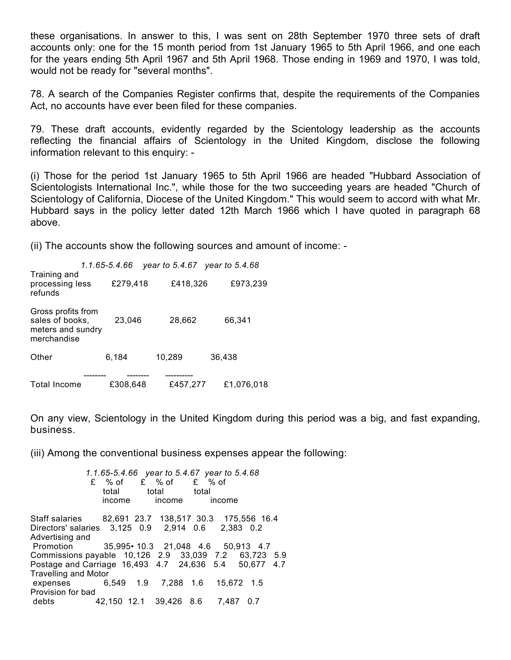these organisations. In answer to this, I was sent on 28th September 1970 three sets of draft accounts only: one for the 15 month period from 1st January 1965 to 5th April 1966, and one each for the years ending 5th April 1967 and 5th April 1968. Those ending in 1969 and 1970, I was told, would not be ready for "several months".

78. A search of the Companies Register confirms that, despite the requirements of the Companies Act, no accounts have ever been filed for these companies.

79. These draft accounts, evidently regarded by the Scientology leadership as the accounts reflecting the financial affairs of Scientology in the United Kingdom, disclose the following information relevant to this enquiry: -

(i) Those for the period 1st January 1965 to 5th April 1966 are headed "Hubbard Association of Scientologists International Inc.", while those for the two succeeding years are headed "Church of Scientology of California, Diocese of the United Kingdom." This would seem to accord with what Mr. Hubbard says in the policy letter dated 12th March 1966 which I have quoted in paragraph 68 above.

(ii) The accounts show the following sources and amount of income: -

|                                                                           | 1.1.65-5.4.66 | year to 5.4.67 year to 5.4.68 |            |
|---------------------------------------------------------------------------|---------------|-------------------------------|------------|
| Training and<br>processing less<br>refunds                                | £279,418      | £418,326                      | £973,239   |
| Gross profits from<br>sales of books,<br>meters and sundry<br>merchandise | 23,046        | 28,662                        | 66,341     |
| Other                                                                     | 6,184         | 10,289                        | 36,438     |
| <b>Total Income</b>                                                       | £308,648      | £457,277                      | £1,076,018 |

On any view, Scientology in the United Kingdom during this period was a big, and fast expanding, business.

(iii) Among the conventional business expenses appear the following:

 *1.1.65-5.4.66 year to 5.4.67 year to 5.4.68* £ % of £ % of £ % of total total total income income income Staff salaries 82,691 23.7 138,517 30.3 175,556 16.4 Directors' salaries 3,125 0.9 2,914 0.6 2,383 0.2 Advertising and Promotion 35,995• 10.3 21,048 4.6 50,913 4.7 Commissions payable 10,126 2.9 33,039 7.2 63,723 5.9 Postage and Carriage  $16,493$  4.7 24,636 5.4 Travelling and Motor expenses 6,549 1.9 7,288 1.6 15,672 1.5 Provision for bad debts 42,150 12.1 39,426 8.6 7,487 0.7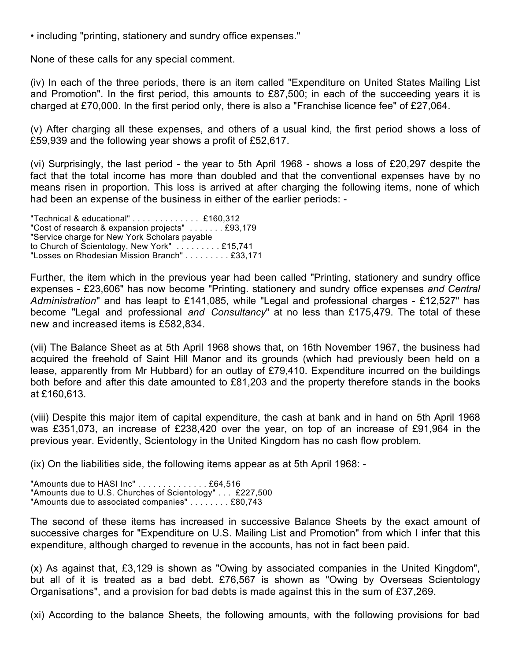• including "printing, stationery and sundry office expenses."

None of these calls for any special comment.

(iv) In each of the three periods, there is an item called "Expenditure on United States Mailing List and Promotion". In the first period, this amounts to £87,500; in each of the succeeding years it is charged at £70,000. In the first period only, there is also a "Franchise licence fee" of £27,064.

(v) After charging all these expenses, and others of a usual kind, the first period shows a loss of £59,939 and the following year shows a profit of £52,617.

(vi) Surprisingly, the last period - the year to 5th April 1968 - shows a loss of £20,297 despite the fact that the total income has more than doubled and that the conventional expenses have by no means risen in proportion. This loss is arrived at after charging the following items, none of which had been an expense of the business in either of the earlier periods: -

"Technical & educational" . . . . . . . . . . . . . £160,312 "Cost of research & expansion projects" . . . . . . . £93,179 "Service charge for New York Scholars payable to Church of Scientology, New York" . . . . . . . . . £15,741 "Losses on Rhodesian Mission Branch" . . . . . . . . . £33,171

Further, the item which in the previous year had been called "Printing, stationery and sundry office expenses - £23,606" has now become "Printing. stationery and sundry office expenses *and Central Administration*" and has leapt to £141,085, while "Legal and professional charges - £12,527" has become "Legal and professional *and Consultancy*" at no less than £175,479. The total of these new and increased items is £582,834.

(vii) The Balance Sheet as at 5th April 1968 shows that, on 16th November 1967, the business had acquired the freehold of Saint Hill Manor and its grounds (which had previously been held on a lease, apparently from Mr Hubbard) for an outlay of £79,410. Expenditure incurred on the buildings both before and after this date amounted to £81,203 and the property therefore stands in the books at £160,613.

(viii) Despite this major item of capital expenditure, the cash at bank and in hand on 5th April 1968 was £351,073, an increase of £238,420 over the year, on top of an increase of £91,964 in the previous year. Evidently, Scientology in the United Kingdom has no cash flow problem.

(ix) On the liabilities side, the following items appear as at 5th April 1968: -

"Amounts due to HASI Inc" . . . . . . . . . . . . . . £64,516 "Amounts due to U.S. Churches of Scientology" . . . £227,500 "Amounts due to associated companies" . . . . . . . £80,743

The second of these items has increased in successive Balance Sheets by the exact amount of successive charges for "Expenditure on U.S. Mailing List and Promotion" from which I infer that this expenditure, although charged to revenue in the accounts, has not in fact been paid.

(x) As against that, £3,129 is shown as "Owing by associated companies in the United Kingdom", but all of it is treated as a bad debt. £76,567 is shown as "Owing by Overseas Scientology Organisations", and a provision for bad debts is made against this in the sum of £37,269.

(xi) According to the balance Sheets, the following amounts, with the following provisions for bad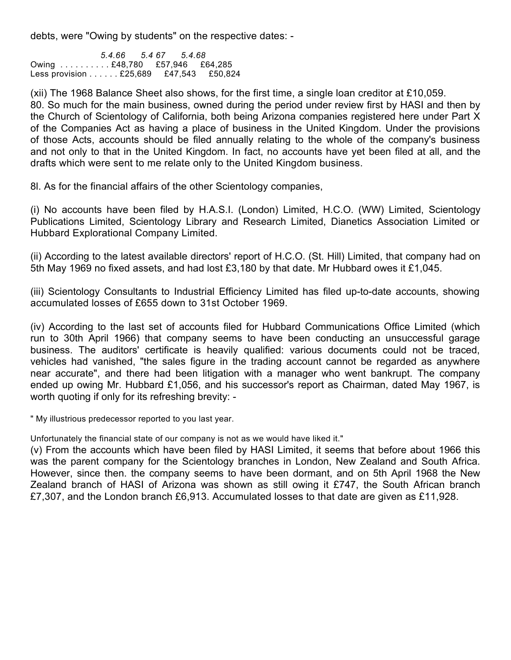debts, were "Owing by students" on the respective dates: -

 *5.4.66 5.4 67 5.4.68* Owing . . . . . . . . . . £48,780 £57,946 £64,285 Less provision . . . . . . £25,689 £47,543 £50,824

(xii) The 1968 Balance Sheet also shows, for the first time, a single loan creditor at £10,059. 80. So much for the main business, owned during the period under review first by HASI and then by the Church of Scientology of California, both being Arizona companies registered here under Part X of the Companies Act as having a place of business in the United Kingdom. Under the provisions of those Acts, accounts should be filed annually relating to the whole of the company's business and not only to that in the United Kingdom. In fact, no accounts have yet been filed at all, and the drafts which were sent to me relate only to the United Kingdom business.

8l. As for the financial affairs of the other Scientology companies,

(i) No accounts have been filed by H.A.S.I. (London) Limited, H.C.O. (WW) Limited, Scientology Publications Limited, Scientology Library and Research Limited, Dianetics Association Limited or Hubbard Explorational Company Limited.

(ii) According to the latest available directors' report of H.C.O. (St. Hill) Limited, that company had on 5th May 1969 no fixed assets, and had lost £3,180 by that date. Mr Hubbard owes it £1,045.

(iii) Scientology Consultants to Industrial Efficiency Limited has filed up-to-date accounts, showing accumulated losses of £655 down to 31st October 1969.

(iv) According to the last set of accounts filed for Hubbard Communications Office Limited (which run to 30th April 1966) that company seems to have been conducting an unsuccessful garage business. The auditors' certificate is heavily qualified: various documents could not be traced, vehicles had vanished, "the sales figure in the trading account cannot be regarded as anywhere near accurate", and there had been litigation with a manager who went bankrupt. The company ended up owing Mr. Hubbard £1,056, and his successor's report as Chairman, dated May 1967, is worth quoting if only for its refreshing brevity: -

" My illustrious predecessor reported to you last year.

Unfortunately the financial state of our company is not as we would have liked it."

(v) From the accounts which have been filed by HASI Limited, it seems that before about 1966 this was the parent company for the Scientology branches in London, New Zealand and South Africa. However, since then. the company seems to have been dormant, and on 5th April 1968 the New Zealand branch of HASI of Arizona was shown as still owing it £747, the South African branch £7,307, and the London branch £6,913. Accumulated losses to that date are given as £11,928.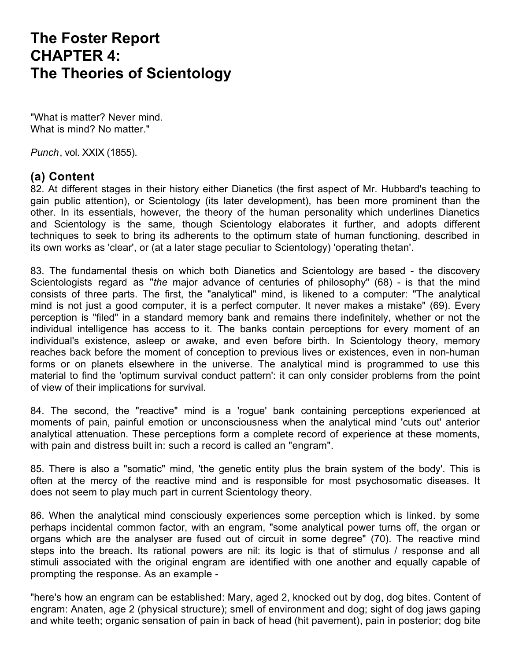## **The Foster Report CHAPTER 4: The Theories of Scientology**

"What is matter? Never mind. What is mind? No matter."

*Punch*, vol. XXIX (1855).

### **(a) Content**

82. At different stages in their history either Dianetics (the first aspect of Mr. Hubbard's teaching to gain public attention), or Scientology (its later development), has been more prominent than the other. In its essentials, however, the theory of the human personality which underlines Dianetics and Scientology is the same, though Scientology elaborates it further, and adopts different techniques to seek to bring its adherents to the optimum state of human functioning, described in its own works as 'clear', or (at a later stage peculiar to Scientology) 'operating thetan'.

83. The fundamental thesis on which both Dianetics and Scientology are based - the discovery Scientologists regard as "*the* major advance of centuries of philosophy" (68) - is that the mind consists of three parts. The first, the "analytical" mind, is likened to a computer: "The analytical mind is not just a good computer, it is a perfect computer. It never makes a mistake" (69). Every perception is "filed" in a standard memory bank and remains there indefinitely, whether or not the individual intelligence has access to it. The banks contain perceptions for every moment of an individual's existence, asleep or awake, and even before birth. In Scientology theory, memory reaches back before the moment of conception to previous lives or existences, even in non-human forms or on planets elsewhere in the universe. The analytical mind is programmed to use this material to find the 'optimum survival conduct pattern': it can only consider problems from the point of view of their implications for survival.

84. The second, the "reactive" mind is a 'rogue' bank containing perceptions experienced at moments of pain, painful emotion or unconsciousness when the analytical mind 'cuts out' anterior analytical attenuation. These perceptions form a complete record of experience at these moments, with pain and distress built in: such a record is called an "engram".

85. There is also a "somatic" mind, 'the genetic entity plus the brain system of the body'. This is often at the mercy of the reactive mind and is responsible for most psychosomatic diseases. It does not seem to play much part in current Scientology theory.

86. When the analytical mind consciously experiences some perception which is linked. by some perhaps incidental common factor, with an engram, "some analytical power turns off, the organ or organs which are the analyser are fused out of circuit in some degree" (70). The reactive mind steps into the breach. Its rational powers are nil: its logic is that of stimulus / response and all stimuli associated with the original engram are identified with one another and equally capable of prompting the response. As an example -

"here's how an engram can be established: Mary, aged 2, knocked out by dog, dog bites. Content of engram: Anaten, age 2 (physical structure); smell of environment and dog; sight of dog jaws gaping and white teeth; organic sensation of pain in back of head (hit pavement), pain in posterior; dog bite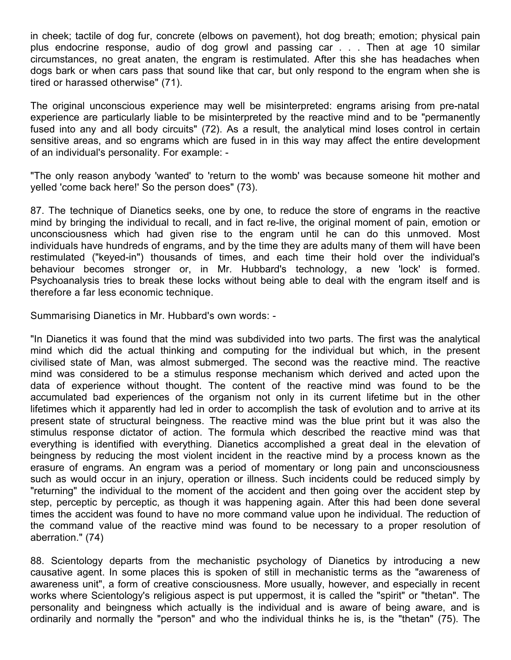in cheek; tactile of dog fur, concrete (elbows on pavement), hot dog breath; emotion; physical pain plus endocrine response, audio of dog growl and passing car . . . Then at age 10 similar circumstances, no great anaten, the engram is restimulated. After this she has headaches when dogs bark or when cars pass that sound like that car, but only respond to the engram when she is tired or harassed otherwise" (71).

The original unconscious experience may well be misinterpreted: engrams arising from pre-natal experience are particularly liable to be misinterpreted by the reactive mind and to be "permanently fused into any and all body circuits" (72). As a result, the analytical mind loses control in certain sensitive areas, and so engrams which are fused in in this way may affect the entire development of an individual's personality. For example: -

"The only reason anybody 'wanted' to 'return to the womb' was because someone hit mother and yelled 'come back here!' So the person does" (73).

87. The technique of Dianetics seeks, one by one, to reduce the store of engrams in the reactive mind by bringing the individual to recall, and in fact re-live, the original moment of pain, emotion or unconsciousness which had given rise to the engram until he can do this unmoved. Most individuals have hundreds of engrams, and by the time they are adults many of them will have been restimulated ("keyed-in") thousands of times, and each time their hold over the individual's behaviour becomes stronger or, in Mr. Hubbard's technology, a new 'lock' is formed. Psychoanalysis tries to break these locks without being able to deal with the engram itself and is therefore a far less economic technique.

Summarising Dianetics in Mr. Hubbard's own words: -

"In Dianetics it was found that the mind was subdivided into two parts. The first was the analytical mind which did the actual thinking and computing for the individual but which, in the present civilised state of Man, was almost submerged. The second was the reactive mind. The reactive mind was considered to be a stimulus response mechanism which derived and acted upon the data of experience without thought. The content of the reactive mind was found to be the accumulated bad experiences of the organism not only in its current lifetime but in the other lifetimes which it apparently had led in order to accomplish the task of evolution and to arrive at its present state of structural beingness. The reactive mind was the blue print but it was also the stimulus response dictator of action. The formula which described the reactive mind was that everything is identified with everything. Dianetics accomplished a great deal in the elevation of beingness by reducing the most violent incident in the reactive mind by a process known as the erasure of engrams. An engram was a period of momentary or long pain and unconsciousness such as would occur in an injury, operation or illness. Such incidents could be reduced simply by "returning" the individual to the moment of the accident and then going over the accident step by step, perceptic by perceptic, as though it was happening again. After this had been done several times the accident was found to have no more command value upon he individual. The reduction of the command value of the reactive mind was found to be necessary to a proper resolution of aberration." (74)

88. Scientology departs from the mechanistic psychology of Dianetics by introducing a new causative agent. In some places this is spoken of still in mechanistic terms as the "awareness of awareness unit", a form of creative consciousness. More usually, however, and especially in recent works where Scientology's religious aspect is put uppermost, it is called the "spirit" or "thetan". The personality and beingness which actually is the individual and is aware of being aware, and is ordinarily and normally the "person" and who the individual thinks he is, is the "thetan" (75). The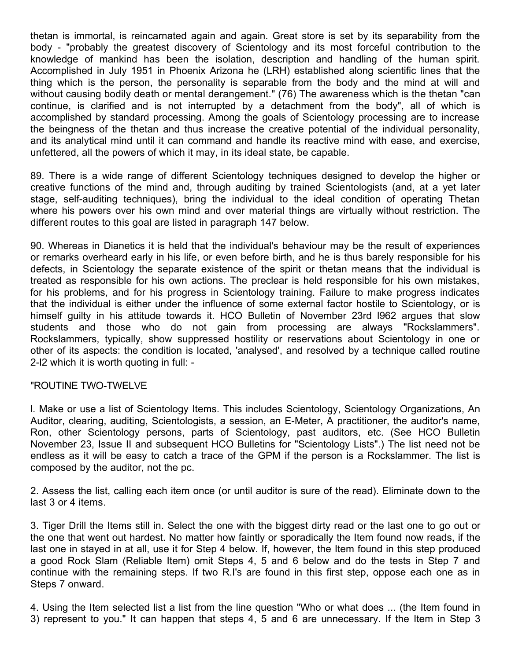thetan is immortal, is reincarnated again and again. Great store is set by its separability from the body - "probably the greatest discovery of Scientology and its most forceful contribution to the knowledge of mankind has been the isolation, description and handling of the human spirit. Accomplished in July 1951 in Phoenix Arizona he (LRH) established along scientific lines that the thing which is the person, the personality is separable from the body and the mind at will and without causing bodily death or mental derangement." (76) The awareness which is the thetan "can continue, is clarified and is not interrupted by a detachment from the body", all of which is accomplished by standard processing. Among the goals of Scientology processing are to increase the beingness of the thetan and thus increase the creative potential of the individual personality, and its analytical mind until it can command and handle its reactive mind with ease, and exercise, unfettered, all the powers of which it may, in its ideal state, be capable.

89. There is a wide range of different Scientology techniques designed to develop the higher or creative functions of the mind and, through auditing by trained Scientologists (and, at a yet later stage, self-auditing techniques), bring the individual to the ideal condition of operating Thetan where his powers over his own mind and over material things are virtually without restriction. The different routes to this goal are listed in paragraph 147 below.

90. Whereas in Dianetics it is held that the individual's behaviour may be the result of experiences or remarks overheard early in his life, or even before birth, and he is thus barely responsible for his defects, in Scientology the separate existence of the spirit or thetan means that the individual is treated as responsible for his own actions. The preclear is held responsible for his own mistakes, for his problems, and for his progress in Scientology training. Failure to make progress indicates that the individual is either under the influence of some external factor hostile to Scientology, or is himself guilty in his attitude towards it. HCO Bulletin of November 23rd l962 argues that slow students and those who do not gain from processing are always "Rockslammers". Rockslammers, typically, show suppressed hostility or reservations about Scientology in one or other of its aspects: the condition is located, 'analysed', and resolved by a technique called routine 2-l2 which it is worth quoting in full: -

#### "ROUTINE TWO-TWELVE

l. Make or use a list of Scientology Items. This includes Scientology, Scientology Organizations, An Auditor, clearing, auditing, Scientologists, a session, an E-Meter, A practitioner, the auditor's name, Ron, other Scientology persons, parts of Scientology, past auditors, etc. (See HCO Bulletin November 23, Issue II and subsequent HCO Bulletins for "Scientology Lists".) The list need not be endless as it will be easy to catch a trace of the GPM if the person is a Rockslammer. The list is composed by the auditor, not the pc.

2. Assess the list, calling each item once (or until auditor is sure of the read). Eliminate down to the last 3 or 4 items.

3. Tiger Drill the Items still in. Select the one with the biggest dirty read or the last one to go out or the one that went out hardest. No matter how faintly or sporadically the Item found now reads, if the last one in stayed in at all, use it for Step 4 below. If, however, the Item found in this step produced a good Rock Slam (Reliable Item) omit Steps 4, 5 and 6 below and do the tests in Step 7 and continue with the remaining steps. If two R.I's are found in this first step, oppose each one as in Steps 7 onward.

4. Using the Item selected list a list from the line question "Who or what does ... (the Item found in 3) represent to you." It can happen that steps 4, 5 and 6 are unnecessary. If the Item in Step 3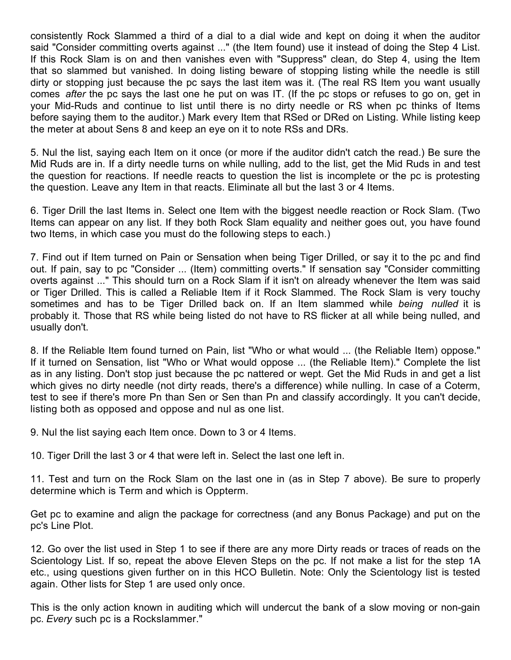consistently Rock Slammed a third of a dial to a dial wide and kept on doing it when the auditor said "Consider committing overts against ..." (the Item found) use it instead of doing the Step 4 List. If this Rock Slam is on and then vanishes even with "Suppress" clean, do Step 4, using the Item that so slammed but vanished. In doing listing beware of stopping listing while the needle is still dirty or stopping just because the pc says the last item was it. (The real RS Item you want usually comes *after* the pc says the last one he put on was IT. (If the pc stops or refuses to go on, get in your Mid-Ruds and continue to list until there is no dirty needle or RS when pc thinks of Items before saying them to the auditor.) Mark every Item that RSed or DRed on Listing. While listing keep the meter at about Sens 8 and keep an eye on it to note RSs and DRs.

5. Nul the list, saying each Item on it once (or more if the auditor didn't catch the read.) Be sure the Mid Ruds are in. If a dirty needle turns on while nulling, add to the list, get the Mid Ruds in and test the question for reactions. If needle reacts to question the list is incomplete or the pc is protesting the question. Leave any Item in that reacts. Eliminate all but the last 3 or 4 Items.

6. Tiger Drill the last Items in. Select one Item with the biggest needle reaction or Rock Slam. (Two Items can appear on any list. If they both Rock Slam equality and neither goes out, you have found two Items, in which case you must do the following steps to each.)

7. Find out if Item turned on Pain or Sensation when being Tiger Drilled, or say it to the pc and find out. If pain, say to pc "Consider ... (Item) committing overts." If sensation say "Consider committing overts against ..." This should turn on a Rock Slam if it isn't on already whenever the Item was said or Tiger Drilled. This is called a Reliable Item if it Rock Slammed. The Rock Slam is very touchy sometimes and has to be Tiger Drilled back on. If an Item slammed while *being nulled* it is probably it. Those that RS while being listed do not have to RS flicker at all while being nulled, and usually don't.

8. If the Reliable Item found turned on Pain, list "Who or what would ... (the Reliable Item) oppose." If it turned on Sensation, list "Who or What would oppose ... (the Reliable Item)." Complete the list as in any listing. Don't stop just because the pc nattered or wept. Get the Mid Ruds in and get a list which gives no dirty needle (not dirty reads, there's a difference) while nulling. In case of a Coterm, test to see if there's more Pn than Sen or Sen than Pn and classify accordingly. It you can't decide, listing both as opposed and oppose and nul as one list.

9. Nul the list saying each Item once. Down to 3 or 4 Items.

10. Tiger Drill the last 3 or 4 that were left in. Select the last one left in.

11. Test and turn on the Rock Slam on the last one in (as in Step 7 above). Be sure to properly determine which is Term and which is Oppterm.

Get pc to examine and align the package for correctness (and any Bonus Package) and put on the pc's Line Plot.

12. Go over the list used in Step 1 to see if there are any more Dirty reads or traces of reads on the Scientology List. If so, repeat the above Eleven Steps on the pc. If not make a list for the step 1A etc., using questions given further on in this HCO Bulletin. Note: Only the Scientology list is tested again. Other lists for Step 1 are used only once.

This is the only action known in auditing which will undercut the bank of a slow moving or non-gain pc. *Every* such pc is a Rockslammer."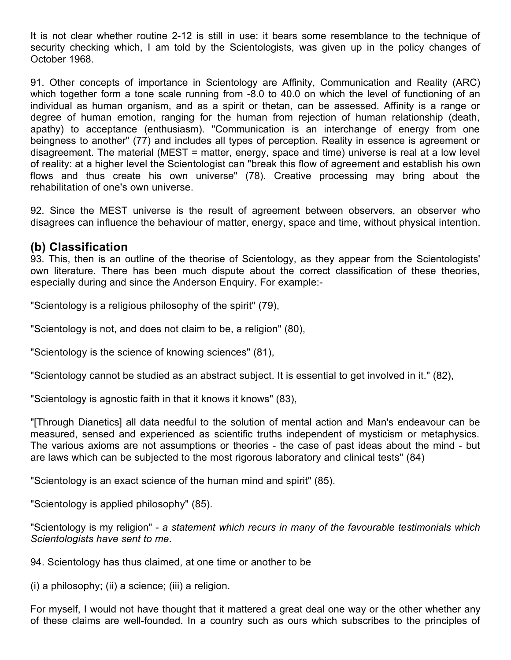It is not clear whether routine 2-12 is still in use: it bears some resemblance to the technique of security checking which, I am told by the Scientologists, was given up in the policy changes of October 1968.

91. Other concepts of importance in Scientology are Affinity, Communication and Reality (ARC) which together form a tone scale running from -8.0 to 40.0 on which the level of functioning of an individual as human organism, and as a spirit or thetan, can be assessed. Affinity is a range or degree of human emotion, ranging for the human from rejection of human relationship (death, apathy) to acceptance (enthusiasm). "Communication is an interchange of energy from one beingness to another" (77) and includes all types of perception. Reality in essence is agreement or disagreement. The material (MEST = matter, energy, space and time) universe is real at a low level of reality: at a higher level the Scientologist can "break this flow of agreement and establish his own flows and thus create his own universe" (78). Creative processing may bring about the rehabilitation of one's own universe.

92. Since the MEST universe is the result of agreement between observers, an observer who disagrees can influence the behaviour of matter, energy, space and time, without physical intention.

## **(b) Classification**

93. This, then is an outline of the theorise of Scientology, as they appear from the Scientologists' own literature. There has been much dispute about the correct classification of these theories, especially during and since the Anderson Enquiry. For example:-

"Scientology is a religious philosophy of the spirit" (79),

"Scientology is not, and does not claim to be, a religion" (80),

"Scientology is the science of knowing sciences" (81),

"Scientology cannot be studied as an abstract subject. It is essential to get involved in it." (82),

"Scientology is agnostic faith in that it knows it knows" (83),

"[Through Dianetics] all data needful to the solution of mental action and Man's endeavour can be measured, sensed and experienced as scientific truths independent of mysticism or metaphysics. The various axioms are not assumptions or theories - the case of past ideas about the mind - but are laws which can be subjected to the most rigorous laboratory and clinical tests" (84)

"Scientology is an exact science of the human mind and spirit" (85).

"Scientology is applied philosophy" (85).

"Scientology is my religion" - *a statement which recurs in many of the favourable testimonials which Scientologists have sent to me*.

94. Scientology has thus claimed, at one time or another to be

(i) a philosophy; (ii) a science; (iii) a religion.

For myself, I would not have thought that it mattered a great deal one way or the other whether any of these claims are well-founded. In a country such as ours which subscribes to the principles of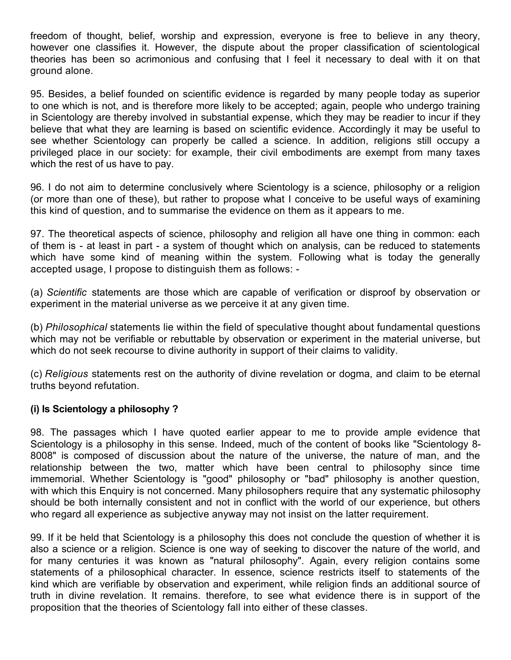freedom of thought, belief, worship and expression, everyone is free to believe in any theory, however one classifies it. However, the dispute about the proper classification of scientological theories has been so acrimonious and confusing that I feel it necessary to deal with it on that ground alone.

95. Besides, a belief founded on scientific evidence is regarded by many people today as superior to one which is not, and is therefore more likely to be accepted; again, people who undergo training in Scientology are thereby involved in substantial expense, which they may be readier to incur if they believe that what they are learning is based on scientific evidence. Accordingly it may be useful to see whether Scientology can properly be called a science. In addition, religions still occupy a privileged place in our society: for example, their civil embodiments are exempt from many taxes which the rest of us have to pay.

96. I do not aim to determine conclusively where Scientology is a science, philosophy or a religion (or more than one of these), but rather to propose what I conceive to be useful ways of examining this kind of question, and to summarise the evidence on them as it appears to me.

97. The theoretical aspects of science, philosophy and religion all have one thing in common: each of them is - at least in part - a system of thought which on analysis, can be reduced to statements which have some kind of meaning within the system. Following what is today the generally accepted usage, I propose to distinguish them as follows: -

(a) *Scientific* statements are those which are capable of verification or disproof by observation or experiment in the material universe as we perceive it at any given time.

(b) *Philosophical* statements lie within the field of speculative thought about fundamental questions which may not be verifiable or rebuttable by observation or experiment in the material universe, but which do not seek recourse to divine authority in support of their claims to validity.

(c) *Religious* statements rest on the authority of divine revelation or dogma, and claim to be eternal truths beyond refutation.

### **(i) Is Scientology a philosophy ?**

98. The passages which I have quoted earlier appear to me to provide ample evidence that Scientology is a philosophy in this sense. Indeed, much of the content of books like "Scientology 8- 8008" is composed of discussion about the nature of the universe, the nature of man, and the relationship between the two, matter which have been central to philosophy since time immemorial. Whether Scientology is "good" philosophy or "bad" philosophy is another question, with which this Enquiry is not concerned. Many philosophers require that any systematic philosophy should be both internally consistent and not in conflict with the world of our experience, but others who regard all experience as subjective anyway may not insist on the latter requirement.

99. If it be held that Scientology is a philosophy this does not conclude the question of whether it is also a science or a religion. Science is one way of seeking to discover the nature of the world, and for many centuries it was known as "natural philosophy". Again, every religion contains some statements of a philosophical character. In essence, science restricts itself to statements of the kind which are verifiable by observation and experiment, while religion finds an additional source of truth in divine revelation. It remains. therefore, to see what evidence there is in support of the proposition that the theories of Scientology fall into either of these classes.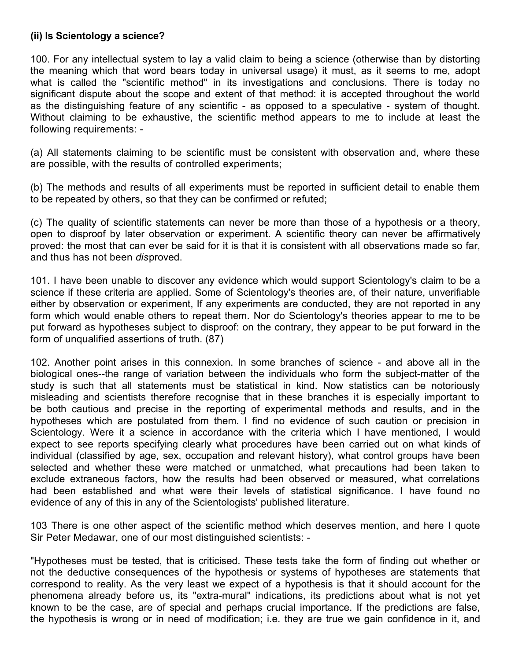### **(ii) Is Scientology a science?**

100. For any intellectual system to lay a valid claim to being a science (otherwise than by distorting the meaning which that word bears today in universal usage) it must, as it seems to me, adopt what is called the "scientific method" in its investigations and conclusions. There is today no significant dispute about the scope and extent of that method: it is accepted throughout the world as the distinguishing feature of any scientific - as opposed to a speculative - system of thought. Without claiming to be exhaustive, the scientific method appears to me to include at least the following requirements: -

(a) All statements claiming to be scientific must be consistent with observation and, where these are possible, with the results of controlled experiments;

(b) The methods and results of all experiments must be reported in sufficient detail to enable them to be repeated by others, so that they can be confirmed or refuted;

(c) The quality of scientific statements can never be more than those of a hypothesis or a theory, open to disproof by later observation or experiment. A scientific theory can never be affirmatively proved: the most that can ever be said for it is that it is consistent with all observations made so far, and thus has not been *dis*proved.

101. I have been unable to discover any evidence which would support Scientology's claim to be a science if these criteria are applied. Some of Scientology's theories are, of their nature, unverifiable either by observation or experiment, If any experiments are conducted, they are not reported in any form which would enable others to repeat them. Nor do Scientology's theories appear to me to be put forward as hypotheses subject to disproof: on the contrary, they appear to be put forward in the form of unqualified assertions of truth. (87)

102. Another point arises in this connexion. In some branches of science - and above all in the biological ones--the range of variation between the individuals who form the subject-matter of the study is such that all statements must be statistical in kind. Now statistics can be notoriously misleading and scientists therefore recognise that in these branches it is especially important to be both cautious and precise in the reporting of experimental methods and results, and in the hypotheses which are postulated from them. I find no evidence of such caution or precision in Scientology. Were it a science in accordance with the criteria which I have mentioned, I would expect to see reports specifying clearly what procedures have been carried out on what kinds of individual (classified by age, sex, occupation and relevant history), what control groups have been selected and whether these were matched or unmatched, what precautions had been taken to exclude extraneous factors, how the results had been observed or measured, what correlations had been established and what were their levels of statistical significance. I have found no evidence of any of this in any of the Scientologists' published literature.

103 There is one other aspect of the scientific method which deserves mention, and here I quote Sir Peter Medawar, one of our most distinguished scientists: -

"Hypotheses must be tested, that is criticised. These tests take the form of finding out whether or not the deductive consequences of the hypothesis or systems of hypotheses are statements that correspond to reality. As the very least we expect of a hypothesis is that it should account for the phenomena already before us, its "extra-mural" indications, its predictions about what is not yet known to be the case, are of special and perhaps crucial importance. If the predictions are false, the hypothesis is wrong or in need of modification; i.e. they are true we gain confidence in it, and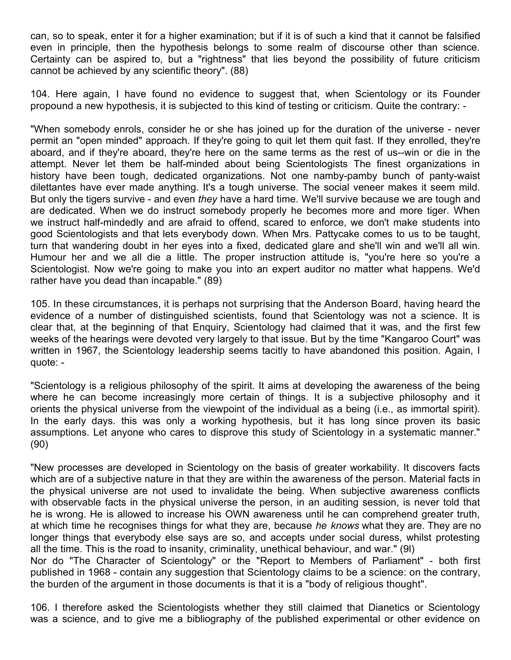can, so to speak, enter it for a higher examination; but if it is of such a kind that it cannot be falsified even in principle, then the hypothesis belongs to some realm of discourse other than science. Certainty can be aspired to, but a "rightness" that lies beyond the possibility of future criticism cannot be achieved by any scientific theory". (88)

104. Here again, I have found no evidence to suggest that, when Scientology or its Founder propound a new hypothesis, it is subjected to this kind of testing or criticism. Quite the contrary: -

"When somebody enrols, consider he or she has joined up for the duration of the universe - never permit an "open minded" approach. If they're going to quit let them quit fast. If they enrolled, they're aboard, and if they're aboard, they're here on the same terms as the rest of us--win or die in the attempt. Never let them be half-minded about being Scientologists The finest organizations in history have been tough, dedicated organizations. Not one namby-pamby bunch of panty-waist dilettantes have ever made anything. It's a tough universe. The social veneer makes it seem mild. But only the tigers survive - and even *they* have a hard time. We'll survive because we are tough and are dedicated. When we do instruct somebody properly he becomes more and more tiger. When we instruct half-mindedly and are afraid to offend, scared to enforce, we don't make students into good Scientologists and that lets everybody down. When Mrs. Pattycake comes to us to be taught, turn that wandering doubt in her eyes into a fixed, dedicated glare and she'll win and we'll all win. Humour her and we all die a little. The proper instruction attitude is, "you're here so you're a Scientologist. Now we're going to make you into an expert auditor no matter what happens. We'd rather have you dead than incapable." (89)

105. In these circumstances, it is perhaps not surprising that the Anderson Board, having heard the evidence of a number of distinguished scientists, found that Scientology was not a science. It is clear that, at the beginning of that Enquiry, Scientology had claimed that it was, and the first few weeks of the hearings were devoted very largely to that issue. But by the time "Kangaroo Court" was written in 1967, the Scientology leadership seems tacitly to have abandoned this position. Again, I quote: -

"Scientology is a religious philosophy of the spirit. It aims at developing the awareness of the being where he can become increasingly more certain of things. It is a subjective philosophy and it orients the physical universe from the viewpoint of the individual as a being (i.e., as immortal spirit). In the early days. this was only a working hypothesis, but it has long since proven its basic assumptions. Let anyone who cares to disprove this study of Scientology in a systematic manner." (90)

"New processes are developed in Scientology on the basis of greater workability. It discovers facts which are of a subjective nature in that they are within the awareness of the person. Material facts in the physical universe are not used to invalidate the being. When subjective awareness conflicts with observable facts in the physical universe the person, in an auditing session, is never told that he is wrong. He is allowed to increase his OWN awareness until he can comprehend greater truth, at which time he recognises things for what they are, because *he knows* what they are. They are no longer things that everybody else says are so, and accepts under social duress, whilst protesting all the time. This is the road to insanity, criminality, unethical behaviour, and war." (9l)

Nor do "The Character of Scientology" or the "Report to Members of Parliament" - both first published in 1968 - contain any suggestion that Scientology claims to be a science: on the contrary, the burden of the argument in those documents is that it is a "body of religious thought".

106. I therefore asked the Scientologists whether they still claimed that Dianetics or Scientology was a science, and to give me a bibliography of the published experimental or other evidence on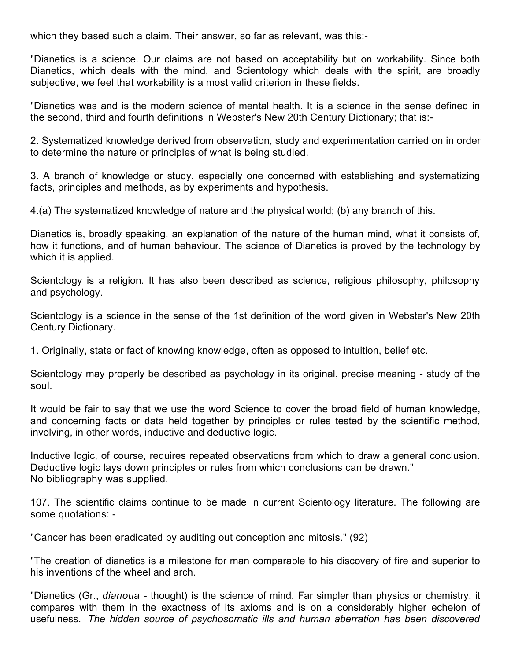which they based such a claim. Their answer, so far as relevant, was this:-

"Dianetics is a science. Our claims are not based on acceptability but on workability. Since both Dianetics, which deals with the mind, and Scientology which deals with the spirit, are broadly subjective, we feel that workability is a most valid criterion in these fields.

"Dianetics was and is the modern science of mental health. It is a science in the sense defined in the second, third and fourth definitions in Webster's New 20th Century Dictionary; that is:-

2. Systematized knowledge derived from observation, study and experimentation carried on in order to determine the nature or principles of what is being studied.

3. A branch of knowledge or study, especially one concerned with establishing and systematizing facts, principles and methods, as by experiments and hypothesis.

4.(a) The systematized knowledge of nature and the physical world; (b) any branch of this.

Dianetics is, broadly speaking, an explanation of the nature of the human mind, what it consists of, how it functions, and of human behaviour. The science of Dianetics is proved by the technology by which it is applied.

Scientology is a religion. It has also been described as science, religious philosophy, philosophy and psychology.

Scientology is a science in the sense of the 1st definition of the word given in Webster's New 20th Century Dictionary.

1. Originally, state or fact of knowing knowledge, often as opposed to intuition, belief etc.

Scientology may properly be described as psychology in its original, precise meaning - study of the soul.

It would be fair to say that we use the word Science to cover the broad field of human knowledge, and concerning facts or data held together by principles or rules tested by the scientific method, involving, in other words, inductive and deductive logic.

Inductive logic, of course, requires repeated observations from which to draw a general conclusion. Deductive logic lays down principles or rules from which conclusions can be drawn." No bibliography was supplied.

107. The scientific claims continue to be made in current Scientology literature. The following are some quotations: -

"Cancer has been eradicated by auditing out conception and mitosis." (92)

"The creation of dianetics is a milestone for man comparable to his discovery of fire and superior to his inventions of the wheel and arch.

"Dianetics (Gr., *dianoua* - thought) is the science of mind. Far simpler than physics or chemistry, it compares with them in the exactness of its axioms and is on a considerably higher echelon of usefulness. *The hidden source of psychosomatic ills and human aberration has been discovered*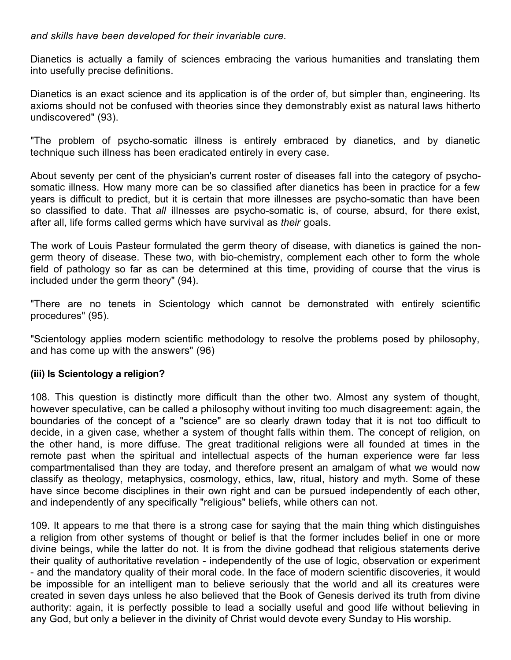*and skills have been developed for their invariable cure.*

Dianetics is actually a family of sciences embracing the various humanities and translating them into usefully precise definitions.

Dianetics is an exact science and its application is of the order of, but simpler than, engineering. Its axioms should not be confused with theories since they demonstrably exist as natural laws hitherto undiscovered" (93).

"The problem of psycho-somatic illness is entirely embraced by dianetics, and by dianetic technique such illness has been eradicated entirely in every case.

About seventy per cent of the physician's current roster of diseases fall into the category of psychosomatic illness. How many more can be so classified after dianetics has been in practice for a few years is difficult to predict, but it is certain that more illnesses are psycho-somatic than have been so classified to date. That *all* illnesses are psycho-somatic is, of course, absurd, for there exist, after all, life forms called germs which have survival as *their* goals.

The work of Louis Pasteur formulated the germ theory of disease, with dianetics is gained the nongerm theory of disease. These two, with bio-chemistry, complement each other to form the whole field of pathology so far as can be determined at this time, providing of course that the virus is included under the germ theory" (94).

"There are no tenets in Scientology which cannot be demonstrated with entirely scientific procedures" (95).

"Scientology applies modern scientific methodology to resolve the problems posed by philosophy, and has come up with the answers" (96)

### **(iii) Is Scientology a religion?**

108. This question is distinctly more difficult than the other two. Almost any system of thought, however speculative, can be called a philosophy without inviting too much disagreement: again, the boundaries of the concept of a "science" are so clearly drawn today that it is not too difficult to decide, in a given case, whether a system of thought falls within them. The concept of religion, on the other hand, is more diffuse. The great traditional religions were all founded at times in the remote past when the spiritual and intellectual aspects of the human experience were far less compartmentalised than they are today, and therefore present an amalgam of what we would now classify as theology, metaphysics, cosmology, ethics, law, ritual, history and myth. Some of these have since become disciplines in their own right and can be pursued independently of each other, and independently of any specifically "religious" beliefs, while others can not.

109. It appears to me that there is a strong case for saying that the main thing which distinguishes a religion from other systems of thought or belief is that the former includes belief in one or more divine beings, while the latter do not. It is from the divine godhead that religious statements derive their quality of authoritative revelation - independently of the use of logic, observation or experiment - and the mandatory quality of their moral code. In the face of modern scientific discoveries, it would be impossible for an intelligent man to believe seriously that the world and all its creatures were created in seven days unless he also believed that the Book of Genesis derived its truth from divine authority: again, it is perfectly possible to lead a socially useful and good life without believing in any God, but only a believer in the divinity of Christ would devote every Sunday to His worship.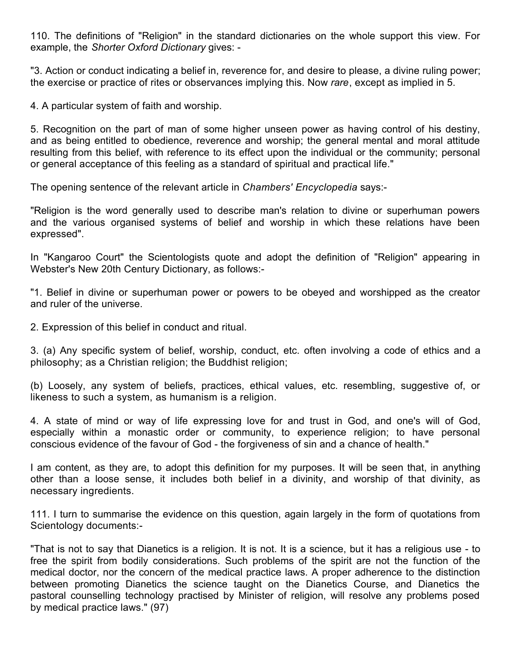110. The definitions of "Religion" in the standard dictionaries on the whole support this view. For example, the *Shorter Oxford Dictionary* gives: -

"3. Action or conduct indicating a belief in, reverence for, and desire to please, a divine ruling power; the exercise or practice of rites or observances implying this. Now *rare*, except as implied in 5.

4. A particular system of faith and worship.

5. Recognition on the part of man of some higher unseen power as having control of his destiny, and as being entitled to obedience, reverence and worship; the general mental and moral attitude resulting from this belief, with reference to its effect upon the individual or the community; personal or general acceptance of this feeling as a standard of spiritual and practical life."

The opening sentence of the relevant article in *Chambers' Encyclopedia* says:-

"Religion is the word generally used to describe man's relation to divine or superhuman powers and the various organised systems of belief and worship in which these relations have been expressed".

In "Kangaroo Court" the Scientologists quote and adopt the definition of "Religion" appearing in Webster's New 20th Century Dictionary, as follows:-

"1. Belief in divine or superhuman power or powers to be obeyed and worshipped as the creator and ruler of the universe.

2. Expression of this belief in conduct and ritual.

3. (a) Any specific system of belief, worship, conduct, etc. often involving a code of ethics and a philosophy; as a Christian religion; the Buddhist religion;

(b) Loosely, any system of beliefs, practices, ethical values, etc. resembling, suggestive of, or likeness to such a system, as humanism is a religion.

4. A state of mind or way of life expressing love for and trust in God, and one's will of God, especially within a monastic order or community, to experience religion; to have personal conscious evidence of the favour of God - the forgiveness of sin and a chance of health."

I am content, as they are, to adopt this definition for my purposes. It will be seen that, in anything other than a loose sense, it includes both belief in a divinity, and worship of that divinity, as necessary ingredients.

111. I turn to summarise the evidence on this question, again largely in the form of quotations from Scientology documents:-

"That is not to say that Dianetics is a religion. It is not. It is a science, but it has a religious use - to free the spirit from bodily considerations. Such problems of the spirit are not the function of the medical doctor, nor the concern of the medical practice laws. A proper adherence to the distinction between promoting Dianetics the science taught on the Dianetics Course, and Dianetics the pastoral counselling technology practised by Minister of religion, will resolve any problems posed by medical practice laws." (97)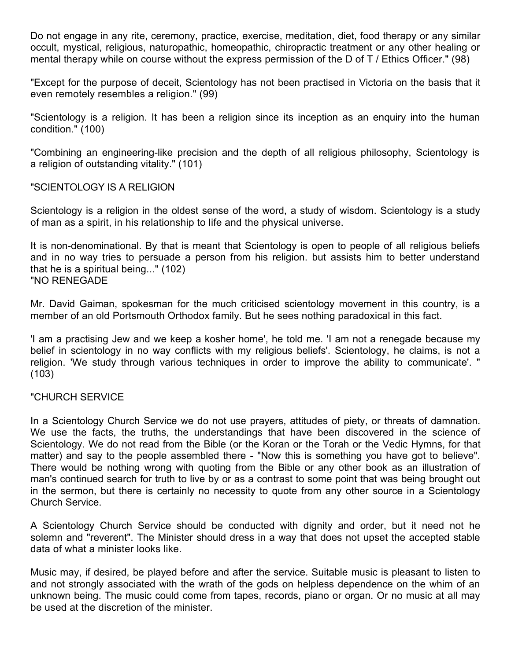Do not engage in any rite, ceremony, practice, exercise, meditation, diet, food therapy or any similar occult, mystical, religious, naturopathic, homeopathic, chiropractic treatment or any other healing or mental therapy while on course without the express permission of the D of T / Ethics Officer." (98)

"Except for the purpose of deceit, Scientology has not been practised in Victoria on the basis that it even remotely resembles a religion." (99)

"Scientology is a religion. It has been a religion since its inception as an enquiry into the human condition." (100)

"Combining an engineering-like precision and the depth of all religious philosophy, Scientology is a religion of outstanding vitality." (101)

### "SCIENTOLOGY IS A RELIGION

Scientology is a religion in the oldest sense of the word, a study of wisdom. Scientology is a study of man as a spirit, in his relationship to life and the physical universe.

It is non-denominational. By that is meant that Scientology is open to people of all religious beliefs and in no way tries to persuade a person from his religion. but assists him to better understand that he is a spiritual being..." (102) "NO RENEGADE

Mr. David Gaiman, spokesman for the much criticised scientology movement in this country, is a member of an old Portsmouth Orthodox family. But he sees nothing paradoxical in this fact.

'I am a practising Jew and we keep a kosher home', he told me. 'I am not a renegade because my belief in scientology in no way conflicts with my religious beliefs'. Scientology, he claims, is not a religion. 'We study through various techniques in order to improve the ability to communicate'. " (103)

### "CHURCH SERVICE

In a Scientology Church Service we do not use prayers, attitudes of piety, or threats of damnation. We use the facts, the truths, the understandings that have been discovered in the science of Scientology. We do not read from the Bible (or the Koran or the Torah or the Vedic Hymns, for that matter) and say to the people assembled there - "Now this is something you have got to believe". There would be nothing wrong with quoting from the Bible or any other book as an illustration of man's continued search for truth to live by or as a contrast to some point that was being brought out in the sermon, but there is certainly no necessity to quote from any other source in a Scientology Church Service.

A Scientology Church Service should be conducted with dignity and order, but it need not he solemn and "reverent". The Minister should dress in a way that does not upset the accepted stable data of what a minister looks like.

Music may, if desired, be played before and after the service. Suitable music is pleasant to listen to and not strongly associated with the wrath of the gods on helpless dependence on the whim of an unknown being. The music could come from tapes, records, piano or organ. Or no music at all may be used at the discretion of the minister.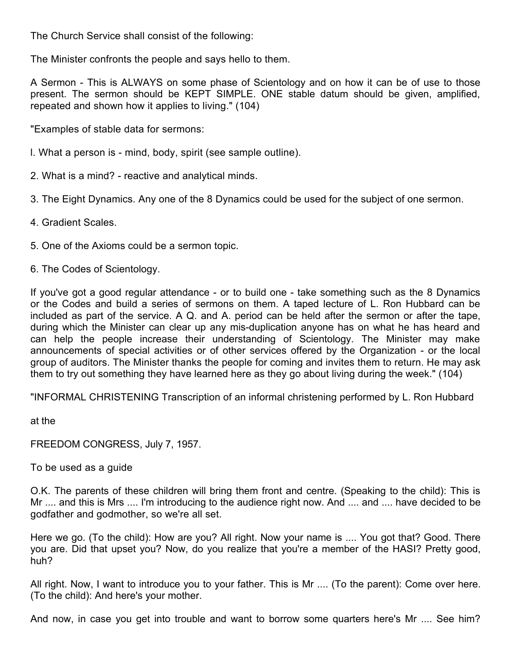The Church Service shall consist of the following:

The Minister confronts the people and says hello to them.

A Sermon - This is ALWAYS on some phase of Scientology and on how it can be of use to those present. The sermon should be KEPT SIMPLE. ONE stable datum should be given, amplified, repeated and shown how it applies to living." (104)

"Examples of stable data for sermons:

l. What a person is - mind, body, spirit (see sample outline).

2. What is a mind? - reactive and analytical minds.

3. The Eight Dynamics. Any one of the 8 Dynamics could be used for the subject of one sermon.

4. Gradient Scales.

5. One of the Axioms could be a sermon topic.

6. The Codes of Scientology.

If you've got a good regular attendance - or to build one - take something such as the 8 Dynamics or the Codes and build a series of sermons on them. A taped lecture of L. Ron Hubbard can be included as part of the service. A Q. and A. period can be held after the sermon or after the tape, during which the Minister can clear up any mis-duplication anyone has on what he has heard and can help the people increase their understanding of Scientology. The Minister may make announcements of special activities or of other services offered by the Organization - or the local group of auditors. The Minister thanks the people for coming and invites them to return. He may ask them to try out something they have learned here as they go about living during the week." (104)

"INFORMAL CHRISTENING Transcription of an informal christening performed by L. Ron Hubbard

at the

FREEDOM CONGRESS, July 7, 1957.

### To be used as a guide

O.K. The parents of these children will bring them front and centre. (Speaking to the child): This is Mr .... and this is Mrs .... I'm introducing to the audience right now. And .... and .... have decided to be godfather and godmother, so we're all set.

Here we go. (To the child): How are you? All right. Now your name is .... You got that? Good. There you are. Did that upset you? Now, do you realize that you're a member of the HASI? Pretty good, huh?

All right. Now, I want to introduce you to your father. This is Mr .... (To the parent): Come over here. (To the child): And here's your mother.

And now, in case you get into trouble and want to borrow some quarters here's Mr .... See him?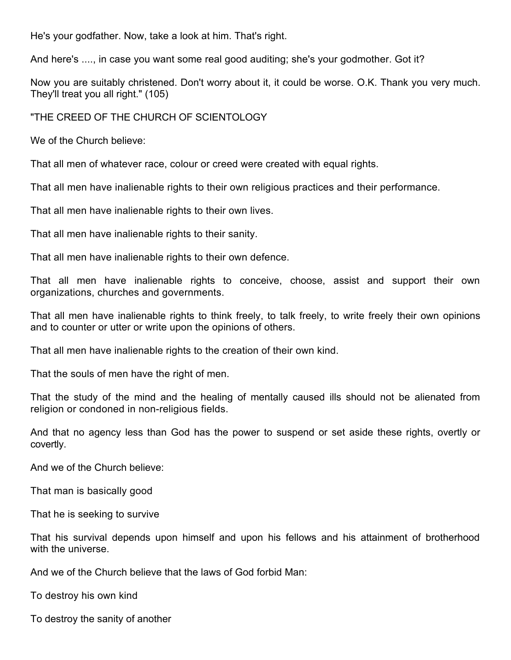He's your godfather. Now, take a look at him. That's right.

And here's ...., in case you want some real good auditing; she's your godmother. Got it?

Now you are suitably christened. Don't worry about it, it could be worse. O.K. Thank you very much. They'll treat you all right." (105)

"THE CREED OF THE CHURCH OF SCIENTOLOGY

We of the Church believe:

That all men of whatever race, colour or creed were created with equal rights.

That all men have inalienable rights to their own religious practices and their performance.

That all men have inalienable rights to their own lives.

That all men have inalienable rights to their sanity.

That all men have inalienable rights to their own defence.

That all men have inalienable rights to conceive, choose, assist and support their own organizations, churches and governments.

That all men have inalienable rights to think freely, to talk freely, to write freely their own opinions and to counter or utter or write upon the opinions of others.

That all men have inalienable rights to the creation of their own kind.

That the souls of men have the right of men.

That the study of the mind and the healing of mentally caused ills should not be alienated from religion or condoned in non-religious fields.

And that no agency less than God has the power to suspend or set aside these rights, overtly or covertly.

And we of the Church believe:

That man is basically good

That he is seeking to survive

That his survival depends upon himself and upon his fellows and his attainment of brotherhood with the universe.

And we of the Church believe that the laws of God forbid Man:

To destroy his own kind

To destroy the sanity of another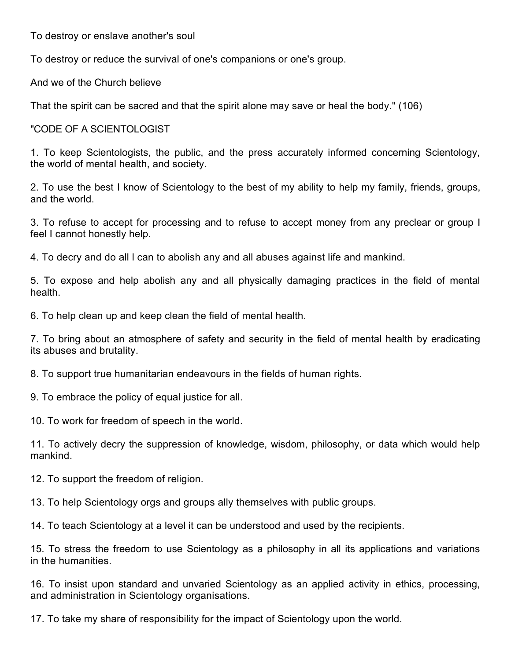To destroy or enslave another's soul

To destroy or reduce the survival of one's companions or one's group.

And we of the Church believe

That the spirit can be sacred and that the spirit alone may save or heal the body." (106)

### "CODE OF A SCIENTOLOGIST

1. To keep Scientologists, the public, and the press accurately informed concerning Scientology, the world of mental health, and society.

2. To use the best I know of Scientology to the best of my ability to help my family, friends, groups, and the world.

3. To refuse to accept for processing and to refuse to accept money from any preclear or group I feel I cannot honestly help.

4. To decry and do all l can to abolish any and all abuses against life and mankind.

5. To expose and help abolish any and all physically damaging practices in the field of mental health.

6. To help clean up and keep clean the field of mental health.

7. To bring about an atmosphere of safety and security in the field of mental health by eradicating its abuses and brutality.

8. To support true humanitarian endeavours in the fields of human rights.

9. To embrace the policy of equal justice for all.

10. To work for freedom of speech in the world.

11. To actively decry the suppression of knowledge, wisdom, philosophy, or data which would help mankind.

12. To support the freedom of religion.

13. To help Scientology orgs and groups ally themselves with public groups.

14. To teach Scientology at a level it can be understood and used by the recipients.

15. To stress the freedom to use Scientology as a philosophy in all its applications and variations in the humanities.

16. To insist upon standard and unvaried Scientology as an applied activity in ethics, processing, and administration in Scientology organisations.

17. To take my share of responsibility for the impact of Scientology upon the world.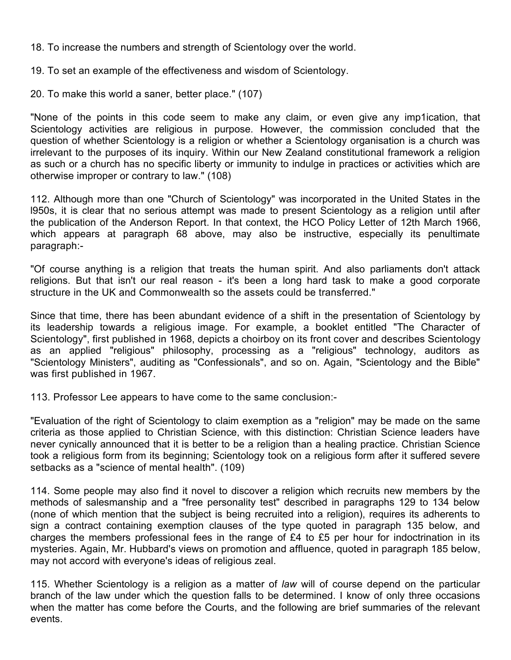18. To increase the numbers and strength of Scientology over the world.

19. To set an example of the effectiveness and wisdom of Scientology.

20. To make this world a saner, better place." (107)

"None of the points in this code seem to make any claim, or even give any imp1ication, that Scientology activities are religious in purpose. However, the commission concluded that the question of whether Scientology is a religion or whether a Scientology organisation is a church was irrelevant to the purposes of its inquiry. Within our New Zealand constitutional framework a religion as such or a church has no specific liberty or immunity to indulge in practices or activities which are otherwise improper or contrary to law." (108)

112. Although more than one "Church of Scientology" was incorporated in the United States in the l950s, it is clear that no serious attempt was made to present Scientology as a religion until after the publication of the Anderson Report. In that context, the HCO Policy Letter of 12th March 1966, which appears at paragraph 68 above, may also be instructive, especially its penultimate paragraph:-

"Of course anything is a religion that treats the human spirit. And also parliaments don't attack religions. But that isn't our real reason - it's been a long hard task to make a good corporate structure in the UK and Commonwealth so the assets could be transferred."

Since that time, there has been abundant evidence of a shift in the presentation of Scientology by its leadership towards a religious image. For example, a booklet entitled "The Character of Scientology", first published in 1968, depicts a choirboy on its front cover and describes Scientology as an applied "religious" philosophy, processing as a "religious" technology, auditors as "Scientology Ministers", auditing as "Confessionals", and so on. Again, "Scientology and the Bible" was first published in 1967.

113. Professor Lee appears to have come to the same conclusion:-

"Evaluation of the right of Scientology to claim exemption as a "religion" may be made on the same criteria as those applied to Christian Science, with this distinction: Christian Science leaders have never cynically announced that it is better to be a religion than a healing practice. Christian Science took a religious form from its beginning; Scientology took on a religious form after it suffered severe setbacks as a "science of mental health". (109)

114. Some people may also find it novel to discover a religion which recruits new members by the methods of salesmanship and a "free personality test" described in paragraphs 129 to 134 below (none of which mention that the subject is being recruited into a religion), requires its adherents to sign a contract containing exemption clauses of the type quoted in paragraph 135 below, and charges the members professional fees in the range of £4 to £5 per hour for indoctrination in its mysteries. Again, Mr. Hubbard's views on promotion and affluence, quoted in paragraph 185 below, may not accord with everyone's ideas of religious zeal.

115. Whether Scientology is a religion as a matter of *law* will of course depend on the particular branch of the law under which the question falls to be determined. I know of only three occasions when the matter has come before the Courts, and the following are brief summaries of the relevant events.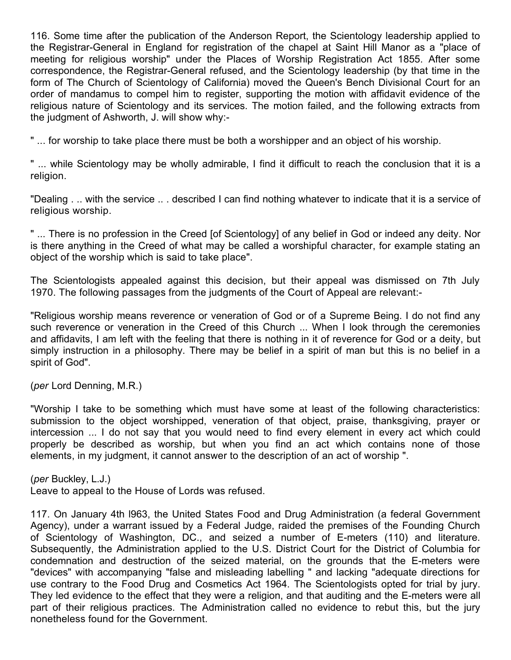116. Some time after the publication of the Anderson Report, the Scientology leadership applied to the Registrar-General in England for registration of the chapel at Saint Hill Manor as a "place of meeting for religious worship" under the Places of Worship Registration Act 1855. After some correspondence, the Registrar-General refused, and the Scientology leadership (by that time in the form of The Church of Scientology of California) moved the Queen's Bench Divisional Court for an order of mandamus to compel him to register, supporting the motion with affidavit evidence of the religious nature of Scientology and its services. The motion failed, and the following extracts from the judgment of Ashworth, J. will show why:-

" ... for worship to take place there must be both a worshipper and an object of his worship.

" ... while Scientology may be wholly admirable, I find it difficult to reach the conclusion that it is a religion.

"Dealing . .. with the service .. . described I can find nothing whatever to indicate that it is a service of religious worship.

" ... There is no profession in the Creed [of Scientology] of any belief in God or indeed any deity. Nor is there anything in the Creed of what may be called a worshipful character, for example stating an object of the worship which is said to take place".

The Scientologists appealed against this decision, but their appeal was dismissed on 7th July 1970. The following passages from the judgments of the Court of Appeal are relevant:-

"Religious worship means reverence or veneration of God or of a Supreme Being. I do not find any such reverence or veneration in the Creed of this Church ... When I look through the ceremonies and affidavits, I am left with the feeling that there is nothing in it of reverence for God or a deity, but simply instruction in a philosophy. There may be belief in a spirit of man but this is no belief in a spirit of God".

(*per* Lord Denning, M.R.)

"Worship I take to be something which must have some at least of the following characteristics: submission to the object worshipped, veneration of that object, praise, thanksgiving, prayer or intercession ... I do not say that you would need to find every element in every act which could properly be described as worship, but when you find an act which contains none of those elements, in my judgment, it cannot answer to the description of an act of worship ".

(*per* Buckley, L.J.) Leave to appeal to the House of Lords was refused.

117. On January 4th l963, the United States Food and Drug Administration (a federal Government Agency), under a warrant issued by a Federal Judge, raided the premises of the Founding Church of Scientology of Washington, DC., and seized a number of E-meters (110) and literature. Subsequently, the Administration applied to the U.S. District Court for the District of Columbia for condemnation and destruction of the seized material, on the grounds that the E-meters were "devices" with accompanying "false and misleading labelling " and lacking "adequate directions for use contrary to the Food Drug and Cosmetics Act 1964. The Scientologists opted for trial by jury. They led evidence to the effect that they were a religion, and that auditing and the E-meters were all part of their religious practices. The Administration called no evidence to rebut this, but the jury nonetheless found for the Government.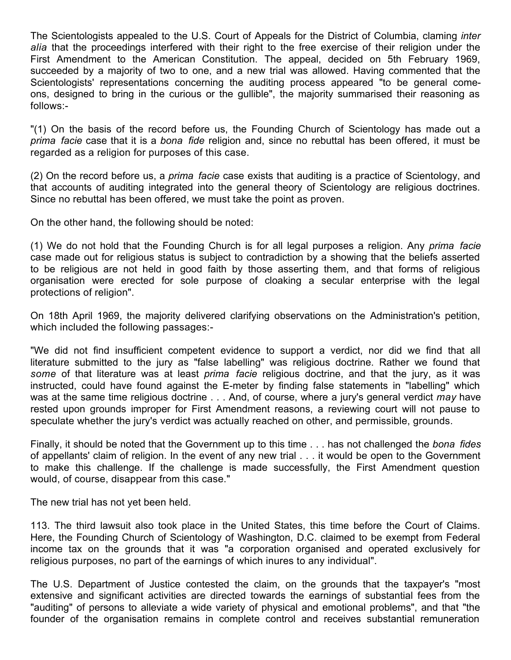The Scientologists appealed to the U.S. Court of Appeals for the District of Columbia, claming *inter alia* that the proceedings interfered with their right to the free exercise of their religion under the First Amendment to the American Constitution. The appeal, decided on 5th February 1969, succeeded by a majority of two to one, and a new trial was allowed. Having commented that the Scientologists' representations concerning the auditing process appeared "to be general comeons, designed to bring in the curious or the gullible", the majority summarised their reasoning as follows:-

"(1) On the basis of the record before us, the Founding Church of Scientology has made out a *prima facie* case that it is a *bona fide* religion and, since no rebuttal has been offered, it must be regarded as a religion for purposes of this case.

(2) On the record before us, a *prima facie* case exists that auditing is a practice of Scientology, and that accounts of auditing integrated into the general theory of Scientology are religious doctrines. Since no rebuttal has been offered, we must take the point as proven.

On the other hand, the following should be noted:

(1) We do not hold that the Founding Church is for all legal purposes a religion. Any *prima facie* case made out for religious status is subject to contradiction by a showing that the beliefs asserted to be religious are not held in good faith by those asserting them, and that forms of religious organisation were erected for sole purpose of cloaking a secular enterprise with the legal protections of religion".

On 18th April 1969, the majority delivered clarifying observations on the Administration's petition, which included the following passages:-

"We did not find insufficient competent evidence to support a verdict, nor did we find that all literature submitted to the jury as "false labelling" was religious doctrine. Rather we found that *some* of that literature was at least *prima facie* religious doctrine, and that the jury, as it was instructed, could have found against the E-meter by finding false statements in "labelling" which was at the same time religious doctrine . . . And, of course, where a jury's general verdict *may* have rested upon grounds improper for First Amendment reasons, a reviewing court will not pause to speculate whether the jury's verdict was actually reached on other, and permissible, grounds.

Finally, it should be noted that the Government up to this time . . . has not challenged the *bona fides* of appellants' claim of religion. In the event of any new trial . . . it would be open to the Government to make this challenge. If the challenge is made successfully, the First Amendment question would, of course, disappear from this case."

The new trial has not yet been held.

113. The third lawsuit also took place in the United States, this time before the Court of Claims. Here, the Founding Church of Scientology of Washington, D.C. claimed to be exempt from Federal income tax on the grounds that it was "a corporation organised and operated exclusively for religious purposes, no part of the earnings of which inures to any individual".

The U.S. Department of Justice contested the claim, on the grounds that the taxpayer's "most extensive and significant activities are directed towards the earnings of substantial fees from the "auditing" of persons to alleviate a wide variety of physical and emotional problems", and that "the founder of the organisation remains in complete control and receives substantial remuneration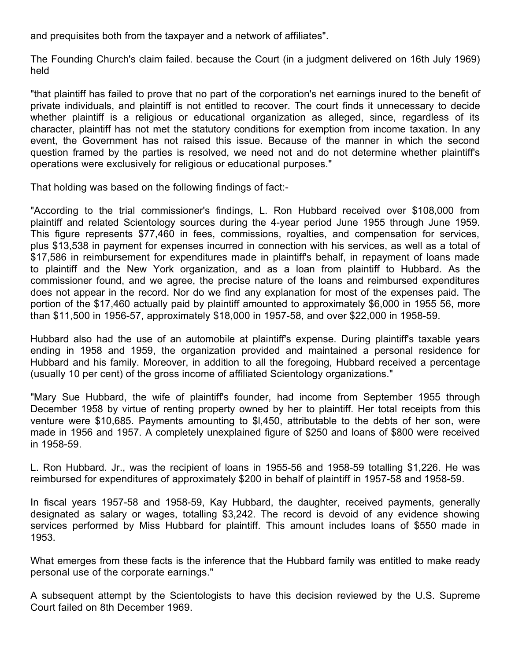and prequisites both from the taxpayer and a network of affiliates".

The Founding Church's claim failed. because the Court (in a judgment delivered on 16th July 1969) held

"that plaintiff has failed to prove that no part of the corporation's net earnings inured to the benefit of private individuals, and plaintiff is not entitled to recover. The court finds it unnecessary to decide whether plaintiff is a religious or educational organization as alleged, since, regardless of its character, plaintiff has not met the statutory conditions for exemption from income taxation. In any event, the Government has not raised this issue. Because of the manner in which the second question framed by the parties is resolved, we need not and do not determine whether plaintiff's operations were exclusively for religious or educational purposes."

That holding was based on the following findings of fact:-

"According to the trial commissioner's findings, L. Ron Hubbard received over \$108,000 from plaintiff and related Scientology sources during the 4-year period June 1955 through June 1959. This figure represents \$77,460 in fees, commissions, royalties, and compensation for services, plus \$13,538 in payment for expenses incurred in connection with his services, as well as a total of \$17,586 in reimbursement for expenditures made in plaintiff's behalf, in repayment of loans made to plaintiff and the New York organization, and as a loan from plaintiff to Hubbard. As the commissioner found, and we agree, the precise nature of the loans and reimbursed expenditures does not appear in the record. Nor do we find any explanation for most of the expenses paid. The portion of the \$17,460 actually paid by plaintiff amounted to approximately \$6,000 in 1955 56, more than \$11,500 in 1956-57, approximately \$18,000 in 1957-58, and over \$22,000 in 1958-59.

Hubbard also had the use of an automobile at plaintiff's expense. During plaintiff's taxable years ending in 1958 and 1959, the organization provided and maintained a personal residence for Hubbard and his family. Moreover, in addition to all the foregoing, Hubbard received a percentage (usually 10 per cent) of the gross income of affiliated Scientology organizations."

"Mary Sue Hubbard, the wife of plaintiff's founder, had income from September 1955 through December 1958 by virtue of renting property owned by her to plaintiff. Her total receipts from this venture were \$10,685. Payments amounting to \$l,450, attributable to the debts of her son, were made in 1956 and 1957. A completely unexplained figure of \$250 and loans of \$800 were received in 1958-59.

L. Ron Hubbard. Jr., was the recipient of loans in 1955-56 and 1958-59 totalling \$1,226. He was reimbursed for expenditures of approximately \$200 in behalf of plaintiff in 1957-58 and 1958-59.

In fiscal years 1957-58 and 1958-59, Kay Hubbard, the daughter, received payments, generally designated as salary or wages, totalling \$3,242. The record is devoid of any evidence showing services performed by Miss Hubbard for plaintiff. This amount includes loans of \$550 made in 1953.

What emerges from these facts is the inference that the Hubbard family was entitled to make ready personal use of the corporate earnings."

A subsequent attempt by the Scientologists to have this decision reviewed by the U.S. Supreme Court failed on 8th December 1969.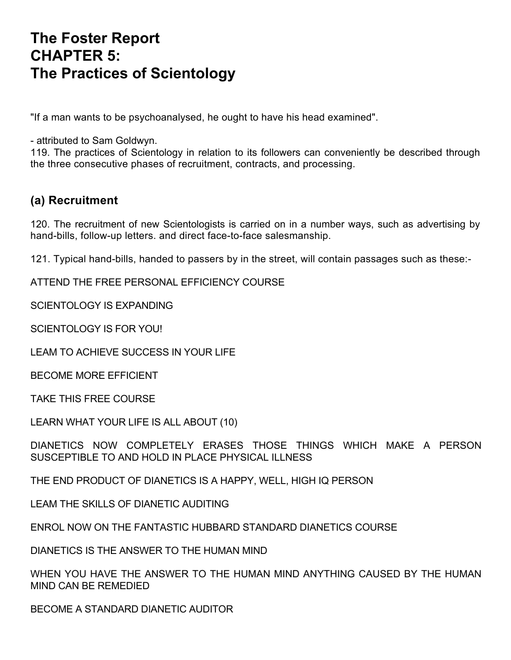# **The Foster Report CHAPTER 5: The Practices of Scientology**

"If a man wants to be psychoanalysed, he ought to have his head examined".

- attributed to Sam Goldwyn.

119. The practices of Scientology in relation to its followers can conveniently be described through the three consecutive phases of recruitment, contracts, and processing.

# **(a) Recruitment**

120. The recruitment of new Scientologists is carried on in a number ways, such as advertising by hand-bills, follow-up letters. and direct face-to-face salesmanship.

121. Typical hand-bills, handed to passers by in the street, will contain passages such as these:-

ATTEND THE FREE PERSONAL EFFICIENCY COURSE

SCIENTOLOGY IS EXPANDING

SCIENTOLOGY IS FOR YOU!

LEAM TO ACHIEVE SUCCESS IN YOUR LIFE

BECOME MORE EFFICIENT

TAKE THIS FREE COURSE

LEARN WHAT YOUR LIFE IS ALL ABOUT (10)

DIANETICS NOW COMPLETELY ERASES THOSE THINGS WHICH MAKE A PERSON SUSCEPTIBLE TO AND HOLD IN PLACE PHYSICAL ILLNESS

THE END PRODUCT OF DIANETICS IS A HAPPY, WELL, HIGH IQ PERSON

LEAM THE SKILLS OF DIANETIC AUDITING

ENROL NOW ON THE FANTASTIC HUBBARD STANDARD DIANETICS COURSE

DIANETICS IS THE ANSWER TO THE HUMAN MIND

WHEN YOU HAVE THE ANSWER TO THE HUMAN MIND ANYTHING CAUSED BY THE HUMAN MIND CAN BE REMEDIED

BECOME A STANDARD DIANETIC AUDITOR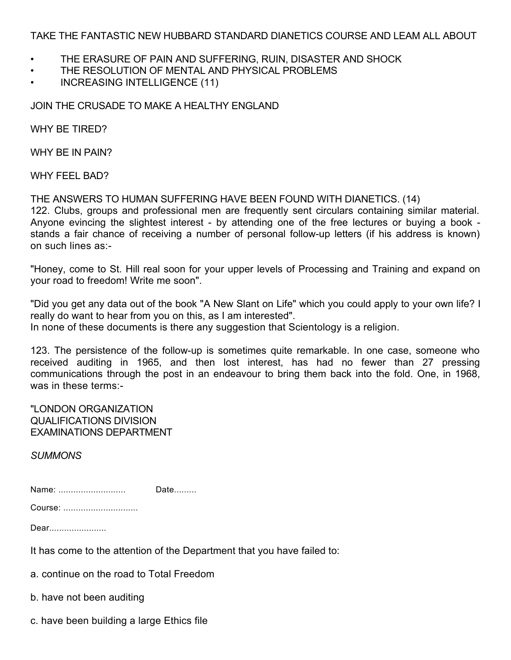TAKE THE FANTASTIC NEW HUBBARD STANDARD DIANETICS COURSE AND LEAM ALL ABOUT

- THE ERASURE OF PAIN AND SUFFERING, RUIN, DISASTER AND SHOCK
- THE RESOLUTION OF MENTAL AND PHYSICAL PROBLEMS
- INCREASING INTELLIGENCE (11)

JOIN THE CRUSADE TO MAKE A HEALTHY ENGLAND

WHY BE TIRED?

WHY BE IN PAIN?

WHY FEEL BAD?

THE ANSWERS TO HUMAN SUFFERING HAVE BEEN FOUND WITH DIANETICS. (14)

122. Clubs, groups and professional men are frequently sent circulars containing similar material. Anyone evincing the slightest interest - by attending one of the free lectures or buying a book stands a fair chance of receiving a number of personal follow-up letters (if his address is known) on such lines as:-

"Honey, come to St. Hill real soon for your upper levels of Processing and Training and expand on your road to freedom! Write me soon".

"Did you get any data out of the book "A New Slant on Life" which you could apply to your own life? I really do want to hear from you on this, as I am interested". In none of these documents is there any suggestion that Scientology is a religion.

123. The persistence of the follow-up is sometimes quite remarkable. In one case, someone who received auditing in 1965, and then lost interest, has had no fewer than 27 pressing communications through the post in an endeavour to bring them back into the fold. One, in 1968, was in these terms:-

"LONDON ORGANIZATION QUALIFICATIONS DIVISION EXAMINATIONS DEPARTMENT

*SUMMONS*

Name: ........................... Date.........

Course: ...............................

Dear.......................

It has come to the attention of the Department that you have failed to:

- a. continue on the road to Total Freedom
- b. have not been auditing
- c. have been building a large Ethics file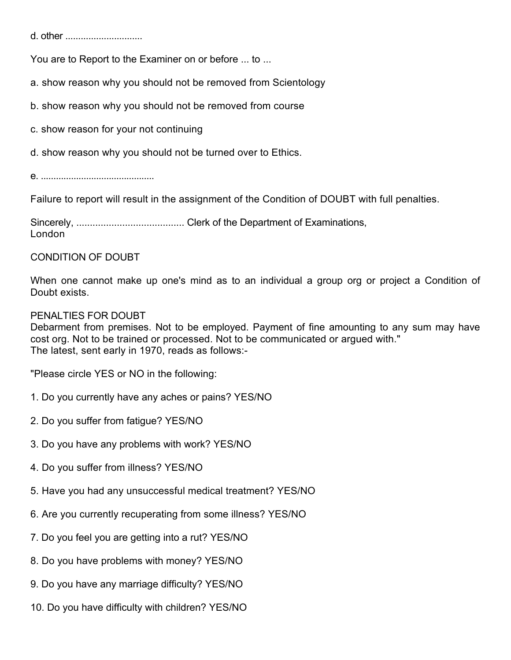d. other ..............................

You are to Report to the Examiner on or before ... to ...

a. show reason why you should not be removed from Scientology

b. show reason why you should not be removed from course

c. show reason for your not continuing

d. show reason why you should not be turned over to Ethics.

e. .............................................

Failure to report will result in the assignment of the Condition of DOUBT with full penalties.

Sincerely, ........................................ Clerk of the Department of Examinations, London

CONDITION OF DOUBT

When one cannot make up one's mind as to an individual a group org or project a Condition of Doubt exists.

PENALTIES FOR DOUBT

Debarment from premises. Not to be employed. Payment of fine amounting to any sum may have cost org. Not to be trained or processed. Not to be communicated or argued with." The latest, sent early in 1970, reads as follows:-

"Please circle YES or NO in the following:

- 1. Do you currently have any aches or pains? YES/NO
- 2. Do you suffer from fatigue? YES/NO
- 3. Do you have any problems with work? YES/NO
- 4. Do you suffer from illness? YES/NO
- 5. Have you had any unsuccessful medical treatment? YES/NO
- 6. Are you currently recuperating from some illness? YES/NO
- 7. Do you feel you are getting into a rut? YES/NO
- 8. Do you have problems with money? YES/NO
- 9. Do you have any marriage difficulty? YES/NO
- 10. Do you have difficulty with children? YES/NO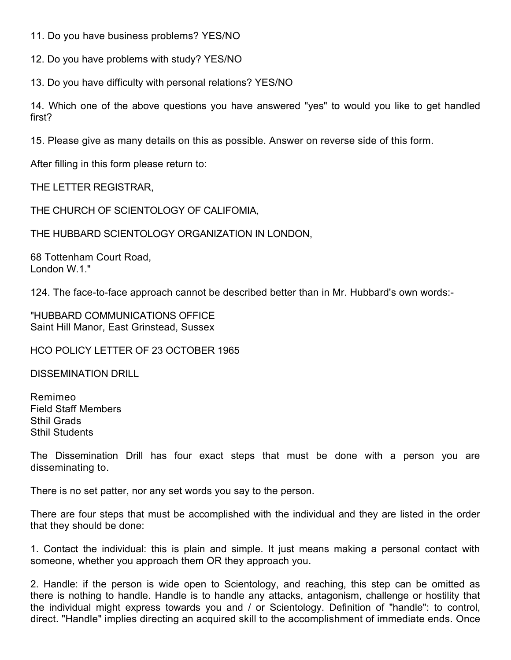11. Do you have business problems? YES/NO

12. Do you have problems with study? YES/NO

13. Do you have difficulty with personal relations? YES/NO

14. Which one of the above questions you have answered "yes" to would you like to get handled first?

15. Please give as many details on this as possible. Answer on reverse side of this form.

After filling in this form please return to:

THE LETTER REGISTRAR,

THE CHURCH OF SCIENTOLOGY OF CALIFOMIA,

THE HUBBARD SCIENTOLOGY ORGANIZATION IN LONDON,

68 Tottenham Court Road, London W.1."

124. The face-to-face approach cannot be described better than in Mr. Hubbard's own words:-

"HUBBARD COMMUNICATIONS OFFICE Saint Hill Manor, East Grinstead, Sussex

HCO POLICY LETTER OF 23 OCTOBER 1965

DISSEMINATION DRILL

Remimeo Field Staff Members Sthil Grads Sthil Students

The Dissemination Drill has four exact steps that must be done with a person you are disseminating to.

There is no set patter, nor any set words you say to the person.

There are four steps that must be accomplished with the individual and they are listed in the order that they should be done:

1. Contact the individual: this is plain and simple. It just means making a personal contact with someone, whether you approach them OR they approach you.

2. Handle: if the person is wide open to Scientology, and reaching, this step can be omitted as there is nothing to handle. Handle is to handle any attacks, antagonism, challenge or hostility that the individual might express towards you and / or Scientology. Definition of "handle": to control, direct. "Handle" implies directing an acquired skill to the accomplishment of immediate ends. Once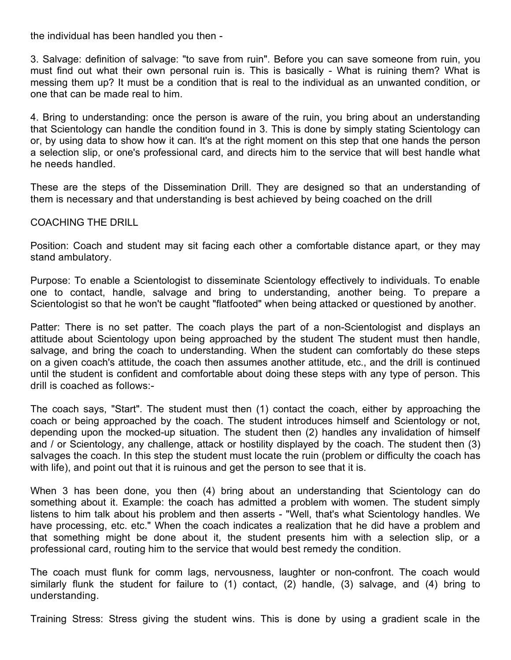the individual has been handled you then -

3. Salvage: definition of salvage: "to save from ruin". Before you can save someone from ruin, you must find out what their own personal ruin is. This is basically - What is ruining them? What is messing them up? It must be a condition that is real to the individual as an unwanted condition, or one that can be made real to him.

4. Bring to understanding: once the person is aware of the ruin, you bring about an understanding that Scientology can handle the condition found in 3. This is done by simply stating Scientology can or, by using data to show how it can. It's at the right moment on this step that one hands the person a selection slip, or one's professional card, and directs him to the service that will best handle what he needs handled.

These are the steps of the Dissemination Drill. They are designed so that an understanding of them is necessary and that understanding is best achieved by being coached on the drill

### COACHING THE DRILL

Position: Coach and student may sit facing each other a comfortable distance apart, or they may stand ambulatory.

Purpose: To enable a Scientologist to disseminate Scientology effectively to individuals. To enable one to contact, handle, salvage and bring to understanding, another being. To prepare a Scientologist so that he won't be caught "flatfooted" when being attacked or questioned by another.

Patter: There is no set patter. The coach plays the part of a non-Scientologist and displays an attitude about Scientology upon being approached by the student The student must then handle, salvage, and bring the coach to understanding. When the student can comfortably do these steps on a given coach's attitude, the coach then assumes another attitude, etc., and the drill is continued until the student is confident and comfortable about doing these steps with any type of person. This drill is coached as follows:-

The coach says, "Start". The student must then (1) contact the coach, either by approaching the coach or being approached by the coach. The student introduces himself and Scientology or not, depending upon the mocked-up situation. The student then (2) handles any invalidation of himself and / or Scientology, any challenge, attack or hostility displayed by the coach. The student then (3) salvages the coach. In this step the student must locate the ruin (problem or difficulty the coach has with life), and point out that it is ruinous and get the person to see that it is.

When 3 has been done, you then (4) bring about an understanding that Scientology can do something about it. Example: the coach has admitted a problem with women. The student simply listens to him talk about his problem and then asserts - "Well, that's what Scientology handles. We have processing, etc. etc." When the coach indicates a realization that he did have a problem and that something might be done about it, the student presents him with a selection slip, or a professional card, routing him to the service that would best remedy the condition.

The coach must flunk for comm lags, nervousness, laughter or non-confront. The coach would similarly flunk the student for failure to (1) contact, (2) handle, (3) salvage, and (4) bring to understanding.

Training Stress: Stress giving the student wins. This is done by using a gradient scale in the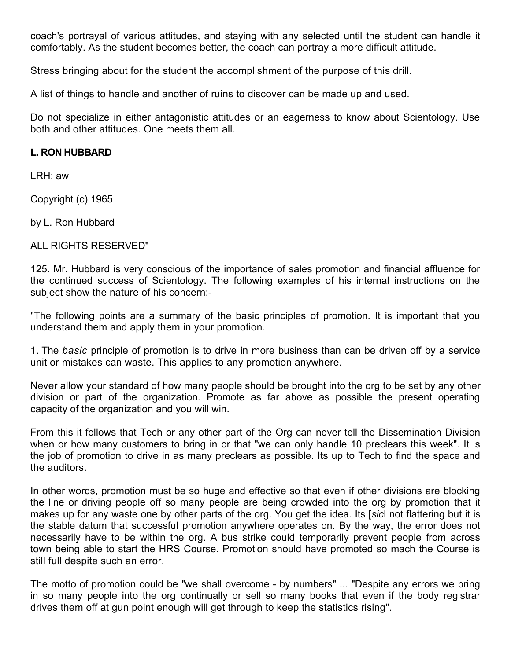coach's portrayal of various attitudes, and staying with any selected until the student can handle it comfortably. As the student becomes better, the coach can portray a more difficult attitude.

Stress bringing about for the student the accomplishment of the purpose of this drill.

A list of things to handle and another of ruins to discover can be made up and used.

Do not specialize in either antagonistic attitudes or an eagerness to know about Scientology. Use both and other attitudes. One meets them all.

### **L. RON HUBBARD**

LRH: aw

Copyright (c) 1965

by L. Ron Hubbard

### ALL RIGHTS RESERVED"

125. Mr. Hubbard is very conscious of the importance of sales promotion and financial affluence for the continued success of Scientology. The following examples of his internal instructions on the subject show the nature of his concern:-

"The following points are a summary of the basic principles of promotion. It is important that you understand them and apply them in your promotion.

1. The *basic* principle of promotion is to drive in more business than can be driven off by a service unit or mistakes can waste. This applies to any promotion anywhere.

Never allow your standard of how many people should be brought into the org to be set by any other division or part of the organization. Promote as far above as possible the present operating capacity of the organization and you will win.

From this it follows that Tech or any other part of the Org can never tell the Dissemination Division when or how many customers to bring in or that "we can only handle 10 preclears this week". It is the job of promotion to drive in as many preclears as possible. Its up to Tech to find the space and the auditors.

In other words, promotion must be so huge and effective so that even if other divisions are blocking the line or driving people off so many people are being crowded into the org by promotion that it makes up for any waste one by other parts of the org. You get the idea. Its [*sic*l not flattering but it is the stable datum that successful promotion anywhere operates on. By the way, the error does not necessarily have to be within the org. A bus strike could temporarily prevent people from across town being able to start the HRS Course. Promotion should have promoted so mach the Course is still full despite such an error.

The motto of promotion could be "we shall overcome - by numbers" ... "Despite any errors we bring in so many people into the org continually or sell so many books that even if the body registrar drives them off at gun point enough will get through to keep the statistics rising".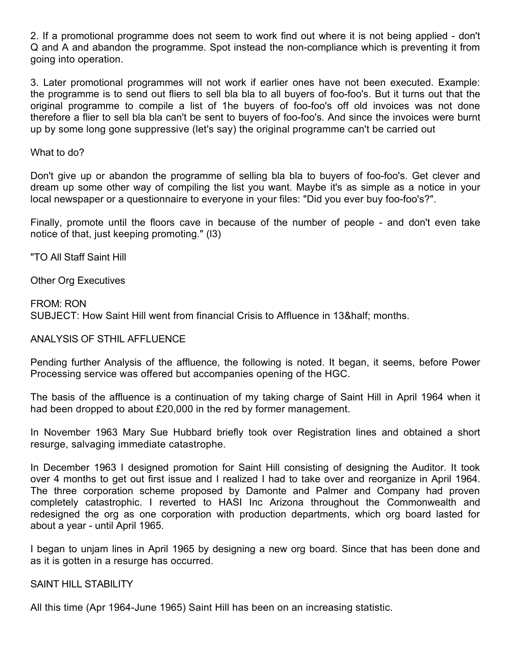2. If a promotional programme does not seem to work find out where it is not being applied - don't Q and A and abandon the programme. Spot instead the non-compliance which is preventing it from going into operation.

3. Later promotional programmes will not work if earlier ones have not been executed. Example: the programme is to send out fliers to sell bla bla to all buyers of foo-foo's. But it turns out that the original programme to compile a list of 1he buyers of foo-foo's off old invoices was not done therefore a flier to sell bla bla can't be sent to buyers of foo-foo's. And since the invoices were burnt up by some long gone suppressive (let's say) the original programme can't be carried out

What to do?

Don't give up or abandon the programme of selling bla bla to buyers of foo-foo's. Get clever and dream up some other way of compiling the list you want. Maybe it's as simple as a notice in your local newspaper or a questionnaire to everyone in your files: "Did you ever buy foo-foo's?".

Finally, promote until the floors cave in because of the number of people - and don't even take notice of that, just keeping promoting." (l3)

"TO All Staff Saint Hill

Other Org Executives

FROM: RON SUBJECT: How Saint Hill went from financial Crisis to Affluence in 13& half; months.

### ANALYSIS OF STHIL AFFLUENCE

Pending further Analysis of the affluence, the following is noted. It began, it seems, before Power Processing service was offered but accompanies opening of the HGC.

The basis of the affluence is a continuation of my taking charge of Saint Hill in April 1964 when it had been dropped to about £20,000 in the red by former management.

In November 1963 Mary Sue Hubbard briefly took over Registration lines and obtained a short resurge, salvaging immediate catastrophe.

In December 1963 I designed promotion for Saint Hill consisting of designing the Auditor. It took over 4 months to get out first issue and I realized I had to take over and reorganize in April 1964. The three corporation scheme proposed by Damonte and Palmer and Company had proven completely catastrophic. I reverted to HASI Inc Arizona throughout the Commonwealth and redesigned the org as one corporation with production departments, which org board lasted for about a year - until April 1965.

I began to unjam lines in April 1965 by designing a new org board. Since that has been done and as it is gotten in a resurge has occurred.

SAINT HILL STABILITY

All this time (Apr 1964-June 1965) Saint Hill has been on an increasing statistic.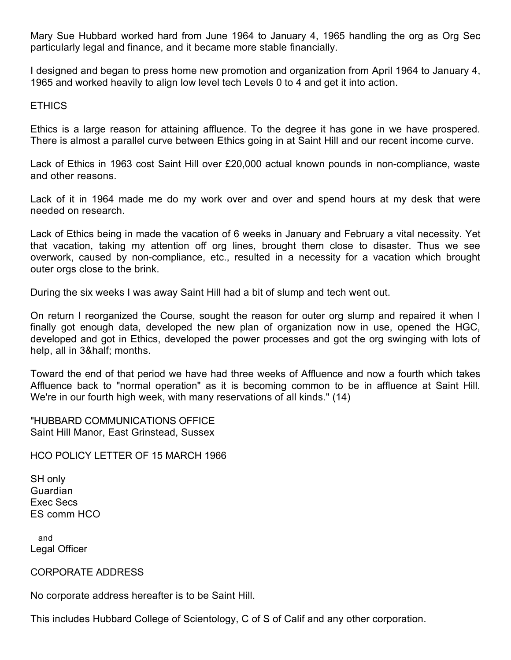Mary Sue Hubbard worked hard from June 1964 to January 4, 1965 handling the org as Org Sec particularly legal and finance, and it became more stable financially.

I designed and began to press home new promotion and organization from April 1964 to January 4, 1965 and worked heavily to align low level tech Levels 0 to 4 and get it into action.

**ETHICS** 

Ethics is a large reason for attaining affluence. To the degree it has gone in we have prospered. There is almost a parallel curve between Ethics going in at Saint Hill and our recent income curve.

Lack of Ethics in 1963 cost Saint Hill over £20,000 actual known pounds in non-compliance, waste and other reasons.

Lack of it in 1964 made me do my work over and over and spend hours at my desk that were needed on research.

Lack of Ethics being in made the vacation of 6 weeks in January and February a vital necessity. Yet that vacation, taking my attention off org lines, brought them close to disaster. Thus we see overwork, caused by non-compliance, etc., resulted in a necessity for a vacation which brought outer orgs close to the brink.

During the six weeks I was away Saint Hill had a bit of slump and tech went out.

On return I reorganized the Course, sought the reason for outer org slump and repaired it when I finally got enough data, developed the new plan of organization now in use, opened the HGC, developed and got in Ethics, developed the power processes and got the org swinging with lots of help, all in 3& half; months.

Toward the end of that period we have had three weeks of Affluence and now a fourth which takes Affluence back to "normal operation" as it is becoming common to be in affluence at Saint Hill. We're in our fourth high week, with many reservations of all kinds." (14)

"HUBBARD COMMUNICATIONS OFFICE Saint Hill Manor, East Grinstead, Sussex

HCO POLICY LETTER OF 15 MARCH 1966

SH only **Guardian** Exec Secs ES comm HCO

 and Legal Officer

CORPORATE ADDRESS

No corporate address hereafter is to be Saint Hill.

This includes Hubbard College of Scientology, C of S of Calif and any other corporation.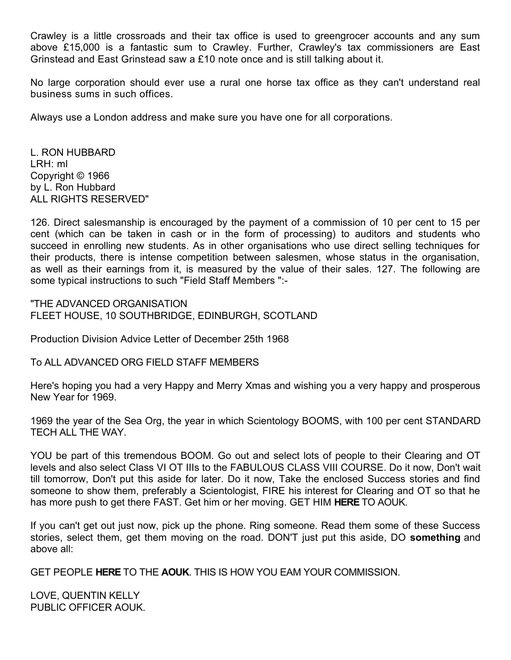Crawley is a little crossroads and their tax office is used to greengrocer accounts and any sum above £15,000 is a fantastic sum to Crawley. Further, Crawley's tax commissioners are East Grinstead and East Grinstead saw a £10 note once and is still talking about it.

No large corporation should ever use a rural one horse tax office as they can't understand real business sums in such offices.

Always use a London address and make sure you have one for all corporations.

L. RON HUBBARD LRH: ml Copyright © 1966 by L. Ron Hubbard ALL RIGHTS RESERVED"

126. Direct salesmanship is encouraged by the payment of a commission of 10 per cent to 15 per cent (which can be taken in cash or in the form of processing) to auditors and students who succeed in enrolling new students. As in other organisations who use direct selling techniques for their products, there is intense competition between salesmen, whose status in the organisation, as well as their earnings from it, is measured by the value of their sales. 127. The following are some typical instructions to such "Field Staff Members ":-

"THE ADVANCED ORGANISATION FLEET HOUSE, 10 SOUTHBRIDGE, EDINBURGH, SCOTLAND

Production Division Advice Letter of December 25th 1968

To ALL ADVANCED ORG FIELD STAFF MEMBERS

Here's hoping you had a very Happy and Merry Xmas and wishing you a very happy and prosperous New Year for 1969.

1969 the year of the Sea Org, the year in which Scientology BOOMS, with 100 per cent STANDARD TECH ALL THE WAY.

YOU be part of this tremendous BOOM. Go out and select lots of people to their Clearing and OT levels and also select Class VI OT IIIs to the FABULOUS CLASS VIII COURSE. Do it now, Don't wait till tomorrow, Don't put this aside for later. Do it now, Take the enclosed Success stories and find someone to show them, preferably a Scientologist, FIRE his interest for Clearing and OT so that he has more push to get there FAST. Get him or her moving. GET HIM **HERE** TO AOUK.

If you can't get out just now, pick up the phone. Ring someone. Read them some of these Success stories, select them, get them moving on the road. DON'T just put this aside, DO **something** and above all:

GET PEOPLE **HERE** TO THE **AOUK**. THIS IS HOW YOU EAM YOUR COMMISSION.

LOVE, QUENTIN KELLY PUBLIC OFFICER AOUK.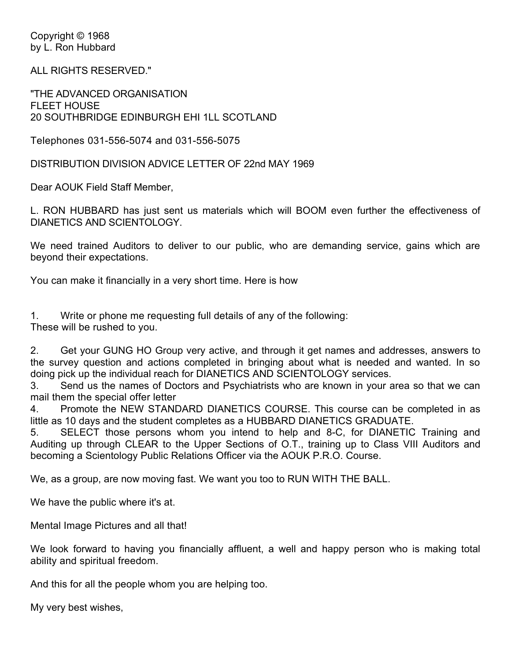ALL RIGHTS RESERVED."

"THE ADVANCED ORGANISATION FLEET HOUSE 20 SOUTHBRIDGE EDINBURGH EHI 1LL SCOTLAND

Telephones 031-556-5074 and 031-556-5075

DISTRIBUTION DIVISION ADVICE LETTER OF 22nd MAY 1969

Dear AOUK Field Staff Member,

L. RON HUBBARD has just sent us materials which will BOOM even further the effectiveness of DIANETICS AND SCIENTOLOGY.

We need trained Auditors to deliver to our public, who are demanding service, gains which are beyond their expectations.

You can make it financially in a very short time. Here is how

1. Write or phone me requesting full details of any of the following: These will be rushed to you.

2. Get your GUNG HO Group very active, and through it get names and addresses, answers to the survey question and actions completed in bringing about what is needed and wanted. In so doing pick up the individual reach for DIANETICS AND SCIENTOLOGY services.

3. Send us the names of Doctors and Psychiatrists who are known in your area so that we can mail them the special offer letter

4. Promote the NEW STANDARD DIANETICS COURSE. This course can be completed in as little as 10 days and the student completes as a HUBBARD DIANETICS GRADUATE.

5. SELECT those persons whom you intend to help and 8-C, for DIANETIC Training and Auditing up through CLEAR to the Upper Sections of O.T., training up to Class VIII Auditors and becoming a Scientology Public Relations Officer via the AOUK P.R.O. Course.

We, as a group, are now moving fast. We want you too to RUN WITH THE BALL.

We have the public where it's at.

Mental Image Pictures and all that!

We look forward to having you financially affluent, a well and happy person who is making total ability and spiritual freedom.

And this for all the people whom you are helping too.

My very best wishes,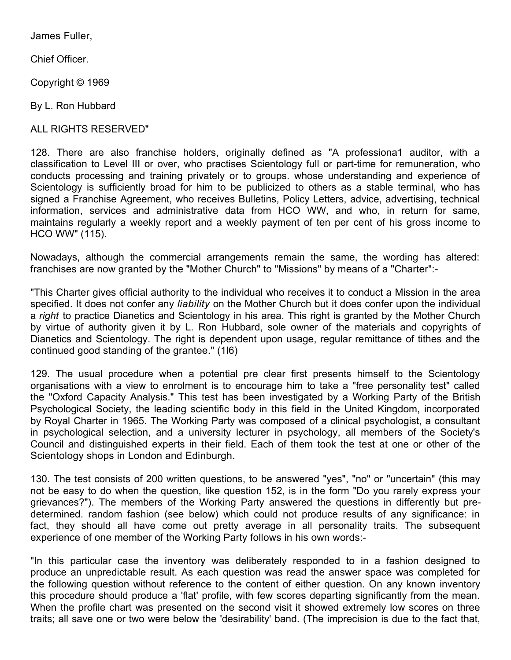James Fuller,

Chief Officer.

Copyright © 1969

By L. Ron Hubbard

ALL RIGHTS RESERVED"

128. There are also franchise holders, originally defined as "A professiona1 auditor, with a classification to Level III or over, who practises Scientology full or part-time for remuneration, who conducts processing and training privately or to groups. whose understanding and experience of Scientology is sufficiently broad for him to be publicized to others as a stable terminal, who has signed a Franchise Agreement, who receives Bulletins, Policy Letters, advice, advertising, technical information, services and administrative data from HCO WW, and who, in return for same, maintains regularly a weekly report and a weekly payment of ten per cent of his gross income to HCO WW" (115).

Nowadays, although the commercial arrangements remain the same, the wording has altered: franchises are now granted by the "Mother Church" to "Missions" by means of a "Charter":-

"This Charter gives official authority to the individual who receives it to conduct a Mission in the area specified. It does not confer any *liability* on the Mother Church but it does confer upon the individual a *right* to practice Dianetics and Scientology in his area. This right is granted by the Mother Church by virtue of authority given it by L. Ron Hubbard, sole owner of the materials and copyrights of Dianetics and Scientology. The right is dependent upon usage, regular remittance of tithes and the continued good standing of the grantee." (1l6)

129. The usual procedure when a potential pre clear first presents himself to the Scientology organisations with a view to enrolment is to encourage him to take a "free personality test" called the "Oxford Capacity Analysis." This test has been investigated by a Working Party of the British Psychological Society, the leading scientific body in this field in the United Kingdom, incorporated by Royal Charter in 1965. The Working Party was composed of a clinical psychologist, a consultant in psychological selection, and a university lecturer in psychology, all members of the Society's Council and distinguished experts in their field. Each of them took the test at one or other of the Scientology shops in London and Edinburgh.

130. The test consists of 200 written questions, to be answered "yes", "no" or "uncertain" (this may not be easy to do when the question, like question 152, is in the form "Do you rarely express your grievances?"). The members of the Working Party answered the questions in differently but predetermined. random fashion (see below) which could not produce results of any significance: in fact, they should all have come out pretty average in all personality traits. The subsequent experience of one member of the Working Party follows in his own words:-

"In this particular case the inventory was deliberately responded to in a fashion designed to produce an unpredictable result. As each question was read the answer space was completed for the following question without reference to the content of either question. On any known inventory this procedure should produce a 'flat' profile, with few scores departing significantly from the mean. When the profile chart was presented on the second visit it showed extremely low scores on three traits; all save one or two were below the 'desirability' band. (The imprecision is due to the fact that,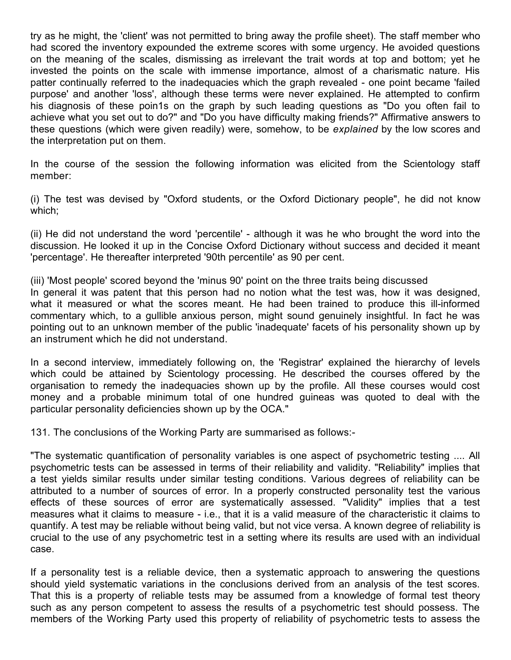try as he might, the 'client' was not permitted to bring away the profile sheet). The staff member who had scored the inventory expounded the extreme scores with some urgency. He avoided questions on the meaning of the scales, dismissing as irrelevant the trait words at top and bottom; yet he invested the points on the scale with immense importance, almost of a charismatic nature. His patter continually referred to the inadequacies which the graph revealed - one point became 'failed purpose' and another 'loss', although these terms were never explained. He attempted to confirm his diagnosis of these poin1s on the graph by such leading questions as "Do you often fail to achieve what you set out to do?" and "Do you have difficulty making friends?" Affirmative answers to these questions (which were given readily) were, somehow, to be *explained* by the low scores and the interpretation put on them.

In the course of the session the following information was elicited from the Scientology staff member:

(i) The test was devised by "Oxford students, or the Oxford Dictionary people", he did not know which;

(ii) He did not understand the word 'percentile' - although it was he who brought the word into the discussion. He looked it up in the Concise Oxford Dictionary without success and decided it meant 'percentage'. He thereafter interpreted '90th percentile' as 90 per cent.

(iii) 'Most people' scored beyond the 'minus 90' point on the three traits being discussed In general it was patent that this person had no notion what the test was, how it was designed, what it measured or what the scores meant. He had been trained to produce this ill-informed commentary which, to a gullible anxious person, might sound genuinely insightful. In fact he was pointing out to an unknown member of the public 'inadequate' facets of his personality shown up by an instrument which he did not understand.

In a second interview, immediately following on, the 'Registrar' explained the hierarchy of levels which could be attained by Scientology processing. He described the courses offered by the organisation to remedy the inadequacies shown up by the profile. All these courses would cost money and a probable minimum total of one hundred guineas was quoted to deal with the particular personality deficiencies shown up by the OCA."

131. The conclusions of the Working Party are summarised as follows:-

"The systematic quantification of personality variables is one aspect of psychometric testing .... All psychometric tests can be assessed in terms of their reliability and validity. "Reliability" implies that a test yields similar results under similar testing conditions. Various degrees of reliability can be attributed to a number of sources of error. In a properly constructed personality test the various effects of these sources of error are systematically assessed. "Validity" implies that a test measures what it claims to measure - i.e., that it is a valid measure of the characteristic it claims to quantify. A test may be reliable without being valid, but not vice versa. A known degree of reliability is crucial to the use of any psychometric test in a setting where its results are used with an individual case.

If a personality test is a reliable device, then a systematic approach to answering the questions should yield systematic variations in the conclusions derived from an analysis of the test scores. That this is a property of reliable tests may be assumed from a knowledge of formal test theory such as any person competent to assess the results of a psychometric test should possess. The members of the Working Party used this property of reliability of psychometric tests to assess the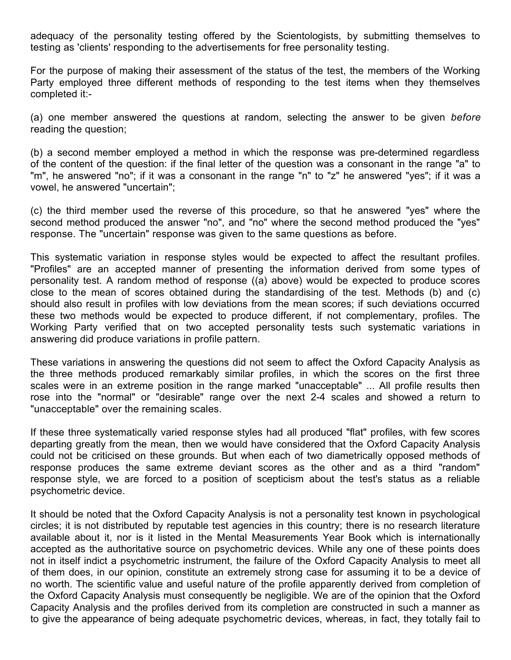adequacy of the personality testing offered by the Scientologists, by submitting themselves to testing as 'clients' responding to the advertisements for free personality testing.

For the purpose of making their assessment of the status of the test, the members of the Working Party employed three different methods of responding to the test items when they themselves completed it:-

(a) one member answered the questions at random, selecting the answer to be given *before* reading the question;

(b) a second member employed a method in which the response was pre-determined regardless of the content of the question: if the final letter of the question was a consonant in the range "a" to "m", he answered "no"; if it was a consonant in the range "n" to "z" he answered "yes"; if it was a vowel, he answered "uncertain";

(c) the third member used the reverse of this procedure, so that he answered "yes" where the second method produced the answer "no", and "no" where the second method produced the "yes" response. The "uncertain" response was given to the same questions as before.

This systematic variation in response styles would be expected to affect the resultant profiles. "Profiles" are an accepted manner of presenting the information derived from some types of personality test. A random method of response ((a) above) would be expected to produce scores close to the mean of scores obtained during the standardising of the test. Methods (b) and (c) should also result in profiles with low deviations from the mean scores; if such deviations occurred these two methods would be expected to produce different, if not complementary, profiles. The Working Party verified that on two accepted personality tests such systematic variations in answering did produce variations in profile pattern.

These variations in answering the questions did not seem to affect the Oxford Capacity Analysis as the three methods produced remarkably similar profiles, in which the scores on the first three scales were in an extreme position in the range marked "unacceptable" ... All profile results then rose into the "normal" or "desirable" range over the next 2-4 scales and showed a return to "unacceptable" over the remaining scales.

If these three systematically varied response styles had all produced "flat" profiles, with few scores departing greatly from the mean, then we would have considered that the Oxford Capacity Analysis could not be criticised on these grounds. But when each of two diametrically opposed methods of response produces the same extreme deviant scores as the other and as a third "random" response style, we are forced to a position of scepticism about the test's status as a reliable psychometric device.

It should be noted that the Oxford Capacity Analysis is not a personality test known in psychological circles; it is not distributed by reputable test agencies in this country; there is no research literature available about it, nor is it listed in the Mental Measurements Year Book which is internationally accepted as the authoritative source on psychometric devices. While any one of these points does not in itself indict a psychometric instrument, the failure of the Oxford Capacity Analysis to meet all of them does, in our opinion, constitute an extremely strong case for assuming it to be a device of no worth. The scientific value and useful nature of the profile apparently derived from completion of the Oxford Capacity Analysis must consequently be negligible. We are of the opinion that the Oxford Capacity Analysis and the profiles derived from its completion are constructed in such a manner as to give the appearance of being adequate psychometric devices, whereas, in fact, they totally fail to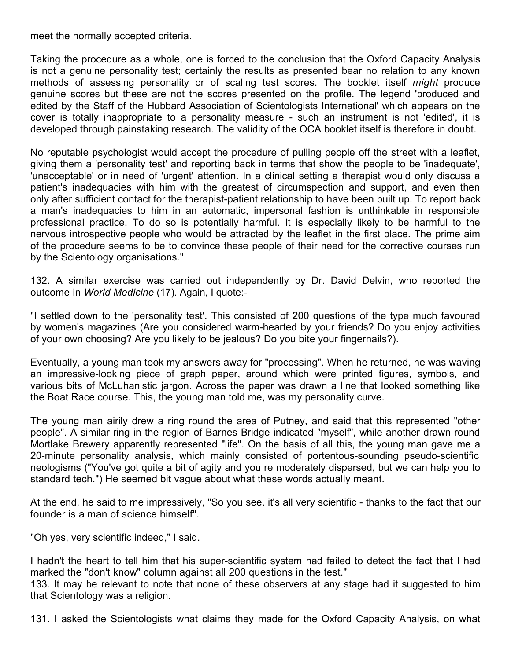meet the normally accepted criteria.

Taking the procedure as a whole, one is forced to the conclusion that the Oxford Capacity Analysis is not a genuine personality test; certainly the results as presented bear no relation to any known methods of assessing personality or of scaling test scores. The booklet itself *might* produce genuine scores but these are not the scores presented on the profile. The legend 'produced and edited by the Staff of the Hubbard Association of Scientologists International' which appears on the cover is totally inappropriate to a personality measure - such an instrument is not 'edited', it is developed through painstaking research. The validity of the OCA booklet itself is therefore in doubt.

No reputable psychologist would accept the procedure of pulling people off the street with a leaflet, giving them a 'personality test' and reporting back in terms that show the people to be 'inadequate', 'unacceptable' or in need of 'urgent' attention. In a clinical setting a therapist would only discuss a patient's inadequacies with him with the greatest of circumspection and support, and even then only after sufficient contact for the therapist-patient relationship to have been built up. To report back a man's inadequacies to him in an automatic, impersonal fashion is unthinkable in responsible professional practice. To do so is potentially harmful. It is especially likely to be harmful to the nervous introspective people who would be attracted by the leaflet in the first place. The prime aim of the procedure seems to be to convince these people of their need for the corrective courses run by the Scientology organisations."

132. A similar exercise was carried out independently by Dr. David Delvin, who reported the outcome in *World Medicine* (17). Again, I quote:-

"I settled down to the 'personality test'. This consisted of 200 questions of the type much favoured by women's magazines (Are you considered warm-hearted by your friends? Do you enjoy activities of your own choosing? Are you likely to be jealous? Do you bite your fingernails?).

Eventually, a young man took my answers away for "processing". When he returned, he was waving an impressive-looking piece of graph paper, around which were printed figures, symbols, and various bits of McLuhanistic jargon. Across the paper was drawn a line that looked something like the Boat Race course. This, the young man told me, was my personality curve.

The young man airily drew a ring round the area of Putney, and said that this represented "other people". A similar ring in the region of Barnes Bridge indicated "myself", while another drawn round Mortlake Brewery apparently represented "life". On the basis of all this, the young man gave me a 20-minute personality analysis, which mainly consisted of portentous-sounding pseudo-scientific neologisms ("You've got quite a bit of agity and you re moderately dispersed, but we can help you to standard tech.") He seemed bit vague about what these words actually meant.

At the end, he said to me impressively, "So you see. it's all very scientific - thanks to the fact that our founder is a man of science himself".

"Oh yes, very scientific indeed," I said.

I hadn't the heart to tell him that his super-scientific system had failed to detect the fact that I had marked the "don't know" column against all 200 questions in the test."

133. It may be relevant to note that none of these observers at any stage had it suggested to him that Scientology was a religion.

131. I asked the Scientologists what claims they made for the Oxford Capacity Analysis, on what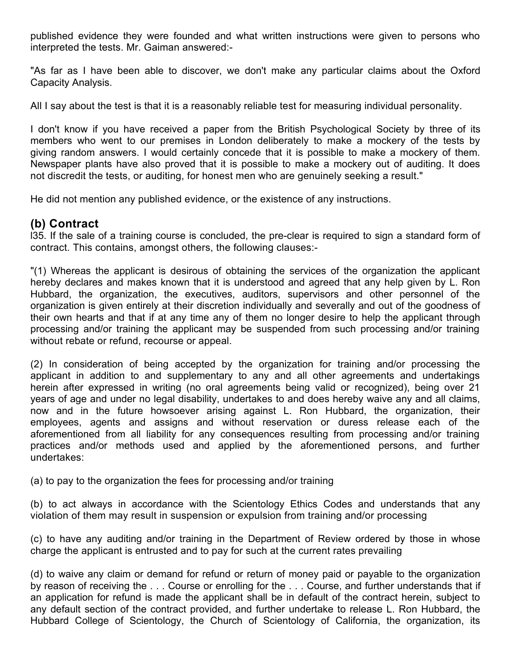published evidence they were founded and what written instructions were given to persons who interpreted the tests. Mr. Gaiman answered:-

"As far as I have been able to discover, we don't make any particular claims about the Oxford Capacity Analysis.

All I say about the test is that it is a reasonably reliable test for measuring individual personality.

I don't know if you have received a paper from the British Psychological Society by three of its members who went to our premises in London deliberately to make a mockery of the tests by giving random answers. I would certainly concede that it is possible to make a mockery of them. Newspaper plants have also proved that it is possible to make a mockery out of auditing. It does not discredit the tests, or auditing, for honest men who are genuinely seeking a result."

He did not mention any published evidence, or the existence of any instructions.

# **(b) Contract**

l35. If the sale of a training course is concluded, the pre-clear is required to sign a standard form of contract. This contains, amongst others, the following clauses:-

"(1) Whereas the applicant is desirous of obtaining the services of the organization the applicant hereby declares and makes known that it is understood and agreed that any help given by L. Ron Hubbard, the organization, the executives, auditors, supervisors and other personnel of the organization is given entirely at their discretion individually and severally and out of the goodness of their own hearts and that if at any time any of them no longer desire to help the applicant through processing and/or training the applicant may be suspended from such processing and/or training without rebate or refund, recourse or appeal.

(2) In consideration of being accepted by the organization for training and/or processing the applicant in addition to and supplementary to any and all other agreements and undertakings herein after expressed in writing (no oral agreements being valid or recognized), being over 21 years of age and under no legal disability, undertakes to and does hereby waive any and all claims, now and in the future howsoever arising against L. Ron Hubbard, the organization, their employees, agents and assigns and without reservation or duress release each of the aforementioned from all liability for any consequences resulting from processing and/or training practices and/or methods used and applied by the aforementioned persons, and further undertakes:

(a) to pay to the organization the fees for processing and/or training

(b) to act always in accordance with the Scientology Ethics Codes and understands that any violation of them may result in suspension or expulsion from training and/or processing

(c) to have any auditing and/or training in the Department of Review ordered by those in whose charge the applicant is entrusted and to pay for such at the current rates prevailing

(d) to waive any claim or demand for refund or return of money paid or payable to the organization by reason of receiving the . . . Course or enrolling for the . . . Course, and further understands that if an application for refund is made the applicant shall be in default of the contract herein, subject to any default section of the contract provided, and further undertake to release L. Ron Hubbard, the Hubbard College of Scientology, the Church of Scientology of California, the organization, its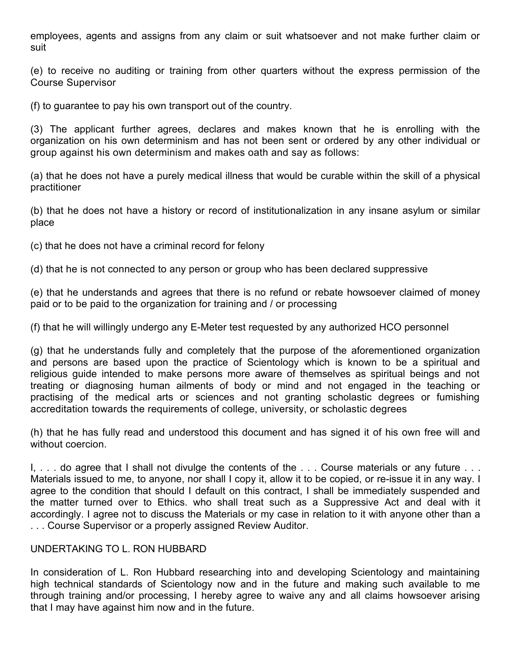employees, agents and assigns from any claim or suit whatsoever and not make further claim or suit

(e) to receive no auditing or training from other quarters without the express permission of the Course Supervisor

(f) to guarantee to pay his own transport out of the country.

(3) The applicant further agrees, declares and makes known that he is enrolling with the organization on his own determinism and has not been sent or ordered by any other individual or group against his own determinism and makes oath and say as follows:

(a) that he does not have a purely medical illness that would be curable within the skill of a physical practitioner

(b) that he does not have a history or record of institutionalization in any insane asylum or similar place

(c) that he does not have a criminal record for felony

(d) that he is not connected to any person or group who has been declared suppressive

(e) that he understands and agrees that there is no refund or rebate howsoever claimed of money paid or to be paid to the organization for training and / or processing

(f) that he will willingly undergo any E-Meter test requested by any authorized HCO personnel

(g) that he understands fully and completely that the purpose of the aforementioned organization and persons are based upon the practice of Scientology which is known to be a spiritual and religious guide intended to make persons more aware of themselves as spiritual beings and not treating or diagnosing human ailments of body or mind and not engaged in the teaching or practising of the medical arts or sciences and not granting scholastic degrees or fumishing accreditation towards the requirements of college, university, or scholastic degrees

(h) that he has fully read and understood this document and has signed it of his own free will and without coercion.

I, . . . do agree that I shall not divulge the contents of the . . . Course materials or any future . . . Materials issued to me, to anyone, nor shall I copy it, allow it to be copied, or re-issue it in any way. I agree to the condition that should I default on this contract, I shall be immediately suspended and the matter turned over to Ethics. who shall treat such as a Suppressive Act and deal with it accordingly. I agree not to discuss the Materials or my case in relation to it with anyone other than a . . . Course Supervisor or a properly assigned Review Auditor.

### UNDERTAKING TO L. RON HUBBARD

In consideration of L. Ron Hubbard researching into and developing Scientology and maintaining high technical standards of Scientology now and in the future and making such available to me through training and/or processing, I hereby agree to waive any and all claims howsoever arising that I may have against him now and in the future.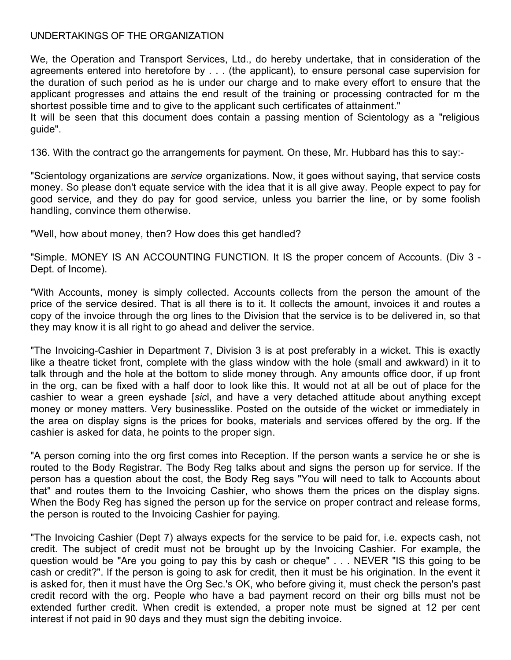### UNDERTAKINGS OF THE ORGANIZATION

We, the Operation and Transport Services, Ltd., do hereby undertake, that in consideration of the agreements entered into heretofore by . . . (the applicant), to ensure personal case supervision for the duration of such period as he is under our charge and to make every effort to ensure that the applicant progresses and attains the end result of the training or processing contracted for m the shortest possible time and to give to the applicant such certificates of attainment."

It will be seen that this document does contain a passing mention of Scientology as a "religious guide".

136. With the contract go the arrangements for payment. On these, Mr. Hubbard has this to say:-

"Scientology organizations are *service* organizations. Now, it goes without saying, that service costs money. So please don't equate service with the idea that it is all give away. People expect to pay for good service, and they do pay for good service, unless you barrier the line, or by some foolish handling, convince them otherwise.

"Well, how about money, then? How does this get handled?

"Simple. MONEY IS AN ACCOUNTING FUNCTION. It IS the proper concem of Accounts. (Div 3 - Dept. of Income).

"With Accounts, money is simply collected. Accounts collects from the person the amount of the price of the service desired. That is all there is to it. It collects the amount, invoices it and routes a copy of the invoice through the org lines to the Division that the service is to be delivered in, so that they may know it is all right to go ahead and deliver the service.

"The Invoicing-Cashier in Department 7, Division 3 is at post preferably in a wicket. This is exactly like a theatre ticket front, complete with the glass window with the hole (small and awkward) in it to talk through and the hole at the bottom to slide money through. Any amounts office door, if up front in the org, can be fixed with a half door to look like this. It would not at all be out of place for the cashier to wear a green eyshade [*sic*l, and have a very detached attitude about anything except money or money matters. Very businesslike. Posted on the outside of the wicket or immediately in the area on display signs is the prices for books, materials and services offered by the org. If the cashier is asked for data, he points to the proper sign.

"A person coming into the org first comes into Reception. If the person wants a service he or she is routed to the Body Registrar. The Body Reg talks about and signs the person up for service. If the person has a question about the cost, the Body Reg says "You will need to talk to Accounts about that" and routes them to the Invoicing Cashier, who shows them the prices on the display signs. When the Body Reg has signed the person up for the service on proper contract and release forms, the person is routed to the Invoicing Cashier for paying.

"The Invoicing Cashier (Dept 7) always expects for the service to be paid for, i.e. expects cash, not credit. The subject of credit must not be brought up by the Invoicing Cashier. For example, the question would be "Are you going to pay this by cash or cheque" . . . NEVER "IS this going to be cash or credit?". If the person is going to ask for credit, then it must be his origination. In the event it is asked for, then it must have the Org Sec.'s OK, who before giving it, must check the person's past credit record with the org. People who have a bad payment record on their org bills must not be extended further credit. When credit is extended, a proper note must be signed at 12 per cent interest if not paid in 90 days and they must sign the debiting invoice.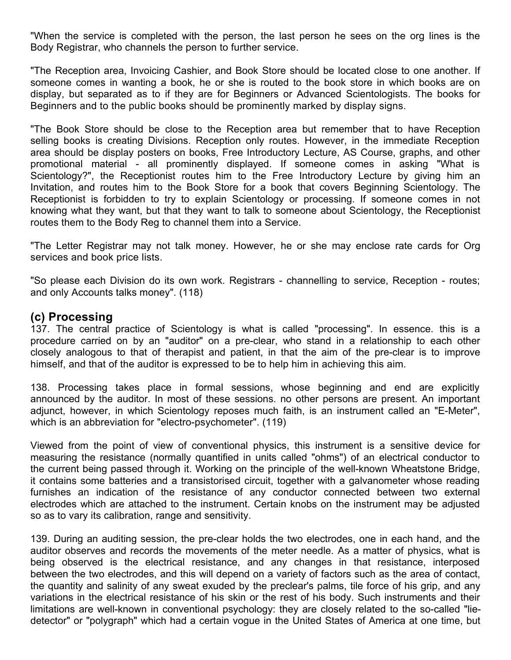"When the service is completed with the person, the last person he sees on the org lines is the Body Registrar, who channels the person to further service.

"The Reception area, Invoicing Cashier, and Book Store should be located close to one another. If someone comes in wanting a book, he or she is routed to the book store in which books are on display, but separated as to if they are for Beginners or Advanced Scientologists. The books for Beginners and to the public books should be prominently marked by display signs.

"The Book Store should be close to the Reception area but remember that to have Reception selling books is creating Divisions. Reception only routes. However, in the immediate Reception area should be display posters on books, Free Introductory Lecture, AS Course, graphs, and other promotional material - all prominently displayed. If someone comes in asking "What is Scientology?", the Receptionist routes him to the Free Introductory Lecture by giving him an Invitation, and routes him to the Book Store for a book that covers Beginning Scientology. The Receptionist is forbidden to try to explain Scientology or processing. If someone comes in not knowing what they want, but that they want to talk to someone about Scientology, the Receptionist routes them to the Body Reg to channel them into a Service.

"The Letter Registrar may not talk money. However, he or she may enclose rate cards for Org services and book price lists.

"So please each Division do its own work. Registrars - channelling to service, Reception - routes; and only Accounts talks money". (118)

### **(c) Processing**

137. The central practice of Scientology is what is called "processing". In essence. this is a procedure carried on by an "auditor" on a pre-clear, who stand in a relationship to each other closely analogous to that of therapist and patient, in that the aim of the pre-clear is to improve himself, and that of the auditor is expressed to be to help him in achieving this aim.

138. Processing takes place in formal sessions, whose beginning and end are explicitly announced by the auditor. In most of these sessions. no other persons are present. An important adjunct, however, in which Scientology reposes much faith, is an instrument called an "E-Meter", which is an abbreviation for "electro-psychometer". (119)

Viewed from the point of view of conventional physics, this instrument is a sensitive device for measuring the resistance (normally quantified in units called "ohms") of an electrical conductor to the current being passed through it. Working on the principle of the well-known Wheatstone Bridge, it contains some batteries and a transistorised circuit, together with a galvanometer whose reading furnishes an indication of the resistance of any conductor connected between two external electrodes which are attached to the instrument. Certain knobs on the instrument may be adjusted so as to vary its calibration, range and sensitivity.

139. During an auditing session, the pre-clear holds the two electrodes, one in each hand, and the auditor observes and records the movements of the meter needle. As a matter of physics, what is being observed is the electrical resistance, and any changes in that resistance, interposed between the two electrodes, and this will depend on a variety of factors such as the area of contact, the quantity and salinity of any sweat exuded by the preclear's palms, tile force of his grip, and any variations in the electrical resistance of his skin or the rest of his body. Such instruments and their limitations are well-known in conventional psychology: they are closely related to the so-called "liedetector" or "polygraph" which had a certain vogue in the United States of America at one time, but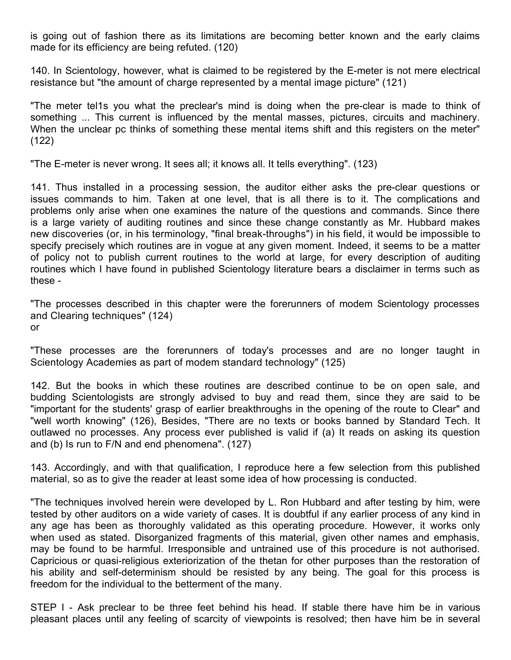is going out of fashion there as its limitations are becoming better known and the early claims made for its efficiency are being refuted. (120)

140. In Scientology, however, what is claimed to be registered by the E-meter is not mere electrical resistance but "the amount of charge represented by a mental image picture" (121)

"The meter tel1s you what the preclear's mind is doing when the pre-clear is made to think of something ... This current is influenced by the mental masses, pictures, circuits and machinery. When the unclear pc thinks of something these mental items shift and this registers on the meter" (122)

"The E-meter is never wrong. It sees all; it knows all. It tells everything". (123)

141. Thus installed in a processing session, the auditor either asks the pre-clear questions or issues commands to him. Taken at one level, that is all there is to it. The complications and problems only arise when one examines the nature of the questions and commands. Since there is a large variety of auditing routines and since these change constantly as Mr. Hubbard makes new discoveries (or, in his terminology, "final break-throughs") in his field, it would be impossible to specify precisely which routines are in vogue at any given moment. Indeed, it seems to be a matter of policy not to publish current routines to the world at large, for every description of auditing routines which I have found in published Scientology literature bears a disclaimer in terms such as these -

"The processes described in this chapter were the forerunners of modem Scientology processes and Clearing techniques" (124) or

"These processes are the forerunners of today's processes and are no longer taught in Scientology Academies as part of modem standard technology" (125)

142. But the books in which these routines are described continue to be on open sale, and budding Scientologists are strongly advised to buy and read them, since they are said to be "important for the students' grasp of earlier breakthroughs in the opening of the route to Clear" and "well worth knowing" (126), Besides, "There are no texts or books banned by Standard Tech. It outlawed no processes. Any process ever published is valid if (a) It reads on asking its question and (b) Is run to F/N and end phenomena". (127)

143. Accordingly, and with that qualification, I reproduce here a few selection from this published material, so as to give the reader at least some idea of how processing is conducted.

"The techniques involved herein were developed by L. Ron Hubbard and after testing by him, were tested by other auditors on a wide variety of cases. It is doubtful if any earlier process of any kind in any age has been as thoroughly validated as this operating procedure. However, it works only when used as stated. Disorganized fragments of this material, given other names and emphasis, may be found to be harmful. Irresponsible and untrained use of this procedure is not authorised. Capricious or quasi-religious exteriorization of the thetan for other purposes than the restoration of his ability and self-determinism should be resisted by any being. The goal for this process is freedom for the individual to the betterment of the many.

STEP I - Ask preclear to be three feet behind his head. If stable there have him be in various pleasant places until any feeling of scarcity of viewpoints is resolved; then have him be in several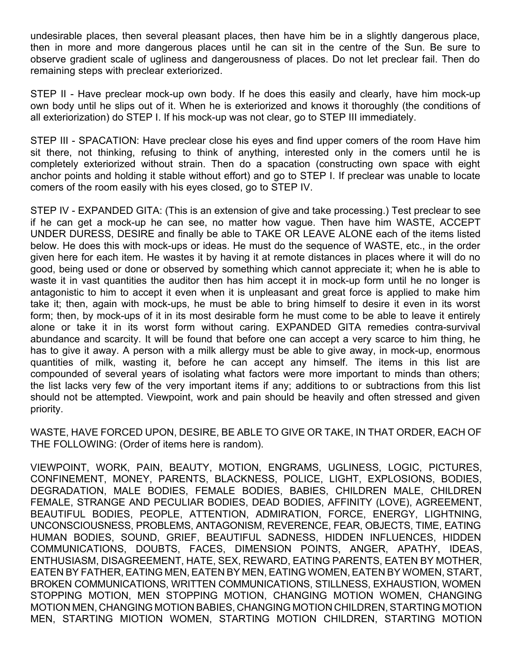undesirable places, then several pleasant places, then have him be in a slightly dangerous place, then in more and more dangerous places until he can sit in the centre of the Sun. Be sure to observe gradient scale of ugliness and dangerousness of places. Do not let preclear fail. Then do remaining steps with preclear exteriorized.

STEP II - Have preclear mock-up own body. If he does this easily and clearly, have him mock-up own body until he slips out of it. When he is exteriorized and knows it thoroughly (the conditions of all exteriorization) do STEP I. If his mock-up was not clear, go to STEP III immediately.

STEP III - SPACATION: Have preclear close his eyes and find upper comers of the room Have him sit there, not thinking, refusing to think of anything, interested only in the comers until he is completely exteriorized without strain. Then do a spacation (constructing own space with eight anchor points and holding it stable without effort) and go to STEP I. If preclear was unable to locate comers of the room easily with his eyes closed, go to STEP IV.

STEP IV - EXPANDED GITA: (This is an extension of give and take processing.) Test preclear to see if he can get a mock-up he can see, no matter how vague. Then have him WASTE, ACCEPT UNDER DURESS, DESIRE and finally be able to TAKE OR LEAVE ALONE each of the items listed below. He does this with mock-ups or ideas. He must do the sequence of WASTE, etc., in the order given here for each item. He wastes it by having it at remote distances in places where it will do no good, being used or done or observed by something which cannot appreciate it; when he is able to waste it in vast quantities the auditor then has him accept it in mock-up form until he no longer is antagonistic to him to accept it even when it is unpleasant and great force is applied to make him take it; then, again with mock-ups, he must be able to bring himself to desire it even in its worst form; then, by mock-ups of it in its most desirable form he must come to be able to leave it entirely alone or take it in its worst form without caring. EXPANDED GITA remedies contra-survival abundance and scarcity. It will be found that before one can accept a very scarce to him thing, he has to give it away. A person with a milk allergy must be able to give away, in mock-up, enormous quantities of milk, wasting it, before he can accept any himself. The items in this list are compounded of several years of isolating what factors were more important to minds than others; the list lacks very few of the very important items if any; additions to or subtractions from this list should not be attempted. Viewpoint, work and pain should be heavily and often stressed and given priority.

WASTE, HAVE FORCED UPON, DESIRE, BE ABLE TO GIVE OR TAKE, IN THAT ORDER, EACH OF THE FOLLOWING: (Order of items here is random).

VIEWPOINT, WORK, PAIN, BEAUTY, MOTION, ENGRAMS, UGLINESS, LOGIC, PICTURES, CONFINEMENT, MONEY, PARENTS, BLACKNESS, POLICE, LIGHT, EXPLOSIONS, BODIES, DEGRADATION, MALE BODIES, FEMALE BODIES, BABIES, CHILDREN MALE, CHILDREN FEMALE, STRANGE AND PECULIAR BODIES, DEAD BODIES, AFFINITY (LOVE), AGREEMENT, BEAUTIFUL BODIES, PEOPLE, ATTENTION, ADMIRATION, FORCE, ENERGY, LIGHTNING, UNCONSCIOUSNESS, PROBLEMS, ANTAGONISM, REVERENCE, FEAR, OBJECTS, TIME, EATING HUMAN BODIES, SOUND, GRIEF, BEAUTIFUL SADNESS, HIDDEN INFLUENCES, HIDDEN COMMUNICATIONS, DOUBTS, FACES, DIMENSION POINTS, ANGER, APATHY, IDEAS, ENTHUSIASM, DISAGREEMENT, HATE, SEX, REWARD, EATING PARENTS, EATEN BY MOTHER, EATEN BY FATHER, EATING MEN, EATEN BY MEN, EATING WOMEN, EATEN BY WOMEN, START, BROKEN COMMUNICATIONS, WRITTEN COMMUNICATIONS, STILLNESS, EXHAUSTION, WOMEN STOPPING MOTION, MEN STOPPING MOTION, CHANGING MOTION WOMEN, CHANGING MOTION MEN, CHANGING MOTION BABIES, CHANGING MOTION CHILDREN, STARTING MOTION MEN, STARTING MIOTION WOMEN, STARTING MOTION CHILDREN, STARTING MOTION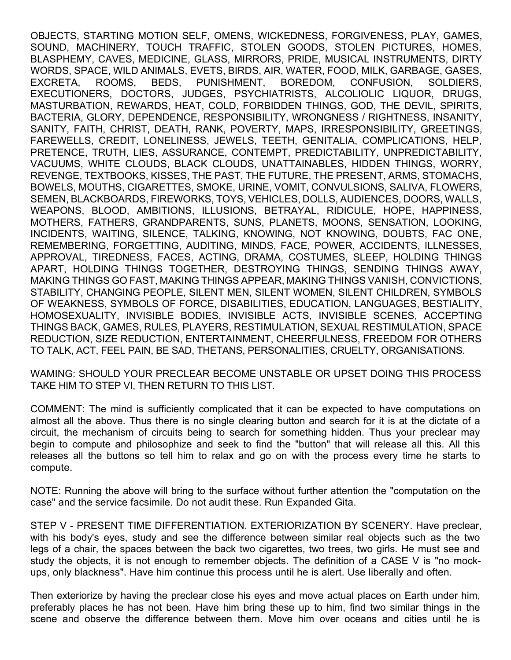OBJECTS, STARTING MOTION SELF, OMENS, WICKEDNESS, FORGIVENESS, PLAY, GAMES, SOUND, MACHINERY, TOUCH TRAFFIC, STOLEN GOODS, STOLEN PICTURES, HOMES, BLASPHEMY, CAVES, MEDICINE, GLASS, MIRRORS, PRIDE, MUSICAL INSTRUMENTS, DIRTY WORDS, SPACE, WILD ANIMALS, EVETS, BIRDS, AIR, WATER, FOOD, MILK, GARBAGE, GASES, EXCRETA, ROOMS, BEDS, PUNISHMENT, BOREDOM, CONFUSION, SOLDIERS, EXECUTIONERS, DOCTORS, JUDGES, PSYCHIATRISTS, ALCOLIOLIC LIQUOR, DRUGS, MASTURBATION, REWARDS, HEAT, COLD, FORBIDDEN THINGS, GOD, THE DEVIL, SPIRITS, BACTERIA, GLORY, DEPENDENCE, RESPONSIBILITY, WRONGNESS / RIGHTNESS, INSANITY, SANITY, FAITH, CHRIST, DEATH, RANK, POVERTY, MAPS, IRRESPONSIBILITY, GREETINGS, FAREWELLS, CREDIT, LONELINESS, JEWELS, TEETH, GENITALIA, COMPLICATIONS, HELP, PRETENCE, TRUTH, LIES, ASSURANCE, CONTEMPT, PREDICTABILITY, UNPREDICTABILITY, VACUUMS, WHITE CLOUDS, BLACK CLOUDS, UNATTAINABLES, HIDDEN THINGS, WORRY, REVENGE, TEXTBOOKS, KISSES, THE PAST, THE FUTURE, THE PRESENT, ARMS, STOMACHS, BOWELS, MOUTHS, CIGARETTES, SMOKE, URINE, VOMIT, CONVULSIONS, SALIVA, FLOWERS, SEMEN, BLACKBOARDS, FIREWORKS, TOYS, VEHICLES, DOLLS, AUDIENCES, DOORS, WALLS, WEAPONS, BLOOD, AMBITIONS, ILLUSIONS, BETRAYAL, RIDICULE, HOPE, HAPPINESS, MOTHERS, FATHERS, GRANDPARENTS, SUNS, PLANETS, MOONS, SENSATION, LOOKING, INCIDENTS, WAITING, SILENCE, TALKING, KNOWING, NOT KNOWING, DOUBTS, FAC ONE, REMEMBERING, FORGETTING, AUDITING, MINDS, FACE, POWER, ACCIDENTS, ILLNESSES, APPROVAL, TIREDNESS, FACES, ACTING, DRAMA, COSTUMES, SLEEP, HOLDING THINGS APART, HOLDING THINGS TOGETHER, DESTROYING THINGS, SENDING THINGS AWAY, MAKING THINGS GO FAST, MAKING THINGS APPEAR, MAKING THINGS VANISH, CONVICTIONS, STABILITY, CHANGING PEOPLE, SILENT MEN, SILENT WOMEN, SILENT CHILDREN, SYMBOLS OF WEAKNESS, SYMBOLS OF FORCE, DISABILITIES, EDUCATION, LANGUAGES, BESTIALITY, HOMOSEXUALITY, INVISIBLE BODIES, INVISIBLE ACTS, INVISIBLE SCENES, ACCEPTING THINGS BACK, GAMES, RULES, PLAYERS, RESTIMULATION, SEXUAL RESTIMULATION, SPACE REDUCTION, SIZE REDUCTION, ENTERTAINMENT, CHEERFULNESS, FREEDOM FOR OTHERS TO TALK, ACT, FEEL PAIN, BE SAD, THETANS, PERSONALITIES, CRUELTY, ORGANISATIONS.

WAMING: SHOULD YOUR PRECLEAR BECOME UNSTABLE OR UPSET DOING THIS PROCESS TAKE HIM TO STEP VI, THEN RETURN TO THIS LIST.

COMMENT: The mind is sufficiently complicated that it can be expected to have computations on almost all the above. Thus there is no single clearing button and search for it is at the dictate of a circuit, the mechanism of circuits being to search for something hidden. Thus your preclear may begin to compute and philosophize and seek to find the "button" that will release all this. All this releases all the buttons so tell him to relax and go on with the process every time he starts to compute.

NOTE: Running the above will bring to the surface without further attention the "computation on the case" and the service facsimile. Do not audit these. Run Expanded Gita.

STEP V - PRESENT TIME DIFFERENTIATION. EXTERIORIZATION BY SCENERY. Have preclear, with his body's eyes, study and see the difference between similar real objects such as the two legs of a chair, the spaces between the back two cigarettes, two trees, two girls. He must see and study the objects, it is not enough to remember objects. The definition of a CASE V is "no mockups, only blackness". Have him continue this process until he is alert. Use liberally and often.

Then exteriorize by having the preclear close his eyes and move actual places on Earth under him, preferably places he has not been. Have him bring these up to him, find two similar things in the scene and observe the difference between them. Move him over oceans and cities until he is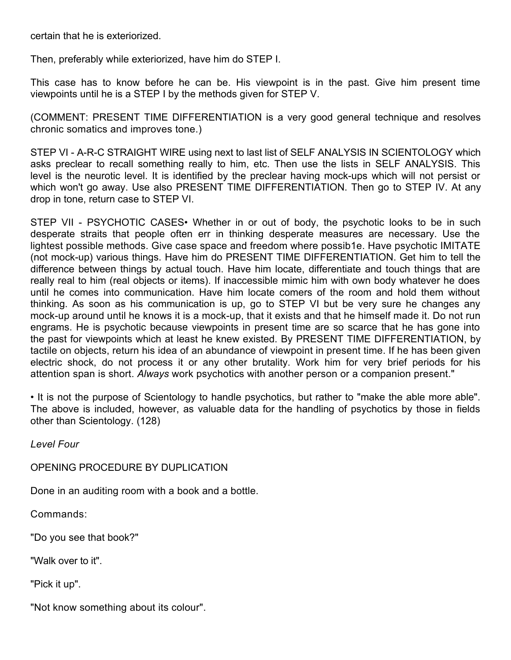certain that he is exteriorized.

Then, preferably while exteriorized, have him do STEP I.

This case has to know before he can be. His viewpoint is in the past. Give him present time viewpoints until he is a STEP I by the methods given for STEP V.

(COMMENT: PRESENT TIME DIFFERENTIATION is a very good general technique and resolves chronic somatics and improves tone.)

STEP VI - A-R-C STRAIGHT WIRE using next to last list of SELF ANALYSIS IN SCIENTOLOGY which asks preclear to recall something really to him, etc. Then use the lists in SELF ANALYSIS. This level is the neurotic level. It is identified by the preclear having mock-ups which will not persist or which won't go away. Use also PRESENT TIME DIFFERENTIATION. Then go to STEP IV. At any drop in tone, return case to STEP VI.

STEP VII - PSYCHOTIC CASES• Whether in or out of body, the psychotic looks to be in such desperate straits that people often err in thinking desperate measures are necessary. Use the lightest possible methods. Give case space and freedom where possib1e. Have psychotic IMITATE (not mock-up) various things. Have him do PRESENT TIME DIFFERENTIATION. Get him to tell the difference between things by actual touch. Have him locate, differentiate and touch things that are really real to him (real objects or items). If inaccessible mimic him with own body whatever he does until he comes into communication. Have him locate comers of the room and hold them without thinking. As soon as his communication is up, go to STEP VI but be very sure he changes any mock-up around until he knows it is a mock-up, that it exists and that he himself made it. Do not run engrams. He is psychotic because viewpoints in present time are so scarce that he has gone into the past for viewpoints which at least he knew existed. By PRESENT TIME DIFFERENTIATION, by tactile on objects, return his idea of an abundance of viewpoint in present time. If he has been given electric shock, do not process it or any other brutality. Work him for very brief periods for his attention span is short. *Always* work psychotics with another person or a companion present."

• It is not the purpose of Scientology to handle psychotics, but rather to "make the able more able". The above is included, however, as valuable data for the handling of psychotics by those in fields other than Scientology. (128)

*Level Four*

OPENING PROCEDURE BY DUPLICATION

Done in an auditing room with a book and a bottle.

Commands:

"Do you see that book?"

"Walk over to it".

"Pick it up".

"Not know something about its colour".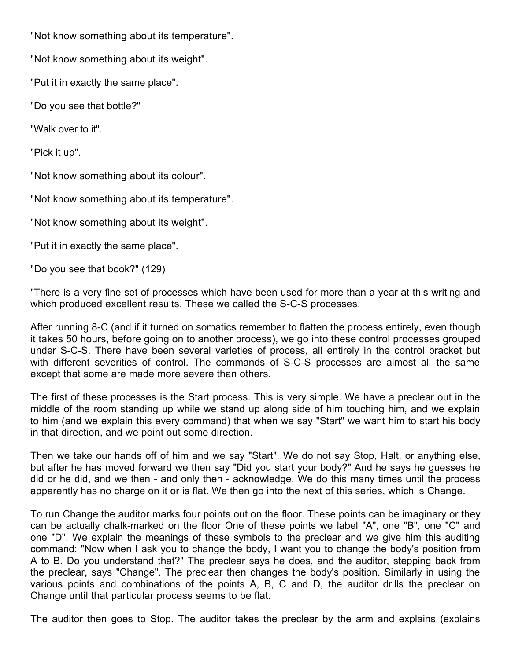"Not know something about its temperature".

"Not know something about its weight".

"Put it in exactly the same place".

"Do you see that bottle?"

"Walk over to it".

"Pick it up".

"Not know something about its colour".

"Not know something about its temperature".

"Not know something about its weight".

"Put it in exactly the same place".

"Do you see that book?" (129)

"There is a very fine set of processes which have been used for more than a year at this writing and which produced excellent results. These we called the S-C-S processes.

After running 8-C (and if it turned on somatics remember to flatten the process entirely, even though it takes 50 hours, before going on to another process), we go into these control processes grouped under S-C-S. There have been several varieties of process, all entirely in the control bracket but with different severities of control. The commands of S-C-S processes are almost all the same except that some are made more severe than others.

The first of these processes is the Start process. This is very simple. We have a preclear out in the middle of the room standing up while we stand up along side of him touching him, and we explain to him (and we explain this every command) that when we say "Start" we want him to start his body in that direction, and we point out some direction.

Then we take our hands off of him and we say "Start". We do not say Stop, Halt, or anything else, but after he has moved forward we then say "Did you start your body?" And he says he guesses he did or he did, and we then - and only then - acknowledge. We do this many times until the process apparently has no charge on it or is flat. We then go into the next of this series, which is Change.

To run Change the auditor marks four points out on the floor. These points can be imaginary or they can be actually chalk-marked on the floor One of these points we label "A", one "B", one "C" and one "D". We explain the meanings of these symbols to the preclear and we give him this auditing command: "Now when I ask you to change the body, I want you to change the body's position from A to B. Do you understand that?" The preclear says he does, and the auditor, stepping back from the preclear, says "Change". The preclear then changes the body's position. Similarly in using the various points and combinations of the points A, B, C and D, the auditor drills the preclear on Change until that particular process seems to be flat.

The auditor then goes to Stop. The auditor takes the preclear by the arm and explains (explains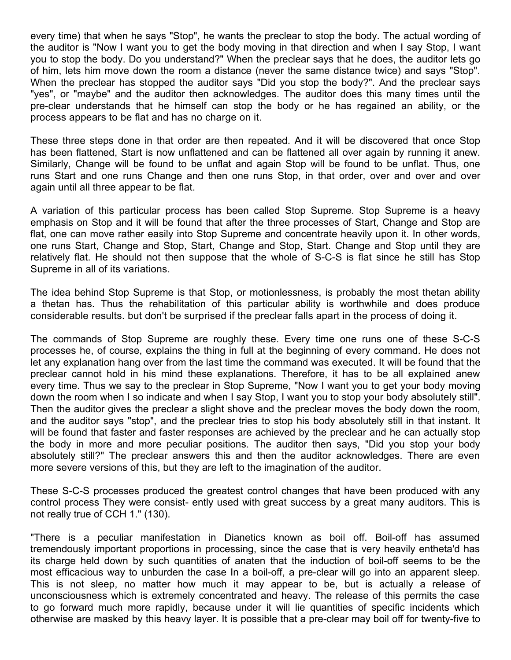every time) that when he says "Stop", he wants the preclear to stop the body. The actual wording of the auditor is "Now I want you to get the body moving in that direction and when I say Stop, I want you to stop the body. Do you understand?" When the preclear says that he does, the auditor lets go of him, lets him move down the room a distance (never the same distance twice) and says "Stop". When the preclear has stopped the auditor says "Did you stop the body?". And the preclear says "yes", or "maybe" and the auditor then acknowledges. The auditor does this many times until the pre-clear understands that he himself can stop the body or he has regained an ability, or the process appears to be flat and has no charge on it.

These three steps done in that order are then repeated. And it will be discovered that once Stop has been flattened, Start is now unflattened and can be flattened all over again by running it anew. Similarly, Change will be found to be unflat and again Stop will be found to be unflat. Thus, one runs Start and one runs Change and then one runs Stop, in that order, over and over and over again until all three appear to be flat.

A variation of this particular process has been called Stop Supreme. Stop Supreme is a heavy emphasis on Stop and it will be found that after the three processes of Start, Change and Stop are flat, one can move rather easily into Stop Supreme and concentrate heavily upon it. In other words, one runs Start, Change and Stop, Start, Change and Stop, Start. Change and Stop until they are relatively flat. He should not then suppose that the whole of S-C-S is flat since he still has Stop Supreme in all of its variations.

The idea behind Stop Supreme is that Stop, or motionlessness, is probably the most thetan ability a thetan has. Thus the rehabilitation of this particular ability is worthwhile and does produce considerable results. but don't be surprised if the preclear falls apart in the process of doing it.

The commands of Stop Supreme are roughly these. Every time one runs one of these S-C-S processes he, of course, explains the thing in full at the beginning of every command. He does not let any explanation hang over from the last time the command was executed. It will be found that the preclear cannot hold in his mind these explanations. Therefore, it has to be all explained anew every time. Thus we say to the preclear in Stop Supreme, "Now I want you to get your body moving down the room when I so indicate and when I say Stop, I want you to stop your body absolutely still". Then the auditor gives the preclear a slight shove and the preclear moves the body down the room, and the auditor says "stop", and the preclear tries to stop his body absolutely still in that instant. It will be found that faster and faster responses are achieved by the preclear and he can actually stop the body in more and more peculiar positions. The auditor then says, "Did you stop your body absolutely still?" The preclear answers this and then the auditor acknowledges. There are even more severe versions of this, but they are left to the imagination of the auditor.

These S-C-S processes produced the greatest control changes that have been produced with any control process They were consist- ently used with great success by a great many auditors. This is not really true of CCH 1." (130).

"There is a peculiar manifestation in Dianetics known as boil off. Boil-off has assumed tremendously important proportions in processing, since the case that is very heavily entheta'd has its charge held down by such quantities of anaten that the induction of boil-off seems to be the most efficacious way to unburden the case In a boil-off, a pre-clear will go into an apparent sleep. This is not sleep, no matter how much it may appear to be, but is actually a release of unconsciousness which is extremely concentrated and heavy. The release of this permits the case to go forward much more rapidly, because under it will lie quantities of specific incidents which otherwise are masked by this heavy layer. It is possible that a pre-clear may boil off for twenty-five to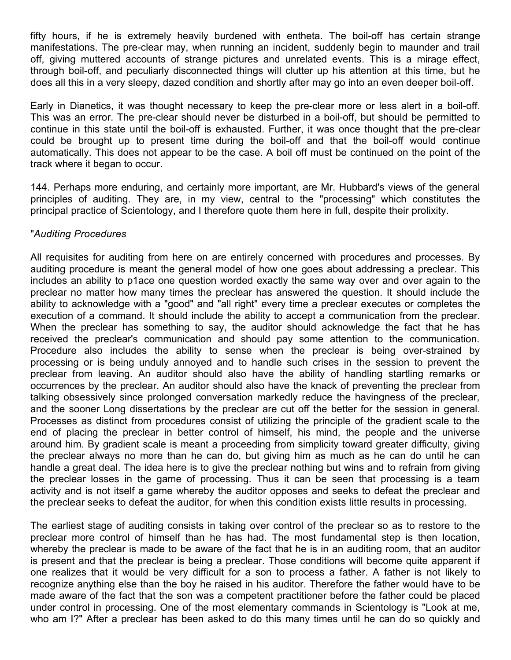fifty hours, if he is extremely heavily burdened with entheta. The boil-off has certain strange manifestations. The pre-clear may, when running an incident, suddenly begin to maunder and trail off, giving muttered accounts of strange pictures and unrelated events. This is a mirage effect, through boil-off, and peculiarly disconnected things will clutter up his attention at this time, but he does all this in a very sleepy, dazed condition and shortly after may go into an even deeper boil-off.

Early in Dianetics, it was thought necessary to keep the pre-clear more or less alert in a boil-off. This was an error. The pre-clear should never be disturbed in a boil-off, but should be permitted to continue in this state until the boil-off is exhausted. Further, it was once thought that the pre-clear could be brought up to present time during the boil-off and that the boil-off would continue automatically. This does not appear to be the case. A boil off must be continued on the point of the track where it began to occur.

144. Perhaps more enduring, and certainly more important, are Mr. Hubbard's views of the general principles of auditing. They are, in my view, central to the "processing" which constitutes the principal practice of Scientology, and I therefore quote them here in full, despite their prolixity.

### "*Auditing Procedures*

All requisites for auditing from here on are entirely concerned with procedures and processes. By auditing procedure is meant the general model of how one goes about addressing a preclear. This includes an ability to p1ace one question worded exactly the same way over and over again to the preclear no matter how many times the preclear has answered the question. It should include the ability to acknowledge with a "good" and "all right" every time a preclear executes or completes the execution of a command. It should include the ability to accept a communication from the preclear. When the preclear has something to say, the auditor should acknowledge the fact that he has received the preclear's communication and should pay some attention to the communication. Procedure also includes the ability to sense when the preclear is being over-strained by processing or is being unduly annoyed and to handle such crises in the session to prevent the preclear from leaving. An auditor should also have the ability of handling startling remarks or occurrences by the preclear. An auditor should also have the knack of preventing the preclear from talking obsessively since prolonged conversation markedly reduce the havingness of the preclear, and the sooner Long dissertations by the preclear are cut off the better for the session in general. Processes as distinct from procedures consist of utilizing the principle of the gradient scale to the end of placing the preclear in better control of himself, his mind, the people and the universe around him. By gradient scale is meant a proceeding from simplicity toward greater difficulty, giving the preclear always no more than he can do, but giving him as much as he can do until he can handle a great deal. The idea here is to give the preclear nothing but wins and to refrain from giving the preclear losses in the game of processing. Thus it can be seen that processing is a team activity and is not itself a game whereby the auditor opposes and seeks to defeat the preclear and the preclear seeks to defeat the auditor, for when this condition exists little results in processing.

The earliest stage of auditing consists in taking over control of the preclear so as to restore to the preclear more control of himself than he has had. The most fundamental step is then location, whereby the preclear is made to be aware of the fact that he is in an auditing room, that an auditor is present and that the preclear is being a preclear. Those conditions will become quite apparent if one realizes that it would be very difficult for a son to process a father. A father is not likely to recognize anything else than the boy he raised in his auditor. Therefore the father would have to be made aware of the fact that the son was a competent practitioner before the father could be placed under control in processing. One of the most elementary commands in Scientology is "Look at me, who am I?" After a preclear has been asked to do this many times until he can do so quickly and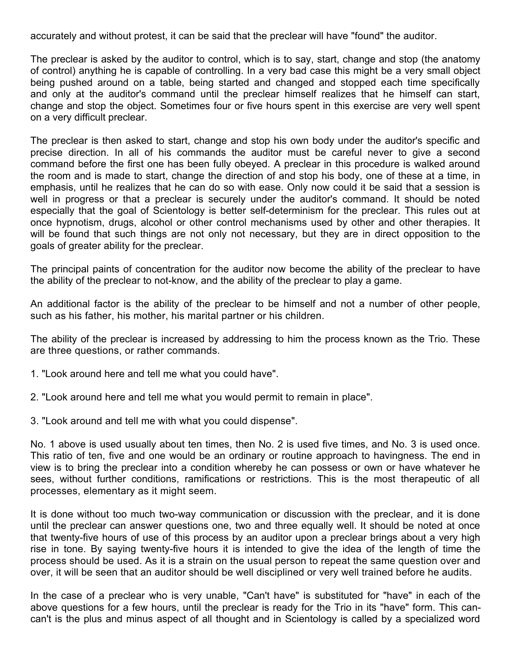accurately and without protest, it can be said that the preclear will have "found" the auditor.

The preclear is asked by the auditor to control, which is to say, start, change and stop (the anatomy of control) anything he is capable of controlling. In a very bad case this might be a very small object being pushed around on a table, being started and changed and stopped each time specifically and only at the auditor's command until the preclear himself realizes that he himself can start, change and stop the object. Sometimes four or five hours spent in this exercise are very well spent on a very difficult preclear.

The preclear is then asked to start, change and stop his own body under the auditor's specific and precise direction. In all of his commands the auditor must be careful never to give a second command before the first one has been fully obeyed. A preclear in this procedure is walked around the room and is made to start, change the direction of and stop his body, one of these at a time, in emphasis, until he realizes that he can do so with ease. Only now could it be said that a session is well in progress or that a preclear is securely under the auditor's command. It should be noted especially that the goal of Scientology is better self-determinism for the preclear. This rules out at once hypnotism, drugs, alcohol or other control mechanisms used by other and other therapies. It will be found that such things are not only not necessary, but they are in direct opposition to the goals of greater ability for the preclear.

The principal paints of concentration for the auditor now become the ability of the preclear to have the ability of the preclear to not-know, and the ability of the preclear to play a game.

An additional factor is the ability of the preclear to be himself and not a number of other people, such as his father, his mother, his marital partner or his children.

The ability of the preclear is increased by addressing to him the process known as the Trio. These are three questions, or rather commands.

- 1. "Look around here and tell me what you could have".
- 2. "Look around here and tell me what you would permit to remain in place".
- 3. "Look around and tell me with what you could dispense".

No. 1 above is used usually about ten times, then No. 2 is used five times, and No. 3 is used once. This ratio of ten, five and one would be an ordinary or routine approach to havingness. The end in view is to bring the preclear into a condition whereby he can possess or own or have whatever he sees, without further conditions, ramifications or restrictions. This is the most therapeutic of all processes, elementary as it might seem.

It is done without too much two-way communication or discussion with the preclear, and it is done until the preclear can answer questions one, two and three equally well. It should be noted at once that twenty-five hours of use of this process by an auditor upon a preclear brings about a very high rise in tone. By saying twenty-five hours it is intended to give the idea of the length of time the process should be used. As it is a strain on the usual person to repeat the same question over and over, it will be seen that an auditor should be well disciplined or very well trained before he audits.

In the case of a preclear who is very unable, "Can't have" is substituted for "have" in each of the above questions for a few hours, until the preclear is ready for the Trio in its "have" form. This cancan't is the plus and minus aspect of all thought and in Scientology is called by a specialized word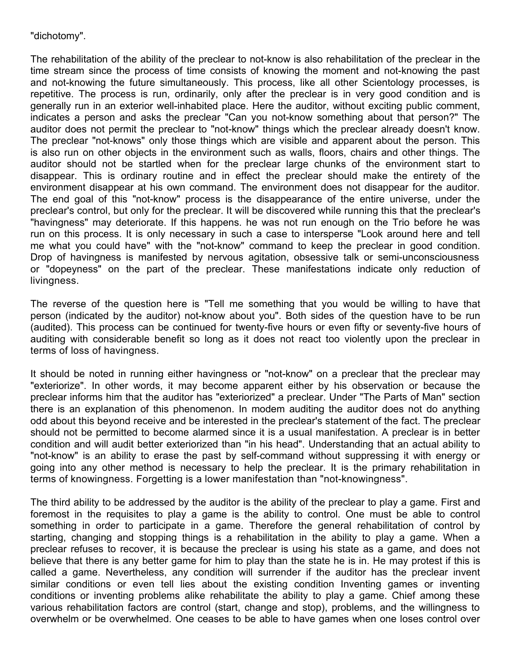### "dichotomy".

The rehabilitation of the ability of the preclear to not-know is also rehabilitation of the preclear in the time stream since the process of time consists of knowing the moment and not-knowing the past and not-knowing the future simultaneously. This process, like all other Scientology processes, is repetitive. The process is run, ordinarily, only after the preclear is in very good condition and is generally run in an exterior well-inhabited place. Here the auditor, without exciting public comment, indicates a person and asks the preclear "Can you not-know something about that person?" The auditor does not permit the preclear to "not-know" things which the preclear already doesn't know. The preclear "not-knows" only those things which are visible and apparent about the person. This is also run on other objects in the environment such as walls, floors, chairs and other things. The auditor should not be startled when for the preclear large chunks of the environment start to disappear. This is ordinary routine and in effect the preclear should make the entirety of the environment disappear at his own command. The environment does not disappear for the auditor. The end goal of this "not-know" process is the disappearance of the entire universe, under the preclear's control, but only for the preclear. It will be discovered while running this that the preclear's "havingness" may deteriorate. If this happens. he was not run enough on the Trio before he was run on this process. It is only necessary in such a case to intersperse "Look around here and tell me what you could have" with the "not-know" command to keep the preclear in good condition. Drop of havingness is manifested by nervous agitation, obsessive talk or semi-unconsciousness or "dopeyness" on the part of the preclear. These manifestations indicate only reduction of livingness.

The reverse of the question here is "Tell me something that you would be willing to have that person (indicated by the auditor) not-know about you". Both sides of the question have to be run (audited). This process can be continued for twenty-five hours or even fifty or seventy-five hours of auditing with considerable benefit so long as it does not react too violently upon the preclear in terms of loss of havingness.

It should be noted in running either havingness or "not-know" on a preclear that the preclear may "exteriorize". In other words, it may become apparent either by his observation or because the preclear informs him that the auditor has "exteriorized" a preclear. Under "The Parts of Man" section there is an explanation of this phenomenon. In modem auditing the auditor does not do anything odd about this beyond receive and be interested in the preclear's statement of the fact. The preclear should not be permitted to become alarmed since it is a usual manifestation. A preclear is in better condition and will audit better exteriorized than "in his head". Understanding that an actual ability to "not-know" is an ability to erase the past by self-command without suppressing it with energy or going into any other method is necessary to help the preclear. It is the primary rehabilitation in terms of knowingness. Forgetting is a lower manifestation than "not-knowingness".

The third ability to be addressed by the auditor is the ability of the preclear to play a game. First and foremost in the requisites to play a game is the ability to control. One must be able to control something in order to participate in a game. Therefore the general rehabilitation of control by starting, changing and stopping things is a rehabilitation in the ability to play a game. When a preclear refuses to recover, it is because the preclear is using his state as a game, and does not believe that there is any better game for him to play than the state he is in. He may protest if this is called a game. Nevertheless, any condition will surrender if the auditor has the preclear invent similar conditions or even tell lies about the existing condition Inventing games or inventing conditions or inventing problems alike rehabilitate the ability to play a game. Chief among these various rehabilitation factors are control (start, change and stop), problems, and the willingness to overwhelm or be overwhelmed. One ceases to be able to have games when one loses control over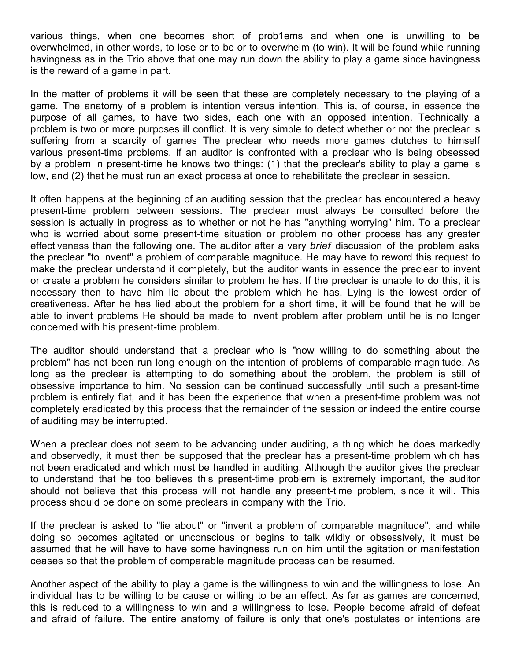various things, when one becomes short of prob1ems and when one is unwilling to be overwhelmed, in other words, to lose or to be or to overwhelm (to win). It will be found while running havingness as in the Trio above that one may run down the ability to play a game since havingness is the reward of a game in part.

In the matter of problems it will be seen that these are completely necessary to the playing of a game. The anatomy of a problem is intention versus intention. This is, of course, in essence the purpose of all games, to have two sides, each one with an opposed intention. Technically a problem is two or more purposes ill conflict. It is very simple to detect whether or not the preclear is suffering from a scarcity of games The preclear who needs more games clutches to himself various present-time problems. If an auditor is confronted with a preclear who is being obsessed by a problem in present-time he knows two things: (1) that the preclear's ability to play a game is low, and (2) that he must run an exact process at once to rehabilitate the preclear in session.

It often happens at the beginning of an auditing session that the preclear has encountered a heavy present-time problem between sessions. The preclear must always be consulted before the session is actually in progress as to whether or not he has "anything worrying" him. To a preclear who is worried about some present-time situation or problem no other process has any greater effectiveness than the following one. The auditor after a very *brief* discussion of the problem asks the preclear "to invent" a problem of comparable magnitude. He may have to reword this request to make the preclear understand it completely, but the auditor wants in essence the preclear to invent or create a problem he considers similar to problem he has. If the preclear is unable to do this, it is necessary then to have him lie about the problem which he has. Lying is the lowest order of creativeness. After he has lied about the problem for a short time, it will be found that he will be able to invent problems He should be made to invent problem after problem until he is no longer concemed with his present-time problem.

The auditor should understand that a preclear who is "now willing to do something about the problem" has not been run long enough on the intention of problems of comparable magnitude. As long as the preclear is attempting to do something about the problem, the problem is still of obsessive importance to him. No session can be continued successfully until such a present-time problem is entirely flat, and it has been the experience that when a present-time problem was not completely eradicated by this process that the remainder of the session or indeed the entire course of auditing may be interrupted.

When a preclear does not seem to be advancing under auditing, a thing which he does markedly and observedly, it must then be supposed that the preclear has a present-time problem which has not been eradicated and which must be handled in auditing. Although the auditor gives the preclear to understand that he too believes this present-time problem is extremely important, the auditor should not believe that this process will not handle any present-time problem, since it will. This process should be done on some preclears in company with the Trio.

If the preclear is asked to "lie about" or "invent a problem of comparable magnitude", and while doing so becomes agitated or unconscious or begins to talk wildly or obsessively, it must be assumed that he will have to have some havingness run on him until the agitation or manifestation ceases so that the problem of comparable magnitude process can be resumed.

Another aspect of the ability to play a game is the willingness to win and the willingness to lose. An individual has to be willing to be cause or willing to be an effect. As far as games are concerned, this is reduced to a willingness to win and a willingness to lose. People become afraid of defeat and afraid of failure. The entire anatomy of failure is only that one's postulates or intentions are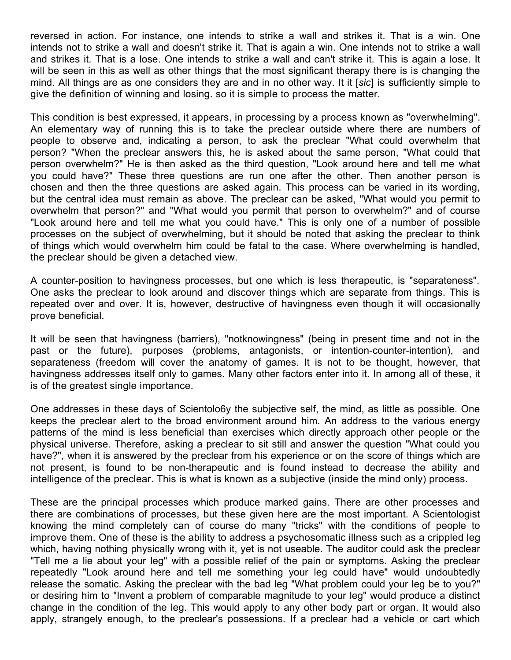reversed in action. For instance, one intends to strike a wall and strikes it. That is a win. One intends not to strike a wall and doesn't strike it. That is again a win. One intends not to strike a wall and strikes it. That is a lose. One intends to strike a wall and can't strike it. This is again a lose. It will be seen in this as well as other things that the most significant therapy there is is changing the mind. All things are as one considers they are and in no other way. It it [*sic*] is sufficiently simple to give the definition of winning and losing. so it is simple to process the matter.

This condition is best expressed, it appears, in processing by a process known as "overwhelming". An elementary way of running this is to take the preclear outside where there are numbers of people to observe and, indicating a person, to ask the preclear "What could overwhelm that person? "When the preclear answers this, he is asked about the same person, "What could that person overwhelm?" He is then asked as the third question, "Look around here and tell me what you could have?" These three questions are run one after the other. Then another person is chosen and then the three questions are asked again. This process can be varied in its wording, but the central idea must remain as above. The preclear can be asked, "What would you permit to overwhelm that person?" and "What would you permit that person to overwhelm?" and of course "Look around here and tell me what you could have." This is only one of a number of possible processes on the subject of overwhelming, but it should be noted that asking the preclear to think of things which would overwhelm him could be fatal to the case. Where overwhelming is handled, the preclear should be given a detached view.

A counter-position to havingness processes, but one which is less therapeutic, is "separateness". One asks the preclear to look around and discover things which are separate from things. This is repeated over and over. It is, however, destructive of havingness even though it will occasionally prove beneficial.

It will be seen that havingness (barriers), "notknowingness" (being in present time and not in the past or the future), purposes (problems, antagonists, or intention-counter-intention), and separateness (freedom will cover the anatomy of games. It is not to be thought, however, that havingness addresses itself only to games. Many other factors enter into it. In among all of these, it is of the greatest single importance.

One addresses in these days of Scientolo6y the subjective self, the mind, as little as possible. One keeps the preclear alert to the broad environment around him. An address to the various energy patterns of the mind is less beneficial than exercises which directly approach other people or the physical universe. Therefore, asking a preclear to sit still and answer the question "What could you have?", when it is answered by the preclear from his experience or on the score of things which are not present, is found to be non-therapeutic and is found instead to decrease the ability and intelligence of the preclear. This is what is known as a subjective (inside the mind only) process.

These are the principal processes which produce marked gains. There are other processes and there are combinations of processes, but these given here are the most important. A Scientologist knowing the mind completely can of course do many "tricks" with the conditions of people to improve them. One of these is the ability to address a psychosomatic illness such as a crippled leg which, having nothing physically wrong with it, yet is not useable. The auditor could ask the preclear "Tell me a lie about your leg" with a possible relief of the pain or symptoms. Asking the preclear repeatedly "Look around here and tell me something your leg could have" would undoubtedly release the somatic. Asking the preclear with the bad leg "What problem could your leg be to you?" or desiring him to "Invent a problem of comparable magnitude to your leg" would produce a distinct change in the condition of the leg. This would apply to any other body part or organ. It would also apply, strangely enough, to the preclear's possessions. If a preclear had a vehicle or cart which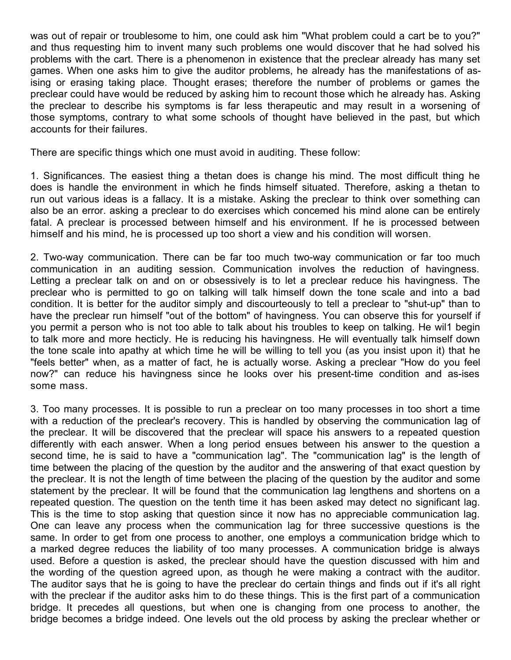was out of repair or troublesome to him, one could ask him "What problem could a cart be to you?" and thus requesting him to invent many such problems one would discover that he had solved his problems with the cart. There is a phenomenon in existence that the preclear already has many set games. When one asks him to give the auditor problems, he already has the manifestations of asising or erasing taking place. Thought erases; therefore the number of problems or games the preclear could have would be reduced by asking him to recount those which he already has. Asking the preclear to describe his symptoms is far less therapeutic and may result in a worsening of those symptoms, contrary to what some schools of thought have believed in the past, but which accounts for their failures.

There are specific things which one must avoid in auditing. These follow:

1. Significances. The easiest thing a thetan does is change his mind. The most difficult thing he does is handle the environment in which he finds himself situated. Therefore, asking a thetan to run out various ideas is a fallacy. It is a mistake. Asking the preclear to think over something can also be an error. asking a preclear to do exercises which concemed his mind alone can be entirely fatal. A preclear is processed between himself and his environment. If he is processed between himself and his mind, he is processed up too short a view and his condition will worsen.

2. Two-way communication. There can be far too much two-way communication or far too much communication in an auditing session. Communication involves the reduction of havingness. Letting a preclear talk on and on or obsessively is to let a preclear reduce his havingness. The preclear who is permitted to go on talking will talk himself down the tone scale and into a bad condition. It is better for the auditor simply and discourteously to tell a preclear to "shut-up" than to have the preclear run himself "out of the bottom" of havingness. You can observe this for yourself if you permit a person who is not too able to talk about his troubles to keep on talking. He wil1 begin to talk more and more hecticly. He is reducing his havingness. He will eventually talk himself down the tone scale into apathy at which time he will be willing to tell you (as you insist upon it) that he "feels better" when, as a matter of fact, he is actually worse. Asking a preclear "How do you feel now?" can reduce his havingness since he looks over his present-time condition and as-ises some mass.

3. Too many processes. It is possible to run a preclear on too many processes in too short a time with a reduction of the preclear's recovery. This is handled by observing the communication lag of the preclear. It will be discovered that the preclear will space his answers to a repeated question differently with each answer. When a long period ensues between his answer to the question a second time, he is said to have a "communication lag". The "communication lag" is the length of time between the placing of the question by the auditor and the answering of that exact question by the preclear. It is not the length of time between the placing of the question by the auditor and some statement by the preclear. It will be found that the communication lag lengthens and shortens on a repeated question. The question on the tenth time it has been asked may detect no significant lag. This is the time to stop asking that question since it now has no appreciable communication lag. One can leave any process when the communication lag for three successive questions is the same. In order to get from one process to another, one employs a communication bridge which to a marked degree reduces the liability of too many processes. A communication bridge is always used. Before a question is asked, the preclear should have the question discussed with him and the wording of the question agreed upon, as though he were making a contract with the auditor. The auditor says that he is going to have the preclear do certain things and finds out if it's all right with the preclear if the auditor asks him to do these things. This is the first part of a communication bridge. It precedes all questions, but when one is changing from one process to another, the bridge becomes a bridge indeed. One levels out the old process by asking the preclear whether or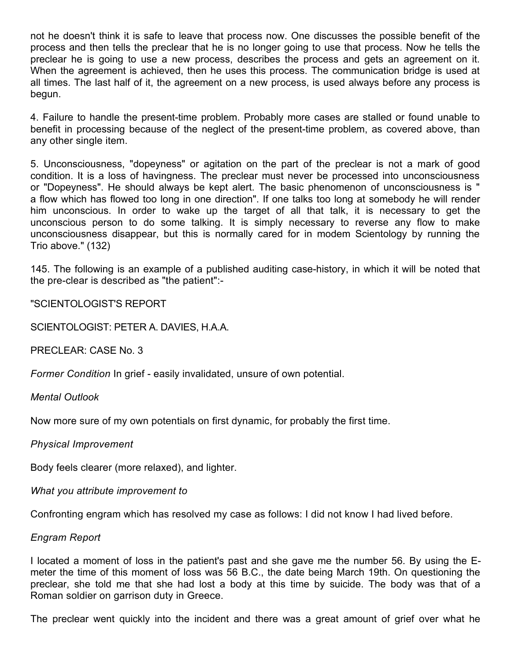not he doesn't think it is safe to leave that process now. One discusses the possible benefit of the process and then tells the preclear that he is no longer going to use that process. Now he tells the preclear he is going to use a new process, describes the process and gets an agreement on it. When the agreement is achieved, then he uses this process. The communication bridge is used at all times. The last half of it, the agreement on a new process, is used always before any process is begun.

4. Failure to handle the present-time problem. Probably more cases are stalled or found unable to benefit in processing because of the neglect of the present-time problem, as covered above, than any other single item.

5. Unconsciousness, "dopeyness" or agitation on the part of the preclear is not a mark of good condition. It is a loss of havingness. The preclear must never be processed into unconsciousness or "Dopeyness". He should always be kept alert. The basic phenomenon of unconsciousness is " a flow which has flowed too long in one direction". If one talks too long at somebody he will render him unconscious. In order to wake up the target of all that talk, it is necessary to get the unconscious person to do some talking. It is simply necessary to reverse any flow to make unconsciousness disappear, but this is normally cared for in modem Scientology by running the Trio above." (132)

145. The following is an example of a published auditing case-history, in which it will be noted that the pre-clear is described as "the patient":-

"SCIENTOLOGIST'S REPORT

SCIENTOLOGIST: PETER A. DAVIES, H.A.A.

PRECLEAR: CASE No. 3

*Former Condition* In grief - easily invalidated, unsure of own potential.

#### *Mental Outlook*

Now more sure of my own potentials on first dynamic, for probably the first time.

*Physical Improvement*

Body feels clearer (more relaxed), and lighter.

*What you attribute improvement to*

Confronting engram which has resolved my case as follows: I did not know I had lived before.

#### *Engram Report*

I located a moment of loss in the patient's past and she gave me the number 56. By using the Emeter the time of this moment of loss was 56 B.C., the date being March 19th. On questioning the preclear, she told me that she had lost a body at this time by suicide. The body was that of a Roman soldier on garrison duty in Greece.

The preclear went quickly into the incident and there was a great amount of grief over what he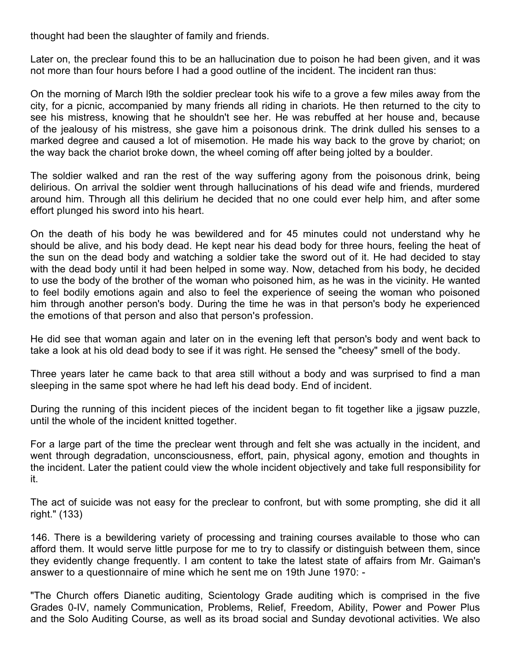thought had been the slaughter of family and friends.

Later on, the preclear found this to be an hallucination due to poison he had been given, and it was not more than four hours before I had a good outline of the incident. The incident ran thus:

On the morning of March l9th the soldier preclear took his wife to a grove a few miles away from the city, for a picnic, accompanied by many friends all riding in chariots. He then returned to the city to see his mistress, knowing that he shouldn't see her. He was rebuffed at her house and, because of the jealousy of his mistress, she gave him a poisonous drink. The drink dulled his senses to a marked degree and caused a lot of misemotion. He made his way back to the grove by chariot; on the way back the chariot broke down, the wheel coming off after being jolted by a boulder.

The soldier walked and ran the rest of the way suffering agony from the poisonous drink, being delirious. On arrival the soldier went through hallucinations of his dead wife and friends, murdered around him. Through all this delirium he decided that no one could ever help him, and after some effort plunged his sword into his heart.

On the death of his body he was bewildered and for 45 minutes could not understand why he should be alive, and his body dead. He kept near his dead body for three hours, feeling the heat of the sun on the dead body and watching a soldier take the sword out of it. He had decided to stay with the dead body until it had been helped in some way. Now, detached from his body, he decided to use the body of the brother of the woman who poisoned him, as he was in the vicinity. He wanted to feel bodily emotions again and also to feel the experience of seeing the woman who poisoned him through another person's body. During the time he was in that person's body he experienced the emotions of that person and also that person's profession.

He did see that woman again and later on in the evening left that person's body and went back to take a look at his old dead body to see if it was right. He sensed the "cheesy" smell of the body.

Three years later he came back to that area still without a body and was surprised to find a man sleeping in the same spot where he had left his dead body. End of incident.

During the running of this incident pieces of the incident began to fit together like a jigsaw puzzle, until the whole of the incident knitted together.

For a large part of the time the preclear went through and felt she was actually in the incident, and went through degradation, unconsciousness, effort, pain, physical agony, emotion and thoughts in the incident. Later the patient could view the whole incident objectively and take full responsibility for it.

The act of suicide was not easy for the preclear to confront, but with some prompting, she did it all right." (133)

146. There is a bewildering variety of processing and training courses available to those who can afford them. It would serve little purpose for me to try to classify or distinguish between them, since they evidently change frequently. I am content to take the latest state of affairs from Mr. Gaiman's answer to a questionnaire of mine which he sent me on 19th June 1970: -

"The Church offers Dianetic auditing, Scientology Grade auditing which is comprised in the five Grades 0-IV, namely Communication, Problems, Relief, Freedom, Ability, Power and Power Plus and the Solo Auditing Course, as well as its broad social and Sunday devotional activities. We also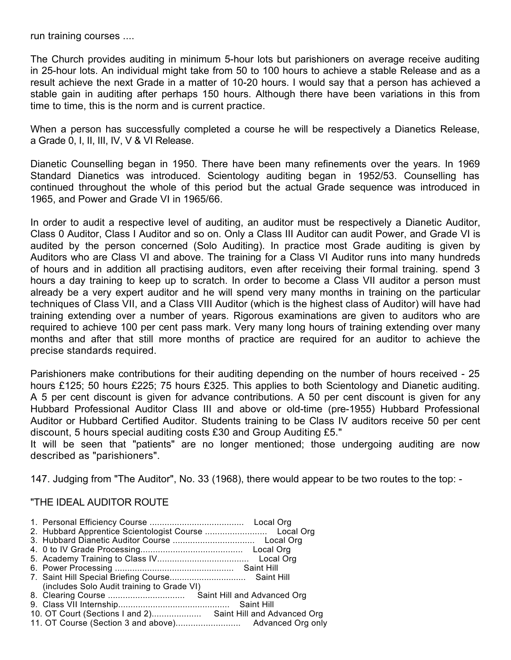run training courses ....

The Church provides auditing in minimum 5-hour lots but parishioners on average receive auditing in 25-hour lots. An individual might take from 50 to 100 hours to achieve a stable Release and as a result achieve the next Grade in a matter of 10-20 hours. I would say that a person has achieved a stable gain in auditing after perhaps 150 hours. Although there have been variations in this from time to time, this is the norm and is current practice.

When a person has successfully completed a course he will be respectively a Dianetics Release, a Grade 0, I, II, III, IV, V & VI Release.

Dianetic Counselling began in 1950. There have been many refinements over the years. In 1969 Standard Dianetics was introduced. Scientology auditing began in 1952/53. Counselling has continued throughout the whole of this period but the actual Grade sequence was introduced in 1965, and Power and Grade VI in 1965/66.

In order to audit a respective level of auditing, an auditor must be respectively a Dianetic Auditor, Class 0 Auditor, Class I Auditor and so on. Only a Class III Auditor can audit Power, and Grade VI is audited by the person concerned (Solo Auditing). In practice most Grade auditing is given by Auditors who are Class VI and above. The training for a Class VI Auditor runs into many hundreds of hours and in addition all practising auditors, even after receiving their formal training. spend 3 hours a day training to keep up to scratch. In order to become a Class VII auditor a person must already be a very expert auditor and he will spend very many months in training on the particular techniques of Class VII, and a Class VIII Auditor (which is the highest class of Auditor) will have had training extending over a number of years. Rigorous examinations are given to auditors who are required to achieve 100 per cent pass mark. Very many long hours of training extending over many months and after that still more months of practice are required for an auditor to achieve the precise standards required.

Parishioners make contributions for their auditing depending on the number of hours received - 25 hours £125; 50 hours £225; 75 hours £325. This applies to both Scientology and Dianetic auditing. A 5 per cent discount is given for advance contributions. A 50 per cent discount is given for any Hubbard Professional Auditor Class III and above or old-time (pre-1955) Hubbard Professional Auditor or Hubbard Certified Auditor. Students training to be Class IV auditors receive 50 per cent discount, 5 hours special auditing costs £30 and Group Auditing £5."

It will be seen that "patients" are no longer mentioned; those undergoing auditing are now described as "parishioners".

147. Judging from "The Auditor", No. 33 (1968), there would appear to be two routes to the top: -

#### "THE IDEAL AUDITOR ROUTE

- 1. Personal Efficiency Course ...................................... Local Org
- 2. Hubbard Apprentice Scientologist Course ......................... Local Org
- 3. Hubbard Dianetic Auditor Course ................................. Local Org
- 4. 0 to IV Grade Processing......................................... Local Org 5. Academy Training to Class IV..................................... Local Org
- 6. Power Processing ................................................ Saint Hill
- 7. Saint Hill Special Briefing Course............................... Saint Hill (includes Solo Audit training to Grade VI)
- 8. Clearing Course ............................... Saint Hill and Advanced Org
- 9. Class VII Internship............................................. Saint Hill
- 10. OT Court (Sections I and 2).................... Saint Hill and Advanced Org
- 11. OT Course (Section 3 and above).......................... Advanced Org only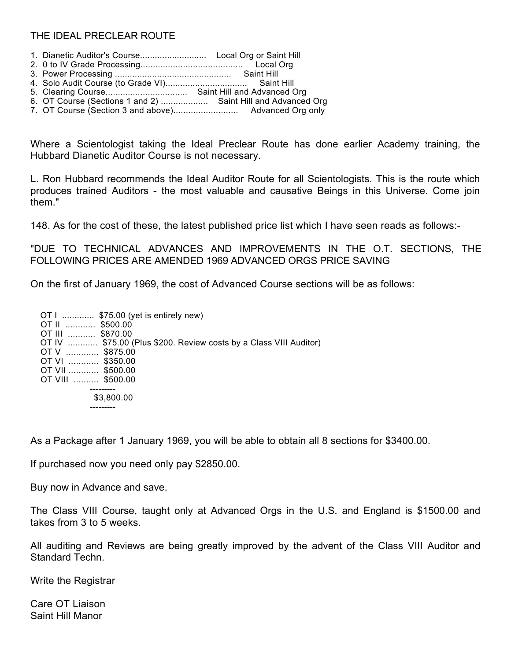## THE IDEAL PRECLEAR ROUTE

- 1. Dianetic Auditor's Course........................... Local Org or Saint Hill
- 2. 0 to IV Grade Processing......................................... Local Org
- 3. Power Processing ............................................... Saint Hill 4. Solo Audit Course (to Grade VI)................................. Saint Hill
- 5. Clearing Course................................. Saint Hill and Advanced Org
- 6. OT Course (Sections 1 and 2) ................... Saint Hill and Advanced Org
- 7. OT Course (Section 3 and above).......................... Advanced Org only

Where a Scientologist taking the Ideal Preclear Route has done earlier Academy training, the Hubbard Dianetic Auditor Course is not necessary.

L. Ron Hubbard recommends the Ideal Auditor Route for all Scientologists. This is the route which produces trained Auditors - the most valuable and causative Beings in this Universe. Come join them."

148. As for the cost of these, the latest published price list which I have seen reads as follows:-

"DUE TO TECHNICAL ADVANCES AND IMPROVEMENTS IN THE O.T. SECTIONS, THE FOLLOWING PRICES ARE AMENDED 1969 ADVANCED ORGS PRICE SAVING

On the first of January 1969, the cost of Advanced Course sections will be as follows:

| OT I  \$75.00 (yet is entirely new)<br>OT II  \$500.00<br>OT III  \$870.00<br>OT IV  \$75.00 (Plus \$200. Review costs by a Class VIII Auditor)<br>OT V  \$875.00<br>OT VI  \$350.00<br>OT VII  \$500.00<br>OT VIII  \$500.00 |
|-------------------------------------------------------------------------------------------------------------------------------------------------------------------------------------------------------------------------------|
| \$3.800.00                                                                                                                                                                                                                    |
|                                                                                                                                                                                                                               |

As a Package after 1 January 1969, you will be able to obtain all 8 sections for \$3400.00.

If purchased now you need only pay \$2850.00.

Buy now in Advance and save.

The Class VIII Course, taught only at Advanced Orgs in the U.S. and England is \$1500.00 and takes from 3 to 5 weeks.

All auditing and Reviews are being greatly improved by the advent of the Class VIII Auditor and Standard Techn.

Write the Registrar

Care OT Liaison Saint Hill Manor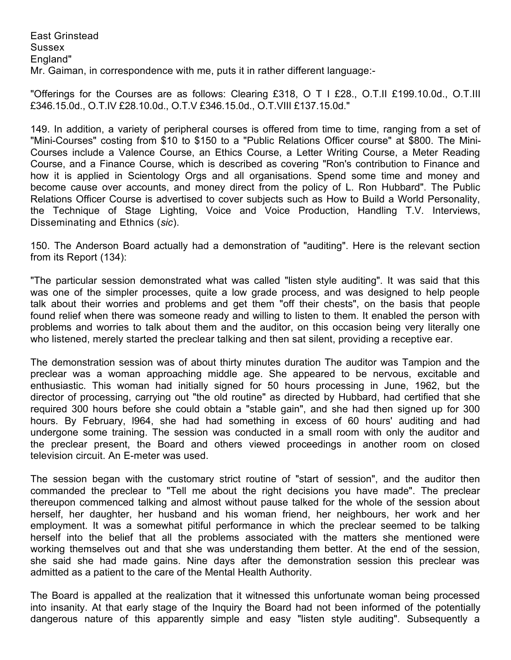East Grinstead Sussex England" Mr. Gaiman, in correspondence with me, puts it in rather different language:-

"Offerings for the Courses are as follows: Clearing £318, O T I £28., O.T.II £199.10.0d., O.T.III £346.15.0d., O.T.IV £28.10.0d., O.T.V £346.15.0d., O.T.VIII £137.15.0d."

149. In addition, a variety of peripheral courses is offered from time to time, ranging from a set of "Mini-Courses" costing from \$10 to \$150 to a "Public Relations Officer course" at \$800. The Mini-Courses include a Valence Course, an Ethics Course, a Letter Writing Course, a Meter Reading Course, and a Finance Course, which is described as covering "Ron's contribution to Finance and how it is applied in Scientology Orgs and all organisations. Spend some time and money and become cause over accounts, and money direct from the policy of L. Ron Hubbard". The Public Relations Officer Course is advertised to cover subjects such as How to Build a World Personality, the Technique of Stage Lighting, Voice and Voice Production, Handling T.V. Interviews, Disseminating and Ethnics (*sic*).

150. The Anderson Board actually had a demonstration of "auditing". Here is the relevant section from its Report (134):

"The particular session demonstrated what was called "listen style auditing". It was said that this was one of the simpler processes, quite a low grade process, and was designed to help people talk about their worries and problems and get them "off their chests", on the basis that people found relief when there was someone ready and willing to listen to them. It enabled the person with problems and worries to talk about them and the auditor, on this occasion being very literally one who listened, merely started the preclear talking and then sat silent, providing a receptive ear.

The demonstration session was of about thirty minutes duration The auditor was Tampion and the preclear was a woman approaching middle age. She appeared to be nervous, excitable and enthusiastic. This woman had initially signed for 50 hours processing in June, 1962, but the director of processing, carrying out "the old routine" as directed by Hubbard, had certified that she required 300 hours before she could obtain a "stable gain", and she had then signed up for 300 hours. By February, l964, she had had something in excess of 60 hours' auditing and had undergone some training. The session was conducted in a small room with only the auditor and the preclear present, the Board and others viewed proceedings in another room on closed television circuit. An E-meter was used.

The session began with the customary strict routine of "start of session", and the auditor then commanded the preclear to "Tell me about the right decisions you have made". The preclear thereupon commenced talking and almost without pause talked for the whole of the session about herself, her daughter, her husband and his woman friend, her neighbours, her work and her employment. It was a somewhat pitiful performance in which the preclear seemed to be talking herself into the belief that all the problems associated with the matters she mentioned were working themselves out and that she was understanding them better. At the end of the session, she said she had made gains. Nine days after the demonstration session this preclear was admitted as a patient to the care of the Mental Health Authority.

The Board is appalled at the realization that it witnessed this unfortunate woman being processed into insanity. At that early stage of the Inquiry the Board had not been informed of the potentially dangerous nature of this apparently simple and easy "listen style auditing". Subsequently a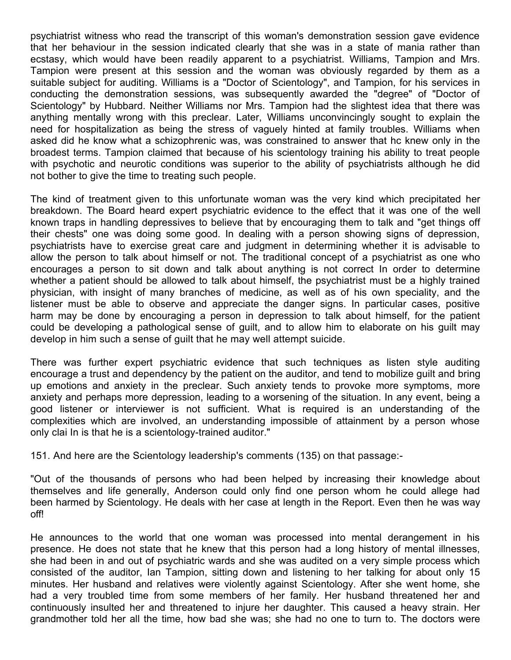psychiatrist witness who read the transcript of this woman's demonstration session gave evidence that her behaviour in the session indicated clearly that she was in a state of mania rather than ecstasy, which would have been readily apparent to a psychiatrist. Williams, Tampion and Mrs. Tampion were present at this session and the woman was obviously regarded by them as a suitable subject for auditing. Williams is a "Doctor of Scientology", and Tampion, for his services in conducting the demonstration sessions, was subsequently awarded the "degree" of "Doctor of Scientology" by Hubbard. Neither Williams nor Mrs. Tampion had the slightest idea that there was anything mentally wrong with this preclear. Later, Williams unconvincingly sought to explain the need for hospitalization as being the stress of vaguely hinted at family troubles. Williams when asked did he know what a schizophrenic was, was constrained to answer that hc knew only in the broadest terms. Tampion claimed that because of his scientology training his ability to treat people with psychotic and neurotic conditions was superior to the ability of psychiatrists although he did not bother to give the time to treating such people.

The kind of treatment given to this unfortunate woman was the very kind which precipitated her breakdown. The Board heard expert psychiatric evidence to the effect that it was one of the well known traps in handling depressives to believe that by encouraging them to talk and "get things off their chests" one was doing some good. In dealing with a person showing signs of depression, psychiatrists have to exercise great care and judgment in determining whether it is advisable to allow the person to talk about himself or not. The traditional concept of a psychiatrist as one who encourages a person to sit down and talk about anything is not correct In order to determine whether a patient should be allowed to talk about himself, the psychiatrist must be a highly trained physician, with insight of many branches of medicine, as well as of his own speciality, and the listener must be able to observe and appreciate the danger signs. In particular cases, positive harm may be done by encouraging a person in depression to talk about himself, for the patient could be developing a pathological sense of guilt, and to allow him to elaborate on his guilt may develop in him such a sense of guilt that he may well attempt suicide.

There was further expert psychiatric evidence that such techniques as listen style auditing encourage a trust and dependency by the patient on the auditor, and tend to mobilize guilt and bring up emotions and anxiety in the preclear. Such anxiety tends to provoke more symptoms, more anxiety and perhaps more depression, leading to a worsening of the situation. In any event, being a good listener or interviewer is not sufficient. What is required is an understanding of the complexities which are involved, an understanding impossible of attainment by a person whose only clai In is that he is a scientology-trained auditor."

151. And here are the Scientology leadership's comments (135) on that passage:-

"Out of the thousands of persons who had been helped by increasing their knowledge about themselves and life generally, Anderson could only find one person whom he could allege had been harmed by Scientology. He deals with her case at length in the Report. Even then he was way off!

He announces to the world that one woman was processed into mental derangement in his presence. He does not state that he knew that this person had a long history of mental illnesses, she had been in and out of psychiatric wards and she was audited on a very simple process which consisted of the auditor, Ian Tampion, sitting down and listening to her talking for about only 15 minutes. Her husband and relatives were violently against Scientology. After she went home, she had a very troubled time from some members of her family. Her husband threatened her and continuously insulted her and threatened to injure her daughter. This caused a heavy strain. Her grandmother told her all the time, how bad she was; she had no one to turn to. The doctors were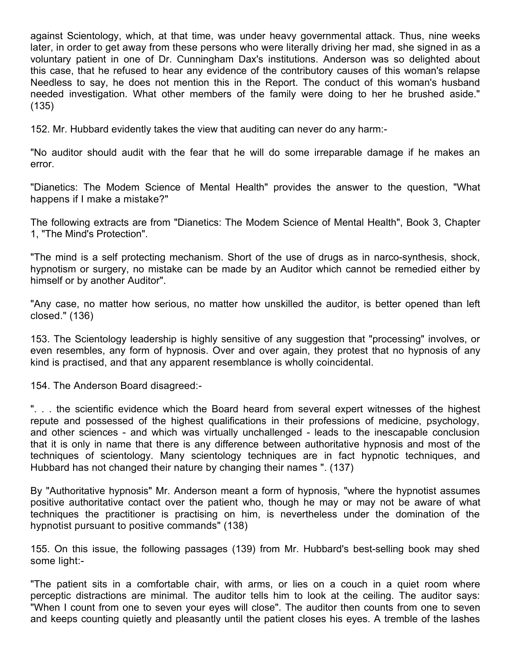against Scientology, which, at that time, was under heavy governmental attack. Thus, nine weeks later, in order to get away from these persons who were literally driving her mad, she signed in as a voluntary patient in one of Dr. Cunningham Dax's institutions. Anderson was so delighted about this case, that he refused to hear any evidence of the contributory causes of this woman's relapse Needless to say, he does not mention this in the Report. The conduct of this woman's husband needed investigation. What other members of the family were doing to her he brushed aside." (135)

152. Mr. Hubbard evidently takes the view that auditing can never do any harm:-

"No auditor should audit with the fear that he will do some irreparable damage if he makes an error.

"Dianetics: The Modem Science of Mental Health" provides the answer to the question, "What happens if I make a mistake?"

The following extracts are from "Dianetics: The Modem Science of Mental Health", Book 3, Chapter 1, "The Mind's Protection".

"The mind is a self protecting mechanism. Short of the use of drugs as in narco-synthesis, shock, hypnotism or surgery, no mistake can be made by an Auditor which cannot be remedied either by himself or by another Auditor".

"Any case, no matter how serious, no matter how unskilled the auditor, is better opened than left closed." (136)

153. The Scientology leadership is highly sensitive of any suggestion that "processing" involves, or even resembles, any form of hypnosis. Over and over again, they protest that no hypnosis of any kind is practised, and that any apparent resemblance is wholly coincidental.

154. The Anderson Board disagreed:-

". . . the scientific evidence which the Board heard from several expert witnesses of the highest repute and possessed of the highest qualifications in their professions of medicine, psychology, and other sciences - and which was virtually unchallenged - leads to the inescapable conclusion that it is only in name that there is any difference between authoritative hypnosis and most of the techniques of scientology. Many scientology techniques are in fact hypnotic techniques, and Hubbard has not changed their nature by changing their names ". (137)

By "Authoritative hypnosis" Mr. Anderson meant a form of hypnosis, "where the hypnotist assumes positive authoritative contact over the patient who, though he may or may not be aware of what techniques the practitioner is practising on him, is nevertheless under the domination of the hypnotist pursuant to positive commands" (138)

155. On this issue, the following passages (139) from Mr. Hubbard's best-selling book may shed some light:-

"The patient sits in a comfortable chair, with arms, or lies on a couch in a quiet room where perceptic distractions are minimal. The auditor tells him to look at the ceiling. The auditor says: "When I count from one to seven your eyes will close". The auditor then counts from one to seven and keeps counting quietly and pleasantly until the patient closes his eyes. A tremble of the lashes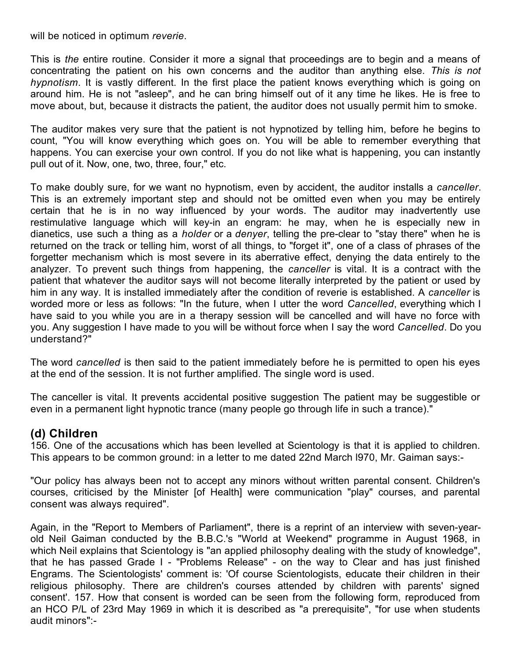will be noticed in optimum *reverie*.

This is *the* entire routine. Consider it more a signal that proceedings are to begin and a means of concentrating the patient on his own concerns and the auditor than anything else. *This is not hypnotism*. It is vastly different. In the first place the patient knows everything which is going on around him. He is not "asleep", and he can bring himself out of it any time he likes. He is free to move about, but, because it distracts the patient, the auditor does not usually permit him to smoke.

The auditor makes very sure that the patient is not hypnotized by telling him, before he begins to count, "You will know everything which goes on. You will be able to remember everything that happens. You can exercise your own control. If you do not like what is happening, you can instantly pull out of it. Now, one, two, three, four," etc.

To make doubly sure, for we want no hypnotism, even by accident, the auditor installs a *canceller*. This is an extremely important step and should not be omitted even when you may be entirely certain that he is in no way influenced by your words. The auditor may inadvertently use restimulative language which will key-in an engram: he may, when he is especially new in dianetics, use such a thing as a *holder* or a *denyer*, telling the pre-clear to "stay there" when he is returned on the track or telling him, worst of all things, to "forget it", one of a class of phrases of the forgetter mechanism which is most severe in its aberrative effect, denying the data entirely to the analyzer. To prevent such things from happening, the *canceller* is vital. It is a contract with the patient that whatever the auditor says will not become literally interpreted by the patient or used by him in any way. It is installed immediately after the condition of reverie is established. A *canceller* is worded more or less as follows: "In the future, when I utter the word *Cancelled*, everything which I have said to you while you are in a therapy session will be cancelled and will have no force with you. Any suggestion I have made to you will be without force when I say the word *Cancelled*. Do you understand?"

The word *cancelled* is then said to the patient immediately before he is permitted to open his eyes at the end of the session. It is not further amplified. The single word is used.

The canceller is vital. It prevents accidental positive suggestion The patient may be suggestible or even in a permanent light hypnotic trance (many people go through life in such a trance)."

## **(d) Children**

156. One of the accusations which has been levelled at Scientology is that it is applied to children. This appears to be common ground: in a letter to me dated 22nd March l970, Mr. Gaiman says:-

"Our policy has always been not to accept any minors without written parental consent. Children's courses, criticised by the Minister [of Health] were communication "play" courses, and parental consent was always required".

Again, in the "Report to Members of Parliament", there is a reprint of an interview with seven-yearold Neil Gaiman conducted by the B.B.C.'s "World at Weekend" programme in August 1968, in which Neil explains that Scientology is "an applied philosophy dealing with the study of knowledge", that he has passed Grade I - "Problems Release" - on the way to Clear and has just finished Engrams. The Scientologists' comment is: 'Of course Scientologists, educate their children in their religious philosophy. There are children's courses attended by children with parents' signed consent'. 157. How that consent is worded can be seen from the following form, reproduced from an HCO P/L of 23rd May 1969 in which it is described as "a prerequisite", "for use when students audit minors":-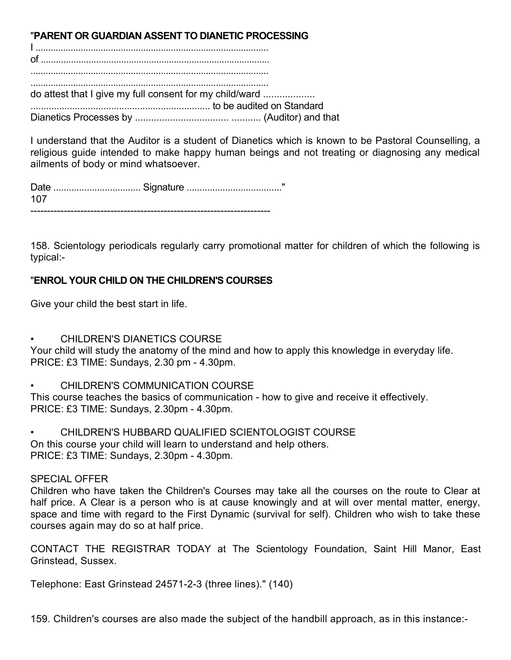"**PARENT OR GUARDIAN ASSENT TO DIANETIC PROCESSING**

I ............................................................................................. of ...........................................................................................

...............................................................................................

...............................................................................................

do attest that I give my full consent for my child/ward ................... ..................................................................... to be audited on Standard Dianetics Processes by ................................... ........... (Auditor) and that

I understand that the Auditor is a student of Dianetics which is known to be Pastoral Counselling, a religious guide intended to make happy human beings and not treating or diagnosing any medical ailments of body or mind whatsoever.

Date .................................. Signature ....................................." 107 ------------------------------------------------------------------------

158. Scientology periodicals regularly carry promotional matter for children of which the following is typical:-

## "**ENROL YOUR CHILD ON THE CHILDREN'S COURSES**

Give your child the best start in life.

• CHILDREN'S DIANETICS COURSE

Your child will study the anatomy of the mind and how to apply this knowledge in everyday life. PRICE: £3 TIME: Sundays, 2.30 pm - 4.30pm.

CHILDREN'S COMMUNICATION COURSE

This course teaches the basics of communication - how to give and receive it effectively. PRICE: £3 TIME: Sundays, 2.30pm - 4.30pm.

• CHILDREN'S HUBBARD QUALIFIED SCIENTOLOGIST COURSE On this course your child will learn to understand and help others. PRICE: £3 TIME: Sundays, 2.30pm - 4.30pm.

#### SPECIAL OFFER

Children who have taken the Children's Courses may take all the courses on the route to Clear at half price. A Clear is a person who is at cause knowingly and at will over mental matter, energy, space and time with regard to the First Dynamic (survival for self). Children who wish to take these courses again may do so at half price.

CONTACT THE REGISTRAR TODAY at The Scientology Foundation, Saint Hill Manor, East Grinstead, Sussex.

Telephone: East Grinstead 24571-2-3 (three lines)." (140)

159. Children's courses are also made the subject of the handbill approach, as in this instance:-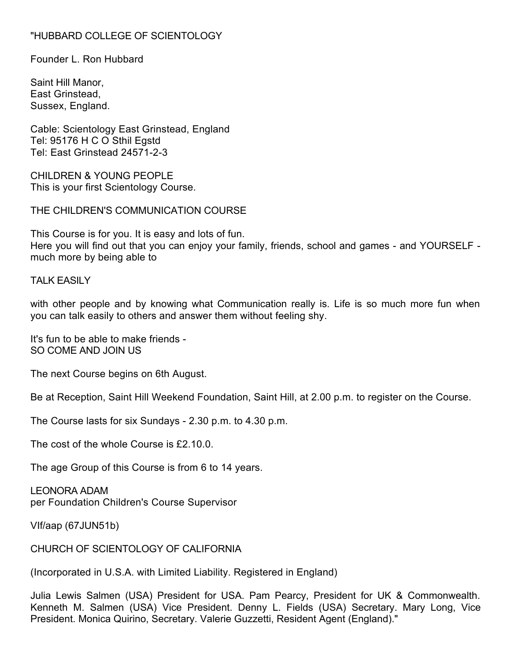## "HUBBARD COLLEGE OF SCIENTOLOGY

Founder L. Ron Hubbard

Saint Hill Manor, East Grinstead, Sussex, England.

Cable: Scientology East Grinstead, England Tel: 95176 H C O Sthil Egstd Tel: East Grinstead 24571-2-3

CHILDREN & YOUNG PEOPLE This is your first Scientology Course.

THE CHILDREN'S COMMUNICATION COURSE

This Course is for you. It is easy and lots of fun. Here you will find out that you can enjoy your family, friends, school and games - and YOURSELF much more by being able to

TALK EASILY

with other people and by knowing what Communication really is. Life is so much more fun when you can talk easily to others and answer them without feeling shy.

It's fun to be able to make friends - SO COME AND JOIN US

The next Course begins on 6th August.

Be at Reception, Saint Hill Weekend Foundation, Saint Hill, at 2.00 p.m. to register on the Course.

The Course lasts for six Sundays - 2.30 p.m. to 4.30 p.m.

The cost of the whole Course is £2.10.0.

The age Group of this Course is from 6 to 14 years.

LEONORA ADAM per Foundation Children's Course Supervisor

VIf/aap (67JUN51b)

CHURCH OF SCIENTOLOGY OF CALIFORNIA

(Incorporated in U.S.A. with Limited Liability. Registered in England)

Julia Lewis Salmen (USA) President for USA. Pam Pearcy, President for UK & Commonwealth. Kenneth M. Salmen (USA) Vice President. Denny L. Fields (USA) Secretary. Mary Long, Vice President. Monica Quirino, Secretary. Valerie Guzzetti, Resident Agent (England)."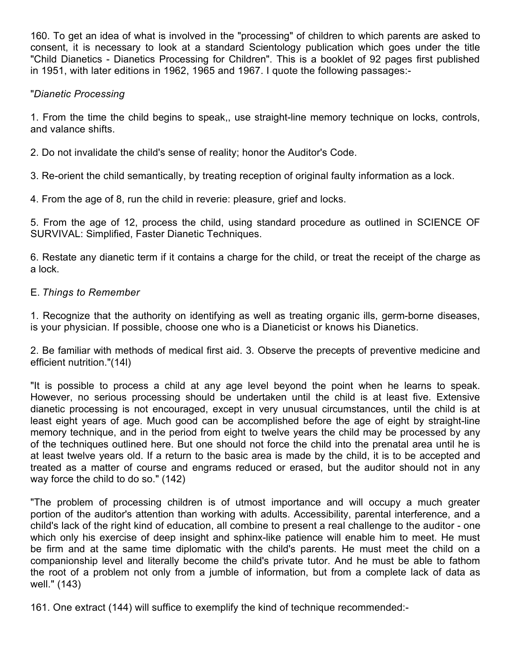160. To get an idea of what is involved in the "processing" of children to which parents are asked to consent, it is necessary to look at a standard Scientology publication which goes under the title "Child Dianetics - Dianetics Processing for Children". This is a booklet of 92 pages first published in 1951, with later editions in 1962, 1965 and 1967. I quote the following passages:-

## "*Dianetic Processing*

1. From the time the child begins to speak,, use straight-line memory technique on locks, controls, and valance shifts.

2. Do not invalidate the child's sense of reality; honor the Auditor's Code.

3. Re-orient the child semantically, by treating reception of original faulty information as a lock.

4. From the age of 8, run the child in reverie: pleasure, grief and locks.

5. From the age of 12, process the child, using standard procedure as outlined in SCIENCE OF SURVIVAL: Simplified, Faster Dianetic Techniques.

6. Restate any dianetic term if it contains a charge for the child, or treat the receipt of the charge as a lock.

## E. *Things to Remember*

1. Recognize that the authority on identifying as well as treating organic ills, germ-borne diseases, is your physician. If possible, choose one who is a Dianeticist or knows his Dianetics.

2. Be familiar with methods of medical first aid. 3. Observe the precepts of preventive medicine and efficient nutrition."(14l)

"It is possible to process a child at any age level beyond the point when he learns to speak. However, no serious processing should be undertaken until the child is at least five. Extensive dianetic processing is not encouraged, except in very unusual circumstances, until the child is at least eight years of age. Much good can be accomplished before the age of eight by straight-line memory technique, and in the period from eight to twelve years the child may be processed by any of the techniques outlined here. But one should not force the child into the prenatal area until he is at least twelve years old. If a return to the basic area is made by the child, it is to be accepted and treated as a matter of course and engrams reduced or erased, but the auditor should not in any way force the child to do so." (142)

"The problem of processing children is of utmost importance and will occupy a much greater portion of the auditor's attention than working with adults. Accessibility, parental interference, and a child's lack of the right kind of education, all combine to present a real challenge to the auditor - one which only his exercise of deep insight and sphinx-like patience will enable him to meet. He must be firm and at the same time diplomatic with the child's parents. He must meet the child on a companionship level and literally become the child's private tutor. And he must be able to fathom the root of a problem not only from a jumble of information, but from a complete lack of data as well." (143)

161. One extract (144) will suffice to exemplify the kind of technique recommended:-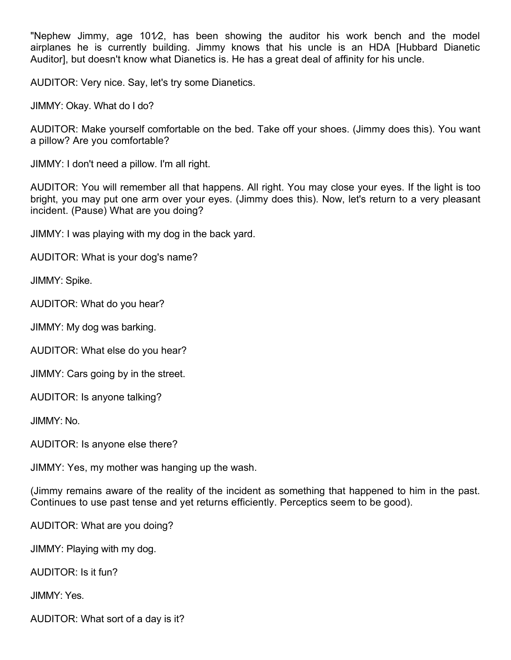"Nephew Jimmy, age 101⁄2, has been showing the auditor his work bench and the model airplanes he is currently building. Jimmy knows that his uncle is an HDA [Hubbard Dianetic Auditor], but doesn't know what Dianetics is. He has a great deal of affinity for his uncle.

AUDITOR: Very nice. Say, let's try some Dianetics.

JIMMY: Okay. What do I do?

AUDITOR: Make yourself comfortable on the bed. Take off your shoes. (Jimmy does this). You want a pillow? Are you comfortable?

JIMMY: I don't need a pillow. I'm all right.

AUDITOR: You will remember all that happens. All right. You may close your eyes. If the light is too bright, you may put one arm over your eyes. (Jimmy does this). Now, let's return to a very pleasant incident. (Pause) What are you doing?

JIMMY: I was playing with my dog in the back yard.

AUDITOR: What is your dog's name?

JIMMY: Spike.

AUDITOR: What do you hear?

JIMMY: My dog was barking.

AUDITOR: What else do you hear?

JIMMY: Cars going by in the street.

AUDITOR: Is anyone talking?

JIMMY: No.

AUDITOR: Is anyone else there?

JIMMY: Yes, my mother was hanging up the wash.

(Jimmy remains aware of the reality of the incident as something that happened to him in the past. Continues to use past tense and yet returns efficiently. Perceptics seem to be good).

AUDITOR: What are you doing?

JIMMY: Playing with my dog.

AUDITOR: Is it fun?

JIMMY: Yes.

AUDITOR: What sort of a day is it?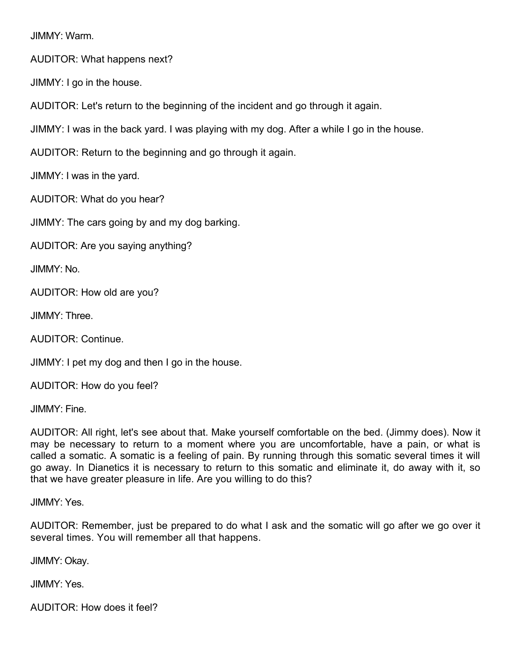JIMMY: Warm.

AUDITOR: What happens next?

JIMMY: I go in the house.

AUDITOR: Let's return to the beginning of the incident and go through it again.

JIMMY: I was in the back yard. I was playing with my dog. After a while I go in the house.

AUDITOR: Return to the beginning and go through it again.

JIMMY: I was in the yard.

AUDITOR: What do you hear?

JIMMY: The cars going by and my dog barking.

AUDITOR: Are you saying anything?

JIMMY: No.

AUDITOR: How old are you?

JIMMY: Three.

AUDITOR: Continue.

JIMMY: I pet my dog and then I go in the house.

AUDITOR: How do you feel?

JIMMY: Fine.

AUDITOR: All right, let's see about that. Make yourself comfortable on the bed. (Jimmy does). Now it may be necessary to return to a moment where you are uncomfortable, have a pain, or what is called a somatic. A somatic is a feeling of pain. By running through this somatic several times it will go away. In Dianetics it is necessary to return to this somatic and eliminate it, do away with it, so that we have greater pleasure in life. Are you willing to do this?

JIMMY: Yes.

AUDITOR: Remember, just be prepared to do what I ask and the somatic will go after we go over it several times. You will remember all that happens.

JIMMY: Okay.

JIMMY: Yes.

AUDITOR: How does it feel?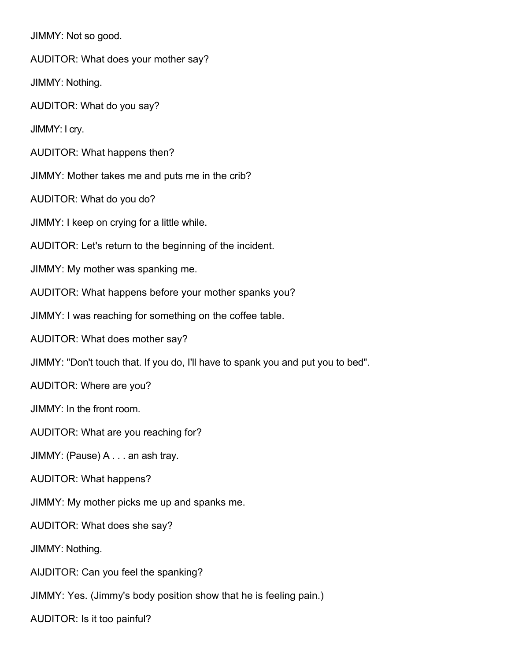JIMMY: Not so good.

AUDITOR: What does your mother say?

JIMMY: Nothing.

AUDITOR: What do you say?

JIMMY: I cry.

AUDITOR: What happens then?

JIMMY: Mother takes me and puts me in the crib?

AUDITOR: What do you do?

JIMMY: I keep on crying for a little while.

AUDITOR: Let's return to the beginning of the incident.

JIMMY: My mother was spanking me.

AUDITOR: What happens before your mother spanks you?

JIMMY: I was reaching for something on the coffee table.

AUDITOR: What does mother say?

JIMMY: "Don't touch that. If you do, I'll have to spank you and put you to bed".

AUDITOR: Where are you?

JIMMY: In the front room.

AUDITOR: What are you reaching for?

JIMMY: (Pause) A . . . an ash tray.

AUDITOR: What happens?

JIMMY: My mother picks me up and spanks me.

AUDITOR: What does she say?

JIMMY: Nothing.

AIJDITOR: Can you feel the spanking?

JIMMY: Yes. (Jimmy's body position show that he is feeling pain.)

AUDITOR: Is it too painful?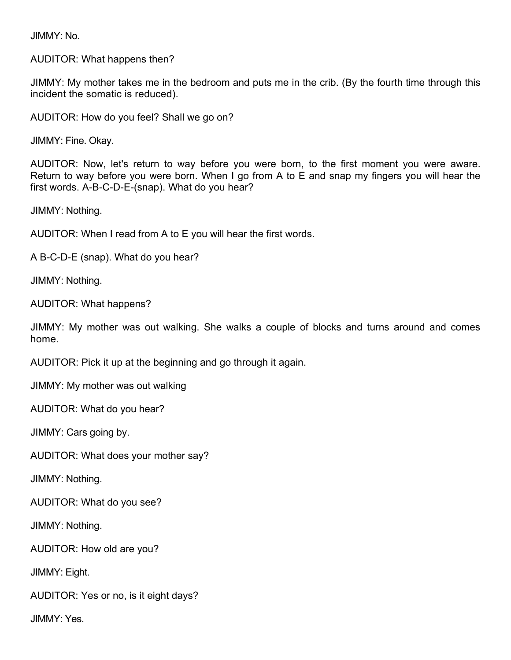JIMMY: No.

AUDITOR: What happens then?

JIMMY: My mother takes me in the bedroom and puts me in the crib. (By the fourth time through this incident the somatic is reduced).

AUDITOR: How do you feel? Shall we go on?

JIMMY: Fine. Okay.

AUDITOR: Now, let's return to way before you were born, to the first moment you were aware. Return to way before you were born. When I go from A to E and snap my fingers you will hear the first words. A-B-C-D-E-(snap). What do you hear?

JIMMY: Nothing.

AUDITOR: When I read from A to E you will hear the first words.

A B-C-D-E (snap). What do you hear?

JIMMY: Nothing.

AUDITOR: What happens?

JIMMY: My mother was out walking. She walks a couple of blocks and turns around and comes home.

AUDITOR: Pick it up at the beginning and go through it again.

JIMMY: My mother was out walking

AUDITOR: What do you hear?

JIMMY: Cars going by.

AUDITOR: What does your mother say?

JIMMY: Nothing.

AUDITOR: What do you see?

JIMMY: Nothing.

AUDITOR: How old are you?

JIMMY: Eight.

AUDITOR: Yes or no, is it eight days?

JIMMY: Yes.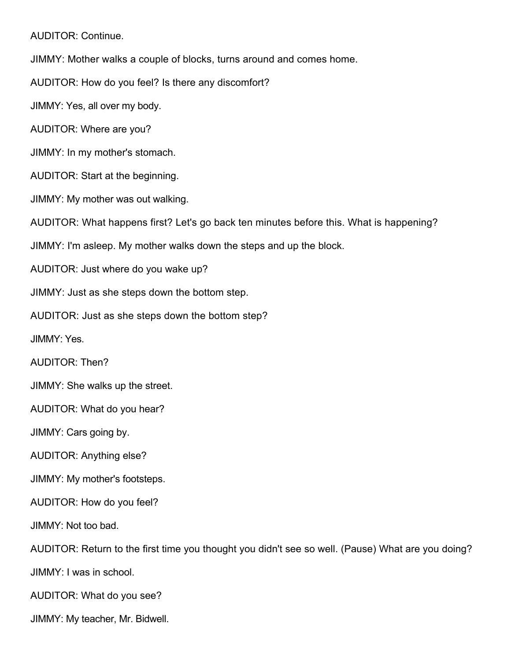AUDITOR: Continue. JIMMY: Mother walks a couple of blocks, turns around and comes home. AUDITOR: How do you feel? Is there any discomfort? JIMMY: Yes, all over my body. AUDITOR: Where are you? JIMMY: In my mother's stomach. AUDITOR: Start at the beginning. JIMMY: My mother was out walking. AUDITOR: What happens first? Let's go back ten minutes before this. What is happening? JIMMY: I'm asleep. My mother walks down the steps and up the block. AUDITOR: Just where do you wake up? JIMMY: Just as she steps down the bottom step. AUDITOR: Just as she steps down the bottom step? JIMMY: Yes. AUDITOR: Then? JIMMY: She walks up the street. AUDITOR: What do you hear? JIMMY: Cars going by. AUDITOR: Anything else? JIMMY: My mother's footsteps. AUDITOR: How do you feel? JIMMY: Not too bad. AUDITOR: Return to the first time you thought you didn't see so well. (Pause) What are you doing? JIMMY: I was in school. AUDITOR: What do you see?

JIMMY: My teacher, Mr. Bidwell.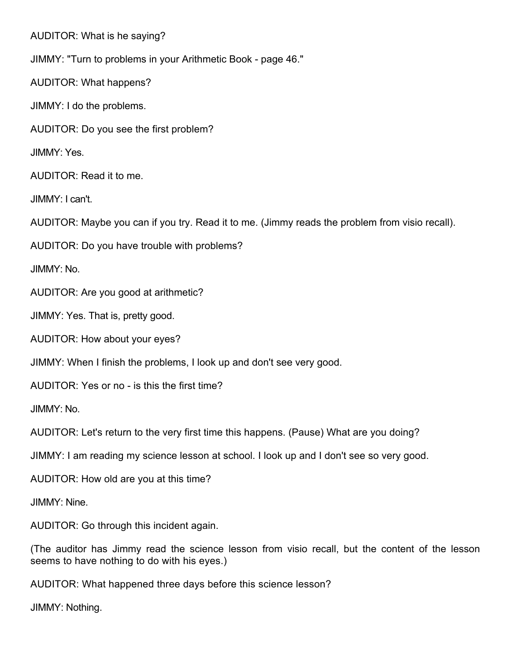AUDITOR: What is he saying?

JIMMY: "Turn to problems in your Arithmetic Book - page 46."

AUDITOR: What happens?

JIMMY: I do the problems.

AUDITOR: Do you see the first problem?

JIMMY: Yes.

AUDITOR: Read it to me.

JIMMY: I can't.

AUDITOR: Maybe you can if you try. Read it to me. (Jimmy reads the problem from visio recall).

AUDITOR: Do you have trouble with problems?

JIMMY: No.

AUDITOR: Are you good at arithmetic?

JIMMY: Yes. That is, pretty good.

AUDITOR: How about your eyes?

JIMMY: When I finish the problems, I look up and don't see very good.

AUDITOR: Yes or no - is this the first time?

JIMMY: No.

AUDITOR: Let's return to the very first time this happens. (Pause) What are you doing?

JIMMY: I am reading my science lesson at school. I look up and I don't see so very good.

AUDITOR: How old are you at this time?

JIMMY: Nine.

AUDITOR: Go through this incident again.

(The auditor has Jimmy read the science lesson from visio recall, but the content of the lesson seems to have nothing to do with his eyes.)

AUDITOR: What happened three days before this science lesson?

JIMMY: Nothing.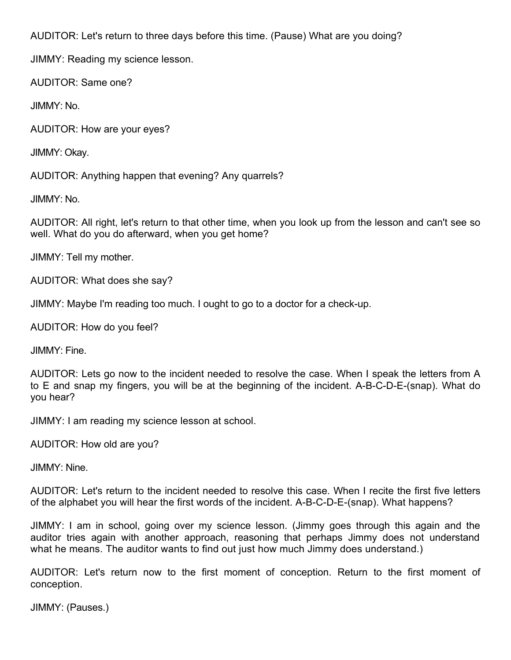AUDITOR: Let's return to three days before this time. (Pause) What are you doing?

JIMMY: Reading my science lesson.

AUDITOR: Same one?

JIMMY: No.

AUDITOR: How are your eyes?

JIMMY: Okay.

AUDITOR: Anything happen that evening? Any quarrels?

JIMMY: No.

AUDITOR: All right, let's return to that other time, when you look up from the lesson and can't see so well. What do you do afterward, when you get home?

JIMMY: Tell my mother.

AUDITOR: What does she say?

JIMMY: Maybe I'm reading too much. I ought to go to a doctor for a check-up.

AUDITOR: How do you feel?

JIMMY: Fine.

AUDITOR: Lets go now to the incident needed to resolve the case. When I speak the letters from A to E and snap my fingers, you will be at the beginning of the incident. A-B-C-D-E-(snap). What do you hear?

JIMMY: I am reading my science lesson at school.

AUDITOR: How old are you?

JIMMY: Nine.

AUDITOR: Let's return to the incident needed to resolve this case. When I recite the first five letters of the alphabet you will hear the first words of the incident. A-B-C-D-E-(snap). What happens?

JIMMY: I am in school, going over my science lesson. (Jimmy goes through this again and the auditor tries again with another approach, reasoning that perhaps Jimmy does not understand what he means. The auditor wants to find out just how much Jimmy does understand.)

AUDITOR: Let's return now to the first moment of conception. Return to the first moment of conception.

JIMMY: (Pauses.)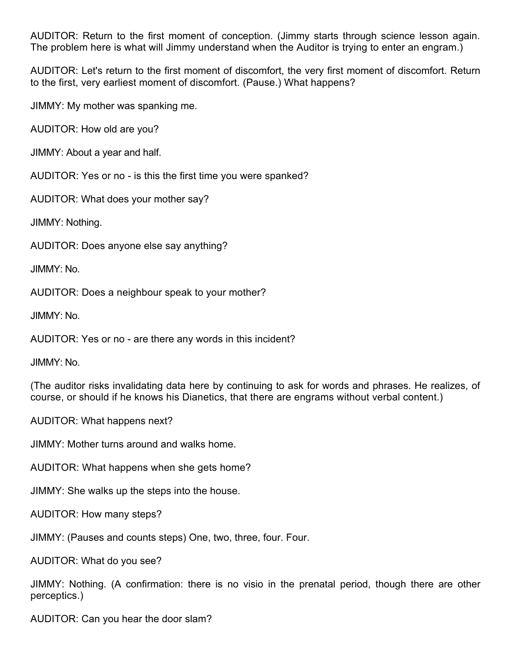AUDITOR: Return to the first moment of conception. (Jimmy starts through science lesson again. The problem here is what will Jimmy understand when the Auditor is trying to enter an engram.)

AUDITOR: Let's return to the first moment of discomfort, the very first moment of discomfort. Return to the first, very earliest moment of discomfort. (Pause.) What happens?

JIMMY: My mother was spanking me.

AUDITOR: How old are you?

JIMMY: About a year and half.

AUDITOR: Yes or no - is this the first time you were spanked?

AUDITOR: What does your mother say?

JIMMY: Nothing.

AUDITOR: Does anyone else say anything?

JIMMY: No.

AUDITOR: Does a neighbour speak to your mother?

JIMMY: No.

AUDITOR: Yes or no - are there any words in this incident?

JIMMY: No.

(The auditor risks invalidating data here by continuing to ask for words and phrases. He realizes, of course, or should if he knows his Dianetics, that there are engrams without verbal content.)

AUDITOR: What happens next?

JIMMY: Mother turns around and walks home.

AUDITOR: What happens when she gets home?

JIMMY: She walks up the steps into the house.

AUDITOR: How many steps?

JIMMY: (Pauses and counts steps) One, two, three, four. Four.

AUDITOR: What do you see?

JIMMY: Nothing. (A confirmation: there is no visio in the prenatal period, though there are other perceptics.)

AUDITOR: Can you hear the door slam?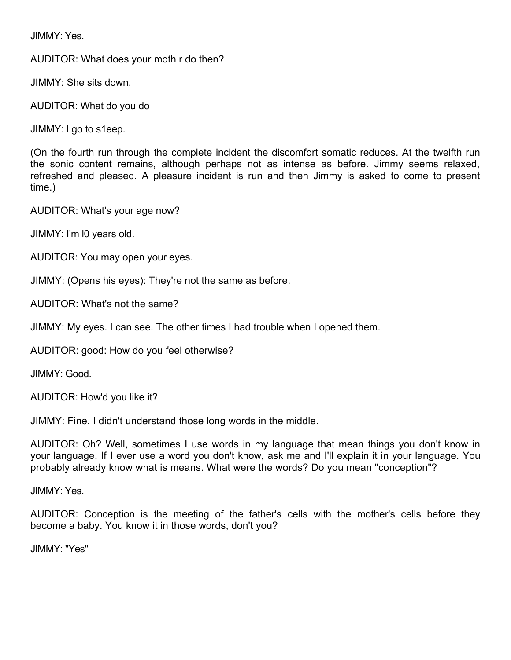JIMMY: Yes.

AUDITOR: What does your moth r do then?

JIMMY: She sits down.

AUDITOR: What do you do

JIMMY: I go to s1eep.

(On the fourth run through the complete incident the discomfort somatic reduces. At the twelfth run the sonic content remains, although perhaps not as intense as before. Jimmy seems relaxed, refreshed and pleased. A pleasure incident is run and then Jimmy is asked to come to present time.)

AUDITOR: What's your age now?

JIMMY: I'm l0 years old.

AUDITOR: You may open your eyes.

JIMMY: (Opens his eyes): They're not the same as before.

AUDITOR: What's not the same?

JIMMY: My eyes. I can see. The other times I had trouble when I opened them.

AUDITOR: good: How do you feel otherwise?

JIMMY: Good.

AUDITOR: How'd you like it?

JIMMY: Fine. I didn't understand those long words in the middle.

AUDITOR: Oh? Well, sometimes I use words in my language that mean things you don't know in your language. If I ever use a word you don't know, ask me and I'll explain it in your language. You probably already know what is means. What were the words? Do you mean "conception"?

JIMMY: Yes.

AUDITOR: Conception is the meeting of the father's cells with the mother's cells before they become a baby. You know it in those words, don't you?

JIMMY: "Yes"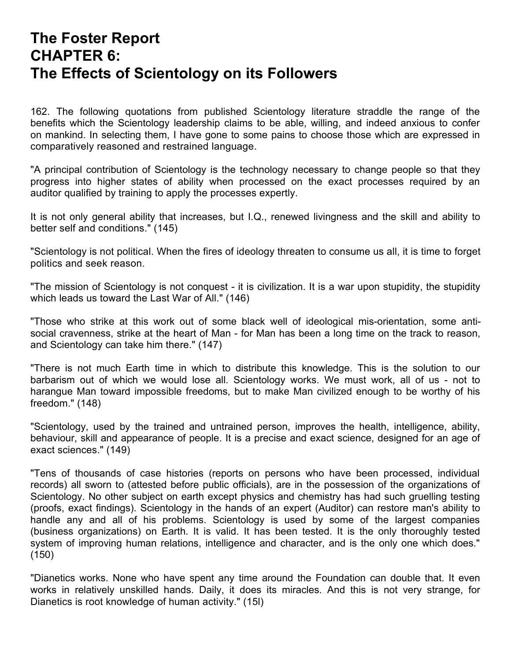# **The Foster Report CHAPTER 6: The Effects of Scientology on its Followers**

162. The following quotations from published Scientology literature straddle the range of the benefits which the Scientology leadership claims to be able, willing, and indeed anxious to confer on mankind. In selecting them, I have gone to some pains to choose those which are expressed in comparatively reasoned and restrained language.

"A principal contribution of Scientology is the technology necessary to change people so that they progress into higher states of ability when processed on the exact processes required by an auditor qualified by training to apply the processes expertly.

It is not only general ability that increases, but I.Q., renewed livingness and the skill and ability to better self and conditions." (145)

"Scientology is not political. When the fires of ideology threaten to consume us all, it is time to forget politics and seek reason.

"The mission of Scientology is not conquest - it is civilization. It is a war upon stupidity, the stupidity which leads us toward the Last War of All." (146)

"Those who strike at this work out of some black well of ideological mis-orientation, some antisocial cravenness, strike at the heart of Man - for Man has been a long time on the track to reason, and Scientology can take him there." (147)

"There is not much Earth time in which to distribute this knowledge. This is the solution to our barbarism out of which we would lose all. Scientology works. We must work, all of us - not to harangue Man toward impossible freedoms, but to make Man civilized enough to be worthy of his freedom." (148)

"Scientology, used by the trained and untrained person, improves the health, intelligence, ability, behaviour, skill and appearance of people. It is a precise and exact science, designed for an age of exact sciences." (149)

"Tens of thousands of case histories (reports on persons who have been processed, individual records) all sworn to (attested before public officials), are in the possession of the organizations of Scientology. No other subject on earth except physics and chemistry has had such gruelling testing (proofs, exact findings). Scientology in the hands of an expert (Auditor) can restore man's ability to handle any and all of his problems. Scientology is used by some of the largest companies (business organizations) on Earth. It is valid. It has been tested. It is the only thoroughly tested system of improving human relations, intelligence and character, and is the only one which does." (150)

"Dianetics works. None who have spent any time around the Foundation can double that. It even works in relatively unskilled hands. Daily, it does its miracles. And this is not very strange, for Dianetics is root knowledge of human activity." (15l)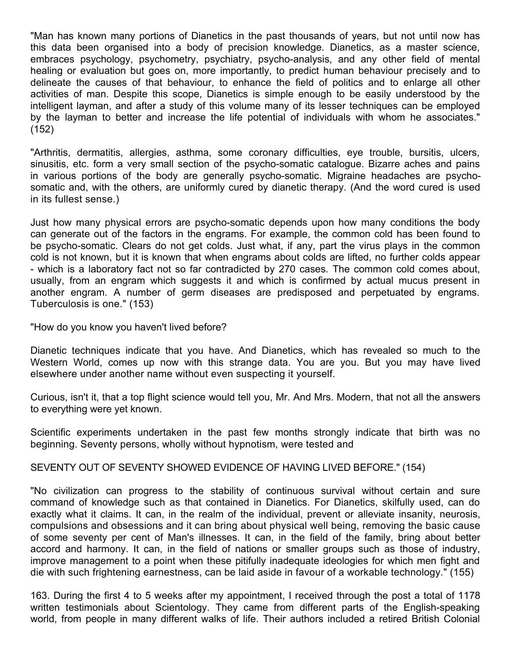"Man has known many portions of Dianetics in the past thousands of years, but not until now has this data been organised into a body of precision knowledge. Dianetics, as a master science, embraces psychology, psychometry, psychiatry, psycho-analysis, and any other field of mental healing or evaluation but goes on, more importantly, to predict human behaviour precisely and to delineate the causes of that behaviour, to enhance the field of politics and to enlarge all other activities of man. Despite this scope, Dianetics is simple enough to be easily understood by the intelligent layman, and after a study of this volume many of its lesser techniques can be employed by the layman to better and increase the life potential of individuals with whom he associates." (152)

"Arthritis, dermatitis, allergies, asthma, some coronary difficulties, eye trouble, bursitis, ulcers, sinusitis, etc. form a very small section of the psycho-somatic catalogue. Bizarre aches and pains in various portions of the body are generally psycho-somatic. Migraine headaches are psychosomatic and, with the others, are uniformly cured by dianetic therapy. (And the word cured is used in its fullest sense.)

Just how many physical errors are psycho-somatic depends upon how many conditions the body can generate out of the factors in the engrams. For example, the common cold has been found to be psycho-somatic. Clears do not get colds. Just what, if any, part the virus plays in the common cold is not known, but it is known that when engrams about colds are lifted, no further colds appear - which is a laboratory fact not so far contradicted by 270 cases. The common cold comes about, usually, from an engram which suggests it and which is confirmed by actual mucus present in another engram. A number of germ diseases are predisposed and perpetuated by engrams. Tuberculosis is one." (153)

"How do you know you haven't lived before?

Dianetic techniques indicate that you have. And Dianetics, which has revealed so much to the Western World, comes up now with this strange data. You are you. But you may have lived elsewhere under another name without even suspecting it yourself.

Curious, isn't it, that a top flight science would tell you, Mr. And Mrs. Modern, that not all the answers to everything were yet known.

Scientific experiments undertaken in the past few months strongly indicate that birth was no beginning. Seventy persons, wholly without hypnotism, were tested and

SEVENTY OUT OF SEVENTY SHOWED EVIDENCE OF HAVING LIVED BEFORE." (154)

"No civilization can progress to the stability of continuous survival without certain and sure command of knowledge such as that contained in Dianetics. For Dianetics, skilfully used, can do exactly what it claims. It can, in the realm of the individual, prevent or alleviate insanity, neurosis, compulsions and obsessions and it can bring about physical well being, removing the basic cause of some seventy per cent of Man's illnesses. It can, in the field of the family, bring about better accord and harmony. It can, in the field of nations or smaller groups such as those of industry, improve management to a point when these pitifully inadequate ideologies for which men fight and die with such frightening earnestness, can be laid aside in favour of a workable technology." (155)

163. During the first 4 to 5 weeks after my appointment, I received through the post a total of 1178 written testimonials about Scientology. They came from different parts of the English-speaking world, from people in many different walks of life. Their authors included a retired British Colonial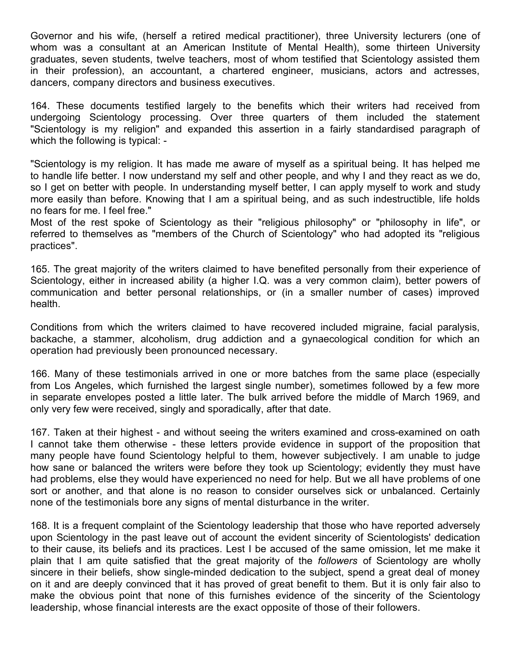Governor and his wife, (herself a retired medical practitioner), three University lecturers (one of whom was a consultant at an American Institute of Mental Health), some thirteen University graduates, seven students, twelve teachers, most of whom testified that Scientology assisted them in their profession), an accountant, a chartered engineer, musicians, actors and actresses, dancers, company directors and business executives.

164. These documents testified largely to the benefits which their writers had received from undergoing Scientology processing. Over three quarters of them included the statement "Scientology is my religion" and expanded this assertion in a fairly standardised paragraph of which the following is typical: -

"Scientology is my religion. It has made me aware of myself as a spiritual being. It has helped me to handle life better. I now understand my self and other people, and why I and they react as we do, so I get on better with people. In understanding myself better, I can apply myself to work and study more easily than before. Knowing that I am a spiritual being, and as such indestructible, life holds no fears for me. I feel free."

Most of the rest spoke of Scientology as their "religious philosophy" or "philosophy in life", or referred to themselves as "members of the Church of Scientology" who had adopted its "religious practices".

165. The great majority of the writers claimed to have benefited personally from their experience of Scientology, either in increased ability (a higher I.Q. was a very common claim), better powers of communication and better personal relationships, or (in a smaller number of cases) improved health.

Conditions from which the writers claimed to have recovered included migraine, facial paralysis, backache, a stammer, alcoholism, drug addiction and a gynaecological condition for which an operation had previously been pronounced necessary.

166. Many of these testimonials arrived in one or more batches from the same place (especially from Los Angeles, which furnished the largest single number), sometimes followed by a few more in separate envelopes posted a little later. The bulk arrived before the middle of March 1969, and only very few were received, singly and sporadically, after that date.

167. Taken at their highest - and without seeing the writers examined and cross-examined on oath I cannot take them otherwise - these letters provide evidence in support of the proposition that many people have found Scientology helpful to them, however subjectively. I am unable to judge how sane or balanced the writers were before they took up Scientology; evidently they must have had problems, else they would have experienced no need for help. But we all have problems of one sort or another, and that alone is no reason to consider ourselves sick or unbalanced. Certainly none of the testimonials bore any signs of mental disturbance in the writer.

168. It is a frequent complaint of the Scientology leadership that those who have reported adversely upon Scientology in the past leave out of account the evident sincerity of Scientologists' dedication to their cause, its beliefs and its practices. Lest I be accused of the same omission, let me make it plain that I am quite satisfied that the great majority of the *followers* of Scientology are wholly sincere in their beliefs, show single-minded dedication to the subject, spend a great deal of money on it and are deeply convinced that it has proved of great benefit to them. But it is only fair also to make the obvious point that none of this furnishes evidence of the sincerity of the Scientology leadership, whose financial interests are the exact opposite of those of their followers.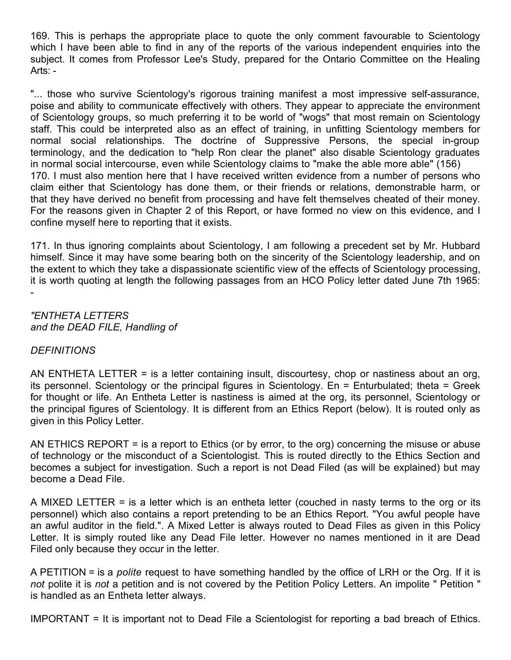169. This is perhaps the appropriate place to quote the only comment favourable to Scientology which I have been able to find in any of the reports of the various independent enquiries into the subject. It comes from Professor Lee's Study, prepared for the Ontario Committee on the Healing Arts: -

"... those who survive Scientology's rigorous training manifest a most impressive self-assurance, poise and ability to communicate effectively with others. They appear to appreciate the environment of Scientology groups, so much preferring it to be world of "wogs" that most remain on Scientology staff. This could be interpreted also as an effect of training, in unfitting Scientology members for normal social relationships. The doctrine of Suppressive Persons, the special in-group terminology, and the dedication to "help Ron clear the planet" also disable Scientology graduates in normal social intercourse, even while Scientology claims to "make the able more able" (156) 170. I must also mention here that I have received written evidence from a number of persons who claim either that Scientology has done them, or their friends or relations, demonstrable harm, or that they have derived no benefit from processing and have felt themselves cheated of their money. For the reasons given in Chapter 2 of this Report, or have formed no view on this evidence, and I confine myself here to reporting that it exists.

171. In thus ignoring complaints about Scientology, I am following a precedent set by Mr. Hubbard himself. Since it may have some bearing both on the sincerity of the Scientology leadership, and on the extent to which they take a dispassionate scientific view of the effects of Scientology processing, it is worth quoting at length the following passages from an HCO Policy letter dated June 7th 1965: -

*"ENTHETA LETTERS and the DEAD FILE, Handling of* 

## *DEFINITIONS*

AN ENTHETA LETTER = is a letter containing insult, discourtesy, chop or nastiness about an org, its personnel. Scientology or the principal figures in Scientology. En = Enturbulated; theta = Greek for thought or life. An Entheta Letter is nastiness is aimed at the org, its personnel, Scientology or the principal figures of Scientology. It is different from an Ethics Report (below). It is routed only as given in this Policy Letter.

AN ETHICS REPORT = is a report to Ethics (or by error, to the org) concerning the misuse or abuse of technology or the misconduct of a Scientologist. This is routed directly to the Ethics Section and becomes a subject for investigation. Such a report is not Dead Filed (as will be explained) but may become a Dead File.

A MIXED LETTER = is a letter which is an entheta letter (couched in nasty terms to the org or its personnel) which also contains a report pretending to be an Ethics Report. "You awful people have an awful auditor in the field.". A Mixed Letter is always routed to Dead Files as given in this Policy Letter. It is simply routed like any Dead File letter. However no names mentioned in it are Dead Filed only because they occur in the letter.

A PETITION = is a *polite* request to have something handled by the office of LRH or the Org. If it is *not* polite it is *not* a petition and is not covered by the Petition Policy Letters. An impolite " Petition " is handled as an Entheta letter always.

IMPORTANT = It is important not to Dead File a Scientologist for reporting a bad breach of Ethics.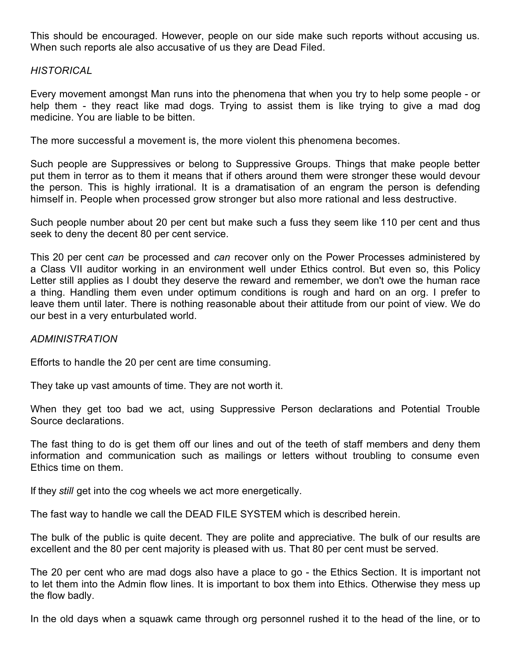This should be encouraged. However, people on our side make such reports without accusing us. When such reports ale also accusative of us they are Dead Filed.

#### *HISTORICAL*

Every movement amongst Man runs into the phenomena that when you try to help some people - or help them - they react like mad dogs. Trying to assist them is like trying to give a mad dog medicine. You are liable to be bitten.

The more successful a movement is, the more violent this phenomena becomes.

Such people are Suppressives or belong to Suppressive Groups. Things that make people better put them in terror as to them it means that if others around them were stronger these would devour the person. This is highly irrational. It is a dramatisation of an engram the person is defending himself in. People when processed grow stronger but also more rational and less destructive.

Such people number about 20 per cent but make such a fuss they seem like 110 per cent and thus seek to deny the decent 80 per cent service.

This 20 per cent *can* be processed and *can* recover only on the Power Processes administered by a Class VII auditor working in an environment well under Ethics control. But even so, this Policy Letter still applies as I doubt they deserve the reward and remember, we don't owe the human race a thing. Handling them even under optimum conditions is rough and hard on an org. I prefer to leave them until later. There is nothing reasonable about their attitude from our point of view. We do our best in a very enturbulated world.

#### *ADMINISTRATION*

Efforts to handle the 20 per cent are time consuming.

They take up vast amounts of time. They are not worth it.

When they get too bad we act, using Suppressive Person declarations and Potential Trouble Source declarations.

The fast thing to do is get them off our lines and out of the teeth of staff members and deny them information and communication such as mailings or letters without troubling to consume even Ethics time on them.

If they *still* get into the cog wheels we act more energetically.

The fast way to handle we call the DEAD FILE SYSTEM which is described herein.

The bulk of the public is quite decent. They are polite and appreciative. The bulk of our results are excellent and the 80 per cent majority is pleased with us. That 80 per cent must be served.

The 20 per cent who are mad dogs also have a place to go - the Ethics Section. It is important not to let them into the Admin flow lines. It is important to box them into Ethics. Otherwise they mess up the flow badly.

In the old days when a squawk came through org personnel rushed it to the head of the line, or to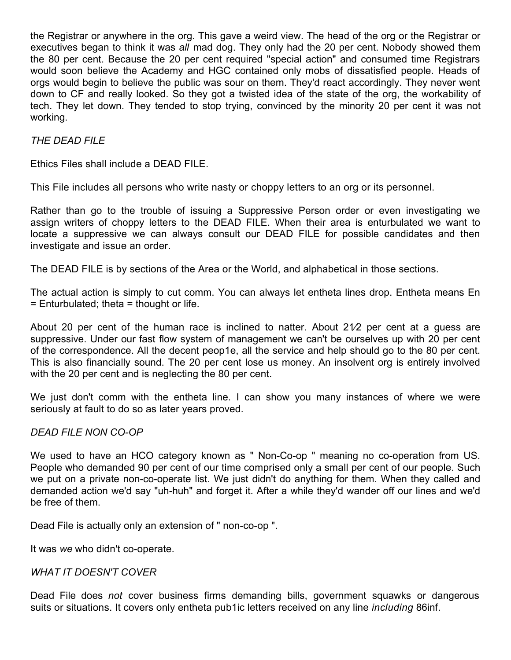the Registrar or anywhere in the org. This gave a weird view. The head of the org or the Registrar or executives began to think it was *all* mad dog. They only had the 20 per cent. Nobody showed them the 80 per cent. Because the 20 per cent required "special action" and consumed time Registrars would soon believe the Academy and HGC contained only mobs of dissatisfied people. Heads of orgs would begin to believe the public was sour on them. They'd react accordingly. They never went down to CF and really looked. So they got a twisted idea of the state of the org, the workability of tech. They let down. They tended to stop trying, convinced by the minority 20 per cent it was not working.

# *THE DEAD FILE*

Ethics Files shall include a DEAD FILE.

This File includes all persons who write nasty or choppy letters to an org or its personnel.

Rather than go to the trouble of issuing a Suppressive Person order or even investigating we assign writers of choppy letters to the DEAD FILE. When their area is enturbulated we want to locate a suppressive we can always consult our DEAD FILE for possible candidates and then investigate and issue an order.

The DEAD FILE is by sections of the Area or the World, and alphabetical in those sections.

The actual action is simply to cut comm. You can always let entheta lines drop. Entheta means En = Enturbulated; theta = thought or life.

About 20 per cent of the human race is inclined to natter. About  $2\sqrt{2}$  per cent at a quess are suppressive. Under our fast flow system of management we can't be ourselves up with 20 per cent of the correspondence. All the decent peop1e, all the service and help should go to the 80 per cent. This is also financially sound. The 20 per cent lose us money. An insolvent org is entirely involved with the 20 per cent and is neglecting the 80 per cent.

We just don't comm with the entheta line. I can show you many instances of where we were seriously at fault to do so as later years proved.

# *DEAD FILE NON CO-OP*

We used to have an HCO category known as " Non-Co-op " meaning no co-operation from US. People who demanded 90 per cent of our time comprised only a small per cent of our people. Such we put on a private non-co-operate list. We just didn't do anything for them. When they called and demanded action we'd say "uh-huh" and forget it. After a while they'd wander off our lines and we'd be free of them.

Dead File is actually only an extension of " non-co-op ".

It was *we* who didn't co-operate.

# *WHAT IT DOESN'T COVER*

Dead File does *not* cover business firms demanding bills, government squawks or dangerous suits or situations. It covers only entheta pub1ic letters received on any line *including* 86inf.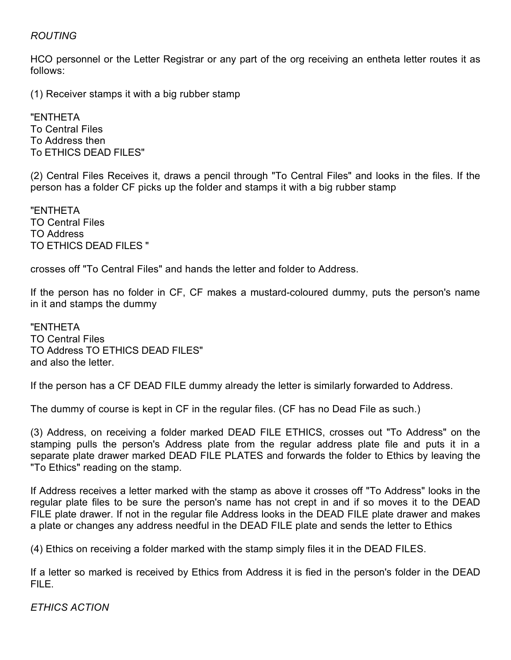# *ROUTING*

HCO personnel or the Letter Registrar or any part of the org receiving an entheta letter routes it as follows:

(1) Receiver stamps it with a big rubber stamp

"ENTHETA To Central Files To Address then To ETHICS DEAD FILES"

(2) Central Files Receives it, draws a pencil through "To Central Files" and looks in the files. If the person has a folder CF picks up the folder and stamps it with a big rubber stamp

"ENTHETA TO Central Files TO Address TO ETHICS DEAD FILES "

crosses off "To Central Files" and hands the letter and folder to Address.

If the person has no folder in CF, CF makes a mustard-coloured dummy, puts the person's name in it and stamps the dummy

"ENTHETA TO Central Files TO Address TO ETHICS DEAD FILES" and also the letter.

If the person has a CF DEAD FILE dummy already the letter is similarly forwarded to Address.

The dummy of course is kept in CF in the regular files. (CF has no Dead File as such.)

(3) Address, on receiving a folder marked DEAD FILE ETHICS, crosses out "To Address" on the stamping pulls the person's Address plate from the regular address plate file and puts it in a separate plate drawer marked DEAD FILE PLATES and forwards the folder to Ethics by leaving the "To Ethics" reading on the stamp.

If Address receives a letter marked with the stamp as above it crosses off "To Address" looks in the regular plate files to be sure the person's name has not crept in and if so moves it to the DEAD FILE plate drawer. If not in the regular file Address looks in the DEAD FILE plate drawer and makes a plate or changes any address needful in the DEAD FILE plate and sends the letter to Ethics

(4) Ethics on receiving a folder marked with the stamp simply files it in the DEAD FILES.

If a letter so marked is received by Ethics from Address it is fied in the person's folder in the DEAD FILE.

*ETHICS ACTION*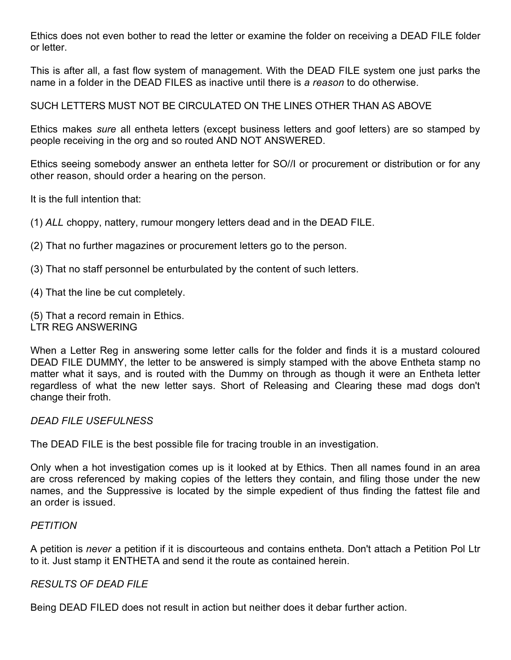Ethics does not even bother to read the letter or examine the folder on receiving a DEAD FILE folder or letter.

This is after all, a fast flow system of management. With the DEAD FILE system one just parks the name in a folder in the DEAD FILES as inactive until there is *a reason* to do otherwise.

SUCH LETTERS MUST NOT BE CIRCULATED ON THE LINES OTHER THAN AS ABOVE

Ethics makes *sure* all entheta letters (except business letters and goof letters) are so stamped by people receiving in the org and so routed AND NOT ANSWERED.

Ethics seeing somebody answer an entheta letter for SO//I or procurement or distribution or for any other reason, should order a hearing on the person.

It is the full intention that:

(1) *ALL* choppy, nattery, rumour mongery letters dead and in the DEAD FILE.

(2) That no further magazines or procurement letters go to the person.

(3) That no staff personnel be enturbulated by the content of such letters.

(4) That the line be cut completely.

(5) That a record remain in Ethics. LTR REG ANSWERING

When a Letter Reg in answering some letter calls for the folder and finds it is a mustard coloured DEAD FILE DUMMY, the letter to be answered is simply stamped with the above Entheta stamp no matter what it says, and is routed with the Dummy on through as though it were an Entheta letter regardless of what the new letter says. Short of Releasing and Clearing these mad dogs don't change their froth.

# *DEAD FILE USEFULNESS*

The DEAD FILE is the best possible file for tracing trouble in an investigation.

Only when a hot investigation comes up is it looked at by Ethics. Then all names found in an area are cross referenced by making copies of the letters they contain, and filing those under the new names, and the Suppressive is located by the simple expedient of thus finding the fattest file and an order is issued.

# *PETITION*

A petition is *never* a petition if it is discourteous and contains entheta. Don't attach a Petition Pol Ltr to it. Just stamp it ENTHETA and send it the route as contained herein.

# *RESULTS OF DEAD FILE*

Being DEAD FILED does not result in action but neither does it debar further action.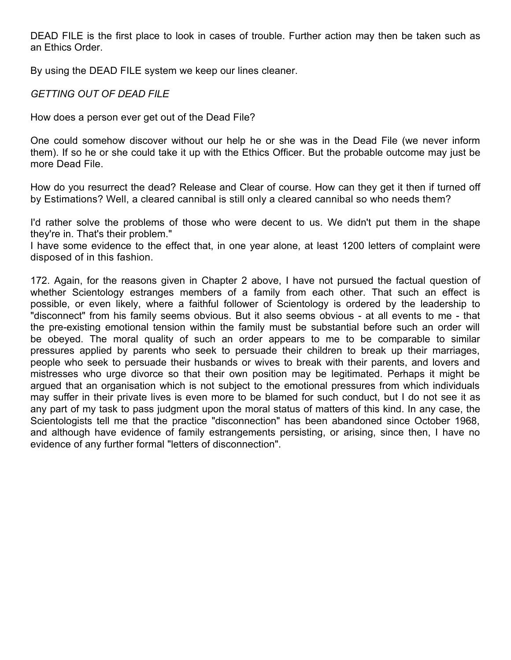DEAD FILE is the first place to look in cases of trouble. Further action may then be taken such as an Ethics Order.

By using the DEAD FILE system we keep our lines cleaner.

*GETTING OUT OF DEAD FILE*

How does a person ever get out of the Dead File?

One could somehow discover without our help he or she was in the Dead File (we never inform them). If so he or she could take it up with the Ethics Officer. But the probable outcome may just be more Dead File.

How do you resurrect the dead? Release and Clear of course. How can they get it then if turned off by Estimations? Well, a cleared cannibal is still only a cleared cannibal so who needs them?

I'd rather solve the problems of those who were decent to us. We didn't put them in the shape they're in. That's their problem."

I have some evidence to the effect that, in one year alone, at least 1200 letters of complaint were disposed of in this fashion.

172. Again, for the reasons given in Chapter 2 above, I have not pursued the factual question of whether Scientology estranges members of a family from each other. That such an effect is possible, or even likely, where a faithful follower of Scientology is ordered by the leadership to "disconnect" from his family seems obvious. But it also seems obvious - at all events to me - that the pre-existing emotional tension within the family must be substantial before such an order will be obeyed. The moral quality of such an order appears to me to be comparable to similar pressures applied by parents who seek to persuade their children to break up their marriages, people who seek to persuade their husbands or wives to break with their parents, and lovers and mistresses who urge divorce so that their own position may be legitimated. Perhaps it might be argued that an organisation which is not subject to the emotional pressures from which individuals may suffer in their private lives is even more to be blamed for such conduct, but I do not see it as any part of my task to pass judgment upon the moral status of matters of this kind. In any case, the Scientologists tell me that the practice "disconnection" has been abandoned since October 1968, and although have evidence of family estrangements persisting, or arising, since then, I have no evidence of any further formal "letters of disconnection".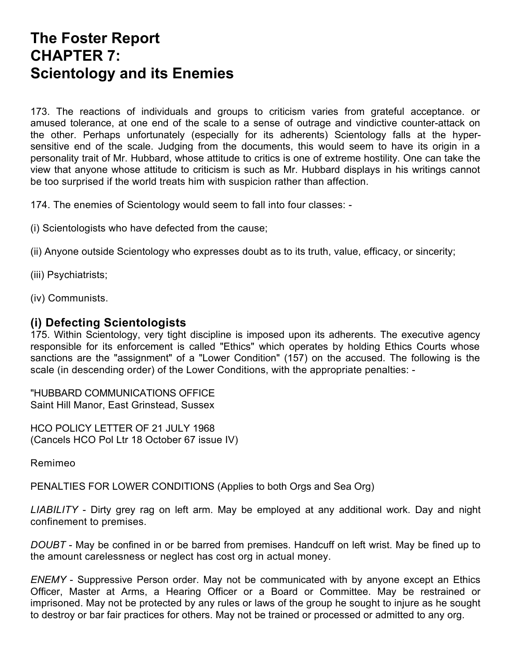# **The Foster Report CHAPTER 7: Scientology and its Enemies**

173. The reactions of individuals and groups to criticism varies from grateful acceptance. or amused tolerance, at one end of the scale to a sense of outrage and vindictive counter-attack on the other. Perhaps unfortunately (especially for its adherents) Scientology falls at the hypersensitive end of the scale. Judging from the documents, this would seem to have its origin in a personality trait of Mr. Hubbard, whose attitude to critics is one of extreme hostility. One can take the view that anyone whose attitude to criticism is such as Mr. Hubbard displays in his writings cannot be too surprised if the world treats him with suspicion rather than affection.

174. The enemies of Scientology would seem to fall into four classes: -

(i) Scientologists who have defected from the cause;

(ii) Anyone outside Scientology who expresses doubt as to its truth, value, efficacy, or sincerity;

(iii) Psychiatrists;

(iv) Communists.

# **(i) Defecting Scientologists**

175. Within Scientology, very tight discipline is imposed upon its adherents. The executive agency responsible for its enforcement is called "Ethics" which operates by holding Ethics Courts whose sanctions are the "assignment" of a "Lower Condition" (157) on the accused. The following is the scale (in descending order) of the Lower Conditions, with the appropriate penalties: -

"HUBBARD COMMUNICATIONS OFFICE Saint Hill Manor, East Grinstead, Sussex

HCO POLICY LETTER OF 21 JULY 1968 (Cancels HCO Pol Ltr 18 October 67 issue IV)

Remimeo

PENALTIES FOR LOWER CONDITIONS (Applies to both Orgs and Sea Org)

*LIABILITY* - Dirty grey rag on left arm. May be employed at any additional work. Day and night confinement to premises.

*DOUBT* - May be confined in or be barred from premises. Handcuff on left wrist. May be fined up to the amount carelessness or neglect has cost org in actual money.

*ENEMY* - Suppressive Person order. May not be communicated with by anyone except an Ethics Officer, Master at Arms, a Hearing Officer or a Board or Committee. May be restrained or imprisoned. May not be protected by any rules or laws of the group he sought to injure as he sought to destroy or bar fair practices for others. May not be trained or processed or admitted to any org.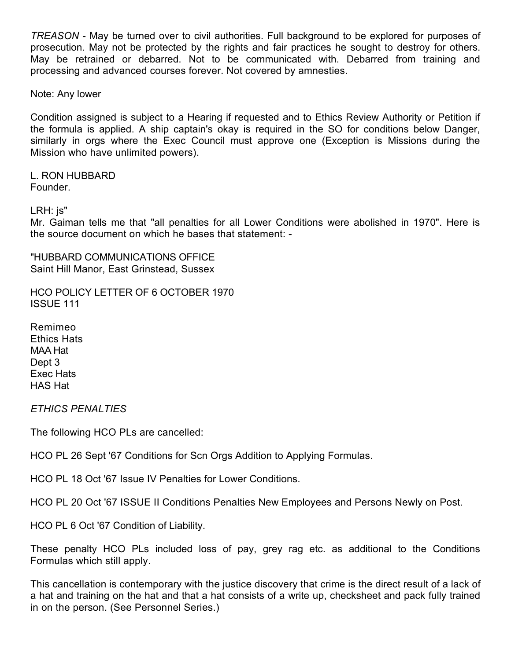*TREASON* - May be turned over to civil authorities. Full background to be explored for purposes of prosecution. May not be protected by the rights and fair practices he sought to destroy for others. May be retrained or debarred. Not to be communicated with. Debarred from training and processing and advanced courses forever. Not covered by amnesties.

Note: Any lower

Condition assigned is subject to a Hearing if requested and to Ethics Review Authority or Petition if the formula is applied. A ship captain's okay is required in the SO for conditions below Danger, similarly in orgs where the Exec Council must approve one (Exception is Missions during the Mission who have unlimited powers).

L. RON HUBBARD Founder.

LRH: js"

Mr. Gaiman tells me that "all penalties for all Lower Conditions were abolished in 1970". Here is the source document on which he bases that statement: -

"HUBBARD COMMUNICATIONS OFFICE Saint Hill Manor, East Grinstead, Sussex

HCO POLICY LETTER OF 6 OCTOBER 1970 ISSUE 111

Remimeo Ethics Hats MAA Hat Dept 3 Exec Hats HAS Hat

*ETHICS PENALTIES*

The following HCO PLs are cancelled:

HCO PL 26 Sept '67 Conditions for Scn Orgs Addition to Applying Formulas.

HCO PL 18 Oct '67 Issue IV Penalties for Lower Conditions.

HCO PL 20 Oct '67 ISSUE II Conditions Penalties New Employees and Persons Newly on Post.

HCO PL 6 Oct '67 Condition of Liability.

These penalty HCO PLs included loss of pay, grey rag etc. as additional to the Conditions Formulas which still apply.

This cancellation is contemporary with the justice discovery that crime is the direct result of a lack of a hat and training on the hat and that a hat consists of a write up, checksheet and pack fully trained in on the person. (See Personnel Series.)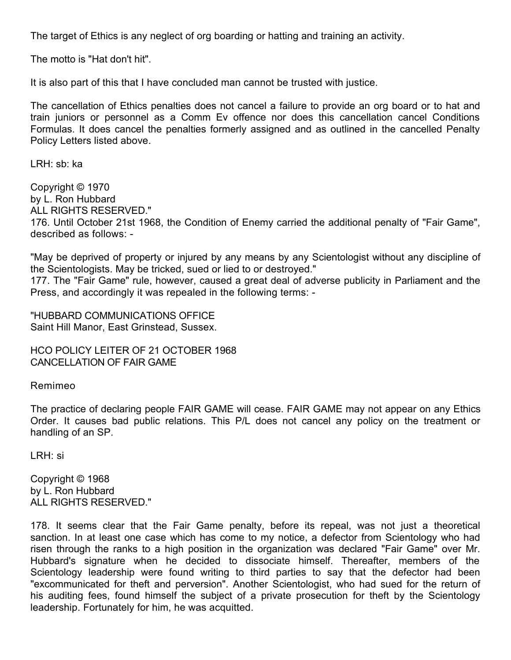The target of Ethics is any neglect of org boarding or hatting and training an activity.

The motto is "Hat don't hit".

It is also part of this that I have concluded man cannot be trusted with justice.

The cancellation of Ethics penalties does not cancel a failure to provide an org board or to hat and train juniors or personnel as a Comm Ev offence nor does this cancellation cancel Conditions Formulas. It does cancel the penalties formerly assigned and as outlined in the cancelled Penalty Policy Letters listed above.

LRH: sb: ka

Copyright © 1970 by L. Ron Hubbard ALL RIGHTS RESERVED." 176. Until October 21st 1968, the Condition of Enemy carried the additional penalty of "Fair Game", described as follows: -

"May be deprived of property or injured by any means by any Scientologist without any discipline of the Scientologists. May be tricked, sued or lied to or destroyed." 177. The "Fair Game" rule, however, caused a great deal of adverse publicity in Parliament and the Press, and accordingly it was repealed in the following terms: -

"HUBBARD COMMUNICATIONS OFFICE Saint Hill Manor, East Grinstead, Sussex.

HCO POLICY LEITER OF 21 OCTOBER 1968 CANCELLATION OF FAIR GAME

Remimeo

The practice of declaring people FAIR GAME will cease. FAIR GAME may not appear on any Ethics Order. It causes bad public relations. This P/L does not cancel any policy on the treatment or handling of an SP.

LRH: si

Copyright © 1968 by L. Ron Hubbard ALL RIGHTS RESERVED."

178. It seems clear that the Fair Game penalty, before its repeal, was not just a theoretical sanction. In at least one case which has come to my notice, a defector from Scientology who had risen through the ranks to a high position in the organization was declared "Fair Game" over Mr. Hubbard's signature when he decided to dissociate himself. Thereafter, members of the Scientology leadership were found writing to third parties to say that the defector had been "excommunicated for theft and perversion". Another Scientologist, who had sued for the return of his auditing fees, found himself the subject of a private prosecution for theft by the Scientology leadership. Fortunately for him, he was acquitted.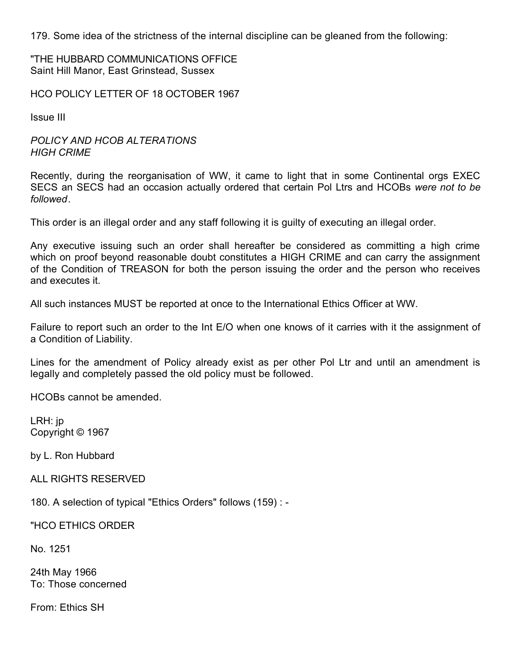179. Some idea of the strictness of the internal discipline can be gleaned from the following:

"THE HUBBARD COMMUNICATIONS OFFICE Saint Hill Manor, East Grinstead, Sussex

HCO POLICY LETTER OF 18 OCTOBER 1967

Issue III

*POLICY AND HCOB ALTERATIONS HIGH CRIME*

Recently, during the reorganisation of WW, it came to light that in some Continental orgs EXEC SECS an SECS had an occasion actually ordered that certain Pol Ltrs and HCOBs *were not to be followed*.

This order is an illegal order and any staff following it is guilty of executing an illegal order.

Any executive issuing such an order shall hereafter be considered as committing a high crime which on proof beyond reasonable doubt constitutes a HIGH CRIME and can carry the assignment of the Condition of TREASON for both the person issuing the order and the person who receives and executes it.

All such instances MUST be reported at once to the International Ethics Officer at WW.

Failure to report such an order to the Int E/O when one knows of it carries with it the assignment of a Condition of Liability.

Lines for the amendment of Policy already exist as per other Pol Ltr and until an amendment is legally and completely passed the old policy must be followed.

HCOBs cannot be amended.

LRH: jp Copyright © 1967

by L. Ron Hubbard

ALL RIGHTS RESERVED

180. A selection of typical "Ethics Orders" follows (159) : -

"HCO ETHICS ORDER

No. 1251

24th May 1966 To: Those concerned

From: Ethics SH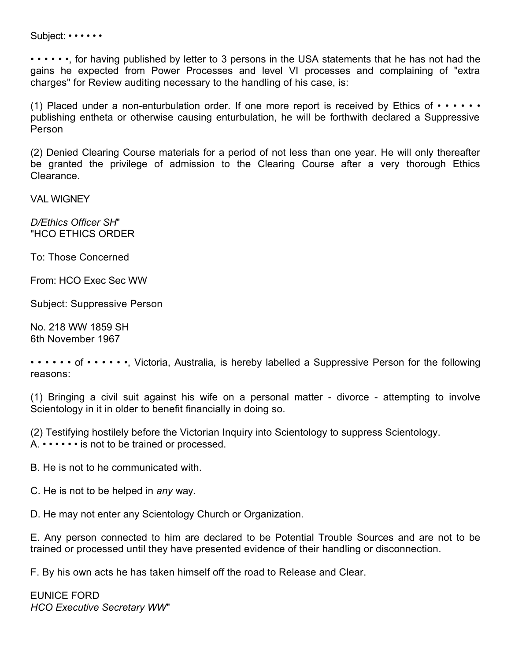Subject:  $\cdots$ 

• • • • • •, for having published by letter to 3 persons in the USA statements that he has not had the gains he expected from Power Processes and level VI processes and complaining of "extra charges" for Review auditing necessary to the handling of his case, is:

(1) Placed under a non-enturbulation order. If one more report is received by Ethics of  $\cdots \cdots$ publishing entheta or otherwise causing enturbulation, he will be forthwith declared a Suppressive Person

(2) Denied Clearing Course materials for a period of not less than one year. He will only thereafter be granted the privilege of admission to the Clearing Course after a very thorough Ethics Clearance.

VAL WIGNEY

*D/Ethics Officer SH*" "HCO ETHICS ORDER

To: Those Concerned

From: HCO Exec Sec WW

Subject: Suppressive Person

No. 218 WW 1859 SH 6th November 1967

• • • • • • of • • • • • •, Victoria, Australia, is hereby labelled a Suppressive Person for the following reasons:

(1) Bringing a civil suit against his wife on a personal matter - divorce - attempting to involve Scientology in it in older to benefit financially in doing so.

(2) Testifying hostilely before the Victorian Inquiry into Scientology to suppress Scientology.  $A. \cdot \cdot \cdot \cdot \cdot$  is not to be trained or processed.

B. He is not to he communicated with.

C. He is not to be helped in *any* way.

D. He may not enter any Scientology Church or Organization.

E. Any person connected to him are declared to be Potential Trouble Sources and are not to be trained or processed until they have presented evidence of their handling or disconnection.

F. By his own acts he has taken himself off the road to Release and Clear.

EUNICE FORD *HCO Executive Secretary WW*"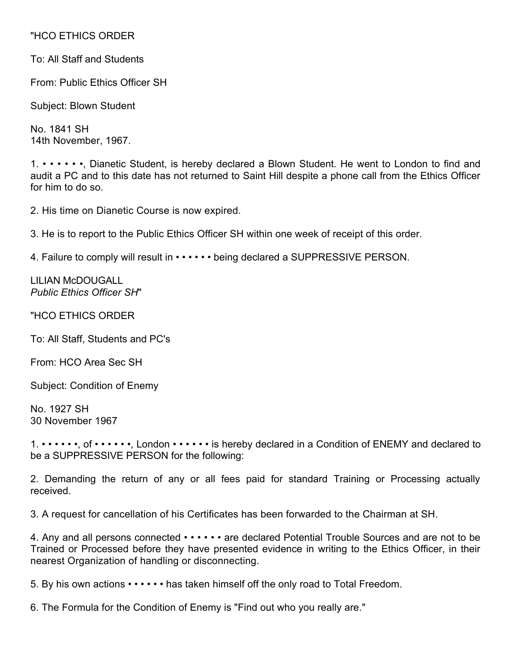# "HCO ETHICS ORDER

To: All Staff and Students

From: Public Ethics Officer SH

Subject: Blown Student

No. 1841 SH 14th November, 1967.

1. • • • • • •, Dianetic Student, is hereby declared a Blown Student. He went to London to find and audit a PC and to this date has not returned to Saint Hill despite a phone call from the Ethics Officer for him to do so.

2. His time on Dianetic Course is now expired.

3. He is to report to the Public Ethics Officer SH within one week of receipt of this order.

4. Failure to comply will result in  $\cdots \cdots$  being declared a SUPPRESSIVE PERSON.

# LILIAN McDOUGALL *Public Ethics Officer SH*"

"HCO ETHICS ORDER

To: All Staff, Students and PC's

From: HCO Area Sec SH

Subject: Condition of Enemy

No. 1927 SH 30 November 1967

1. • • • • • •, of • • • • • •, London • • • • • • is hereby declared in a Condition of ENEMY and declared to be a SUPPRESSIVE PERSON for the following:

2. Demanding the return of any or all fees paid for standard Training or Processing actually received.

3. A request for cancellation of his Certificates has been forwarded to the Chairman at SH.

4. Any and all persons connected • • • • • • are declared Potential Trouble Sources and are not to be Trained or Processed before they have presented evidence in writing to the Ethics Officer, in their nearest Organization of handling or disconnecting.

5. By his own actions • • • • • • has taken himself off the only road to Total Freedom.

6. The Formula for the Condition of Enemy is "Find out who you really are."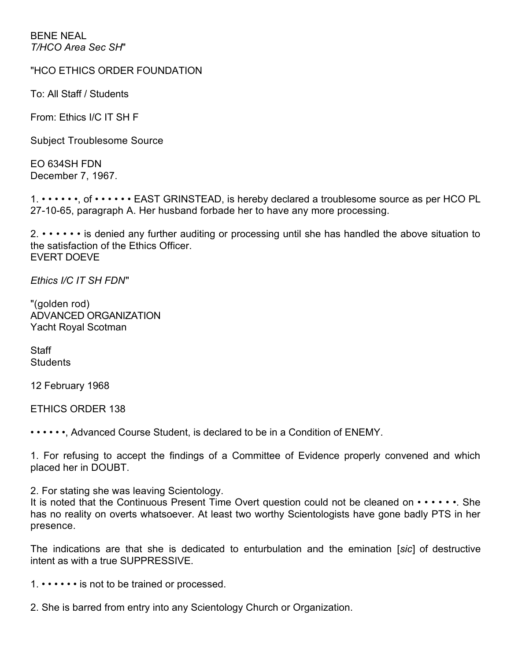BENE NEAL *T/HCO Area Sec SH*"

### "HCO ETHICS ORDER FOUNDATION

To: All Staff / Students

From: Ethics I/C IT SH F

Subject Troublesome Source

EO 634SH FDN December 7, 1967.

1. • • • • • •, of • • • • • • EAST GRINSTEAD, is hereby declared a troublesome source as per HCO PL 27-10-65, paragraph A. Her husband forbade her to have any more processing.

 $2. \cdot \cdot \cdot \cdot \cdot$  is denied any further auditing or processing until she has handled the above situation to the satisfaction of the Ethics Officer. EVERT DOEVE

*Ethics I/C IT SH FDN*"

"(golden rod) ADVANCED ORGANIZATION Yacht Royal Scotman

**Staff Students** 

12 February 1968

ETHICS ORDER 138

• • • • • •, Advanced Course Student, is declared to be in a Condition of ENEMY.

1. For refusing to accept the findings of a Committee of Evidence properly convened and which placed her in DOUBT.

2. For stating she was leaving Scientology.

It is noted that the Continuous Present Time Overt question could not be cleaned on  $\cdots \cdots$ . She has no reality on overts whatsoever. At least two worthy Scientologists have gone badly PTS in her presence.

The indications are that she is dedicated to enturbulation and the emination [*sic*] of destructive intent as with a true SUPPRESSIVE.

 $1. \cdots \cdots$  is not to be trained or processed.

2. She is barred from entry into any Scientology Church or Organization.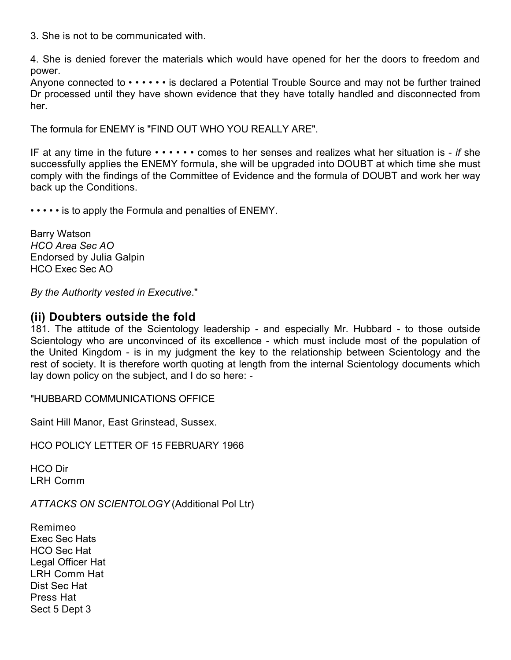3. She is not to be communicated with.

4. She is denied forever the materials which would have opened for her the doors to freedom and power.

Anyone connected to  $\cdots \cdots$  is declared a Potential Trouble Source and may not be further trained Dr processed until they have shown evidence that they have totally handled and disconnected from her.

The formula for ENEMY is "FIND OUT WHO YOU REALLY ARE".

IF at any time in the future • • • • • • comes to her senses and realizes what her situation is - *if* she successfully applies the ENEMY formula, she will be upgraded into DOUBT at which time she must comply with the findings of the Committee of Evidence and the formula of DOUBT and work her way back up the Conditions.

 $\cdots$  is to apply the Formula and penalties of ENEMY.

Barry Watson *HCO Area Sec AO* Endorsed by Julia Galpin HCO Exec Sec AO

*By the Authority vested in Executive*."

# **(ii) Doubters outside the fold**

181. The attitude of the Scientology leadership - and especially Mr. Hubbard - to those outside Scientology who are unconvinced of its excellence - which must include most of the population of the United Kingdom - is in my judgment the key to the relationship between Scientology and the rest of society. It is therefore worth quoting at length from the internal Scientology documents which lay down policy on the subject, and I do so here: -

"HUBBARD COMMUNICATIONS OFFICE

Saint Hill Manor, East Grinstead, Sussex.

HCO POLICY LETTER OF 15 FEBRUARY 1966

HCO Dir LRH Comm

*ATTACKS ON SCIENTOLOGY* (Additional Pol Ltr)

Remimeo Exec Sec Hats HCO Sec Hat Legal Officer Hat LRH Comm Hat Dist Sec Hat Press Hat Sect 5 Dept 3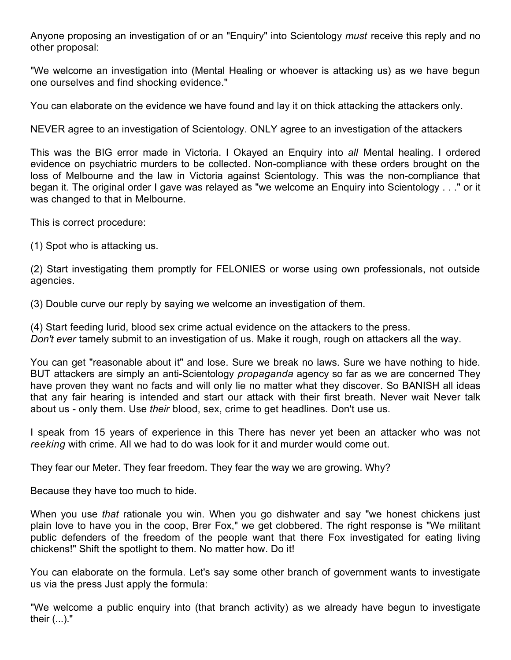Anyone proposing an investigation of or an "Enquiry" into Scientology *must* receive this reply and no other proposal:

"We welcome an investigation into (Mental Healing or whoever is attacking us) as we have begun one ourselves and find shocking evidence."

You can elaborate on the evidence we have found and lay it on thick attacking the attackers only.

NEVER agree to an investigation of Scientology. ONLY agree to an investigation of the attackers

This was the BIG error made in Victoria. I Okayed an Enquiry into *all* Mental healing. I ordered evidence on psychiatric murders to be collected. Non-compliance with these orders brought on the loss of Melbourne and the law in Victoria against Scientology. This was the non-compliance that began it. The original order I gave was relayed as "we welcome an Enquiry into Scientology . . ." or it was changed to that in Melbourne.

This is correct procedure:

(1) Spot who is attacking us.

(2) Start investigating them promptly for FELONIES or worse using own professionals, not outside agencies.

(3) Double curve our reply by saying we welcome an investigation of them.

(4) Start feeding lurid, blood sex crime actual evidence on the attackers to the press. *Don't ever* tamely submit to an investigation of us. Make it rough, rough on attackers all the way.

You can get "reasonable about it" and lose. Sure we break no laws. Sure we have nothing to hide. BUT attackers are simply an anti-Scientology *propaganda* agency so far as we are concerned They have proven they want no facts and will only lie no matter what they discover. So BANISH all ideas that any fair hearing is intended and start our attack with their first breath. Never wait Never talk about us - only them. Use *their* blood, sex, crime to get headlines. Don't use us.

I speak from 15 years of experience in this There has never yet been an attacker who was not *reeking* with crime. All we had to do was look for it and murder would come out.

They fear our Meter. They fear freedom. They fear the way we are growing. Why?

Because they have too much to hide.

When you use *that* rationale you win. When you go dishwater and say "we honest chickens just plain love to have you in the coop, Brer Fox," we get clobbered. The right response is "We militant public defenders of the freedom of the people want that there Fox investigated for eating living chickens!" Shift the spotlight to them. No matter how. Do it!

You can elaborate on the formula. Let's say some other branch of government wants to investigate us via the press Just apply the formula:

"We welcome a public enquiry into (that branch activity) as we already have begun to investigate their (...)."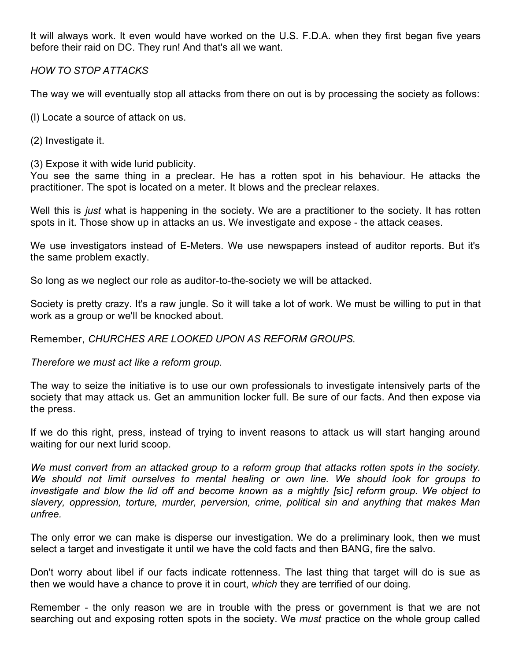It will always work. It even would have worked on the U.S. F.D.A. when they first began five years before their raid on DC. They run! And that's all we want.

*HOW TO STOP ATTACKS*

The way we will eventually stop all attacks from there on out is by processing the society as follows:

(l) Locate a source of attack on us.

(2) Investigate it.

(3) Expose it with wide lurid publicity.

You see the same thing in a preclear. He has a rotten spot in his behaviour. He attacks the practitioner. The spot is located on a meter. It blows and the preclear relaxes.

Well this is *just* what is happening in the society. We are a practitioner to the society. It has rotten spots in it. Those show up in attacks an us. We investigate and expose - the attack ceases.

We use investigators instead of E-Meters. We use newspapers instead of auditor reports. But it's the same problem exactly.

So long as we neglect our role as auditor-to-the-society we will be attacked.

Society is pretty crazy. It's a raw jungle. So it will take a lot of work. We must be willing to put in that work as a group or we'll be knocked about.

Remember, *CHURCHES ARE LOOKED UPON AS REFORM GROUPS*.

*Therefore we must act like a reform group.*

The way to seize the initiative is to use our own professionals to investigate intensively parts of the society that may attack us. Get an ammunition locker full. Be sure of our facts. And then expose via the press.

If we do this right, press, instead of trying to invent reasons to attack us will start hanging around waiting for our next lurid scoop.

*We must convert from an attacked group to a reform group that attacks rotten spots in the society. We should not limit ourselves to mental healing or own line. We should look for groups to investigate and blow the lid off and become known as a mightly [*sic*] reform group. We object to slavery, oppression, torture, murder, perversion, crime, political sin and anything that makes Man unfree.*

The only error we can make is disperse our investigation. We do a preliminary look, then we must select a target and investigate it until we have the cold facts and then BANG, fire the salvo.

Don't worry about libel if our facts indicate rottenness. The last thing that target will do is sue as then we would have a chance to prove it in court, *which* they are terrified of our doing.

Remember - the only reason we are in trouble with the press or government is that we are not searching out and exposing rotten spots in the society. We *must* practice on the whole group called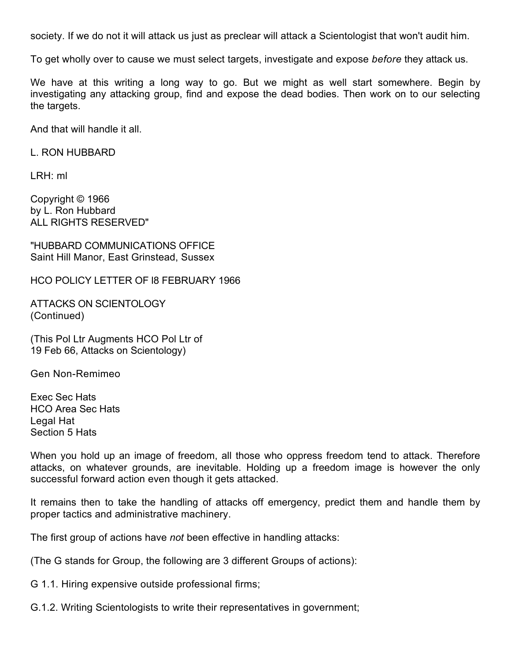society. If we do not it will attack us just as preclear will attack a Scientologist that won't audit him.

To get wholly over to cause we must select targets, investigate and expose *before* they attack us.

We have at this writing a long way to go. But we might as well start somewhere. Begin by investigating any attacking group, find and expose the dead bodies. Then work on to our selecting the targets.

And that will handle it all.

L. RON HUBBARD

LRH: ml

Copyright © 1966 by L. Ron Hubbard ALL RIGHTS RESERVED"

"HUBBARD COMMUNICATIONS OFFICE Saint Hill Manor, East Grinstead, Sussex

HCO POLICY LETTER OF l8 FEBRUARY 1966

ATTACKS ON SCIENTOLOGY (Continued)

(This Pol Ltr Augments HCO Pol Ltr of 19 Feb 66, Attacks on Scientology)

Gen Non-Remimeo

Exec Sec Hats HCO Area Sec Hats Legal Hat Section 5 Hats

When you hold up an image of freedom, all those who oppress freedom tend to attack. Therefore attacks, on whatever grounds, are inevitable. Holding up a freedom image is however the only successful forward action even though it gets attacked.

It remains then to take the handling of attacks off emergency, predict them and handle them by proper tactics and administrative machinery.

The first group of actions have *not* been effective in handling attacks:

(The G stands for Group, the following are 3 different Groups of actions):

G 1.1. Hiring expensive outside professional firms;

G.1.2. Writing Scientologists to write their representatives in government;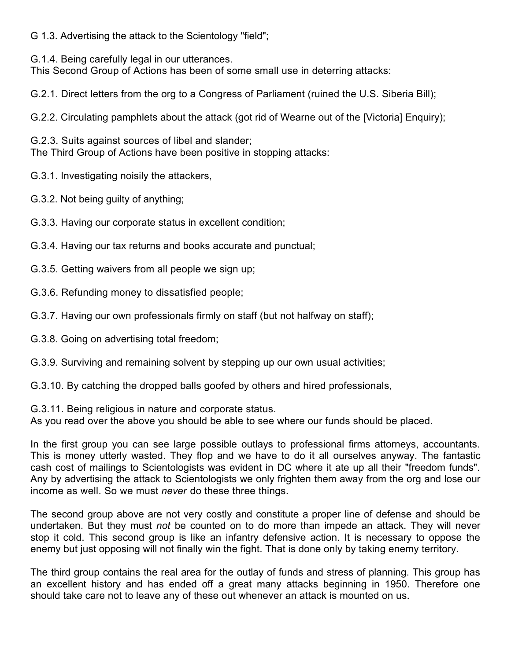G 1.3. Advertising the attack to the Scientology "field";

G.1.4. Being carefully legal in our utterances. This Second Group of Actions has been of some small use in deterring attacks:

G.2.1. Direct letters from the org to a Congress of Parliament (ruined the U.S. Siberia Bill);

G.2.2. Circulating pamphlets about the attack (got rid of Wearne out of the [Victoria] Enquiry);

G.2.3. Suits against sources of libel and slander; The Third Group of Actions have been positive in stopping attacks:

G.3.1. Investigating noisily the attackers,

G.3.2. Not being guilty of anything;

G.3.3. Having our corporate status in excellent condition;

G.3.4. Having our tax returns and books accurate and punctual;

G.3.5. Getting waivers from all people we sign up;

G.3.6. Refunding money to dissatisfied people;

G.3.7. Having our own professionals firmly on staff (but not halfway on staff);

G.3.8. Going on advertising total freedom;

G.3.9. Surviving and remaining solvent by stepping up our own usual activities;

G.3.10. By catching the dropped balls goofed by others and hired professionals,

G.3.11. Being religious in nature and corporate status. As you read over the above you should be able to see where our funds should be placed.

In the first group you can see large possible outlays to professional firms attorneys, accountants. This is money utterly wasted. They flop and we have to do it all ourselves anyway. The fantastic cash cost of mailings to Scientologists was evident in DC where it ate up all their "freedom funds". Any by advertising the attack to Scientologists we only frighten them away from the org and lose our income as well. So we must *never* do these three things.

The second group above are not very costly and constitute a proper line of defense and should be undertaken. But they must *not* be counted on to do more than impede an attack. They will never stop it cold. This second group is like an infantry defensive action. It is necessary to oppose the enemy but just opposing will not finally win the fight. That is done only by taking enemy territory.

The third group contains the real area for the outlay of funds and stress of planning. This group has an excellent history and has ended off a great many attacks beginning in 1950. Therefore one should take care not to leave any of these out whenever an attack is mounted on us.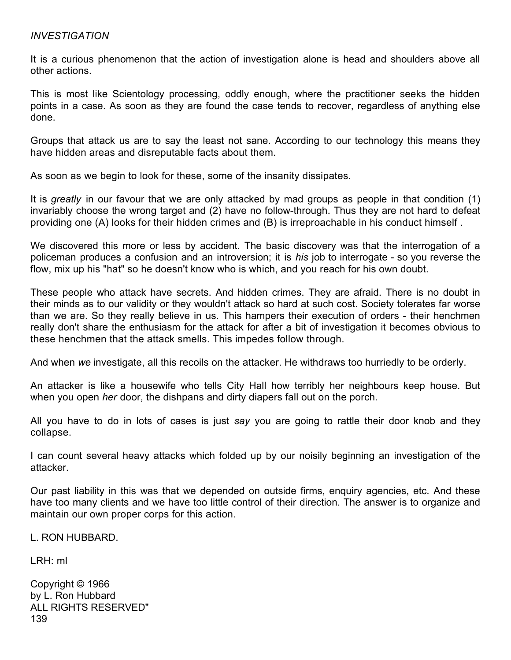## *INVESTIGATION*

It is a curious phenomenon that the action of investigation alone is head and shoulders above all other actions.

This is most like Scientology processing, oddly enough, where the practitioner seeks the hidden points in a case. As soon as they are found the case tends to recover, regardless of anything else done.

Groups that attack us are to say the least not sane. According to our technology this means they have hidden areas and disreputable facts about them.

As soon as we begin to look for these, some of the insanity dissipates.

It is *greatly* in our favour that we are only attacked by mad groups as people in that condition (1) invariably choose the wrong target and (2) have no follow-through. Thus they are not hard to defeat providing one (A) looks for their hidden crimes and (B) is irreproachable in his conduct himself .

We discovered this more or less by accident. The basic discovery was that the interrogation of a policeman produces a confusion and an introversion; it is *his* job to interrogate - so you reverse the flow, mix up his "hat" so he doesn't know who is which, and you reach for his own doubt.

These people who attack have secrets. And hidden crimes. They are afraid. There is no doubt in their minds as to our validity or they wouldn't attack so hard at such cost. Society tolerates far worse than we are. So they really believe in us. This hampers their execution of orders - their henchmen really don't share the enthusiasm for the attack for after a bit of investigation it becomes obvious to these henchmen that the attack smells. This impedes follow through.

And when *we* investigate, all this recoils on the attacker. He withdraws too hurriedly to be orderly.

An attacker is like a housewife who tells City Hall how terribly her neighbours keep house. But when you open *her* door, the dishpans and dirty diapers fall out on the porch.

All you have to do in lots of cases is just *say* you are going to rattle their door knob and they collapse.

I can count several heavy attacks which folded up by our noisily beginning an investigation of the attacker.

Our past liability in this was that we depended on outside firms, enquiry agencies, etc. And these have too many clients and we have too little control of their direction. The answer is to organize and maintain our own proper corps for this action.

#### L. RON HUBBARD.

LRH: ml

Copyright © 1966 by L. Ron Hubbard ALL RIGHTS RESERVED" 139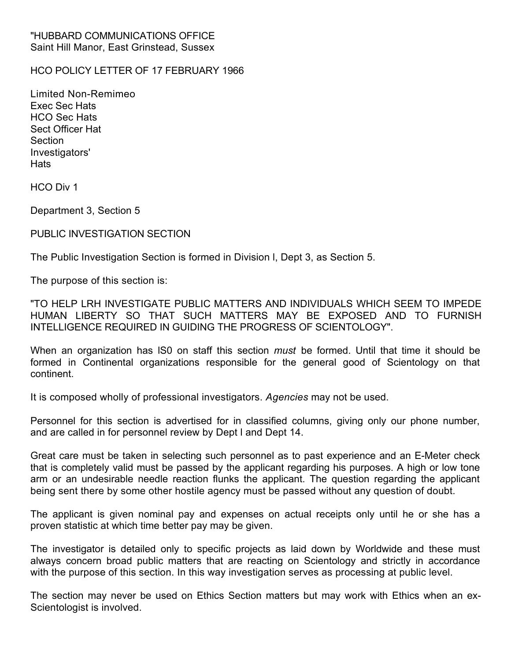#### "HUBBARD COMMUNICATIONS OFFICE Saint Hill Manor, East Grinstead, Sussex

HCO POLICY LETTER OF 17 FEBRUARY 1966

Limited Non-Remimeo Exec Sec Hats HCO Sec Hats Sect Officer Hat Section Investigators' **Hats** 

HCO Div 1

Department 3, Section 5

PUBLIC INVESTIGATION SECTION

The Public Investigation Section is formed in Division l, Dept 3, as Section 5.

The purpose of this section is:

"TO HELP LRH INVESTIGATE PUBLIC MATTERS AND INDIVIDUALS WHICH SEEM TO IMPEDE HUMAN LIBERTY SO THAT SUCH MATTERS MAY BE EXPOSED AND TO FURNISH INTELLIGENCE REQUIRED IN GUIDING THE PROGRESS OF SCIENTOLOGY".

When an organization has lS0 on staff this section *must* be formed. Until that time it should be formed in Continental organizations responsible for the general good of Scientology on that continent.

It is composed wholly of professional investigators. *Agencies* may not be used.

Personnel for this section is advertised for in classified columns, giving only our phone number, and are called in for personnel review by Dept l and Dept 14.

Great care must be taken in selecting such personnel as to past experience and an E-Meter check that is completely valid must be passed by the applicant regarding his purposes. A high or low tone arm or an undesirable needle reaction flunks the applicant. The question regarding the applicant being sent there by some other hostile agency must be passed without any question of doubt.

The applicant is given nominal pay and expenses on actual receipts only until he or she has a proven statistic at which time better pay may be given.

The investigator is detailed only to specific projects as laid down by Worldwide and these must always concern broad public matters that are reacting on Scientology and strictly in accordance with the purpose of this section. In this way investigation serves as processing at public level.

The section may never be used on Ethics Section matters but may work with Ethics when an ex-Scientologist is involved.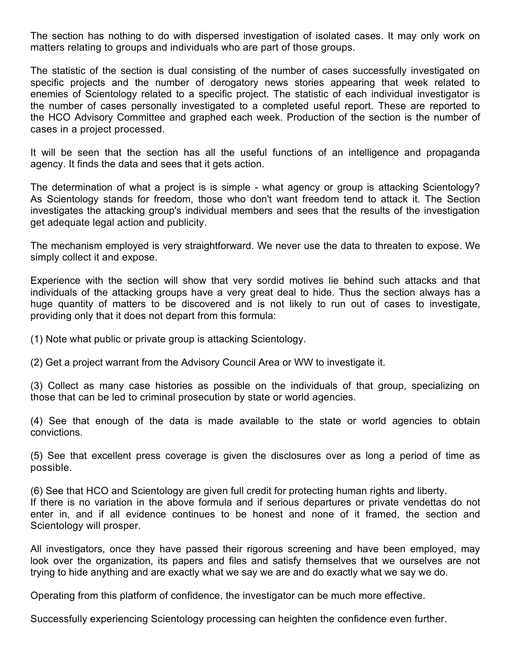The section has nothing to do with dispersed investigation of isolated cases. It may only work on matters relating to groups and individuals who are part of those groups.

The statistic of the section is dual consisting of the number of cases successfully investigated on specific projects and the number of derogatory news stories appearing that week related to enemies of Scientology related to a specific project. The statistic of each individual investigator is the number of cases personally investigated to a completed useful report. These are reported to the HCO Advisory Committee and graphed each week. Production of the section is the number of cases in a project processed.

It will be seen that the section has all the useful functions of an intelligence and propaganda agency. It finds the data and sees that it gets action.

The determination of what a project is is simple - what agency or group is attacking Scientology? As Scientology stands for freedom, those who don't want freedom tend to attack it. The Section investigates the attacking group's individual members and sees that the results of the investigation get adequate legal action and publicity.

The mechanism employed is very straightforward. We never use the data to threaten to expose. We simply collect it and expose.

Experience with the section will show that very sordid motives lie behind such attacks and that individuals of the attacking groups have a very great deal to hide. Thus the section always has a huge quantity of matters to be discovered and is not likely to run out of cases to investigate, providing only that it does not depart from this formula:

(1) Note what public or private group is attacking Scientology.

(2) Get a project warrant from the Advisory Council Area or WW to investigate it.

(3) Collect as many case histories as possible on the individuals of that group, specializing on those that can be led to criminal prosecution by state or world agencies.

(4) See that enough of the data is made available to the state or world agencies to obtain convictions.

(5) See that excellent press coverage is given the disclosures over as long a period of time as possible.

(6) See that HCO and Scientology are given full credit for protecting human rights and liberty. If there is no variation in the above formula and if serious departures or private vendettas do not enter in, and if all evidence continues to be honest and none of it framed, the section and Scientology will prosper.

All investigators, once they have passed their rigorous screening and have been employed, may look over the organization, its papers and files and satisfy themselves that we ourselves are not trying to hide anything and are exactly what we say we are and do exactly what we say we do.

Operating from this platform of confidence, the investigator can be much more effective.

Successfully experiencing Scientology processing can heighten the confidence even further.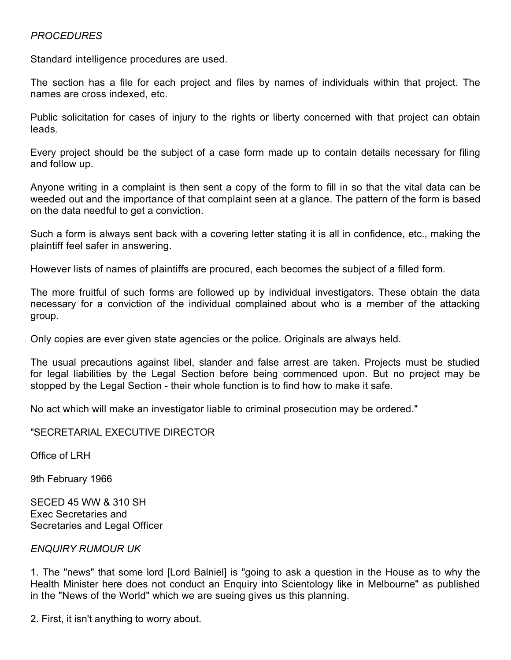# *PROCEDURES*

Standard intelligence procedures are used.

The section has a file for each project and files by names of individuals within that project. The names are cross indexed, etc.

Public solicitation for cases of injury to the rights or liberty concerned with that project can obtain leads.

Every project should be the subject of a case form made up to contain details necessary for filing and follow up.

Anyone writing in a complaint is then sent a copy of the form to fill in so that the vital data can be weeded out and the importance of that complaint seen at a glance. The pattern of the form is based on the data needful to get a conviction.

Such a form is always sent back with a covering letter stating it is all in confidence, etc., making the plaintiff feel safer in answering.

However lists of names of plaintiffs are procured, each becomes the subject of a filled form.

The more fruitful of such forms are followed up by individual investigators. These obtain the data necessary for a conviction of the individual complained about who is a member of the attacking group.

Only copies are ever given state agencies or the police. Originals are always held.

The usual precautions against libel, slander and false arrest are taken. Projects must be studied for legal liabilities by the Legal Section before being commenced upon. But no project may be stopped by the Legal Section - their whole function is to find how to make it safe.

No act which will make an investigator liable to criminal prosecution may be ordered."

# "SECRETARIAL EXECUTIVE DIRECTOR

Office of LRH

9th February 1966

SECED 45 WW & 310 SH Exec Secretaries and Secretaries and Legal Officer

# *ENQUIRY RUMOUR UK*

1. The "news" that some lord [Lord Balniel] is "going to ask a question in the House as to why the Health Minister here does not conduct an Enquiry into Scientology like in Melbourne" as published in the "News of the World" which we are sueing gives us this planning.

2. First, it isn't anything to worry about.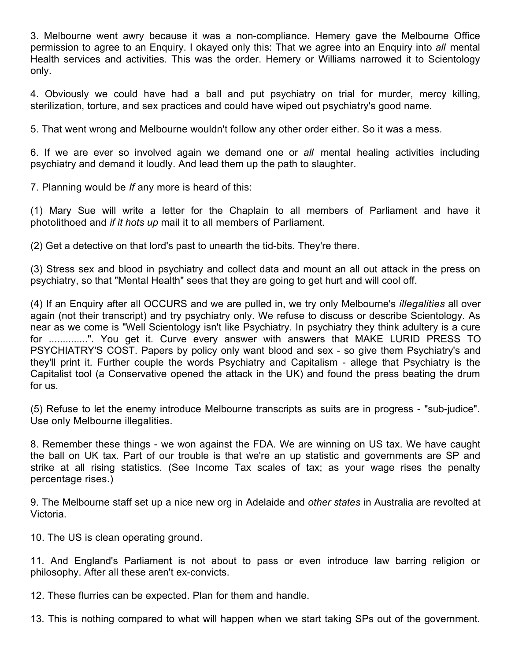3. Melbourne went awry because it was a non-compliance. Hemery gave the Melbourne Office permission to agree to an Enquiry. I okayed only this: That we agree into an Enquiry into *all* mental Health services and activities. This was the order. Hemery or Williams narrowed it to Scientology only.

4. Obviously we could have had a ball and put psychiatry on trial for murder, mercy killing, sterilization, torture, and sex practices and could have wiped out psychiatry's good name.

5. That went wrong and Melbourne wouldn't follow any other order either. So it was a mess.

6. If we are ever so involved again we demand one or *all* mental healing activities including psychiatry and demand it loudly. And lead them up the path to slaughter.

7. Planning would be *If* any more is heard of this:

(1) Mary Sue will write a letter for the Chaplain to all members of Parliament and have it photolithoed and *if it hots up* mail it to all members of Parliament.

(2) Get a detective on that lord's past to unearth the tid-bits. They're there.

(3) Stress sex and blood in psychiatry and collect data and mount an all out attack in the press on psychiatry, so that "Mental Health" sees that they are going to get hurt and will cool off.

(4) If an Enquiry after all OCCURS and we are pulled in, we try only Melbourne's *illegalities* all over again (not their transcript) and try psychiatry only. We refuse to discuss or describe Scientology. As near as we come is "Well Scientology isn't like Psychiatry. In psychiatry they think adultery is a cure for ..............". You get it. Curve every answer with answers that MAKE LURID PRESS TO PSYCHIATRY'S COST. Papers by policy only want blood and sex - so give them Psychiatry's and they'll print it. Further couple the words Psychiatry and Capitalism - allege that Psychiatry is the Capitalist tool (a Conservative opened the attack in the UK) and found the press beating the drum for us.

(5) Refuse to let the enemy introduce Melbourne transcripts as suits are in progress - "sub-judice". Use only Melbourne illegalities.

8. Remember these things - we won against the FDA. We are winning on US tax. We have caught the ball on UK tax. Part of our trouble is that we're an up statistic and governments are SP and strike at all rising statistics. (See Income Tax scales of tax; as your wage rises the penalty percentage rises.)

9. The Melbourne staff set up a nice new org in Adelaide and *other states* in Australia are revolted at Victoria.

10. The US is clean operating ground.

11. And England's Parliament is not about to pass or even introduce law barring religion or philosophy. After all these aren't ex-convicts.

12. These flurries can be expected. Plan for them and handle.

13. This is nothing compared to what will happen when we start taking SPs out of the government.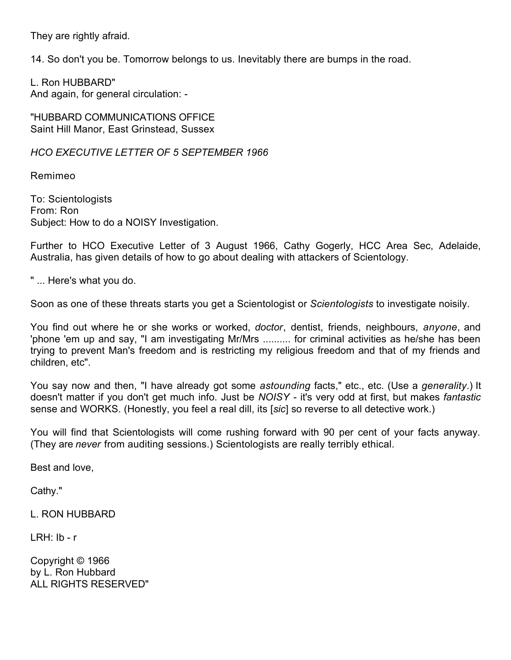They are rightly afraid.

14. So don't you be. Tomorrow belongs to us. Inevitably there are bumps in the road.

L. Ron HUBBARD" And again, for general circulation: -

"HUBBARD COMMUNICATIONS OFFICE Saint Hill Manor, East Grinstead, Sussex

*HCO EXECUTIVE LETTER OF 5 SEPTEMBER 1966*

Remimeo

To: Scientologists From: Ron Subject: How to do a NOISY Investigation.

Further to HCO Executive Letter of 3 August 1966, Cathy Gogerly, HCC Area Sec, Adelaide, Australia, has given details of how to go about dealing with attackers of Scientology.

" ... Here's what you do.

Soon as one of these threats starts you get a Scientologist or *Scientologists* to investigate noisily.

You find out where he or she works or worked, *doctor*, dentist, friends, neighbours, *anyone*, and 'phone 'em up and say, "I am investigating Mr/Mrs .......... for criminal activities as he/she has been trying to prevent Man's freedom and is restricting my religious freedom and that of my friends and children, etc".

You say now and then, "I have already got some *astounding* facts," etc., etc. (Use a *generality*.) It doesn't matter if you don't get much info. Just be *NOISY* - it's very odd at first, but makes *fantastic* sense and WORKS. (Honestly, you feel a real dill, its [*sic*] so reverse to all detective work.)

You will find that Scientologists will come rushing forward with 90 per cent of your facts anyway. (They are *never* from auditing sessions.) Scientologists are really terribly ethical.

Best and love,

Cathy."

L. RON HUBBARD

LRH: Ib - r

Copyright © 1966 by L. Ron Hubbard ALL RIGHTS RESERVED"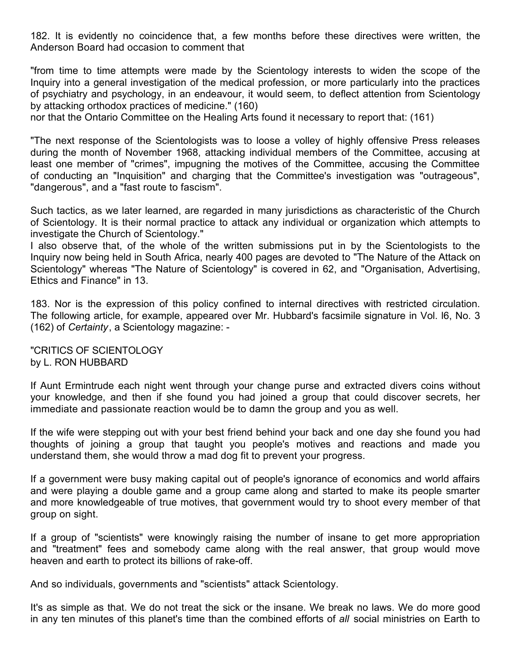182. It is evidently no coincidence that, a few months before these directives were written, the Anderson Board had occasion to comment that

"from time to time attempts were made by the Scientology interests to widen the scope of the Inquiry into a general investigation of the medical profession, or more particularly into the practices of psychiatry and psychology, in an endeavour, it would seem, to deflect attention from Scientology by attacking orthodox practices of medicine." (160)

nor that the Ontario Committee on the Healing Arts found it necessary to report that: (161)

"The next response of the Scientologists was to loose a volley of highly offensive Press releases during the month of November 1968, attacking individual members of the Committee, accusing at least one member of "crimes", impugning the motives of the Committee, accusing the Committee of conducting an "Inquisition" and charging that the Committee's investigation was "outrageous", "dangerous", and a "fast route to fascism".

Such tactics, as we later learned, are regarded in many jurisdictions as characteristic of the Church of Scientology. It is their normal practice to attack any individual or organization which attempts to investigate the Church of Scientology."

I also observe that, of the whole of the written submissions put in by the Scientologists to the Inquiry now being held in South Africa, nearly 400 pages are devoted to "The Nature of the Attack on Scientology" whereas "The Nature of Scientology" is covered in 62, and "Organisation, Advertising, Ethics and Finance" in 13.

183. Nor is the expression of this policy confined to internal directives with restricted circulation. The following article, for example, appeared over Mr. Hubbard's facsimile signature in Vol. l6, No. 3 (162) of *Certainty*, a Scientology magazine: -

"CRITICS OF SCIENTOLOGY by L. RON HUBBARD

If Aunt Ermintrude each night went through your change purse and extracted divers coins without your knowledge, and then if she found you had joined a group that could discover secrets, her immediate and passionate reaction would be to damn the group and you as well.

If the wife were stepping out with your best friend behind your back and one day she found you had thoughts of joining a group that taught you people's motives and reactions and made you understand them, she would throw a mad dog fit to prevent your progress.

If a government were busy making capital out of people's ignorance of economics and world affairs and were playing a double game and a group came along and started to make its people smarter and more knowledgeable of true motives, that government would try to shoot every member of that group on sight.

If a group of "scientists" were knowingly raising the number of insane to get more appropriation and "treatment" fees and somebody came along with the real answer, that group would move heaven and earth to protect its billions of rake-off.

And so individuals, governments and "scientists" attack Scientology.

It's as simple as that. We do not treat the sick or the insane. We break no laws. We do more good in any ten minutes of this planet's time than the combined efforts of *all* social ministries on Earth to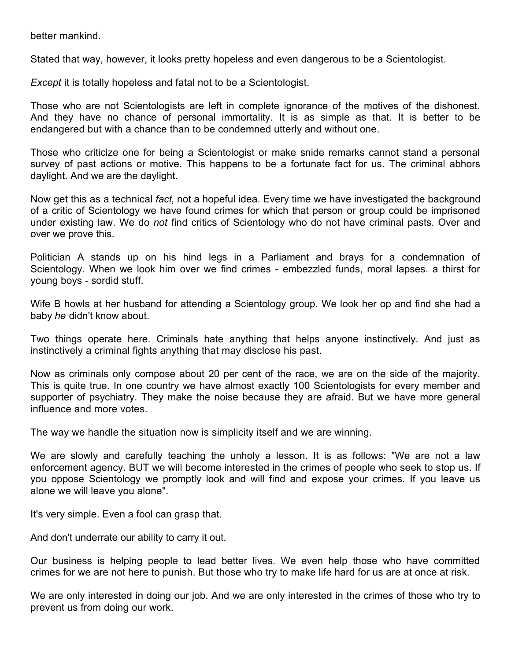better mankind.

Stated that way, however, it looks pretty hopeless and even dangerous to be a Scientologist.

*Except* it is totally hopeless and fatal not to be a Scientologist.

Those who are not Scientologists are left in complete ignorance of the motives of the dishonest. And they have no chance of personal immortality. It is as simple as that. It is better to be endangered but with a chance than to be condemned utterly and without one.

Those who criticize one for being a Scientologist or make snide remarks cannot stand a personal survey of past actions or motive. This happens to be a fortunate fact for us. The criminal abhors daylight. And we are the daylight.

Now get this as a technical *fact*, not a hopeful idea. Every time we have investigated the background of a critic of Scientology we have found crimes for which that person or group could be imprisoned under existing law. We do *not* find critics of Scientology who do not have criminal pasts. Over and over we prove this.

Politician A stands up on his hind legs in a Parliament and brays for a condemnation of Scientology. When we look him over we find crimes - embezzled funds, moral lapses. a thirst for young boys - sordid stuff.

Wife B howls at her husband for attending a Scientology group. We look her op and find she had a baby *he* didn't know about.

Two things operate here. Criminals hate anything that helps anyone instinctively. And just as instinctively a criminal fights anything that may disclose his past.

Now as criminals only compose about 20 per cent of the race, we are on the side of the majority. This is quite true. In one country we have almost exactly 100 Scientologists for every member and supporter of psychiatry. They make the noise because they are afraid. But we have more general influence and more votes.

The way we handle the situation now is simplicity itself and we are winning.

We are slowly and carefully teaching the unholy a lesson. It is as follows: "We are not a law enforcement agency. BUT we will become interested in the crimes of people who seek to stop us. If you oppose Scientology we promptly look and will find and expose your crimes. If you leave us alone we will leave you alone".

It's very simple. Even a fool can grasp that.

And don't underrate our ability to carry it out.

Our business is helping people to lead better lives. We even help those who have committed crimes for we are not here to punish. But those who try to make life hard for us are at once at risk.

We are only interested in doing our job. And we are only interested in the crimes of those who try to prevent us from doing our work.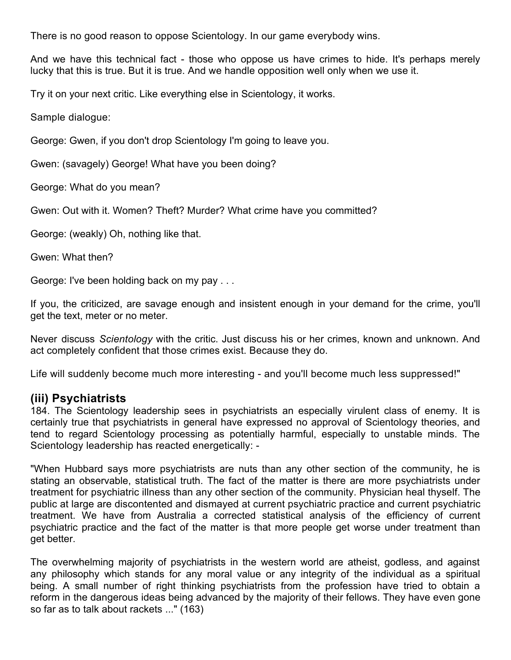There is no good reason to oppose Scientology. In our game everybody wins.

And we have this technical fact - those who oppose us have crimes to hide. It's perhaps merely lucky that this is true. But it is true. And we handle opposition well only when we use it.

Try it on your next critic. Like everything else in Scientology, it works.

Sample dialogue:

George: Gwen, if you don't drop Scientology I'm going to leave you.

Gwen: (savagely) George! What have you been doing?

George: What do you mean?

Gwen: Out with it. Women? Theft? Murder? What crime have you committed?

George: (weakly) Oh, nothing like that.

Gwen: What then?

George: I've been holding back on my pay . . .

If you, the criticized, are savage enough and insistent enough in your demand for the crime, you'll get the text, meter or no meter.

Never discuss *Scientology* with the critic. Just discuss his or her crimes, known and unknown. And act completely confident that those crimes exist. Because they do.

Life will suddenly become much more interesting - and you'll become much less suppressed!"

# **(iii) Psychiatrists**

184. The Scientology leadership sees in psychiatrists an especially virulent class of enemy. It is certainly true that psychiatrists in general have expressed no approval of Scientology theories, and tend to regard Scientology processing as potentially harmful, especially to unstable minds. The Scientology leadership has reacted energetically: -

"When Hubbard says more psychiatrists are nuts than any other section of the community, he is stating an observable, statistical truth. The fact of the matter is there are more psychiatrists under treatment for psychiatric illness than any other section of the community. Physician heal thyself. The public at large are discontented and dismayed at current psychiatric practice and current psychiatric treatment. We have from Australia a corrected statistical analysis of the efficiency of current psychiatric practice and the fact of the matter is that more people get worse under treatment than get better.

The overwhelming majority of psychiatrists in the western world are atheist, godless, and against any philosophy which stands for any moral value or any integrity of the individual as a spiritual being. A small number of right thinking psychiatrists from the profession have tried to obtain a reform in the dangerous ideas being advanced by the majority of their fellows. They have even gone so far as to talk about rackets ..." (163)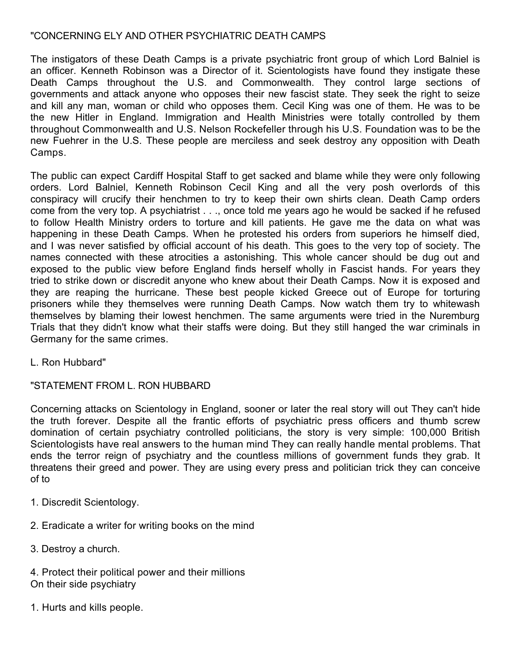# "CONCERNING ELY AND OTHER PSYCHIATRIC DEATH CAMPS

The instigators of these Death Camps is a private psychiatric front group of which Lord Balniel is an officer. Kenneth Robinson was a Director of it. Scientologists have found they instigate these Death Camps throughout the U.S. and Commonwealth. They control large sections of governments and attack anyone who opposes their new fascist state. They seek the right to seize and kill any man, woman or child who opposes them. Cecil King was one of them. He was to be the new Hitler in England. Immigration and Health Ministries were totally controlled by them throughout Commonwealth and U.S. Nelson Rockefeller through his U.S. Foundation was to be the new Fuehrer in the U.S. These people are merciless and seek destroy any opposition with Death Camps.

The public can expect Cardiff Hospital Staff to get sacked and blame while they were only following orders. Lord Balniel, Kenneth Robinson Cecil King and all the very posh overlords of this conspiracy will crucify their henchmen to try to keep their own shirts clean. Death Camp orders come from the very top. A psychiatrist . . ., once told me years ago he would be sacked if he refused to follow Health Ministry orders to torture and kill patients. He gave me the data on what was happening in these Death Camps. When he protested his orders from superiors he himself died, and I was never satisfied by official account of his death. This goes to the very top of society. The names connected with these atrocities a astonishing. This whole cancer should be dug out and exposed to the public view before England finds herself wholly in Fascist hands. For years they tried to strike down or discredit anyone who knew about their Death Camps. Now it is exposed and they are reaping the hurricane. These best people kicked Greece out of Europe for torturing prisoners while they themselves were running Death Camps. Now watch them try to whitewash themselves by blaming their lowest henchmen. The same arguments were tried in the Nuremburg Trials that they didn't know what their staffs were doing. But they still hanged the war criminals in Germany for the same crimes.

L. Ron Hubbard"

# "STATEMENT FROM L. RON HUBBARD

Concerning attacks on Scientology in England, sooner or later the real story will out They can't hide the truth forever. Despite all the frantic efforts of psychiatric press officers and thumb screw domination of certain psychiatry controlled politicians, the story is very simple: 100,000 British Scientologists have real answers to the human mind They can really handle mental problems. That ends the terror reign of psychiatry and the countless millions of government funds they grab. It threatens their greed and power. They are using every press and politician trick they can conceive of to

- 1. Discredit Scientology.
- 2. Eradicate a writer for writing books on the mind
- 3. Destroy a church.

4. Protect their political power and their millions On their side psychiatry

1. Hurts and kills people.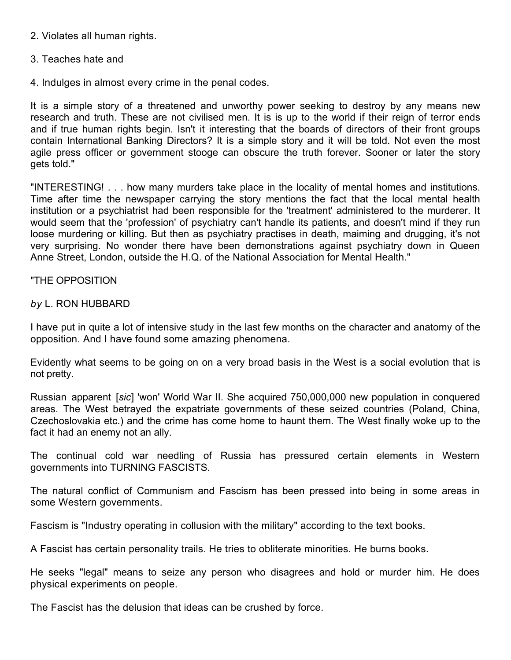2. Violates all human rights.

# 3. Teaches hate and

4. Indulges in almost every crime in the penal codes.

It is a simple story of a threatened and unworthy power seeking to destroy by any means new research and truth. These are not civilised men. It is is up to the world if their reign of terror ends and if true human rights begin. Isn't it interesting that the boards of directors of their front groups contain International Banking Directors? It is a simple story and it will be told. Not even the most agile press officer or government stooge can obscure the truth forever. Sooner or later the story gets told."

"INTERESTING! . . . how many murders take place in the locality of mental homes and institutions. Time after time the newspaper carrying the story mentions the fact that the local mental health institution or a psychiatrist had been responsible for the 'treatment' administered to the murderer. It would seem that the 'profession' of psychiatry can't handle its patients, and doesn't mind if they run loose murdering or killing. But then as psychiatry practises in death, maiming and drugging, it's not very surprising. No wonder there have been demonstrations against psychiatry down in Queen Anne Street, London, outside the H.Q. of the National Association for Mental Health."

"THE OPPOSITION

#### *by* L. RON HUBBARD

I have put in quite a lot of intensive study in the last few months on the character and anatomy of the opposition. And I have found some amazing phenomena.

Evidently what seems to be going on on a very broad basis in the West is a social evolution that is not pretty.

Russian apparent [*sic*] 'won' World War II. She acquired 750,000,000 new population in conquered areas. The West betrayed the expatriate governments of these seized countries (Poland, China, Czechoslovakia etc.) and the crime has come home to haunt them. The West finally woke up to the fact it had an enemy not an ally.

The continual cold war needling of Russia has pressured certain elements in Western governments into TURNING FASCISTS.

The natural conflict of Communism and Fascism has been pressed into being in some areas in some Western governments.

Fascism is "Industry operating in collusion with the military" according to the text books.

A Fascist has certain personality trails. He tries to obliterate minorities. He burns books.

He seeks "legal" means to seize any person who disagrees and hold or murder him. He does physical experiments on people.

The Fascist has the delusion that ideas can be crushed by force.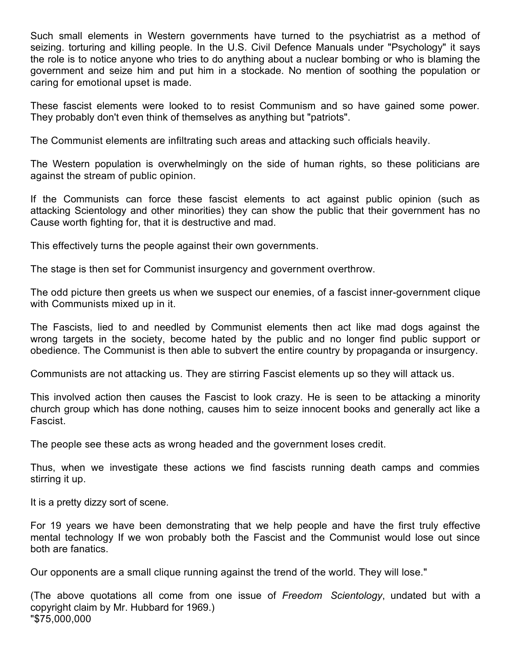Such small elements in Western governments have turned to the psychiatrist as a method of seizing. torturing and killing people. In the U.S. Civil Defence Manuals under "Psychology" it says the role is to notice anyone who tries to do anything about a nuclear bombing or who is blaming the government and seize him and put him in a stockade. No mention of soothing the population or caring for emotional upset is made.

These fascist elements were looked to to resist Communism and so have gained some power. They probably don't even think of themselves as anything but "patriots".

The Communist elements are infiltrating such areas and attacking such officials heavily.

The Western population is overwhelmingly on the side of human rights, so these politicians are against the stream of public opinion.

If the Communists can force these fascist elements to act against public opinion (such as attacking Scientology and other minorities) they can show the public that their government has no Cause worth fighting for, that it is destructive and mad.

This effectively turns the people against their own governments.

The stage is then set for Communist insurgency and government overthrow.

The odd picture then greets us when we suspect our enemies, of a fascist inner-government clique with Communists mixed up in it.

The Fascists, lied to and needled by Communist elements then act like mad dogs against the wrong targets in the society, become hated by the public and no longer find public support or obedience. The Communist is then able to subvert the entire country by propaganda or insurgency.

Communists are not attacking us. They are stirring Fascist elements up so they will attack us.

This involved action then causes the Fascist to look crazy. He is seen to be attacking a minority church group which has done nothing, causes him to seize innocent books and generally act like a Fascist.

The people see these acts as wrong headed and the government loses credit.

Thus, when we investigate these actions we find fascists running death camps and commies stirring it up.

It is a pretty dizzy sort of scene.

For 19 years we have been demonstrating that we help people and have the first truly effective mental technology If we won probably both the Fascist and the Communist would lose out since both are fanatics.

Our opponents are a small clique running against the trend of the world. They will lose."

(The above quotations all come from one issue of *Freedom Scientology*, undated but with a copyright claim by Mr. Hubbard for 1969.) "\$75,000,000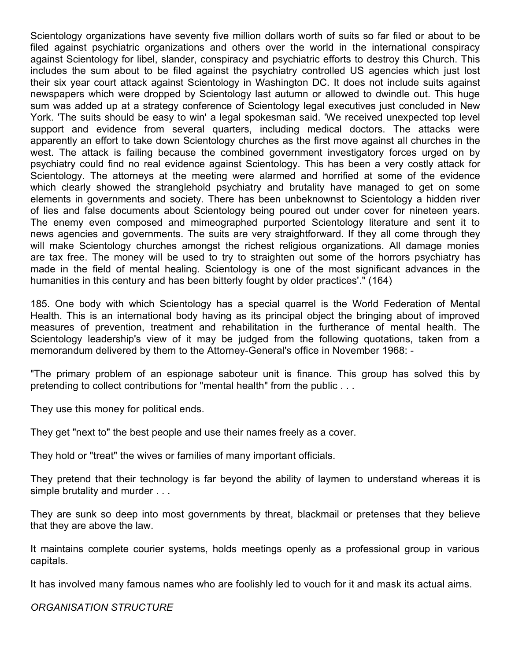Scientology organizations have seventy five million dollars worth of suits so far filed or about to be filed against psychiatric organizations and others over the world in the international conspiracy against Scientology for libel, slander, conspiracy and psychiatric efforts to destroy this Church. This includes the sum about to be filed against the psychiatry controlled US agencies which just lost their six year court attack against Scientology in Washington DC. It does not include suits against newspapers which were dropped by Scientology last autumn or allowed to dwindle out. This huge sum was added up at a strategy conference of Scientology legal executives just concluded in New York. 'The suits should be easy to win' a legal spokesman said. 'We received unexpected top level support and evidence from several quarters, including medical doctors. The attacks were apparently an effort to take down Scientology churches as the first move against all churches in the west. The attack is failing because the combined government investigatory forces urged on by psychiatry could find no real evidence against Scientology. This has been a very costly attack for Scientology. The attorneys at the meeting were alarmed and horrified at some of the evidence which clearly showed the stranglehold psychiatry and brutality have managed to get on some elements in governments and society. There has been unbeknownst to Scientology a hidden river of lies and false documents about Scientology being poured out under cover for nineteen years. The enemy even composed and mimeographed purported Scientology literature and sent it to news agencies and governments. The suits are very straightforward. If they all come through they will make Scientology churches amongst the richest religious organizations. All damage monies are tax free. The money will be used to try to straighten out some of the horrors psychiatry has made in the field of mental healing. Scientology is one of the most significant advances in the humanities in this century and has been bitterly fought by older practices'." (164)

185. One body with which Scientology has a special quarrel is the World Federation of Mental Health. This is an international body having as its principal object the bringing about of improved measures of prevention, treatment and rehabilitation in the furtherance of mental health. The Scientology leadership's view of it may be judged from the following quotations, taken from a memorandum delivered by them to the Attorney-General's office in November 1968: -

"The primary problem of an espionage saboteur unit is finance. This group has solved this by pretending to collect contributions for "mental health" from the public . . .

They use this money for political ends.

They get "next to" the best people and use their names freely as a cover.

They hold or "treat" the wives or families of many important officials.

They pretend that their technology is far beyond the ability of laymen to understand whereas it is simple brutality and murder . . .

They are sunk so deep into most governments by threat, blackmail or pretenses that they believe that they are above the law.

It maintains complete courier systems, holds meetings openly as a professional group in various capitals.

It has involved many famous names who are foolishly led to vouch for it and mask its actual aims.

*ORGANISATION STRUCTURE*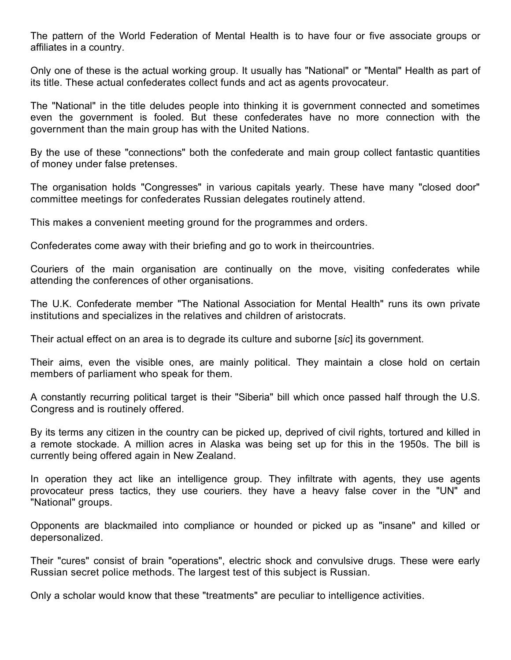The pattern of the World Federation of Mental Health is to have four or five associate groups or affiliates in a country.

Only one of these is the actual working group. It usually has "National" or "Mental" Health as part of its title. These actual confederates collect funds and act as agents provocateur.

The "National" in the title deludes people into thinking it is government connected and sometimes even the government is fooled. But these confederates have no more connection with the government than the main group has with the United Nations.

By the use of these "connections" both the confederate and main group collect fantastic quantities of money under false pretenses.

The organisation holds "Congresses" in various capitals yearly. These have many "closed door" committee meetings for confederates Russian delegates routinely attend.

This makes a convenient meeting ground for the programmes and orders.

Confederates come away with their briefing and go to work in theircountries.

Couriers of the main organisation are continually on the move, visiting confederates while attending the conferences of other organisations.

The U.K. Confederate member "The National Association for Mental Health" runs its own private institutions and specializes in the relatives and children of aristocrats.

Their actual effect on an area is to degrade its culture and suborne [*sic*] its government.

Their aims, even the visible ones, are mainly political. They maintain a close hold on certain members of parliament who speak for them.

A constantly recurring political target is their "Siberia" bill which once passed half through the U.S. Congress and is routinely offered.

By its terms any citizen in the country can be picked up, deprived of civil rights, tortured and killed in a remote stockade. A million acres in Alaska was being set up for this in the 1950s. The bill is currently being offered again in New Zealand.

In operation they act like an intelligence group. They infiltrate with agents, they use agents provocateur press tactics, they use couriers. they have a heavy false cover in the "UN" and "National" groups.

Opponents are blackmailed into compliance or hounded or picked up as "insane" and killed or depersonalized.

Their "cures" consist of brain "operations", electric shock and convulsive drugs. These were early Russian secret police methods. The largest test of this subject is Russian.

Only a scholar would know that these "treatments" are peculiar to intelligence activities.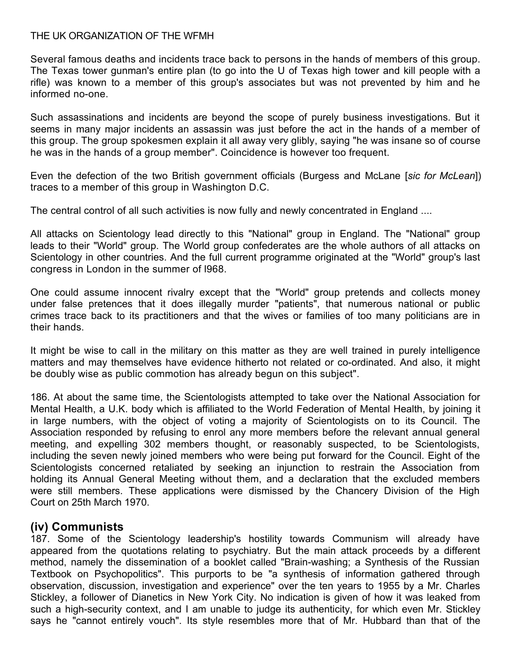# THE UK ORGANIZATION OF THE WFMH

Several famous deaths and incidents trace back to persons in the hands of members of this group. The Texas tower gunman's entire plan (to go into the U of Texas high tower and kill people with a rifle) was known to a member of this group's associates but was not prevented by him and he informed no-one.

Such assassinations and incidents are beyond the scope of purely business investigations. But it seems in many major incidents an assassin was just before the act in the hands of a member of this group. The group spokesmen explain it all away very glibly, saying "he was insane so of course he was in the hands of a group member". Coincidence is however too frequent.

Even the defection of the two British government officials (Burgess and McLane [*sic for McLean*]) traces to a member of this group in Washington D.C.

The central control of all such activities is now fully and newly concentrated in England ....

All attacks on Scientology lead directly to this "National" group in England. The "National" group leads to their "World" group. The World group confederates are the whole authors of all attacks on Scientology in other countries. And the full current programme originated at the "World" group's last congress in London in the summer of l968.

One could assume innocent rivalry except that the "World" group pretends and collects money under false pretences that it does illegally murder "patients", that numerous national or public crimes trace back to its practitioners and that the wives or families of too many politicians are in their hands.

It might be wise to call in the military on this matter as they are well trained in purely intelligence matters and may themselves have evidence hitherto not related or co-ordinated. And also, it might be doubly wise as public commotion has already begun on this subject".

186. At about the same time, the Scientologists attempted to take over the National Association for Mental Health, a U.K. body which is affiliated to the World Federation of Mental Health, by joining it in large numbers, with the object of voting a majority of Scientologists on to its Council. The Association responded by refusing to enrol any more members before the relevant annual general meeting, and expelling 302 members thought, or reasonably suspected, to be Scientologists, including the seven newly joined members who were being put forward for the Council. Eight of the Scientologists concerned retaliated by seeking an injunction to restrain the Association from holding its Annual General Meeting without them, and a declaration that the excluded members were still members. These applications were dismissed by the Chancery Division of the High Court on 25th March 1970.

# **(iv) Communists**

187. Some of the Scientology leadership's hostility towards Communism will already have appeared from the quotations relating to psychiatry. But the main attack proceeds by a different method, namely the dissemination of a booklet called "Brain-washing; a Synthesis of the Russian Textbook on Psychopolitics". This purports to be "a synthesis of information gathered through observation, discussion, investigation and experience" over the ten years to 1955 by a Mr. Charles Stickley, a follower of Dianetics in New York City. No indication is given of how it was leaked from such a high-security context, and I am unable to judge its authenticity, for which even Mr. Stickley says he "cannot entirely vouch". Its style resembles more that of Mr. Hubbard than that of the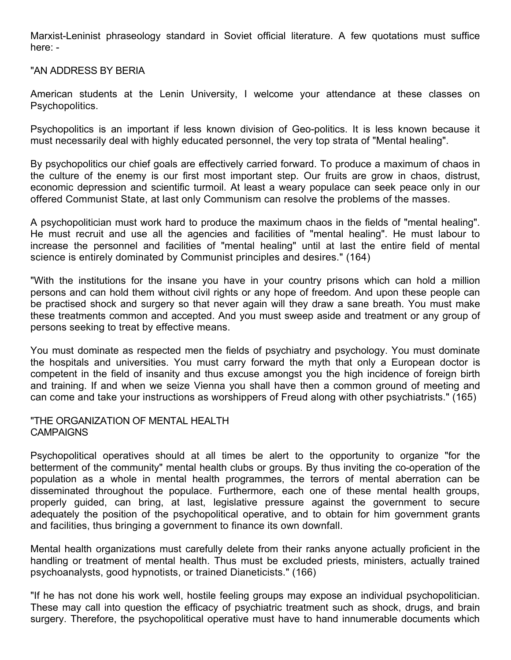Marxist-Leninist phraseology standard in Soviet official literature. A few quotations must suffice here: -

"AN ADDRESS BY BERIA

American students at the Lenin University, I welcome your attendance at these classes on Psychopolitics.

Psychopolitics is an important if less known division of Geo-politics. It is less known because it must necessarily deal with highly educated personnel, the very top strata of "Mental healing".

By psychopolitics our chief goals are effectively carried forward. To produce a maximum of chaos in the culture of the enemy is our first most important step. Our fruits are grow in chaos, distrust, economic depression and scientific turmoil. At least a weary populace can seek peace only in our offered Communist State, at last only Communism can resolve the problems of the masses.

A psychopolitician must work hard to produce the maximum chaos in the fields of "mental healing". He must recruit and use all the agencies and facilities of "mental healing". He must labour to increase the personnel and facilities of "mental healing" until at last the entire field of mental science is entirely dominated by Communist principles and desires." (164)

"With the institutions for the insane you have in your country prisons which can hold a million persons and can hold them without civil rights or any hope of freedom. And upon these people can be practised shock and surgery so that never again will they draw a sane breath. You must make these treatments common and accepted. And you must sweep aside and treatment or any group of persons seeking to treat by effective means.

You must dominate as respected men the fields of psychiatry and psychology. You must dominate the hospitals and universities. You must carry forward the myth that only a European doctor is competent in the field of insanity and thus excuse amongst you the high incidence of foreign birth and training. If and when we seize Vienna you shall have then a common ground of meeting and can come and take your instructions as worshippers of Freud along with other psychiatrists." (165)

#### "THE ORGANIZATION OF MENTAL HEALTH **CAMPAIGNS**

Psychopolitical operatives should at all times be alert to the opportunity to organize "for the betterment of the community" mental health clubs or groups. By thus inviting the co-operation of the population as a whole in mental health programmes, the terrors of mental aberration can be disseminated throughout the populace. Furthermore, each one of these mental health groups, properly guided, can bring, at last, legislative pressure against the government to secure adequately the position of the psychopolitical operative, and to obtain for him government grants and facilities, thus bringing a government to finance its own downfall.

Mental health organizations must carefully delete from their ranks anyone actually proficient in the handling or treatment of mental health. Thus must be excluded priests, ministers, actually trained psychoanalysts, good hypnotists, or trained Dianeticists." (166)

"If he has not done his work well, hostile feeling groups may expose an individual psychopolitician. These may call into question the efficacy of psychiatric treatment such as shock, drugs, and brain surgery. Therefore, the psychopolitical operative must have to hand innumerable documents which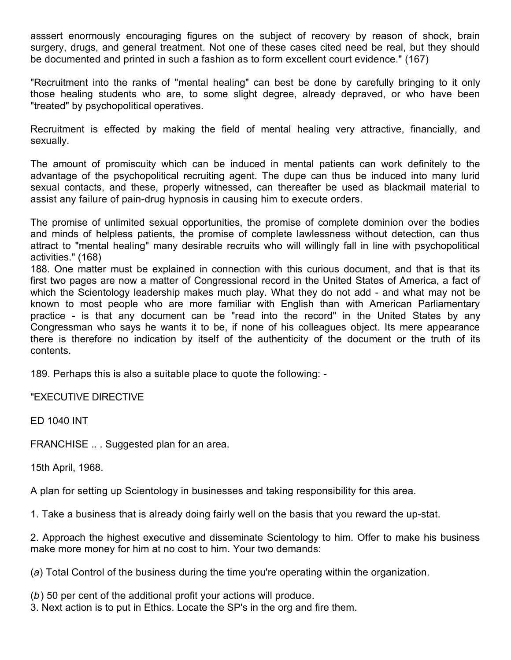asssert enormously encouraging figures on the subject of recovery by reason of shock, brain surgery, drugs, and general treatment. Not one of these cases cited need be real, but they should be documented and printed in such a fashion as to form excellent court evidence." (167)

"Recruitment into the ranks of "mental healing" can best be done by carefully bringing to it only those healing students who are, to some slight degree, already depraved, or who have been "treated" by psychopolitical operatives.

Recruitment is effected by making the field of mental healing very attractive, financially, and sexually.

The amount of promiscuity which can be induced in mental patients can work definitely to the advantage of the psychopolitical recruiting agent. The dupe can thus be induced into many lurid sexual contacts, and these, properly witnessed, can thereafter be used as blackmail material to assist any failure of pain-drug hypnosis in causing him to execute orders.

The promise of unlimited sexual opportunities, the promise of complete dominion over the bodies and minds of helpless patients, the promise of complete lawlessness without detection, can thus attract to "mental healing" many desirable recruits who will willingly fall in line with psychopolitical activities." (168)

188. One matter must be explained in connection with this curious document, and that is that its first two pages are now a matter of Congressional record in the United States of America, a fact of which the Scientology leadership makes much play. What they do not add - and what may not be known to most people who are more familiar with English than with American Parliamentary practice - is that any document can be "read into the record" in the United States by any Congressman who says he wants it to be, if none of his colleagues object. Its mere appearance there is therefore no indication by itself of the authenticity of the document or the truth of its contents.

189. Perhaps this is also a suitable place to quote the following: -

"EXECUTIVE DIRECTIVE

ED 1040 INT

FRANCHISE .. . Suggested plan for an area.

15th April, 1968.

A plan for setting up Scientology in businesses and taking responsibility for this area.

1. Take a business that is already doing fairly well on the basis that you reward the up-stat.

2. Approach the highest executive and disseminate Scientology to him. Offer to make his business make more money for him at no cost to him. Your two demands:

(*a*) Total Control of the business during the time you're operating within the organization.

(*b*) 50 per cent of the additional profit your actions will produce.

3. Next action is to put in Ethics. Locate the SP's in the org and fire them.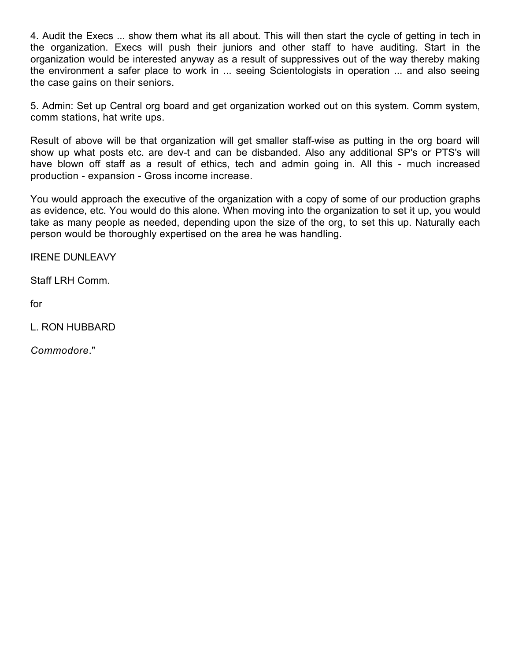4. Audit the Execs ... show them what its all about. This will then start the cycle of getting in tech in the organization. Execs will push their juniors and other staff to have auditing. Start in the organization would be interested anyway as a result of suppressives out of the way thereby making the environment a safer place to work in ... seeing Scientologists in operation ... and also seeing the case gains on their seniors.

5. Admin: Set up Central org board and get organization worked out on this system. Comm system, comm stations, hat write ups.

Result of above will be that organization will get smaller staff-wise as putting in the org board will show up what posts etc. are dev-t and can be disbanded. Also any additional SP's or PTS's will have blown off staff as a result of ethics, tech and admin going in. All this - much increased production - expansion - Gross income increase.

You would approach the executive of the organization with a copy of some of our production graphs as evidence, etc. You would do this alone. When moving into the organization to set it up, you would take as many people as needed, depending upon the size of the org, to set this up. Naturally each person would be thoroughly expertised on the area he was handling.

IRENE DUNLEAVY

Staff LRH Comm.

for

L. RON HUBBARD

*Commodore*."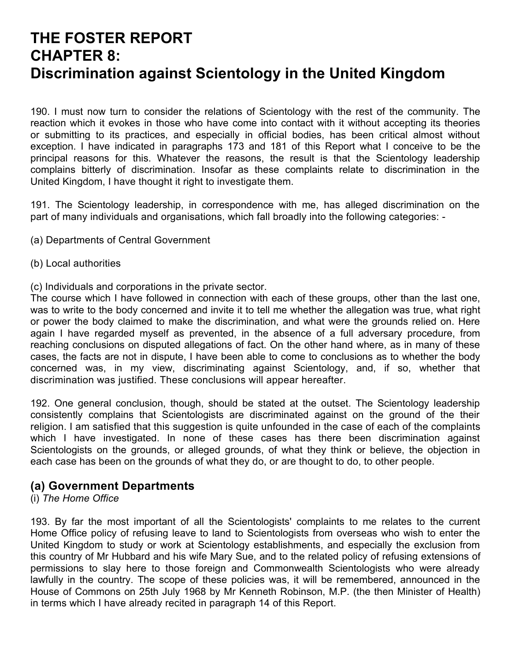# **THE FOSTER REPORT CHAPTER 8: Discrimination against Scientology in the United Kingdom**

190. I must now turn to consider the relations of Scientology with the rest of the community. The reaction which it evokes in those who have come into contact with it without accepting its theories or submitting to its practices, and especially in official bodies, has been critical almost without exception. I have indicated in paragraphs 173 and 181 of this Report what I conceive to be the principal reasons for this. Whatever the reasons, the result is that the Scientology leadership complains bitterly of discrimination. Insofar as these complaints relate to discrimination in the United Kingdom, I have thought it right to investigate them.

191. The Scientology leadership, in correspondence with me, has alleged discrimination on the part of many individuals and organisations, which fall broadly into the following categories: -

- (a) Departments of Central Government
- (b) Local authorities

(c) Individuals and corporations in the private sector.

The course which I have followed in connection with each of these groups, other than the last one, was to write to the body concerned and invite it to tell me whether the allegation was true, what right or power the body claimed to make the discrimination, and what were the grounds relied on. Here again I have regarded myself as prevented, in the absence of a full adversary procedure, from reaching conclusions on disputed allegations of fact. On the other hand where, as in many of these cases, the facts are not in dispute, I have been able to come to conclusions as to whether the body concerned was, in my view, discriminating against Scientology, and, if so, whether that discrimination was justified. These conclusions will appear hereafter.

192. One general conclusion, though, should be stated at the outset. The Scientology leadership consistently complains that Scientologists are discriminated against on the ground of the their religion. I am satisfied that this suggestion is quite unfounded in the case of each of the complaints which I have investigated. In none of these cases has there been discrimination against Scientologists on the grounds, or alleged grounds, of what they think or believe, the objection in each case has been on the grounds of what they do, or are thought to do, to other people.

# **(a) Government Departments**

(i) *The Home Office*

193. By far the most important of all the Scientologists' complaints to me relates to the current Home Office policy of refusing leave to land to Scientologists from overseas who wish to enter the United Kingdom to study or work at Scientology establishments, and especially the exclusion from this country of Mr Hubbard and his wife Mary Sue, and to the related policy of refusing extensions of permissions to slay here to those foreign and Commonwealth Scientologists who were already lawfully in the country. The scope of these policies was, it will be remembered, announced in the House of Commons on 25th July 1968 by Mr Kenneth Robinson, M.P. (the then Minister of Health) in terms which I have already recited in paragraph 14 of this Report.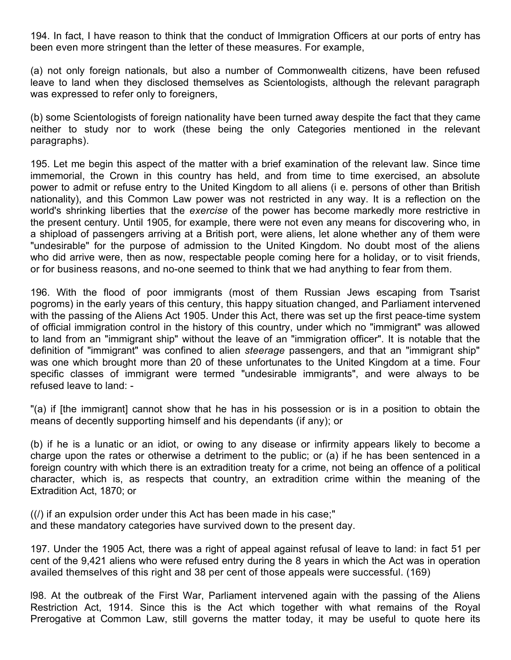194. In fact, I have reason to think that the conduct of Immigration Officers at our ports of entry has been even more stringent than the letter of these measures. For example,

(a) not only foreign nationals, but also a number of Commonwealth citizens, have been refused leave to land when they disclosed themselves as Scientologists, although the relevant paragraph was expressed to refer only to foreigners,

(b) some Scientologists of foreign nationality have been turned away despite the fact that they came neither to study nor to work (these being the only Categories mentioned in the relevant paragraphs).

195. Let me begin this aspect of the matter with a brief examination of the relevant law. Since time immemorial, the Crown in this country has held, and from time to time exercised, an absolute power to admit or refuse entry to the United Kingdom to all aliens (i e. persons of other than British nationality), and this Common Law power was not restricted in any way. It is a reflection on the world's shrinking liberties that the *exercise* of the power has become markedly more restrictive in the present century. Until 1905, for example, there were not even any means for discovering who, in a shipload of passengers arriving at a British port, were aliens, let alone whether any of them were "undesirable" for the purpose of admission to the United Kingdom. No doubt most of the aliens who did arrive were, then as now, respectable people coming here for a holiday, or to visit friends, or for business reasons, and no-one seemed to think that we had anything to fear from them.

196. With the flood of poor immigrants (most of them Russian Jews escaping from Tsarist pogroms) in the early years of this century, this happy situation changed, and Parliament intervened with the passing of the Aliens Act 1905. Under this Act, there was set up the first peace-time system of official immigration control in the history of this country, under which no "immigrant" was allowed to land from an "immigrant ship" without the leave of an "immigration officer". It is notable that the definition of "immigrant" was confined to alien *steerage* passengers, and that an "immigrant ship" was one which brought more than 20 of these unfortunates to the United Kingdom at a time. Four specific classes of immigrant were termed "undesirable immigrants", and were always to be refused leave to land: -

"(a) if [the immigrant] cannot show that he has in his possession or is in a position to obtain the means of decently supporting himself and his dependants (if any); or

(b) if he is a lunatic or an idiot, or owing to any disease or infirmity appears likely to become a charge upon the rates or otherwise a detriment to the public; or (a) if he has been sentenced in a foreign country with which there is an extradition treaty for a crime, not being an offence of a political character, which is, as respects that country, an extradition crime within the meaning of the Extradition Act, 1870; or

((/) if an expulsion order under this Act has been made in his case;" and these mandatory categories have survived down to the present day.

197. Under the 1905 Act, there was a right of appeal against refusal of leave to land: in fact 51 per cent of the 9,421 aliens who were refused entry during the 8 years in which the Act was in operation availed themselves of this right and 38 per cent of those appeals were successful. (169)

l98. At the outbreak of the First War, Parliament intervened again with the passing of the Aliens Restriction Act, 1914. Since this is the Act which together with what remains of the Royal Prerogative at Common Law, still governs the matter today, it may be useful to quote here its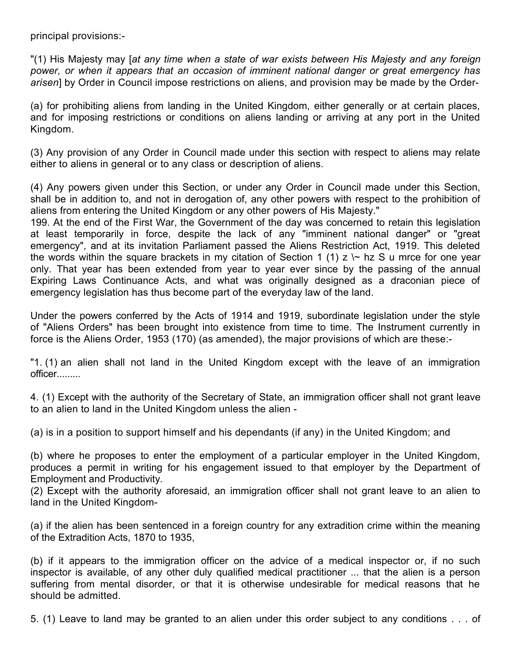principal provisions:-

"(1) His Majesty may [*at any time when a state of war exists between His Majesty and any foreign power, or when it appears that an occasion of imminent national danger or great emergency has arisen*] by Order in Council impose restrictions on aliens, and provision may be made by the Order-

(a) for prohibiting aliens from landing in the United Kingdom, either generally or at certain places, and for imposing restrictions or conditions on aliens landing or arriving at any port in the United Kingdom.

(3) Any provision of any Order in Council made under this section with respect to aliens may relate either to aliens in general or to any class or description of aliens.

(4) Any powers given under this Section, or under any Order in Council made under this Section, shall be in addition to, and not in derogation of, any other powers with respect to the prohibition of aliens from entering the United Kingdom or any other powers of His Majesty."

199. At the end of the First War, the Government of the day was concerned to retain this legislation at least temporarily in force, despite the lack of any "imminent national danger" or "great emergency", and at its invitation Parliament passed the Aliens Restriction Act, 1919. This deleted the words within the square brackets in my citation of Section 1 (1)  $z \sim$  hz S u mrce for one year only. That year has been extended from year to year ever since by the passing of the annual Expiring Laws Continuance Acts, and what was originally designed as a draconian piece of emergency legislation has thus become part of the everyday law of the land.

Under the powers conferred by the Acts of 1914 and 1919, subordinate legislation under the style of "Aliens Orders" has been brought into existence from time to time. The Instrument currently in force is the Aliens Order, 1953 (170) (as amended), the major provisions of which are these:-

"1. (1) an alien shall not land in the United Kingdom except with the leave of an immigration officer.........

4. (1) Except with the authority of the Secretary of State, an immigration officer shall not grant leave to an alien to land in the United Kingdom unless the alien -

(a) is in a position to support himself and his dependants (if any) in the United Kingdom; and

(b) where he proposes to enter the employment of a particular employer in the United Kingdom, produces a permit in writing for his engagement issued to that employer by the Department of Employment and Productivity.

(2) Except with the authority aforesaid, an immigration officer shall not grant leave to an alien to land in the United Kingdom-

(a) if the alien has been sentenced in a foreign country for any extradition crime within the meaning of the Extradition Acts, 1870 to 1935,

(b) if it appears to the immigration officer on the advice of a medical inspector or, if no such inspector is available, of any other duly qualified medical practitioner ... that the alien is a person suffering from mental disorder, or that it is otherwise undesirable for medical reasons that he should be admitted.

5. (1) Leave to land may be granted to an alien under this order subject to any conditions . . . of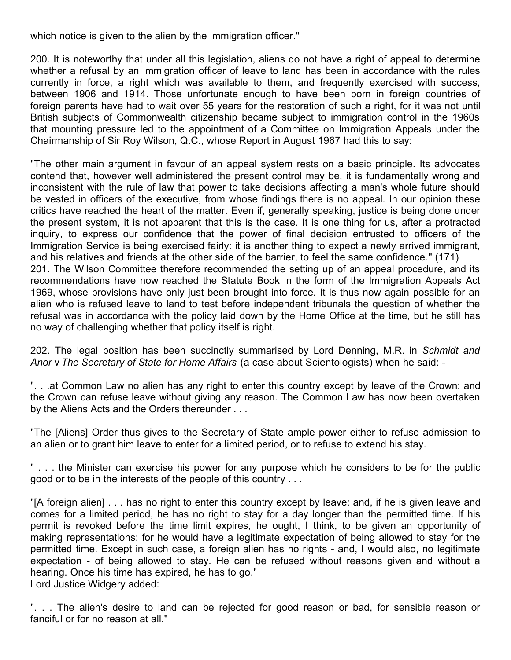which notice is given to the alien by the immigration officer."

200. It is noteworthy that under all this legislation, aliens do not have a right of appeal to determine whether a refusal by an immigration officer of leave to land has been in accordance with the rules currently in force, a right which was available to them, and frequently exercised with success, between 1906 and 1914. Those unfortunate enough to have been born in foreign countries of foreign parents have had to wait over 55 years for the restoration of such a right, for it was not until British subjects of Commonwealth citizenship became subject to immigration control in the 1960s that mounting pressure led to the appointment of a Committee on Immigration Appeals under the Chairmanship of Sir Roy Wilson, Q.C., whose Report in August 1967 had this to say:

"The other main argument in favour of an appeal system rests on a basic principle. Its advocates contend that, however well administered the present control may be, it is fundamentally wrong and inconsistent with the rule of law that power to take decisions affecting a man's whole future should be vested in officers of the executive, from whose findings there is no appeal. In our opinion these critics have reached the heart of the matter. Even if, generally speaking, justice is being done under the present system, it is not apparent that this is the case. It is one thing for us, after a protracted inquiry, to express our confidence that the power of final decision entrusted to officers of the Immigration Service is being exercised fairly: it is another thing to expect a newly arrived immigrant, and his relatives and friends at the other side of the barrier, to feel the same confidence.'' (171) 201. The Wilson Committee therefore recommended the setting up of an appeal procedure, and its

recommendations have now reached the Statute Book in the form of the Immigration Appeals Act 1969, whose provisions have only just been brought into force. It is thus now again possible for an alien who is refused leave to land to test before independent tribunals the question of whether the refusal was in accordance with the policy laid down by the Home Office at the time, but he still has no way of challenging whether that policy itself is right.

202. The legal position has been succinctly summarised by Lord Denning, M.R. in *Schmidt and Anor* v *The Secretary of State for Home Affairs* (a case about Scientologists) when he said: -

". . .at Common Law no alien has any right to enter this country except by leave of the Crown: and the Crown can refuse leave without giving any reason. The Common Law has now been overtaken by the Aliens Acts and the Orders thereunder . . .

"The [Aliens] Order thus gives to the Secretary of State ample power either to refuse admission to an alien or to grant him leave to enter for a limited period, or to refuse to extend his stay.

" . . . the Minister can exercise his power for any purpose which he considers to be for the public good or to be in the interests of the people of this country . . .

"[A foreign alien] . . . has no right to enter this country except by leave: and, if he is given leave and comes for a limited period, he has no right to stay for a day longer than the permitted time. If his permit is revoked before the time limit expires, he ought, I think, to be given an opportunity of making representations: for he would have a legitimate expectation of being allowed to stay for the permitted time. Except in such case, a foreign alien has no rights - and, I would also, no legitimate expectation - of being allowed to stay. He can be refused without reasons given and without a hearing. Once his time has expired, he has to go." Lord Justice Widgery added:

". . . The alien's desire to land can be rejected for good reason or bad, for sensible reason or fanciful or for no reason at all."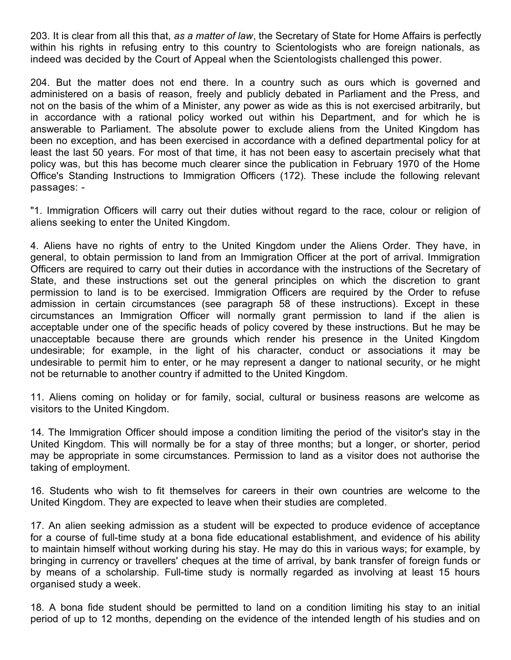203. It is clear from all this that, *as a matter of law*, the Secretary of State for Home Affairs is perfectly within his rights in refusing entry to this country to Scientologists who are foreign nationals, as indeed was decided by the Court of Appeal when the Scientologists challenged this power.

204. But the matter does not end there. In a country such as ours which is governed and administered on a basis of reason, freely and publicly debated in Parliament and the Press, and not on the basis of the whim of a Minister, any power as wide as this is not exercised arbitrarily, but in accordance with a rational policy worked out within his Department, and for which he is answerable to Parliament. The absolute power to exclude aliens from the United Kingdom has been no exception, and has been exercised in accordance with a defined departmental policy for at least the last 50 years. For most of that time, it has not been easy to ascertain precisely what that policy was, but this has become much clearer since the publication in February 1970 of the Home Office's Standing Instructions to Immigration Officers (172). These include the following relevant passages: -

"1. Immigration Officers will carry out their duties without regard to the race, colour or religion of aliens seeking to enter the United Kingdom.

4. Aliens have no rights of entry to the United Kingdom under the Aliens Order. They have, in general, to obtain permission to land from an Immigration Officer at the port of arrival. Immigration Officers are required to carry out their duties in accordance with the instructions of the Secretary of State, and these instructions set out the general principles on which the discretion to grant permission to land is to be exercised. Immigration Officers are required by the Order to refuse admission in certain circumstances (see paragraph 58 of these instructions). Except in these circumstances an Immigration Officer will normally grant permission to land if the alien is acceptable under one of the specific heads of policy covered by these instructions. But he may be unacceptable because there are grounds which render his presence in the United Kingdom undesirable; for example, in the light of his character, conduct or associations it may be undesirable to permit him to enter, or he may represent a danger to national security, or he might not be returnable to another country if admitted to the United Kingdom.

11. Aliens coming on holiday or for family, social, cultural or business reasons are welcome as visitors to the United Kingdom.

14. The Immigration Officer should impose a condition limiting the period of the visitor's stay in the United Kingdom. This will normally be for a stay of three months; but a longer, or shorter, period may be appropriate in some circumstances. Permission to land as a visitor does not authorise the taking of employment.

16. Students who wish to fit themselves for careers in their own countries are welcome to the United Kingdom. They are expected to leave when their studies are completed.

17. An alien seeking admission as a student will be expected to produce evidence of acceptance for a course of full-time study at a bona fide educational establishment, and evidence of his ability to maintain himself without working during his stay. He may do this in various ways; for example, by bringing in currency or travellers' cheques at the time of arrival, by bank transfer of foreign funds or by means of a scholarship. Full-time study is normally regarded as involving at least 15 hours organised study a week.

18. A bona fide student should be permitted to land on a condition limiting his stay to an initial period of up to 12 months, depending on the evidence of the intended length of his studies and on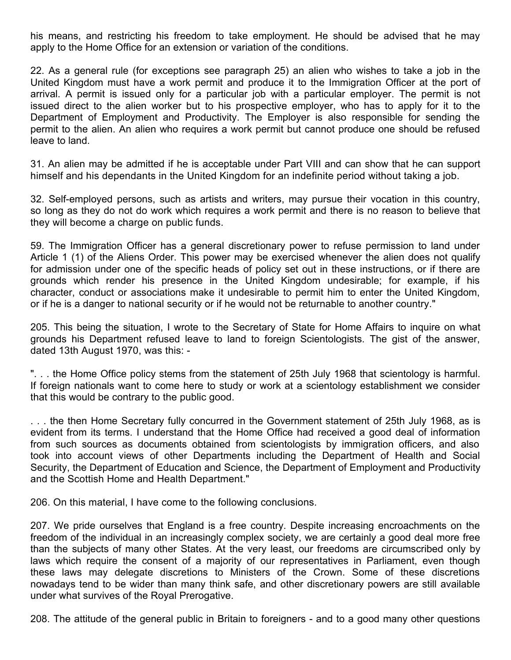his means, and restricting his freedom to take employment. He should be advised that he may apply to the Home Office for an extension or variation of the conditions.

22. As a general rule (for exceptions see paragraph 25) an alien who wishes to take a job in the United Kingdom must have a work permit and produce it to the Immigration Officer at the port of arrival. A permit is issued only for a particular job with a particular employer. The permit is not issued direct to the alien worker but to his prospective employer, who has to apply for it to the Department of Employment and Productivity. The Employer is also responsible for sending the permit to the alien. An alien who requires a work permit but cannot produce one should be refused leave to land.

31. An alien may be admitted if he is acceptable under Part VIII and can show that he can support himself and his dependants in the United Kingdom for an indefinite period without taking a job.

32. Self-employed persons, such as artists and writers, may pursue their vocation in this country, so long as they do not do work which requires a work permit and there is no reason to believe that they will become a charge on public funds.

59. The Immigration Officer has a general discretionary power to refuse permission to land under Article 1 (1) of the Aliens Order. This power may be exercised whenever the alien does not qualify for admission under one of the specific heads of policy set out in these instructions, or if there are grounds which render his presence in the United Kingdom undesirable; for example, if his character, conduct or associations make it undesirable to permit him to enter the United Kingdom, or if he is a danger to national security or if he would not be returnable to another country."

205. This being the situation, I wrote to the Secretary of State for Home Affairs to inquire on what grounds his Department refused leave to land to foreign Scientologists. The gist of the answer, dated 13th August 1970, was this: -

". . . the Home Office policy stems from the statement of 25th July 1968 that scientology is harmful. If foreign nationals want to come here to study or work at a scientology establishment we consider that this would be contrary to the public good.

. . . the then Home Secretary fully concurred in the Government statement of 25th July 1968, as is evident from its terms. I understand that the Home Office had received a good deal of information from such sources as documents obtained from scientologists by immigration officers, and also took into account views of other Departments including the Department of Health and Social Security, the Department of Education and Science, the Department of Employment and Productivity and the Scottish Home and Health Department."

206. On this material, I have come to the following conclusions.

207. We pride ourselves that England is a free country. Despite increasing encroachments on the freedom of the individual in an increasingly complex society, we are certainly a good deal more free than the subjects of many other States. At the very least, our freedoms are circumscribed only by laws which require the consent of a majority of our representatives in Parliament, even though these laws may delegate discretions to Ministers of the Crown. Some of these discretions nowadays tend to be wider than many think safe, and other discretionary powers are still available under what survives of the Royal Prerogative.

208. The attitude of the general public in Britain to foreigners - and to a good many other questions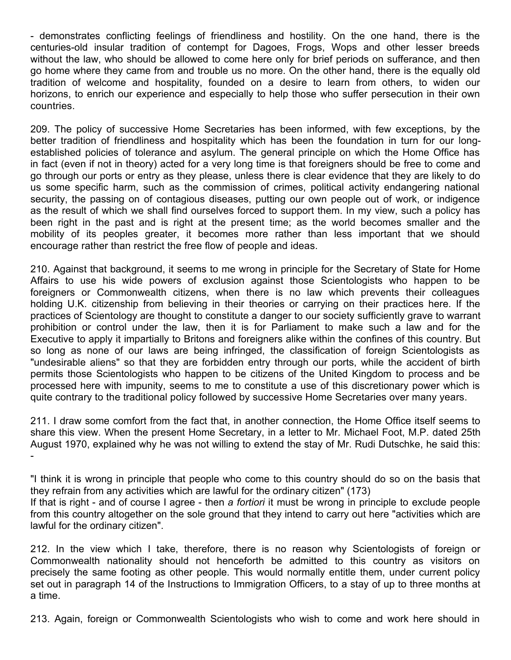- demonstrates conflicting feelings of friendliness and hostility. On the one hand, there is the centuries-old insular tradition of contempt for Dagoes, Frogs, Wops and other lesser breeds without the law, who should be allowed to come here only for brief periods on sufferance, and then go home where they came from and trouble us no more. On the other hand, there is the equally old tradition of welcome and hospitality, founded on a desire to learn from others, to widen our horizons, to enrich our experience and especially to help those who suffer persecution in their own countries.

209. The policy of successive Home Secretaries has been informed, with few exceptions, by the better tradition of friendliness and hospitality which has been the foundation in turn for our longestablished policies of tolerance and asylum. The general principle on which the Home Office has in fact (even if not in theory) acted for a very long time is that foreigners should be free to come and go through our ports or entry as they please, unless there is clear evidence that they are likely to do us some specific harm, such as the commission of crimes, political activity endangering national security, the passing on of contagious diseases, putting our own people out of work, or indigence as the result of which we shall find ourselves forced to support them. In my view, such a policy has been right in the past and is right at the present time; as the world becomes smaller and the mobility of its peoples greater, it becomes more rather than less important that we should encourage rather than restrict the free flow of people and ideas.

210. Against that background, it seems to me wrong in principle for the Secretary of State for Home Affairs to use his wide powers of exclusion against those Scientologists who happen to be foreigners or Commonwealth citizens, when there is no law which prevents their colleagues holding U.K. citizenship from believing in their theories or carrying on their practices here. If the practices of Scientology are thought to constitute a danger to our society sufficiently grave to warrant prohibition or control under the law, then it is for Parliament to make such a law and for the Executive to apply it impartially to Britons and foreigners alike within the confines of this country. But so long as none of our laws are being infringed, the classification of foreign Scientologists as "undesirable aliens" so that they are forbidden entry through our ports, while the accident of birth permits those Scientologists who happen to be citizens of the United Kingdom to process and be processed here with impunity, seems to me to constitute a use of this discretionary power which is quite contrary to the traditional policy followed by successive Home Secretaries over many years.

211. I draw some comfort from the fact that, in another connection, the Home Office itself seems to share this view. When the present Home Secretary, in a letter to Mr. Michael Foot, M.P. dated 25th August 1970, explained why he was not willing to extend the stay of Mr. Rudi Dutschke, he said this: -

"I think it is wrong in principle that people who come to this country should do so on the basis that they refrain from any activities which are lawful for the ordinary citizen" (173)

If that is right - and of course I agree - then *a fortiori* it must be wrong in principle to exclude people from this country altogether on the sole ground that they intend to carry out here "activities which are lawful for the ordinary citizen".

212. In the view which I take, therefore, there is no reason why Scientologists of foreign or Commonwealth nationality should not henceforth be admitted to this country as visitors on precisely the same footing as other people. This would normally entitle them, under current policy set out in paragraph 14 of the Instructions to Immigration Officers, to a stay of up to three months at a time.

213. Again, foreign or Commonwealth Scientologists who wish to come and work here should in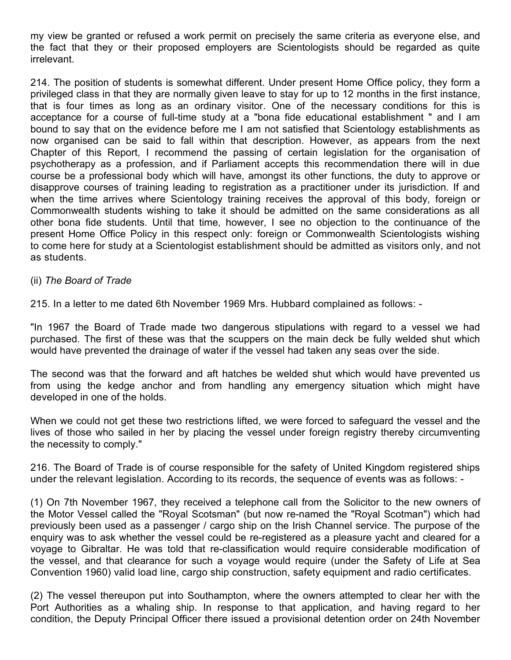my view be granted or refused a work permit on precisely the same criteria as everyone else, and the fact that they or their proposed employers are Scientologists should be regarded as quite irrelevant.

214. The position of students is somewhat different. Under present Home Office policy, they form a privileged class in that they are normally given leave to stay for up to 12 months in the first instance, that is four times as long as an ordinary visitor. One of the necessary conditions for this is acceptance for a course of full-time study at a "bona fide educational establishment " and I am bound to say that on the evidence before me I am not satisfied that Scientology establishments as now organised can be said to fall within that description. However, as appears from the next Chapter of this Report, I recommend the passing of certain legislation for the organisation of psychotherapy as a profession, and if Parliament accepts this recommendation there will in due course be a professional body which will have, amongst its other functions, the duty to approve or disapprove courses of training leading to registration as a practitioner under its jurisdiction. If and when the time arrives where Scientology training receives the approval of this body, foreign or Commonwealth students wishing to take it should be admitted on the same considerations as all other bona fide students. Until that time, however, I see no objection to the continuance of the present Home Office Policy in this respect only: foreign or Commonwealth Scientologists wishing to come here for study at a Scientologist establishment should be admitted as visitors only, and not as students.

(ii) *The Board of Trade*

215. In a letter to me dated 6th November 1969 Mrs. Hubbard complained as follows: -

"In 1967 the Board of Trade made two dangerous stipulations with regard to a vessel we had purchased. The first of these was that the scuppers on the main deck be fully welded shut which would have prevented the drainage of water if the vessel had taken any seas over the side.

The second was that the forward and aft hatches be welded shut which would have prevented us from using the kedge anchor and from handling any emergency situation which might have developed in one of the holds.

When we could not get these two restrictions lifted, we were forced to safeguard the vessel and the lives of those who sailed in her by placing the vessel under foreign registry thereby circumventing the necessity to comply."

216. The Board of Trade is of course responsible for the safety of United Kingdom registered ships under the relevant legislation. According to its records, the sequence of events was as follows: -

(1) On 7th November 1967, they received a telephone call from the Solicitor to the new owners of the Motor Vessel called the "Royal Scotsman" (but now re-named the "Royal Scotman") which had previously been used as a passenger / cargo ship on the Irish Channel service. The purpose of the enquiry was to ask whether the vessel could be re-registered as a pleasure yacht and cleared for a voyage to Gibraltar. He was told that re-classification would require considerable modification of the vessel, and that clearance for such a voyage would require (under the Safety of Life at Sea Convention 1960) valid load line, cargo ship construction, safety equipment and radio certificates.

(2) The vessel thereupon put into Southampton, where the owners attempted to clear her with the Port Authorities as a whaling ship. In response to that application, and having regard to her condition, the Deputy Principal Officer there issued a provisional detention order on 24th November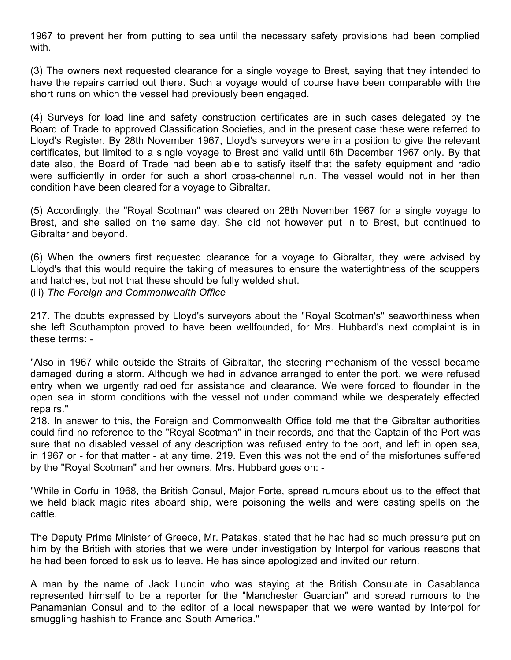1967 to prevent her from putting to sea until the necessary safety provisions had been complied with.

(3) The owners next requested clearance for a single voyage to Brest, saying that they intended to have the repairs carried out there. Such a voyage would of course have been comparable with the short runs on which the vessel had previously been engaged.

(4) Surveys for load line and safety construction certificates are in such cases delegated by the Board of Trade to approved Classification Societies, and in the present case these were referred to Lloyd's Register. By 28th November 1967, Lloyd's surveyors were in a position to give the relevant certificates, but limited to a single voyage to Brest and valid until 6th December 1967 only. By that date also, the Board of Trade had been able to satisfy itself that the safety equipment and radio were sufficiently in order for such a short cross-channel run. The vessel would not in her then condition have been cleared for a voyage to Gibraltar.

(5) Accordingly, the "Royal Scotman" was cleared on 28th November 1967 for a single voyage to Brest, and she sailed on the same day. She did not however put in to Brest, but continued to Gibraltar and beyond.

(6) When the owners first requested clearance for a voyage to Gibraltar, they were advised by Lloyd's that this would require the taking of measures to ensure the watertightness of the scuppers and hatches, but not that these should be fully welded shut. (iii) *The Foreign and Commonwealth Office*

217. The doubts expressed by Lloyd's surveyors about the "Royal Scotman's" seaworthiness when she left Southampton proved to have been wellfounded, for Mrs. Hubbard's next complaint is in these terms: -

"Also in 1967 while outside the Straits of Gibraltar, the steering mechanism of the vessel became damaged during a storm. Although we had in advance arranged to enter the port, we were refused entry when we urgently radioed for assistance and clearance. We were forced to flounder in the open sea in storm conditions with the vessel not under command while we desperately effected repairs."

218. In answer to this, the Foreign and Commonwealth Office told me that the Gibraltar authorities could find no reference to the "Royal Scotman" in their records, and that the Captain of the Port was sure that no disabled vessel of any description was refused entry to the port, and left in open sea, in 1967 or - for that matter - at any time. 219. Even this was not the end of the misfortunes suffered by the "Royal Scotman" and her owners. Mrs. Hubbard goes on: -

"While in Corfu in 1968, the British Consul, Major Forte, spread rumours about us to the effect that we held black magic rites aboard ship, were poisoning the wells and were casting spells on the cattle.

The Deputy Prime Minister of Greece, Mr. Patakes, stated that he had had so much pressure put on him by the British with stories that we were under investigation by Interpol for various reasons that he had been forced to ask us to leave. He has since apologized and invited our return.

A man by the name of Jack Lundin who was staying at the British Consulate in Casablanca represented himself to be a reporter for the "Manchester Guardian" and spread rumours to the Panamanian Consul and to the editor of a local newspaper that we were wanted by Interpol for smuggling hashish to France and South America."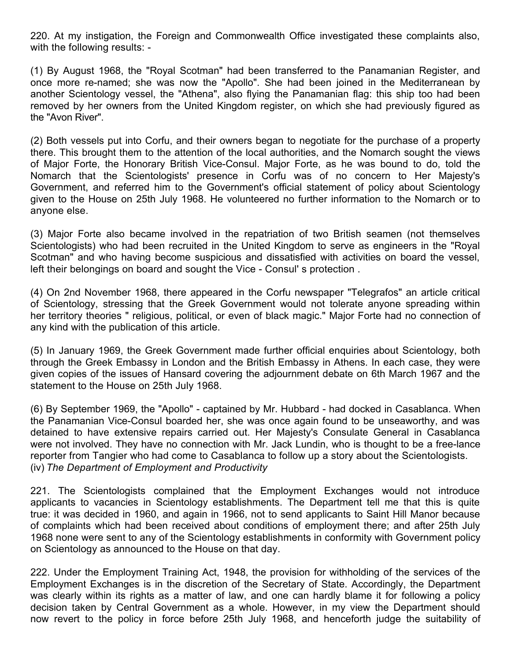220. At my instigation, the Foreign and Commonwealth Office investigated these complaints also, with the following results: -

(1) By August 1968, the "Royal Scotman" had been transferred to the Panamanian Register, and once more re-named; she was now the "Apollo". She had been joined in the Mediterranean by another Scientology vessel, the "Athena", also flying the Panamanian flag: this ship too had been removed by her owners from the United Kingdom register, on which she had previously figured as the "Avon River".

(2) Both vessels put into Corfu, and their owners began to negotiate for the purchase of a property there. This brought them to the attention of the local authorities, and the Nomarch sought the views of Major Forte, the Honorary British Vice-Consul. Major Forte, as he was bound to do, told the Nomarch that the Scientologists' presence in Corfu was of no concern to Her Majesty's Government, and referred him to the Government's official statement of policy about Scientology given to the House on 25th July 1968. He volunteered no further information to the Nomarch or to anyone else.

(3) Major Forte also became involved in the repatriation of two British seamen (not themselves Scientologists) who had been recruited in the United Kingdom to serve as engineers in the "Royal Scotman" and who having become suspicious and dissatisfied with activities on board the vessel, left their belongings on board and sought the Vice - Consul' s protection .

(4) On 2nd November 1968, there appeared in the Corfu newspaper "Telegrafos" an article critical of Scientology, stressing that the Greek Government would not tolerate anyone spreading within her territory theories " religious, political, or even of black magic." Major Forte had no connection of any kind with the publication of this article.

(5) In January 1969, the Greek Government made further official enquiries about Scientology, both through the Greek Embassy in London and the British Embassy in Athens. In each case, they were given copies of the issues of Hansard covering the adjournment debate on 6th March 1967 and the statement to the House on 25th July 1968.

(6) By September 1969, the "Apollo" - captained by Mr. Hubbard - had docked in Casablanca. When the Panamanian Vice-Consul boarded her, she was once again found to be unseaworthy, and was detained to have extensive repairs carried out. Her Majesty's Consulate General in Casablanca were not involved. They have no connection with Mr. Jack Lundin, who is thought to be a free-lance reporter from Tangier who had come to Casablanca to follow up a story about the Scientologists. (iv) *The Department of Employment and Productivity*

221. The Scientologists complained that the Employment Exchanges would not introduce applicants to vacancies in Scientology establishments. The Department tell me that this is quite true: it was decided in 1960, and again in 1966, not to send applicants to Saint Hill Manor because of complaints which had been received about conditions of employment there; and after 25th July 1968 none were sent to any of the Scientology establishments in conformity with Government policy on Scientology as announced to the House on that day.

222. Under the Employment Training Act, 1948, the provision for withholding of the services of the Employment Exchanges is in the discretion of the Secretary of State. Accordingly, the Department was clearly within its rights as a matter of law, and one can hardly blame it for following a policy decision taken by Central Government as a whole. However, in my view the Department should now revert to the policy in force before 25th July 1968, and henceforth judge the suitability of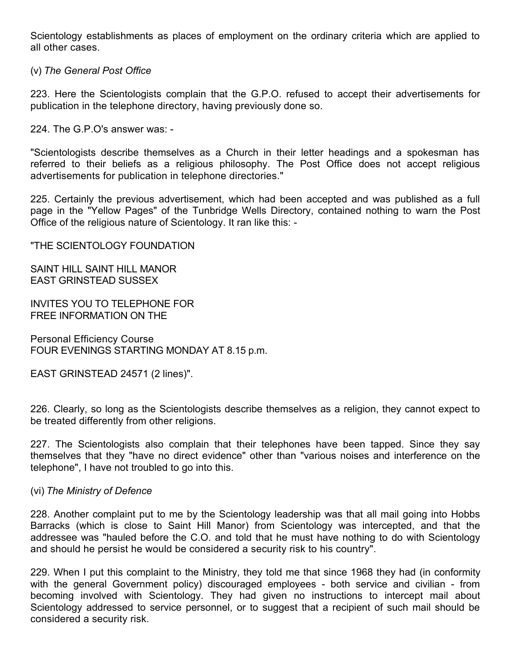Scientology establishments as places of employment on the ordinary criteria which are applied to all other cases.

(v) *The General Post Office*

223. Here the Scientologists complain that the G.P.O. refused to accept their advertisements for publication in the telephone directory, having previously done so.

224. The G.P.O's answer was: -

"Scientologists describe themselves as a Church in their letter headings and a spokesman has referred to their beliefs as a religious philosophy. The Post Office does not accept religious advertisements for publication in telephone directories."

225. Certainly the previous advertisement, which had been accepted and was published as a full page in the "Yellow Pages" of the Tunbridge Wells Directory, contained nothing to warn the Post Office of the religious nature of Scientology. It ran like this: -

"THE SCIENTOLOGY FOUNDATION

SAINT HILL SAINT HILL MANOR EAST GRINSTEAD SUSSEX

INVITES YOU TO TELEPHONE FOR FREE INFORMATION ON THE

Personal Efficiency Course FOUR EVENINGS STARTING MONDAY AT 8.15 p.m.

EAST GRINSTEAD 24571 (2 lines)".

226. Clearly, so long as the Scientologists describe themselves as a religion, they cannot expect to be treated differently from other religions.

227. The Scientologists also complain that their telephones have been tapped. Since they say themselves that they "have no direct evidence" other than "various noises and interference on the telephone", I have not troubled to go into this.

# (vi) *The Ministry of Defence*

228. Another complaint put to me by the Scientology leadership was that all mail going into Hobbs Barracks (which is close to Saint Hill Manor) from Scientology was intercepted, and that the addressee was "hauled before the C.O. and told that he must have nothing to do with Scientology and should he persist he would be considered a security risk to his country".

229. When I put this complaint to the Ministry, they told me that since 1968 they had (in conformity with the general Government policy) discouraged employees - both service and civilian - from becoming involved with Scientology. They had given no instructions to intercept mail about Scientology addressed to service personnel, or to suggest that a recipient of such mail should be considered a security risk.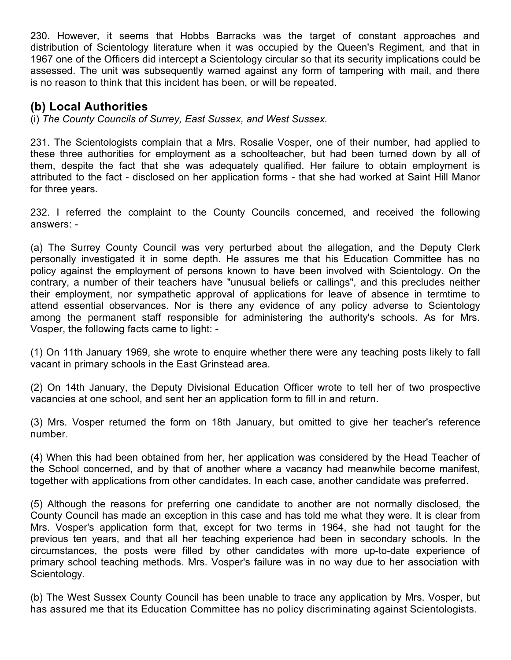230. However, it seems that Hobbs Barracks was the target of constant approaches and distribution of Scientology literature when it was occupied by the Queen's Regiment, and that in 1967 one of the Officers did intercept a Scientology circular so that its security implications could be assessed. The unit was subsequently warned against any form of tampering with mail, and there is no reason to think that this incident has been, or will be repeated.

# **(b) Local Authorities**

(i) *The County Councils of Surrey, East Sussex, and West Sussex.*

231. The Scientologists complain that a Mrs. Rosalie Vosper, one of their number, had applied to these three authorities for employment as a schoolteacher, but had been turned down by all of them, despite the fact that she was adequately qualified. Her failure to obtain employment is attributed to the fact - disclosed on her application forms - that she had worked at Saint Hill Manor for three years.

232. I referred the complaint to the County Councils concerned, and received the following answers: -

(a) The Surrey County Council was very perturbed about the allegation, and the Deputy Clerk personally investigated it in some depth. He assures me that his Education Committee has no policy against the employment of persons known to have been involved with Scientology. On the contrary, a number of their teachers have "unusual beliefs or callings", and this precludes neither their employment, nor sympathetic approval of applications for leave of absence in termtime to attend essential observances. Nor is there any evidence of any policy adverse to Scientology among the permanent staff responsible for administering the authority's schools. As for Mrs. Vosper, the following facts came to light: -

(1) On 11th January 1969, she wrote to enquire whether there were any teaching posts likely to fall vacant in primary schools in the East Grinstead area.

(2) On 14th January, the Deputy Divisional Education Officer wrote to tell her of two prospective vacancies at one school, and sent her an application form to fill in and return.

(3) Mrs. Vosper returned the form on 18th January, but omitted to give her teacher's reference number.

(4) When this had been obtained from her, her application was considered by the Head Teacher of the School concerned, and by that of another where a vacancy had meanwhile become manifest, together with applications from other candidates. In each case, another candidate was preferred.

(5) Although the reasons for preferring one candidate to another are not normally disclosed, the County Council has made an exception in this case and has told me what they were. It is clear from Mrs. Vosper's application form that, except for two terms in 1964, she had not taught for the previous ten years, and that all her teaching experience had been in secondary schools. In the circumstances, the posts were filled by other candidates with more up-to-date experience of primary school teaching methods. Mrs. Vosper's failure was in no way due to her association with Scientology.

(b) The West Sussex County Council has been unable to trace any application by Mrs. Vosper, but has assured me that its Education Committee has no policy discriminating against Scientologists.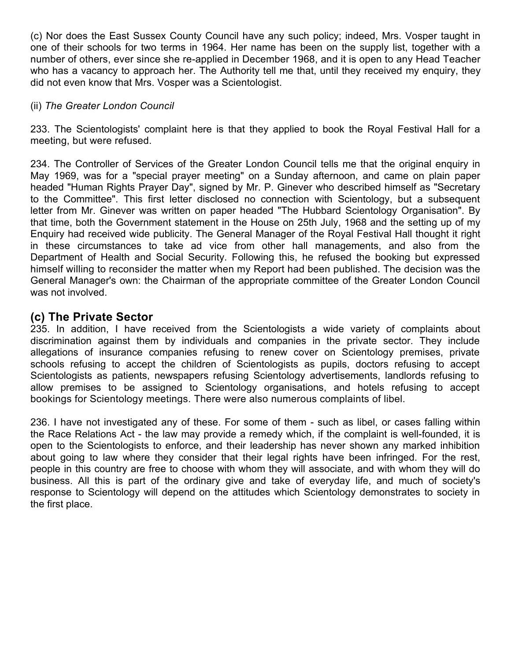(c) Nor does the East Sussex County Council have any such policy; indeed, Mrs. Vosper taught in one of their schools for two terms in 1964. Her name has been on the supply list, together with a number of others, ever since she re-applied in December 1968, and it is open to any Head Teacher who has a vacancy to approach her. The Authority tell me that, until they received my enquiry, they did not even know that Mrs. Vosper was a Scientologist.

# (ii) *The Greater London Council*

233. The Scientologists' complaint here is that they applied to book the Royal Festival Hall for a meeting, but were refused.

234. The Controller of Services of the Greater London Council tells me that the original enquiry in May 1969, was for a "special prayer meeting" on a Sunday afternoon, and came on plain paper headed "Human Rights Prayer Day", signed by Mr. P. Ginever who described himself as "Secretary to the Committee". This first letter disclosed no connection with Scientology, but a subsequent letter from Mr. Ginever was written on paper headed "The Hubbard Scientology Organisation". By that time, both the Government statement in the House on 25th July, 1968 and the setting up of my Enquiry had received wide publicity. The General Manager of the Royal Festival Hall thought it right in these circumstances to take ad vice from other hall managements, and also from the Department of Health and Social Security. Following this, he refused the booking but expressed himself willing to reconsider the matter when my Report had been published. The decision was the General Manager's own: the Chairman of the appropriate committee of the Greater London Council was not involved.

# **(c) The Private Sector**

235. In addition, I have received from the Scientologists a wide variety of complaints about discrimination against them by individuals and companies in the private sector. They include allegations of insurance companies refusing to renew cover on Scientology premises, private schools refusing to accept the children of Scientologists as pupils, doctors refusing to accept Scientologists as patients, newspapers refusing Scientology advertisements, landlords refusing to allow premises to be assigned to Scientology organisations, and hotels refusing to accept bookings for Scientology meetings. There were also numerous complaints of libel.

236. I have not investigated any of these. For some of them - such as libel, or cases falling within the Race Relations Act - the law may provide a remedy which, if the complaint is well-founded, it is open to the Scientologists to enforce, and their leadership has never shown any marked inhibition about going to law where they consider that their legal rights have been infringed. For the rest, people in this country are free to choose with whom they will associate, and with whom they will do business. All this is part of the ordinary give and take of everyday life, and much of society's response to Scientology will depend on the attitudes which Scientology demonstrates to society in the first place.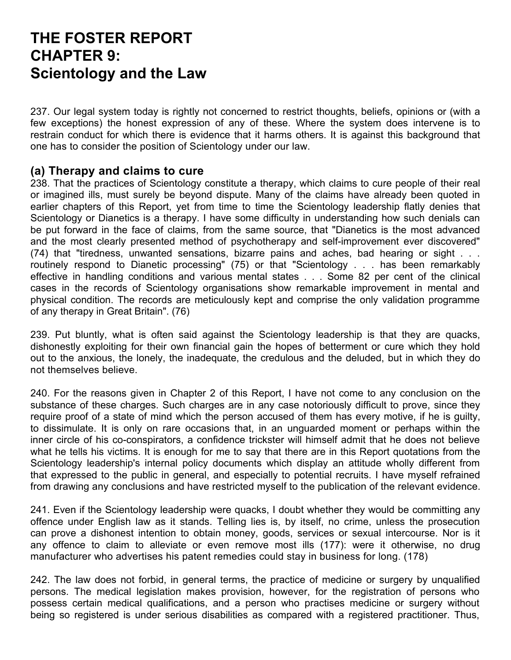# **THE FOSTER REPORT CHAPTER 9: Scientology and the Law**

237. Our legal system today is rightly not concerned to restrict thoughts, beliefs, opinions or (with a few exceptions) the honest expression of any of these. Where the system does intervene is to restrain conduct for which there is evidence that it harms others. It is against this background that one has to consider the position of Scientology under our law.

# **(a) Therapy and claims to cure**

238. That the practices of Scientology constitute a therapy, which claims to cure people of their real or imagined ills, must surely be beyond dispute. Many of the claims have already been quoted in earlier chapters of this Report, yet from time to time the Scientology leadership flatly denies that Scientology or Dianetics is a therapy. I have some difficulty in understanding how such denials can be put forward in the face of claims, from the same source, that "Dianetics is the most advanced and the most clearly presented method of psychotherapy and self-improvement ever discovered" (74) that "tiredness, unwanted sensations, bizarre pains and aches, bad hearing or sight . . . routinely respond to Dianetic processing" (75) or that "Scientology . . . has been remarkably effective in handling conditions and various mental states . . . Some 82 per cent of the clinical cases in the records of Scientology organisations show remarkable improvement in mental and physical condition. The records are meticulously kept and comprise the only validation programme of any therapy in Great Britain". (76)

239. Put bluntly, what is often said against the Scientology leadership is that they are quacks, dishonestly exploiting for their own financial gain the hopes of betterment or cure which they hold out to the anxious, the lonely, the inadequate, the credulous and the deluded, but in which they do not themselves believe.

240. For the reasons given in Chapter 2 of this Report, I have not come to any conclusion on the substance of these charges. Such charges are in any case notoriously difficult to prove, since they require proof of a state of mind which the person accused of them has every motive, if he is guilty, to dissimulate. It is only on rare occasions that, in an unguarded moment or perhaps within the inner circle of his co-conspirators, a confidence trickster will himself admit that he does not believe what he tells his victims. It is enough for me to say that there are in this Report quotations from the Scientology leadership's internal policy documents which display an attitude wholly different from that expressed to the public in general, and especially to potential recruits. I have myself refrained from drawing any conclusions and have restricted myself to the publication of the relevant evidence.

241. Even if the Scientology leadership were quacks, I doubt whether they would be committing any offence under English law as it stands. Telling lies is, by itself, no crime, unless the prosecution can prove a dishonest intention to obtain money, goods, services or sexual intercourse. Nor is it any offence to claim to alleviate or even remove most ills (177): were it otherwise, no drug manufacturer who advertises his patent remedies could stay in business for long. (178)

242. The law does not forbid, in general terms, the practice of medicine or surgery by unqualified persons. The medical legislation makes provision, however, for the registration of persons who possess certain medical qualifications, and a person who practises medicine or surgery without being so registered is under serious disabilities as compared with a registered practitioner. Thus,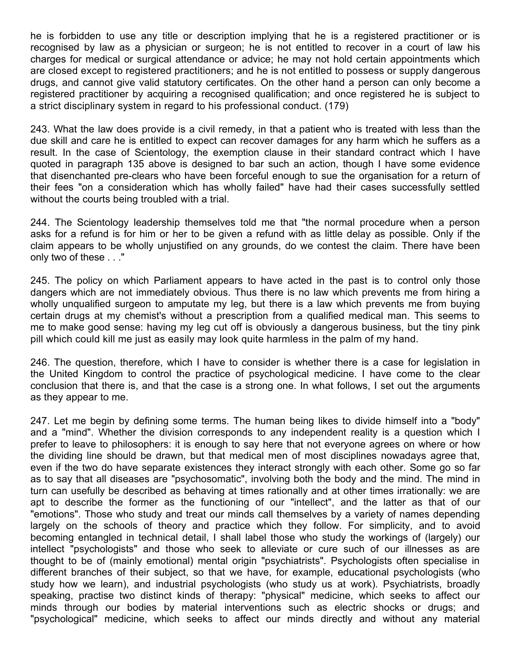he is forbidden to use any title or description implying that he is a registered practitioner or is recognised by law as a physician or surgeon; he is not entitled to recover in a court of law his charges for medical or surgical attendance or advice; he may not hold certain appointments which are closed except to registered practitioners; and he is not entitled to possess or supply dangerous drugs, and cannot give valid statutory certificates. On the other hand a person can only become a registered practitioner by acquiring a recognised qualification; and once registered he is subject to a strict disciplinary system in regard to his professional conduct. (179)

243. What the law does provide is a civil remedy, in that a patient who is treated with less than the due skill and care he is entitled to expect can recover damages for any harm which he suffers as a result. In the case of Scientology, the exemption clause in their standard contract which I have quoted in paragraph 135 above is designed to bar such an action, though I have some evidence that disenchanted pre-clears who have been forceful enough to sue the organisation for a return of their fees "on a consideration which has wholly failed" have had their cases successfully settled without the courts being troubled with a trial.

244. The Scientology leadership themselves told me that "the normal procedure when a person asks for a refund is for him or her to be given a refund with as little delay as possible. Only if the claim appears to be wholly unjustified on any grounds, do we contest the claim. There have been only two of these . . ."

245. The policy on which Parliament appears to have acted in the past is to control only those dangers which are not immediately obvious. Thus there is no law which prevents me from hiring a wholly unqualified surgeon to amputate my leg, but there is a law which prevents me from buying certain drugs at my chemist's without a prescription from a qualified medical man. This seems to me to make good sense: having my leg cut off is obviously a dangerous business, but the tiny pink pill which could kill me just as easily may look quite harmless in the palm of my hand.

246. The question, therefore, which I have to consider is whether there is a case for legislation in the United Kingdom to control the practice of psychological medicine. I have come to the clear conclusion that there is, and that the case is a strong one. In what follows, I set out the arguments as they appear to me.

247. Let me begin by defining some terms. The human being likes to divide himself into a "body" and a "mind". Whether the division corresponds to any independent reality is a question which I prefer to leave to philosophers: it is enough to say here that not everyone agrees on where or how the dividing line should be drawn, but that medical men of most disciplines nowadays agree that, even if the two do have separate existences they interact strongly with each other. Some go so far as to say that all diseases are "psychosomatic", involving both the body and the mind. The mind in turn can usefully be described as behaving at times rationally and at other times irrationally: we are apt to describe the former as the functioning of our "intellect", and the latter as that of our "emotions". Those who study and treat our minds call themselves by a variety of names depending largely on the schools of theory and practice which they follow. For simplicity, and to avoid becoming entangled in technical detail, I shall label those who study the workings of (largely) our intellect "psychologists" and those who seek to alleviate or cure such of our illnesses as are thought to be of (mainly emotional) mental origin "psychiatrists". Psychologists often specialise in different branches of their subject, so that we have, for example, educational psychologists (who study how we learn), and industrial psychologists (who study us at work). Psychiatrists, broadly speaking, practise two distinct kinds of therapy: "physical" medicine, which seeks to affect our minds through our bodies by material interventions such as electric shocks or drugs; and "psychological" medicine, which seeks to affect our minds directly and without any material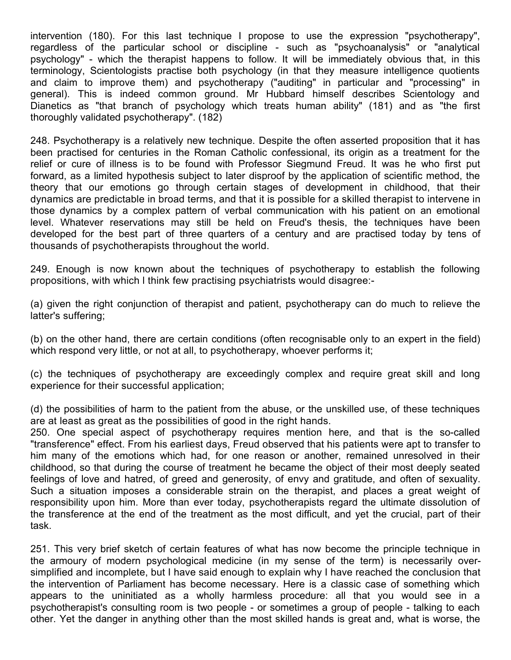intervention (180). For this last technique I propose to use the expression "psychotherapy", regardless of the particular school or discipline - such as "psychoanalysis" or "analytical psychology" - which the therapist happens to follow. It will be immediately obvious that, in this terminology, Scientologists practise both psychology (in that they measure intelligence quotients and claim to improve them) and psychotherapy ("auditing" in particular and "processing" in general). This is indeed common ground. Mr Hubbard himself describes Scientology and Dianetics as "that branch of psychology which treats human ability" (181) and as "the first thoroughly validated psychotherapy". (182)

248. Psychotherapy is a relatively new technique. Despite the often asserted proposition that it has been practised for centuries in the Roman Catholic confessional, its origin as a treatment for the relief or cure of illness is to be found with Professor Siegmund Freud. It was he who first put forward, as a limited hypothesis subject to later disproof by the application of scientific method, the theory that our emotions go through certain stages of development in childhood, that their dynamics are predictable in broad terms, and that it is possible for a skilled therapist to intervene in those dynamics by a complex pattern of verbal communication with his patient on an emotional level. Whatever reservations may still be held on Freud's thesis, the techniques have been developed for the best part of three quarters of a century and are practised today by tens of thousands of psychotherapists throughout the world.

249. Enough is now known about the techniques of psychotherapy to establish the following propositions, with which l think few practising psychiatrists would disagree:-

(a) given the right conjunction of therapist and patient, psychotherapy can do much to relieve the latter's suffering;

(b) on the other hand, there are certain conditions (often recognisable only to an expert in the field) which respond very little, or not at all, to psychotherapy, whoever performs it;

(c) the techniques of psychotherapy are exceedingly complex and require great skill and long experience for their successful application;

(d) the possibilities of harm to the patient from the abuse, or the unskilled use, of these techniques are at least as great as the possibilities of good in the right hands.

250. One special aspect of psychotherapy requires mention here, and that is the so-called "transference" effect. From his earliest days, Freud observed that his patients were apt to transfer to him many of the emotions which had, for one reason or another, remained unresolved in their childhood, so that during the course of treatment he became the object of their most deeply seated feelings of love and hatred, of greed and generosity, of envy and gratitude, and often of sexuality. Such a situation imposes a considerable strain on the therapist, and places a great weight of responsibility upon him. More than ever today, psychotherapists regard the ultimate dissolution of the transference at the end of the treatment as the most difficult, and yet the crucial, part of their task.

251. This very brief sketch of certain features of what has now become the principle technique in the armoury of modern psychological medicine (in my sense of the term) is necessarily oversimplified and incomplete, but I have said enough to explain why I have reached the conclusion that the intervention of Parliament has become necessary. Here is a classic case of something which appears to the uninitiated as a wholly harmless procedure: all that you would see in a psychotherapist's consulting room is two people - or sometimes a group of people - talking to each other. Yet the danger in anything other than the most skilled hands is great and, what is worse, the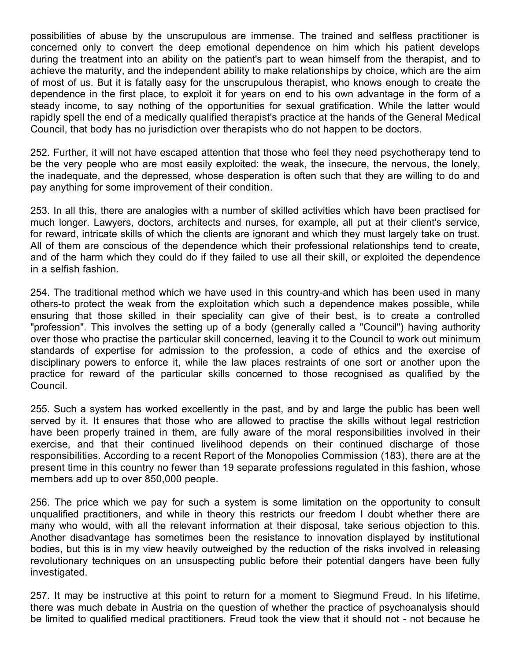possibilities of abuse by the unscrupulous are immense. The trained and selfless practitioner is concerned only to convert the deep emotional dependence on him which his patient develops during the treatment into an ability on the patient's part to wean himself from the therapist, and to achieve the maturity, and the independent ability to make relationships by choice, which are the aim of most of us. But it is fatally easy for the unscrupulous therapist, who knows enough to create the dependence in the first place, to exploit it for years on end to his own advantage in the form of a steady income, to say nothing of the opportunities for sexual gratification. While the latter would rapidly spell the end of a medically qualified therapist's practice at the hands of the General Medical Council, that body has no jurisdiction over therapists who do not happen to be doctors.

252. Further, it will not have escaped attention that those who feel they need psychotherapy tend to be the very people who are most easily exploited: the weak, the insecure, the nervous, the lonely, the inadequate, and the depressed, whose desperation is often such that they are willing to do and pay anything for some improvement of their condition.

253. In all this, there are analogies with a number of skilled activities which have been practised for much longer. Lawyers, doctors, architects and nurses, for example, all put at their client's service, for reward, intricate skills of which the clients are ignorant and which they must largely take on trust. All of them are conscious of the dependence which their professional relationships tend to create, and of the harm which they could do if they failed to use all their skill, or exploited the dependence in a selfish fashion.

254. The traditional method which we have used in this country-and which has been used in many others-to protect the weak from the exploitation which such a dependence makes possible, while ensuring that those skilled in their speciality can give of their best, is to create a controlled "profession". This involves the setting up of a body (generally called a "Council") having authority over those who practise the particular skill concerned, leaving it to the Council to work out minimum standards of expertise for admission to the profession, a code of ethics and the exercise of disciplinary powers to enforce it, while the law places restraints of one sort or another upon the practice for reward of the particular skills concerned to those recognised as qualified by the Council.

255. Such a system has worked excellently in the past, and by and large the public has been well served by it. It ensures that those who are allowed to practise the skills without legal restriction have been properly trained in them, are fully aware of the moral responsibilities involved in their exercise, and that their continued livelihood depends on their continued discharge of those responsibilities. According to a recent Report of the Monopolies Commission (183), there are at the present time in this country no fewer than 19 separate professions regulated in this fashion, whose members add up to over 850,000 people.

256. The price which we pay for such a system is some limitation on the opportunity to consult unqualified practitioners, and while in theory this restricts our freedom I doubt whether there are many who would, with all the relevant information at their disposal, take serious objection to this. Another disadvantage has sometimes been the resistance to innovation displayed by institutional bodies, but this is in my view heavily outweighed by the reduction of the risks involved in releasing revolutionary techniques on an unsuspecting public before their potential dangers have been fully investigated.

257. It may be instructive at this point to return for a moment to Siegmund Freud. In his lifetime, there was much debate in Austria on the question of whether the practice of psychoanalysis should be limited to qualified medical practitioners. Freud took the view that it should not - not because he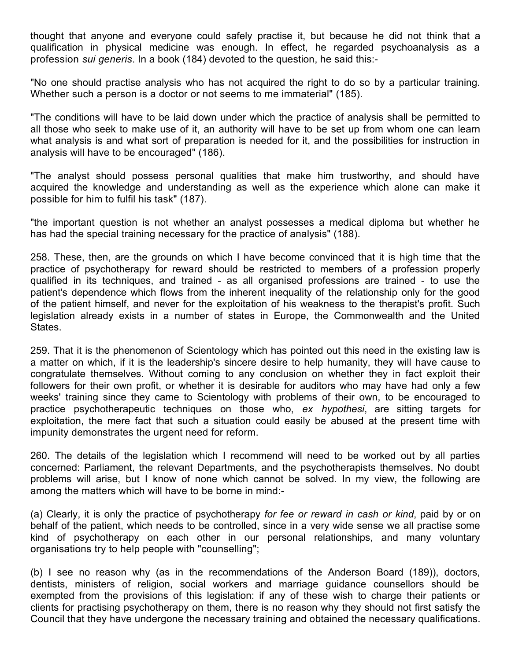thought that anyone and everyone could safely practise it, but because he did not think that a qualification in physical medicine was enough. In effect, he regarded psychoanalysis as a profession *sui generis*. In a book (184) devoted to the question, he said this:-

"No one should practise analysis who has not acquired the right to do so by a particular training. Whether such a person is a doctor or not seems to me immaterial" (185).

"The conditions will have to be laid down under which the practice of analysis shall be permitted to all those who seek to make use of it, an authority will have to be set up from whom one can learn what analysis is and what sort of preparation is needed for it, and the possibilities for instruction in analysis will have to be encouraged" (186).

"The analyst should possess personal qualities that make him trustworthy, and should have acquired the knowledge and understanding as well as the experience which alone can make it possible for him to fulfil his task" (187).

"the important question is not whether an analyst possesses a medical diploma but whether he has had the special training necessary for the practice of analysis" (188).

258. These, then, are the grounds on which I have become convinced that it is high time that the practice of psychotherapy for reward should be restricted to members of a profession properly qualified in its techniques, and trained - as all organised professions are trained - to use the patient's dependence which flows from the inherent inequality of the relationship only for the good of the patient himself, and never for the exploitation of his weakness to the therapist's profit. Such legislation already exists in a number of states in Europe, the Commonwealth and the United States.

259. That it is the phenomenon of Scientology which has pointed out this need in the existing law is a matter on which, if it is the leadership's sincere desire to help humanity, they will have cause to congratulate themselves. Without coming to any conclusion on whether they in fact exploit their followers for their own profit, or whether it is desirable for auditors who may have had only a few weeks' training since they came to Scientology with problems of their own, to be encouraged to practice psychotherapeutic techniques on those who, *ex hypothesi*, are sitting targets for exploitation, the mere fact that such a situation could easily be abused at the present time with impunity demonstrates the urgent need for reform.

260. The details of the legislation which I recommend will need to be worked out by all parties concerned: Parliament, the relevant Departments, and the psychotherapists themselves. No doubt problems will arise, but I know of none which cannot be solved. In my view, the following are among the matters which will have to be borne in mind:-

(a) Clearly, it is only the practice of psychotherapy *for fee or reward in cash or kind*, paid by or on behalf of the patient, which needs to be controlled, since in a very wide sense we all practise some kind of psychotherapy on each other in our personal relationships, and many voluntary organisations try to help people with "counselling";

(b) I see no reason why (as in the recommendations of the Anderson Board (189)), doctors, dentists, ministers of religion, social workers and marriage guidance counsellors should be exempted from the provisions of this legislation: if any of these wish to charge their patients or clients for practising psychotherapy on them, there is no reason why they should not first satisfy the Council that they have undergone the necessary training and obtained the necessary qualifications.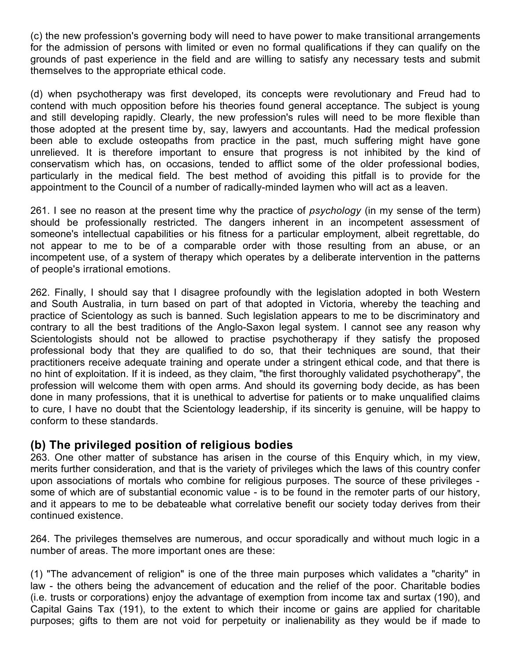(c) the new profession's governing body will need to have power to make transitional arrangements for the admission of persons with limited or even no formal qualifications if they can qualify on the grounds of past experience in the field and are willing to satisfy any necessary tests and submit themselves to the appropriate ethical code.

(d) when psychotherapy was first developed, its concepts were revolutionary and Freud had to contend with much opposition before his theories found general acceptance. The subject is young and still developing rapidly. Clearly, the new profession's rules will need to be more flexible than those adopted at the present time by, say, lawyers and accountants. Had the medical profession been able to exclude osteopaths from practice in the past, much suffering might have gone unrelieved. It is therefore important to ensure that progress is not inhibited by the kind of conservatism which has, on occasions, tended to afflict some of the older professional bodies, particularly in the medical field. The best method of avoiding this pitfall is to provide for the appointment to the Council of a number of radically-minded laymen who will act as a leaven.

261. I see no reason at the present time why the practice of *psychology* (in my sense of the term) should be professionally restricted. The dangers inherent in an incompetent assessment of someone's intellectual capabilities or his fitness for a particular employment, albeit regrettable, do not appear to me to be of a comparable order with those resulting from an abuse, or an incompetent use, of a system of therapy which operates by a deliberate intervention in the patterns of people's irrational emotions.

262. Finally, I should say that I disagree profoundly with the legislation adopted in both Western and South Australia, in turn based on part of that adopted in Victoria, whereby the teaching and practice of Scientology as such is banned. Such legislation appears to me to be discriminatory and contrary to all the best traditions of the Anglo-Saxon legal system. I cannot see any reason why Scientologists should not be allowed to practise psychotherapy if they satisfy the proposed professional body that they are qualified to do so, that their techniques are sound, that their practitioners receive adequate training and operate under a stringent ethical code, and that there is no hint of exploitation. If it is indeed, as they claim, "the first thoroughly validated psychotherapy", the profession will welcome them with open arms. And should its governing body decide, as has been done in many professions, that it is unethical to advertise for patients or to make unqualified claims to cure, I have no doubt that the Scientology leadership, if its sincerity is genuine, will be happy to conform to these standards.

# **(b) The privileged position of religious bodies**

263. One other matter of substance has arisen in the course of this Enquiry which, in my view, merits further consideration, and that is the variety of privileges which the laws of this country confer upon associations of mortals who combine for religious purposes. The source of these privileges some of which are of substantial economic value - is to be found in the remoter parts of our history, and it appears to me to be debateable what correlative benefit our society today derives from their continued existence.

264. The privileges themselves are numerous, and occur sporadically and without much logic in a number of areas. The more important ones are these:

(1) "The advancement of religion" is one of the three main purposes which validates a "charity" in law - the others being the advancement of education and the relief of the poor. Charitable bodies (i.e. trusts or corporations) enjoy the advantage of exemption from income tax and surtax (190), and Capital Gains Tax (191), to the extent to which their income or gains are applied for charitable purposes; gifts to them are not void for perpetuity or inalienability as they would be if made to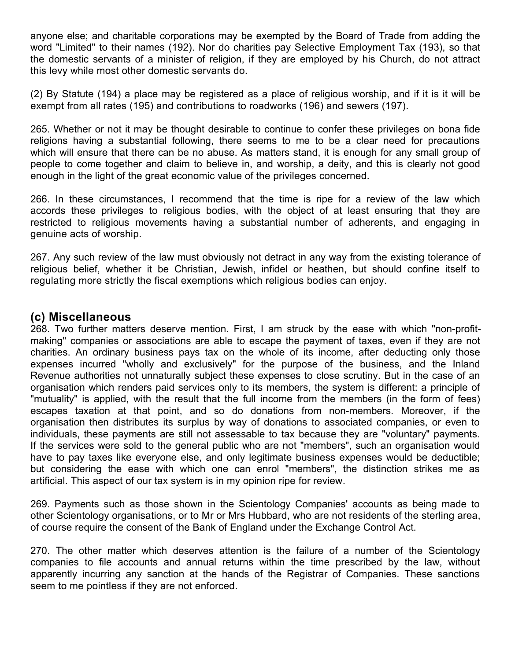anyone else; and charitable corporations may be exempted by the Board of Trade from adding the word "Limited" to their names (192). Nor do charities pay Selective Employment Tax (193), so that the domestic servants of a minister of religion, if they are employed by his Church, do not attract this levy while most other domestic servants do.

(2) By Statute (194) a place may be registered as a place of religious worship, and if it is it will be exempt from all rates (195) and contributions to roadworks (196) and sewers (197).

265. Whether or not it may be thought desirable to continue to confer these privileges on bona fide religions having a substantial following, there seems to me to be a clear need for precautions which will ensure that there can be no abuse. As matters stand, it is enough for any small group of people to come together and claim to believe in, and worship, a deity, and this is clearly not good enough in the light of the great economic value of the privileges concerned.

266. In these circumstances, I recommend that the time is ripe for a review of the law which accords these privileges to religious bodies, with the object of at least ensuring that they are restricted to religious movements having a substantial number of adherents, and engaging in genuine acts of worship.

267. Any such review of the law must obviously not detract in any way from the existing tolerance of religious belief, whether it be Christian, Jewish, infidel or heathen, but should confine itself to regulating more strictly the fiscal exemptions which religious bodies can enjoy.

# **(c) Miscellaneous**

268. Two further matters deserve mention. First, I am struck by the ease with which "non-profitmaking" companies or associations are able to escape the payment of taxes, even if they are not charities. An ordinary business pays tax on the whole of its income, after deducting only those expenses incurred "wholly and exclusively" for the purpose of the business, and the Inland Revenue authorities not unnaturally subject these expenses to close scrutiny. But in the case of an organisation which renders paid services only to its members, the system is different: a principle of "mutuality" is applied, with the result that the full income from the members (in the form of fees) escapes taxation at that point, and so do donations from non-members. Moreover, if the organisation then distributes its surplus by way of donations to associated companies, or even to individuals, these payments are still not assessable to tax because they are "voluntary" payments. If the services were sold to the general public who are not "members", such an organisation would have to pay taxes like everyone else, and only legitimate business expenses would be deductible; but considering the ease with which one can enrol "members", the distinction strikes me as artificial. This aspect of our tax system is in my opinion ripe for review.

269. Payments such as those shown in the Scientology Companies' accounts as being made to other Scientology organisations, or to Mr or Mrs Hubbard, who are not residents of the sterling area, of course require the consent of the Bank of England under the Exchange Control Act.

270. The other matter which deserves attention is the failure of a number of the Scientology companies to file accounts and annual returns within the time prescribed by the law, without apparently incurring any sanction at the hands of the Registrar of Companies. These sanctions seem to me pointless if they are not enforced.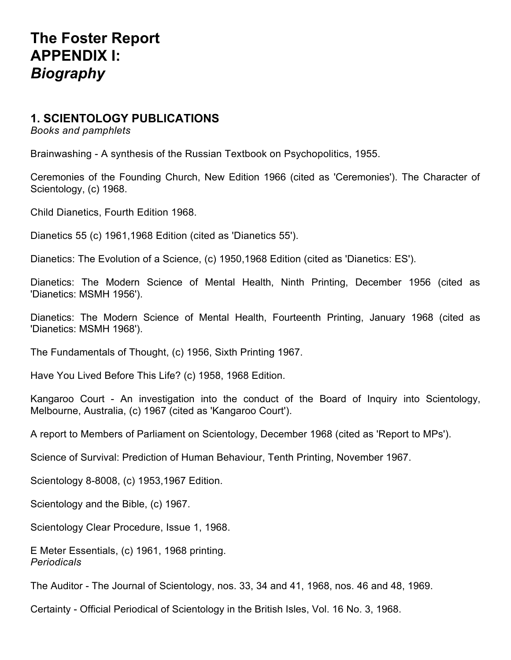# **The Foster Report APPENDIX I:** *Biography*

# **1. SCIENTOLOGY PUBLICATIONS**

*Books and pamphlets*

Brainwashing - A synthesis of the Russian Textbook on Psychopolitics, 1955.

Ceremonies of the Founding Church, New Edition 1966 (cited as 'Ceremonies'). The Character of Scientology, (c) 1968.

Child Dianetics, Fourth Edition 1968.

Dianetics 55 (c) 1961,1968 Edition (cited as 'Dianetics 55').

Dianetics: The Evolution of a Science, (c) 1950,1968 Edition (cited as 'Dianetics: ES').

Dianetics: The Modern Science of Mental Health, Ninth Printing, December 1956 (cited as 'Dianetics: MSMH 1956').

Dianetics: The Modern Science of Mental Health, Fourteenth Printing, January 1968 (cited as 'Dianetics: MSMH 1968').

The Fundamentals of Thought, (c) 1956, Sixth Printing 1967.

Have You Lived Before This Life? (c) 1958, 1968 Edition.

Kangaroo Court - An investigation into the conduct of the Board of Inquiry into Scientology, Melbourne, Australia, (c) 1967 (cited as 'Kangaroo Court').

A report to Members of Parliament on Scientology, December 1968 (cited as 'Report to MPs').

Science of Survival: Prediction of Human Behaviour, Tenth Printing, November 1967.

Scientology 8-8008, (c) 1953,1967 Edition.

Scientology and the Bible, (c) 1967.

Scientology Clear Procedure, Issue 1, 1968.

E Meter Essentials, (c) 1961, 1968 printing. *Periodicals*

The Auditor - The Journal of Scientology, nos. 33, 34 and 41, 1968, nos. 46 and 48, 1969.

Certainty - Official Periodical of Scientology in the British Isles, Vol. 16 No. 3, 1968.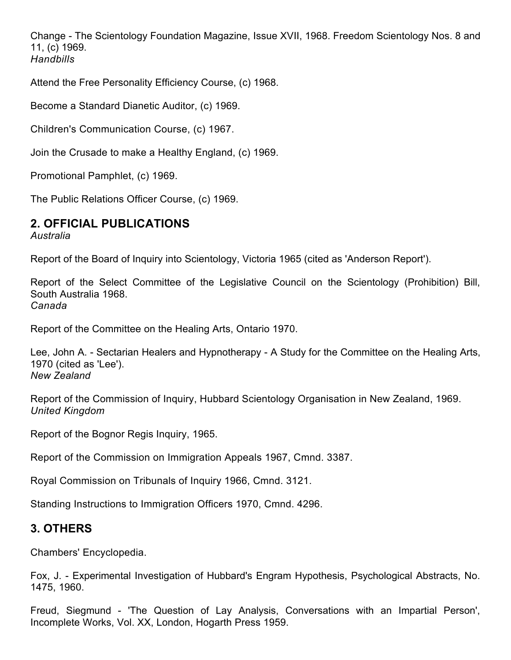Change - The Scientology Foundation Magazine, Issue XVII, 1968. Freedom Scientology Nos. 8 and 11, (c) 1969. *Handbills*

Attend the Free Personality Efficiency Course, (c) 1968.

Become a Standard Dianetic Auditor, (c) 1969.

Children's Communication Course, (c) 1967.

Join the Crusade to make a Healthy England, (c) 1969.

Promotional Pamphlet, (c) 1969.

The Public Relations Officer Course, (c) 1969.

# **2. OFFICIAL PUBLICATIONS**

*Australia*

Report of the Board of Inquiry into Scientology, Victoria 1965 (cited as 'Anderson Report').

Report of the Select Committee of the Legislative Council on the Scientology (Prohibition) Bill, South Australia 1968. *Canada*

Report of the Committee on the Healing Arts, Ontario 1970.

Lee, John A. - Sectarian Healers and Hypnotherapy - A Study for the Committee on the Healing Arts, 1970 (cited as 'Lee'). *New Zealand*

Report of the Commission of Inquiry, Hubbard Scientology Organisation in New Zealand, 1969. *United Kingdom*

Report of the Bognor Regis Inquiry, 1965.

Report of the Commission on Immigration Appeals 1967, Cmnd. 3387.

Royal Commission on Tribunals of Inquiry 1966, Cmnd. 3121.

Standing Instructions to Immigration Officers 1970, Cmnd. 4296.

# **3. OTHERS**

Chambers' Encyclopedia.

Fox, J. - Experimental Investigation of Hubbard's Engram Hypothesis, Psychological Abstracts, No. 1475, 1960.

Freud, Siegmund - 'The Question of Lay Analysis, Conversations with an Impartial Person', Incomplete Works, Vol. XX, London, Hogarth Press 1959.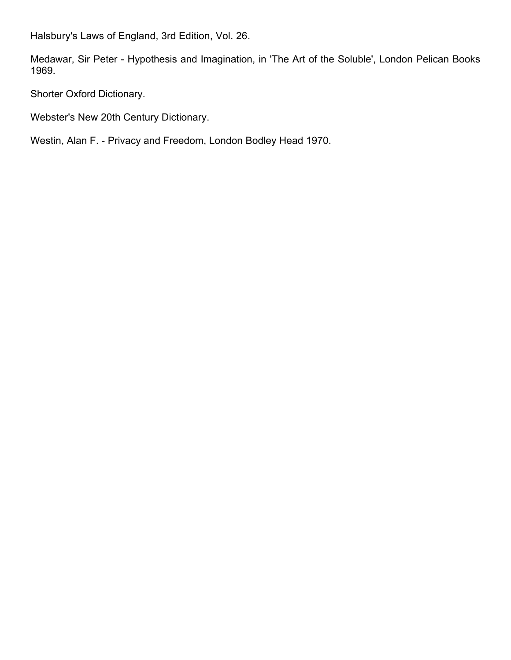Halsbury's Laws of England, 3rd Edition, Vol. 26.

Medawar, Sir Peter - Hypothesis and Imagination, in 'The Art of the Soluble', London Pelican Books 1969.

Shorter Oxford Dictionary.

Webster's New 20th Century Dictionary.

Westin, Alan F. - Privacy and Freedom, London Bodley Head 1970.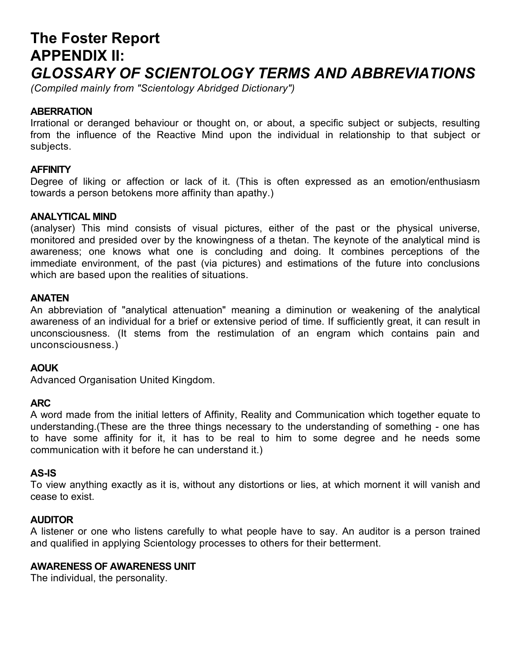# **The Foster Report APPENDIX II:** *GLOSSARY OF SCIENTOLOGY TERMS AND ABBREVIATIONS*

*(Compiled mainly from "Scientology Abridged Dictionary")*

# **ABERRATION**

Irrational or deranged behaviour or thought on, or about, a specific subject or subjects, resulting from the influence of the Reactive Mind upon the individual in relationship to that subject or subjects.

# **AFFINITY**

Degree of liking or affection or lack of it. (This is often expressed as an emotion/enthusiasm towards a person betokens more affinity than apathy.)

# **ANALYTICAL MIND**

(analyser) This mind consists of visual pictures, either of the past or the physical universe, monitored and presided over by the knowingness of a thetan. The keynote of the analytical mind is awareness; one knows what one is concluding and doing. It combines perceptions of the immediate environment, of the past (via pictures) and estimations of the future into conclusions which are based upon the realities of situations.

### **ANATEN**

An abbreviation of "analytical attenuation" meaning a diminution or weakening of the analytical awareness of an individual for a brief or extensive period of time. If sufficiently great, it can result in unconsciousness. (It stems from the restimulation of an engram which contains pain and unconsciousness.)

# **AOUK**

Advanced Organisation United Kingdom.

# **ARC**

A word made from the initial letters of Affinity, Reality and Communication which together equate to understanding.(These are the three things necessary to the understanding of something - one has to have some affinity for it, it has to be real to him to some degree and he needs some communication with it before he can understand it.)

# **AS-IS**

To view anything exactly as it is, without any distortions or lies, at which mornent it will vanish and cease to exist.

# **AUDITOR**

A listener or one who listens carefully to what people have to say. An auditor is a person trained and qualified in applying Scientology processes to others for their betterment.

#### **AWARENESS OF AWARENESS UNIT**

The individual, the personality.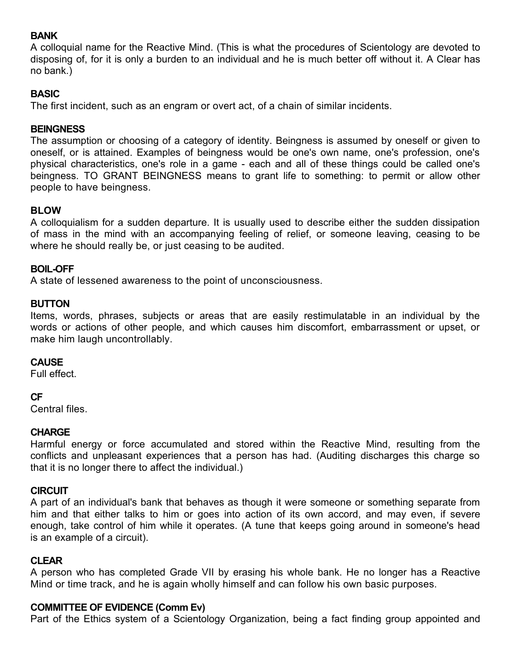# **BANK**

A colloquial name for the Reactive Mind. (This is what the procedures of Scientology are devoted to disposing of, for it is only a burden to an individual and he is much better off without it. A Clear has no bank.)

# **BASIC**

The first incident, such as an engram or overt act, of a chain of similar incidents.

# **BEINGNESS**

The assumption or choosing of a category of identity. Beingness is assumed by oneself or given to oneself, or is attained. Examples of beingness would be one's own name, one's profession, one's physical characteristics, one's role in a game - each and all of these things could be called one's beingness. TO GRANT BEINGNESS means to grant life to something: to permit or allow other people to have beingness.

# **BLOW**

A colloquialism for a sudden departure. It is usually used to describe either the sudden dissipation of mass in the mind with an accompanying feeling of relief, or someone leaving, ceasing to be where he should really be, or just ceasing to be audited.

# **BOIL-OFF**

A state of lessened awareness to the point of unconsciousness.

# **BUTTON**

Items, words, phrases, subjects or areas that are easily restimulatable in an individual by the words or actions of other people, and which causes him discomfort, embarrassment or upset, or make him laugh uncontrollably.

# **CAUSE**

Full effect.

# **CF**

Central files.

# **CHARGE**

Harmful energy or force accumulated and stored within the Reactive Mind, resulting from the conflicts and unpleasant experiences that a person has had. (Auditing discharges this charge so that it is no longer there to affect the individual.)

# **CIRCUIT**

A part of an individual's bank that behaves as though it were someone or something separate from him and that either talks to him or goes into action of its own accord, and may even, if severe enough, take control of him while it operates. (A tune that keeps going around in someone's head is an example of a circuit).

# **CLEAR**

A person who has completed Grade VII by erasing his whole bank. He no longer has a Reactive Mind or time track, and he is again wholly himself and can follow his own basic purposes.

# **COMMITTEE OF EVIDENCE (Comm Ev)**

Part of the Ethics system of a Scientology Organization, being a fact finding group appointed and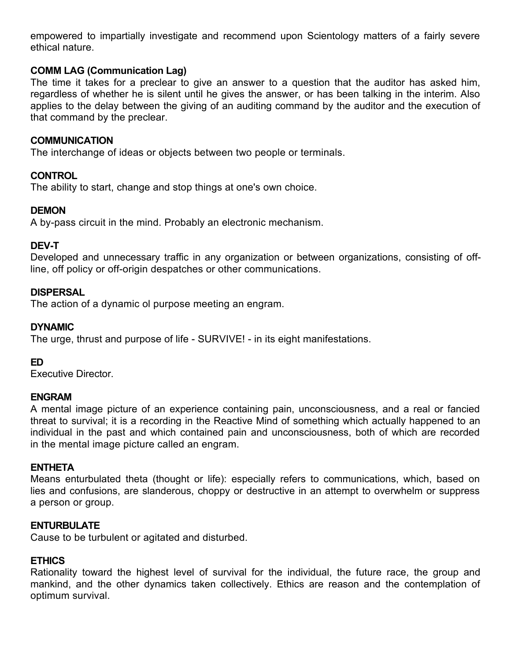empowered to impartially investigate and recommend upon Scientology matters of a fairly severe ethical nature.

# **COMM LAG (Communication Lag)**

The time it takes for a preclear to give an answer to a question that the auditor has asked him, regardless of whether he is silent until he gives the answer, or has been talking in the interim. Also applies to the delay between the giving of an auditing command by the auditor and the execution of that command by the preclear.

### **COMMUNICATION**

The interchange of ideas or objects between two people or terminals.

### **CONTROL**

The ability to start, change and stop things at one's own choice.

### **DEMON**

A by-pass circuit in the mind. Probably an electronic mechanism.

### **DEV-T**

Developed and unnecessary traffic in any organization or between organizations, consisting of offline, off policy or off-origin despatches or other communications.

### **DISPERSAL**

The action of a dynamic ol purpose meeting an engram.

### **DYNAMIC**

The urge, thrust and purpose of life - SURVIVE! - in its eight manifestations.

# **ED**

Executive Director.

#### **ENGRAM**

A mental image picture of an experience containing pain, unconsciousness, and a real or fancied threat to survival; it is a recording in the Reactive Mind of something which actually happened to an individual in the past and which contained pain and unconsciousness, both of which are recorded in the mental image picture called an engram.

#### **ENTHETA**

Means enturbulated theta (thought or life): especially refers to communications, which, based on lies and confusions, are slanderous, choppy or destructive in an attempt to overwhelm or suppress a person or group.

#### **ENTURBULATE**

Cause to be turbulent or agitated and disturbed.

# **ETHICS**

Rationality toward the highest level of survival for the individual, the future race, the group and mankind, and the other dynamics taken collectively. Ethics are reason and the contemplation of optimum survival.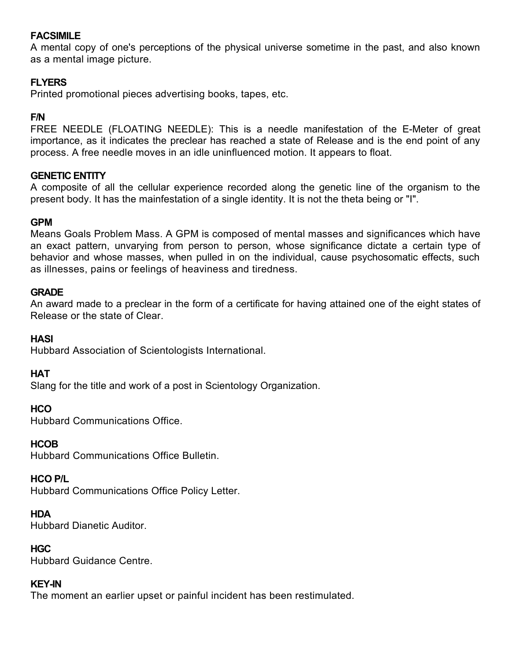# **FACSIMILE**

A mental copy of one's perceptions of the physical universe sometime in the past, and also known as a mental image picture.

# **FLYERS**

Printed promotional pieces advertising books, tapes, etc.

# **F/N**

FREE NEEDLE (FLOATING NEEDLE): This is a needle manifestation of the E-Meter of great importance, as it indicates the preclear has reached a state of Release and is the end point of any process. A free needle moves in an idle uninfluenced motion. It appears to float.

# **GENETIC ENTITY**

A composite of all the cellular experience recorded along the genetic line of the organism to the present body. It has the mainfestation of a single identity. It is not the theta being or "I".

# **GPM**

Means Goals Problem Mass. A GPM is composed of mental masses and significances which have an exact pattern, unvarying from person to person, whose significance dictate a certain type of behavior and whose masses, when pulled in on the individual, cause psychosomatic effects, such as illnesses, pains or feelings of heaviness and tiredness.

# **GRADE**

An award made to a preclear in the form of a certificate for having attained one of the eight states of Release or the state of Clear.

# **HASI**

Hubbard Association of Scientologists International.

# **HAT**

Slang for the title and work of a post in Scientology Organization.

# **HCO**

Hubbard Communications Office.

# **HCOB**

Hubbard Communications Office Bulletin.

# **HCO P/L**

Hubbard Communications Office Policy Letter.

# **HDA**

Hubbard Dianetic Auditor.

# **HGC**

Hubbard Guidance Centre.

# **KEY-IN**

The moment an earlier upset or painful incident has been restimulated.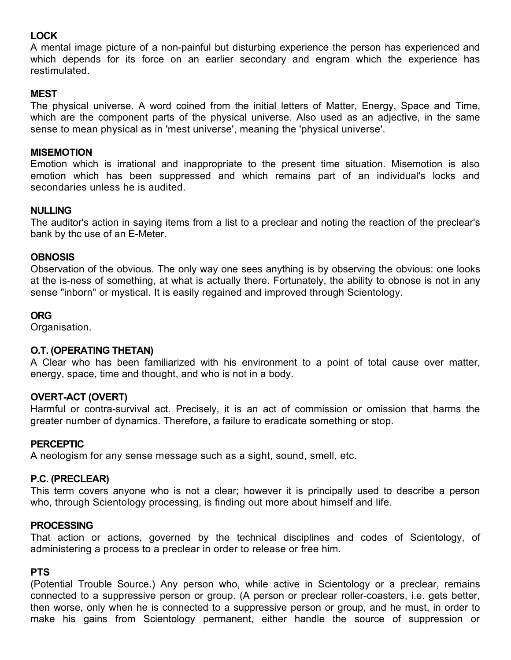# **LOCK**

A mental image picture of a non-painful but disturbing experience the person has experienced and which depends for its force on an earlier secondary and engram which the experience has restimulated.

### **MEST**

The physical universe. A word coined from the initial letters of Matter, Energy, Space and Time, which are the component parts of the physical universe. Also used as an adjective, in the same sense to mean physical as in 'mest universe', meaning the 'physical universe'.

#### **MISEMOTION**

Emotion which is irrational and inappropriate to the present time situation. Misemotion is also emotion which has been suppressed and which remains part of an individual's locks and secondaries unless he is audited.

#### **NULLING**

The auditor's action in saying items from a list to a preclear and noting the reaction of the preclear's bank by thc use of an E-Meter.

#### **OBNOSIS**

Observation of the obvious. The only way one sees anything is by observing the obvious: one looks at the is-ness of something, at what is actually there. Fortunately, the ability to obnose is not in any sense "inborn" or mystical. It is easily regained and improved through Scientology.

### **ORG**

Organisation.

# **O.T. (OPERATING THETAN)**

A Clear who has been familiarized with his environment to a point of total cause over matter, energy, space, time and thought, and who is not in a body.

# **OVERT-ACT (OVERT)**

Harmful or contra-survival act. Precisely, it is an act of commission or omission that harms the greater number of dynamics. Therefore, a failure to eradicate something or stop.

#### **PERCEPTIC**

A neologism for any sense message such as a sight, sound, smell, etc.

#### **P.C. (PRECLEAR)**

This term covers anyone who is not a clear; however it is principally used to describe a person who, through Scientology processing, is finding out more about himself and life.

### **PROCESSING**

That action or actions, governed by the technical disciplines and codes of Scientology, of administering a process to a preclear in order to release or free him.

#### **PTS**

(Potential Trouble Source.) Any person who, while active in Scientology or a preclear, remains connected to a suppressive person or group. (A person or preclear roller-coasters, i.e. gets better, then worse, only when he is connected to a suppressive person or group, and he must, in order to make his gains from Scientology permanent, either handle the source of suppression or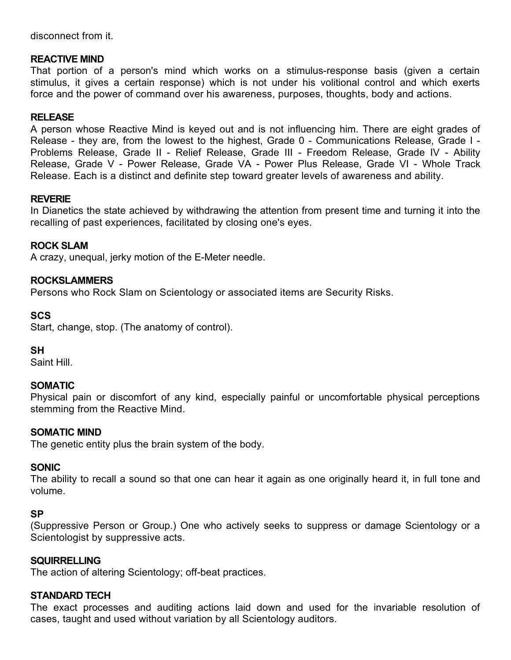disconnect from it.

# **REACTIVE MIND**

That portion of a person's mind which works on a stimulus-response basis (given a certain stimulus, it gives a certain response) which is not under his volitional control and which exerts force and the power of command over his awareness, purposes, thoughts, body and actions.

### **RELEASE**

A person whose Reactive Mind is keyed out and is not influencing him. There are eight grades of Release - they are, from the lowest to the highest, Grade 0 - Communications Release, Grade I - Problems Release, Grade II - Relief Release, Grade III - Freedom Release, Grade IV - Ability Release, Grade V - Power Release, Grade VA - Power Plus Release, Grade VI - Whole Track Release. Each is a distinct and definite step toward greater levels of awareness and ability.

# **REVERIE**

In Dianetics the state achieved by withdrawing the attention from present time and turning it into the recalling of past experiences, facilitated by closing one's eyes.

# **ROCK SLAM**

A crazy, unequal, jerky motion of the E-Meter needle.

### **ROCKSLAMMERS**

Persons who Rock Slam on Scientology or associated items are Security Risks.

### **SCS**

Start, change, stop. (The anatomy of control).

# **SH**

Saint Hill.

# **SOMATIC**

Physical pain or discomfort of any kind, especially painful or uncomfortable physical perceptions stemming from the Reactive Mind.

# **SOMATIC MIND**

The genetic entity plus the brain system of the body.

# **SONIC**

The ability to recall a sound so that one can hear it again as one originally heard it, in full tone and volume.

#### **SP**

(Suppressive Person or Group.) One who actively seeks to suppress or damage Scientology or a Scientologist by suppressive acts.

#### **SQUIRRELLING**

The action of altering Scientology; off-beat practices.

# **STANDARD TECH**

The exact processes and auditing actions laid down and used for the invariable resolution of cases, taught and used without variation by all Scientology auditors.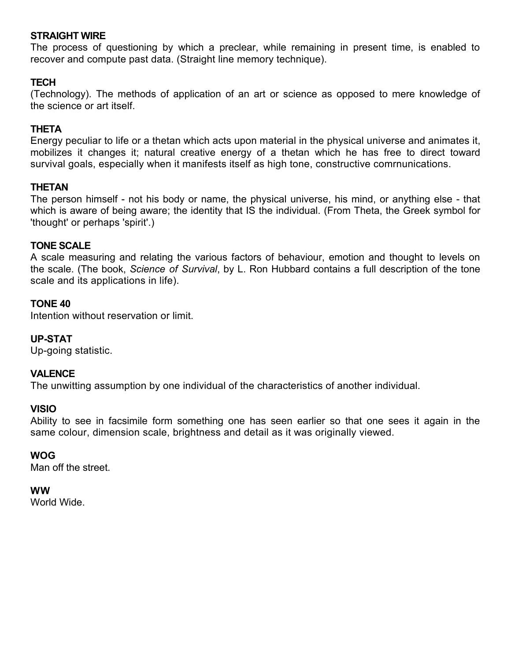# **STRAIGHT WIRE**

The process of questioning by which a preclear, while remaining in present time, is enabled to recover and compute past data. (Straight line memory technique).

# **TECH**

(Technology). The methods of application of an art or science as opposed to mere knowledge of the science or art itself.

# **THETA**

Energy peculiar to life or a thetan which acts upon material in the physical universe and animates it, mobilizes it changes it; natural creative energy of a thetan which he has free to direct toward survival goals, especially when it manifests itself as high tone, constructive comrnunications.

# **THETAN**

The person himself - not his body or name, the physical universe, his mind, or anything else - that which is aware of being aware; the identity that IS the individual. (From Theta, the Greek symbol for 'thought' or perhaps 'spirit'.)

### **TONE SCALE**

A scale measuring and relating the various factors of behaviour, emotion and thought to levels on the scale. (The book, *Science of Survival*, by L. Ron Hubbard contains a full description of the tone scale and its applications in life).

### **TONE 40**

Intention without reservation or limit.

# **UP-STAT**

Up-going statistic.

# **VALENCE**

The unwitting assumption by one individual of the characteristics of another individual.

#### **VISIO**

Ability to see in facsimile form something one has seen earlier so that one sees it again in the same colour, dimension scale, brightness and detail as it was originally viewed.

#### **WOG**

Man off the street.

#### **WW**

World Wide.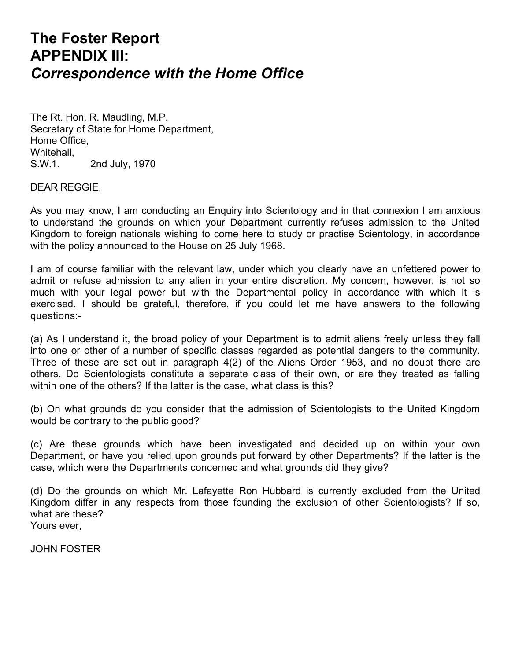# **The Foster Report APPENDIX III:** *Correspondence with the Home Office*

The Rt. Hon. R. Maudling, M.P. Secretary of State for Home Department, Home Office, Whitehall. S.W.1. 2nd July, 1970

### DEAR REGGIE,

As you may know, I am conducting an Enquiry into Scientology and in that connexion I am anxious to understand the grounds on which your Department currently refuses admission to the United Kingdom to foreign nationals wishing to come here to study or practise Scientology, in accordance with the policy announced to the House on 25 July 1968.

I am of course familiar with the relevant law, under which you clearly have an unfettered power to admit or refuse admission to any alien in your entire discretion. My concern, however, is not so much with your legal power but with the Departmental policy in accordance with which it is exercised. I should be grateful, therefore, if you could let me have answers to the following questions:-

(a) As I understand it, the broad policy of your Department is to admit aliens freely unless they fall into one or other of a number of specific classes regarded as potential dangers to the community. Three of these are set out in paragraph 4(2) of the Aliens Order 1953, and no doubt there are others. Do Scientologists constitute a separate class of their own, or are they treated as falling within one of the others? If the latter is the case, what class is this?

(b) On what grounds do you consider that the admission of Scientologists to the United Kingdom would be contrary to the public good?

(c) Are these grounds which have been investigated and decided up on within your own Department, or have you relied upon grounds put forward by other Departments? If the latter is the case, which were the Departments concerned and what grounds did they give?

(d) Do the grounds on which Mr. Lafayette Ron Hubbard is currently excluded from the United Kingdom differ in any respects from those founding the exclusion of other Scientologists? If so, what are these?

Yours ever,

JOHN FOSTER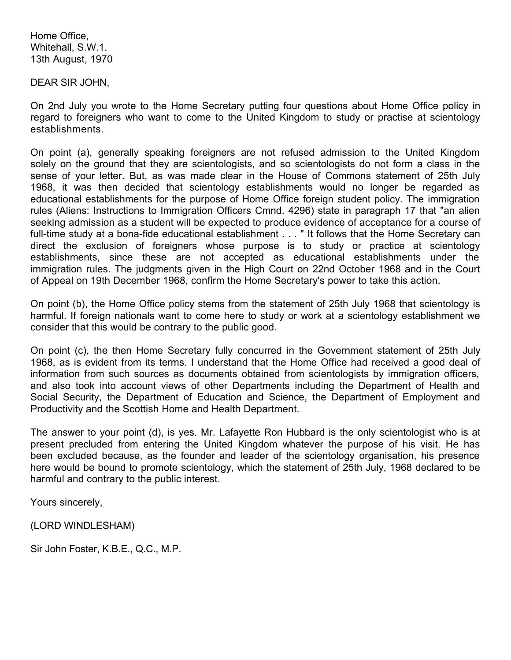Home Office, Whitehall, S.W.1. 13th August, 1970

DEAR SIR JOHN,

On 2nd July you wrote to the Home Secretary putting four questions about Home Office policy in regard to foreigners who want to come to the United Kingdom to study or practise at scientology establishments.

On point (a), generally speaking foreigners are not refused admission to the United Kingdom solely on the ground that they are scientologists, and so scientologists do not form a class in the sense of your letter. But, as was made clear in the House of Commons statement of 25th July 1968, it was then decided that scientology establishments would no longer be regarded as educational establishments for the purpose of Home Office foreign student policy. The immigration rules (Aliens: Instructions to Immigration Officers Cmnd. 4296) state in paragraph 17 that "an alien seeking admission as a student will be expected to produce evidence of acceptance for a course of full-time study at a bona-fide educational establishment . . . " It follows that the Home Secretary can direct the exclusion of foreigners whose purpose is to study or practice at scientology establishments, since these are not accepted as educational establishments under the immigration rules. The judgments given in the High Court on 22nd October 1968 and in the Court of Appeal on 19th December 1968, confirm the Home Secretary's power to take this action.

On point (b), the Home Office policy stems from the statement of 25th July 1968 that scientology is harmful. If foreign nationals want to come here to study or work at a scientology establishment we consider that this would be contrary to the public good.

On point (c), the then Home Secretary fully concurred in the Government statement of 25th July 1968, as is evident from its terms. I understand that the Home Office had received a good deal of information from such sources as documents obtained from scientologists by immigration officers, and also took into account views of other Departments including the Department of Health and Social Security, the Department of Education and Science, the Department of Employment and Productivity and the Scottish Home and Health Department.

The answer to your point (d), is yes. Mr. Lafayette Ron Hubbard is the only scientologist who is at present precluded from entering the United Kingdom whatever the purpose of his visit. He has been excluded because, as the founder and leader of the scientology organisation, his presence here would be bound to promote scientology, which the statement of 25th July, 1968 declared to be harmful and contrary to the public interest.

Yours sincerely,

(LORD WINDLESHAM)

Sir John Foster, K.B.E., Q.C., M.P.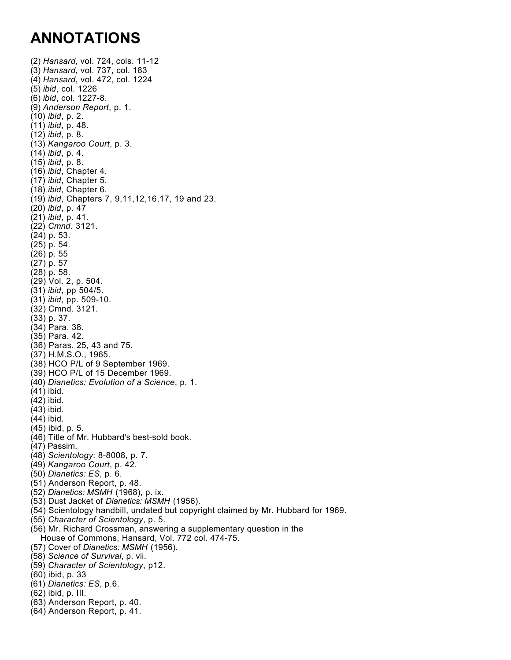# **ANNOTATIONS**

(2) *Hansard*, vol. 724, cols. 11-12 (3) *Hansard*, vol. 737, col. 183 (4) *Hansard*, vol. 472, col. 1224 (5) *ibid*, col. 1226 (6) *ibid*, col. 1227-8. (9) *Anderson Report*, p. 1. (10) *ibid*, p. 2. (11) *ibid*, p. 48. (12) *ibid*, p. 8. (13) *Kangaroo Court*, p. 3. (14) *ibid*, p. 4. (15) *ibid*, p. 8. (16) *ibid*, Chapter 4. (17) *ibid*, Chapter 5. (18) *ibid*, Chapter 6. (19) *ibid*, Chapters 7, 9,11,12,16,17, 19 and 23. (20) *ibid*, p. 47 (21) *ibid*, p. 41. (22) *Cmnd*. 3121. (24) p. 53. (25) p. 54. (26) p. 55 (27) p. 57 (28) p. 58. (29) Vol. 2, p. 504. (31) *ibid*, pp 504/5. (31) *ibid*, pp. 509-10. (32) Cmnd. 3121. (33) p. 37. (34) Para. 38. (35) Para. 42. (36) Paras. 25, 43 and 75. (37) H.M.S.O., 1965. (38) HCO P/L of 9 September 1969. (39) HCO P/L of 15 December 1969. (40) *Dianetics: Evolution of a Science*, p. 1. (41) ibid. (42) ibid. (43) ibid. (44) ibid. (45) ibid, p. 5. (46) Title of Mr. Hubbard's best-sold book. (47) Passim. (48) *Scientology*: 8-8008, p. 7. (49) *Kangaroo Court*, p. 42. (50) *Dianetics: ES*, p. 6. (51) Anderson Report, p. 48. (52) *Dianetics: MSMH* (1968), p. ix. (53) Dust Jacket of *Dianetics: MSMH* (1956). (54) Scientology handbill, undated but copyright claimed by Mr. Hubbard for 1969. (55) *Character of Scientology*, p. 5. (56) Mr. Richard Crossman, answering a supplementary question in the House of Commons, Hansard, Vol. 772 col. 474-75. (57) Cover of *Dianetics: MSMH* (1956). (58) *Science of Survival*, p. vii. (59) *Character of Scientology*, p12. (60) ibid, p. 33 (61) *Dianetics: ES*, p.6. (62) ibid, p. III. (63) Anderson Report, p. 40.

(64) Anderson Report, p. 41.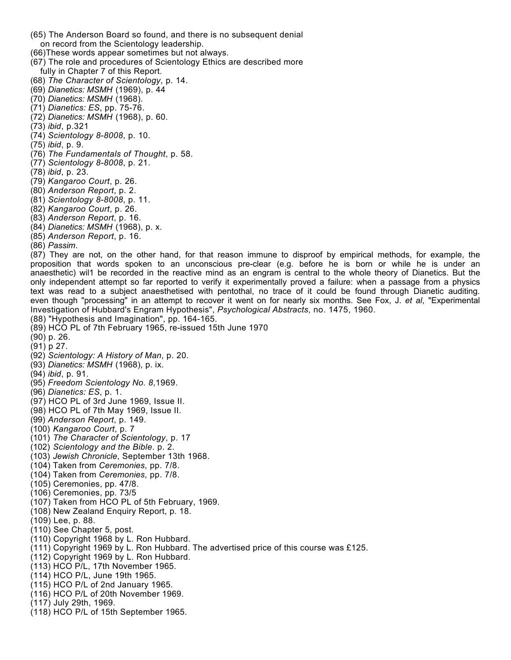- (65) The Anderson Board so found, and there is no subsequent denial on record from the Scientology leadership.
- (66)These words appear sometimes but not always.
- (67) The role and procedures of Scientology Ethics are described more
- fully in Chapter 7 of this Report.
- (68) *The Character of Scientology*, p. 14.
- (69) *Dianetics: MSMH* (1969), p. 44
- (70) *Dianetics: MSMH* (1968). (71) *Dianetics: ES*, pp. 75-76.
- (72) *Dianetics: MSMH* (1968), p. 60.
- 
- (73) *ibid*, p.321
- (74) *Scientology 8-8008*, p. 10.
- (75) *ibid*, p. 9.
- (76) *The Fundamentals of Thought*, p. 58.
- (77) *Scientology 8-8008*, p. 21.
- (78) *ibid*, p. 23.
- (79) *Kangaroo Court*, p. 26.
- (80) *Anderson Report*, p. 2.
- (81) *Scientology 8-8008*, p. 11.
- (82) *Kangaroo Court*, p. 26.
- (83) *Anderson Report*, p. 16.
- (84) *Dianetics: MSMH* (1968), p. x.
- (85) *Anderson Report*, p. 16.
- (86) *Passim*.

(87) They are not, on the other hand, for that reason immune to disproof by empirical methods, for example, the proposition that words spoken to an unconscious pre-clear (e.g. before he is born or while he is under an anaesthetic) wil1 be recorded in the reactive mind as an engram is central to the whole theory of Dianetics. But the only independent attempt so far reported to verify it experimentally proved a failure: when a passage from a physics text was read to a subject anaesthetised with pentothal, no trace of it could be found through Dianetic auditing. even though "processing" in an attempt to recover it went on for nearly six months. See Fox, J. *et al*, "Experimental Investigation of Hubbard's Engram Hypothesis", *Psychological Abstracts*, no. 1475, 1960.

- (88) "Hypothesis and Imagination", pp. 164-165.
- (89) HCO PL of 7th February 1965, re-issued 15th June 1970
- (90) p. 26.
- (91) p 27.
- (92) *Scientology: A History of Man*, p. 20.
- (93) *Dianetics: MSMH* (1968), p. ix.
- (94) *ibid*, p. 91.
- (95) *Freedom Scientology No. 8*,1969.
- (96) *Dianetics: ES*, p. 1.
- (97) HCO PL of 3rd June 1969, Issue II.
- (98) HCO PL of 7th May 1969, Issue II.
- (99) *Anderson Report*, p. 149.
- (100) *Kangaroo Court*, p. 7
- (101) *The Character of Scientology*, p. 17
- (102) *Scientology and the Bible*. p. 2.
- (103) *Jewish Chronicle*, September 13th 1968.
- (104) Taken from *Ceremonies*, pp. 7/8.
- (104) Taken from *Ceremonies*, pp. 7/8.
- (105) Ceremonies, pp. 47/8.
- (106) Ceremonies, pp. 73/5
- (107) Taken from HCO PL of 5th February, 1969.
- (108) New Zealand Enquiry Report, p. 18.
- (109) Lee, p. 88.
- (110) See Chapter 5, post.
- (110) Copyright 1968 by L. Ron Hubbard.
- (111) Copyright 1969 by L. Ron Hubbard. The advertised price of this course was £125.
- (112) Copyright 1969 by L. Ron Hubbard.
- (113) HCO P/L, 17th November 1965.
- (114) HCO P/L, June 19th 1965.
- (115) HCO P/L of 2nd January 1965.
- (116) HCO P/L of 20th November 1969.
- (117) July 29th, 1969.
- (118) HCO P/L of 15th September 1965.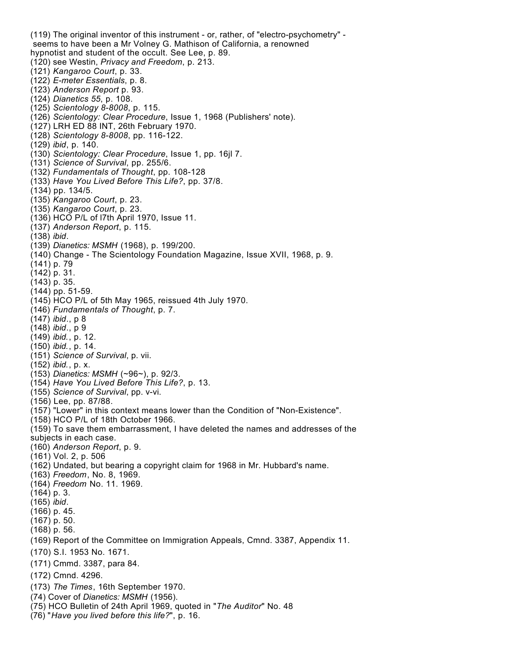(119) The original inventor of this instrument - or, rather, of "electro-psychometry" seems to have been a Mr Volney G. Mathison of California, a renowned hypnotist and student of the occult. See Lee, p. 89. (120) see Westin, *Privacy and Freedom*, p. 213. (121) *Kangaroo Court*, p. 33. (122) *E-meter Essentials*, p. 8. (123) *Anderson Report* p. 93. (124) *Dianetics 55*, p. 108. (125) *Scientology 8-8008*, p. 115. (126) *Scientology: Clear Procedure*, Issue 1, 1968 (Publishers' note). (127) LRH ED 88 INT, 26th February 1970. (128) *Scientology 8-8008*, pp. 116-122. (129) *ibid*, p. 140. (130) *Scientology: Clear Procedure*, Issue 1, pp. 16jl 7. (131) *Science of Survival*, pp. 255/6. (132) *Fundamentals of Thought*, pp. 108-128 (133) *Have You Lived Before This Life?*, pp. 37/8. (134) pp. 134/5. (135) *Kangaroo Court*, p. 23. (135) *Kangaroo Court*, p. 23. (136) HCO P/L of l7th April 1970, Issue 11. (137) *Anderson Report*, p. 115. (138) *ibid*. (139) *Dianetics: MSMH* (1968), p. 199/200. (140) Change - The Scientology Foundation Magazine, Issue XVII, 1968, p. 9. (141) p. 79 (142) p. 31. (143) p. 35. (144) pp. 51-59. (145) HCO P/L of 5th May 1965, reissued 4th July 1970. (146) *Fundamentals of Thought*, p. 7. (147) *ibid*., p 8 (148) *ibid*., p 9 (149) *ibid.*, p. 12. (150) *ibid.*, p. 14. (151) *Science of Survival*, p. vii. (152) *ibid.*, p. x. (153) *Dianetics: MSMH* (~96~), p. 92/3. (154) *Have You Lived Before This Life?*, p. 13. (155) *Science of Survival*, pp. v-vi. (156) Lee, pp. 87/88. (157) "Lower" in this context means lower than the Condition of "Non-Existence". (158) HCO P/L of 18th October 1966. (159) To save them embarrassment, I have deleted the names and addresses of the subjects in each case. (160) *Anderson Report*, p. 9. (161) Vol. 2, p. 506 (162) Undated, but bearing a copyright claim for 1968 in Mr. Hubbard's name. (163) *Freedom*, No. 8, 1969. (164) *Freedom* No. 11. 1969. (164) p. 3. (165) *ibid*. (166) p. 45. (167) p. 50. (168) p. 56. (169) Report of the Committee on Immigration Appeals, Cmnd. 3387, Appendix 11. (170) S.I. 1953 No. 1671. (171) Cmmd. 3387, para 84. (172) Cmnd. 4296. (173) *The Times*, 16th September 1970. (74) Cover of *Dianetics: MSMH* (1956). (75) HCO Bulletin of 24th April 1969, quoted in "*The Auditor*" No. 48 (76) "*Have you lived before this life?*", p. 16.